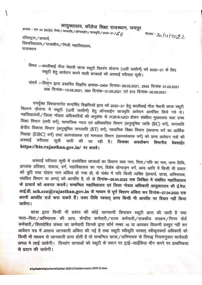## आयुक्तालय, कॉलेज शिक्षा राजस्थान, जयपुर

क्रमांक : एफ 23 (80)(3) लेखा / आकाशि / ऑनलाईन / छात्रवृति / 2020–21 /  ${\cal L}$   ${\cal Q}$ 

क्षितंक: 20/4/2022

रजिस्ट्रार / प्राचार्य.

विश्वविद्यालय / राजकीय / निजी महाविद्यालय, राजस्थान

विषय :- कालीबाई भील मेघावी छात्रा स्कूटी वितरण योजना (12वीं उत्तीर्ण) वर्ष 2020-21 के लिए स्कूटी हेतु आवेदन करने वाली छात्राओं की अस्थाई वरीयता सूची।

संदर्भ :--विभाग द्वारा प्रसारित विज्ञप्ति क्रमांक-2454 दिनांक-26.02.2021, 2542 दिनांक 31.03.2021 358 दिनांक-13.08.2021, 389 दिनांक-31.08.2021 एवं 573 दिनांक-30.09.2021

उपर्युक्त विषयान्तर्गत सन्दर्भित विज्ञप्तियों द्वारा वर्ष 2020–21 हेतु कालीबाई भील मेघावी छात्रा स्कूटी वितरण योजना में स्कूटी (12वीं उत्तीर्ण) हेतु ऑनलाईन छात्रवृति आवेदन आमंत्रित किये गये थे। महविद्यालयों / जिला नोडल अधिकारियों की अनुशंषा से FORWARD होकर संबंधित मुख्यालय यथा उच्च शिक्षा विमाग (सभी वर्ग), सामाजिक न्याय एवं अधिकारिता विमाग (अनुसूचित जाति (SC) वर्ग), जनजाति क्षेत्रीय विकास विभाग (अनुसूचित जनजाति (ST) वर्ग), माध्यमिक शिक्षा विभाग (सामान्य वर्ग का आर्थिक पिछड़ा (EBC) वर्ग) तथां अल्पसंख्यक एवं मामलात विभाग (अल्पसंख्यक वर्ग) को प्राप्त आवेदन पत्रों की अस्थाई वरीयता सूची जारी की जा रही है। जिसका अवलोकन विमागीय वेबसाईट https://hte.rajasthan.gov.in/ पर करावें।

अस्थाई वरीयता सूची में उल्लेखित छात्राओं का विवरण यथा नाम, पिता/पति का नाम, जन्म तिथि, प्राप्तांक प्रतिशत, संकाय, वर्ग, महाविद्यालय का नाम, विशेष योग्यजन वर्ग, आय आदि में किसी भी प्रकार की त्रुटि तथा दोहरा नाम अंकित हो गया हो, के संबंध में यदि किसी व्यक्ति (प्राचार्य, छात्रा, अभिभावक, संबंधित विभाग या अन्य) को आपत्ति है, तो वो दिनांक-26.04.2022 तक लिखित में संबंधित महाविद्यालय के प्राचार्य को अवगत करावें। सम्बन्धित महाविद्यालय एवं जिला नोडल अधिकारी आयुक्तालय की ई.मेल. आई.डी. sch.cce@rajasthan.gov.in के माध्यम से पूर्ण विवरण अंकित कर दिनांक-27.04.2022 तक अपनी आपत्ति दर्ज करा सकते हैं। उक्त तिथि पश्चात् प्राप्त किसी भी आपत्ति पर विचार नहीं किया जावेगा।

छात्रा द्वारा किसी भी प्रकार की कोई जानकारी छिपाकर स्कूटी प्राप्त की जाती है यथा माता-पिता / अभिभावक की आय, केन्द्रीय कर्मचारी / राज्य कर्मचारी / राजकीय उपक्रम / निगम बोर्ड कर्मचारी/वित्तपोषित संस्था का कर्मचारी जिनके द्वारा फॉर्म नम्बर 16 या आयकर विवरणी प्रस्तुत नहीं कर आवेदन पत्र में असत्य जानकारी अंकित की गई है तथा स्कूटी स्वीकृति पश्चात स्वीकतकर्ता अधिकारी को किसी भी माध्यम से जानकारी प्राप्त होती है तो सम्बन्धित छात्रा/अभिभावक के विरूद्ध नियमानुसार कार्यवाही अमल मे लाई जावेगी। दिव्यांग छात्राओं को स्कटी के स्थान पर टाई-साईकिल माँग करने पर प्राथमिकता से पदान की जावेगी।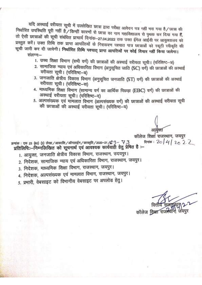यदि अस्थाई वरीयता सूची में उल्लेखित छात्रा द्वारा परीक्षा आवेदन पत्र नहीं भरा गया है/छात्रा की निर्धारित उपस्थिति पूरी नहीं है/किन्हीं कारणों से छात्रा का नाम महाविद्यालय से पृथक कर दिया गया हैं, तो ऐसी छात्राओं की सूची संबंधित प्राचार्य दिनांक-27.04.2022 तक उक्त ईमेल आईडी पर आयुक्तालय को प्रस्तुत करें। उक्त तिथि तक प्राप्त आपत्तियों के निराकरण पश्चात पात्र छात्राओं को स्कूटी स्वीकृति की सूची जारी कर दी जावेगी। निर्धारित तिथि पश्चात् प्राप्त आपत्तियों पर कोई विचार नहीं किया जावेगा।

संलग्न:-

- 1. उच्च शिक्षा विभाग (सभी वर्ग) की छात्राओं की अस्थाई वरीयता सूची। (परिशिष्ट-अ)
- 2. सामाजिक न्याय एवं अधिकारिता विभाग (अनुसूचित जाति (SC) वर्ग) की छात्राओं की अस्थाई वरीयता सूची। (परिशिष्ट-ब)
- 3. जनजाति क्षेत्रीय विकास विभाग (अनुसूचित जनजाति (ST) वर्ग) की छात्राओं की अस्थाई वरीयता सूची। (परिशिष्ट–स)
- 4. माध्यमिक शिक्षा विभाग (सामान्य वर्ग का आर्थिक पिछड़ा (EBC) वर्ग) की छात्राओं की अस्थाई वरीयता सूची। (परिशिष्ट-द)
- 5. अल्पसंख्यक एवं मामलात विभाग (अल्पसंख्यक वर्ग) की छात्राओं की अस्थाई वरीयता सूची की छात्राओं की अस्थाई वरीयता सची। (परिशिष्ट-य)

कॉलेज शिक्षा राजस्थान, जयपुर दिनांक: 20 | 4 | 20 2 2 क्रमांक : एफ 23 (80) (3) लेखा / आकाशि / ऑनलाईन / छात्रवृति / 2020-21 /  $G - 73$ प्रतिलिपि::--निम्नलिखित को सूचनार्थ एवं आवश्यक कार्यवाही हेतु प्रेषित है :--

- 1. आयुक्त, जनजाति क्षेत्रीय विकास विभाग, राजस्थान, उदयपुर।
- 2. निदेशक, सामाजिक न्याय एवं अधिकारिता विभाग, राजस्थान, जयपुर।
- 3. निदेशक, माध्यमिक शिक्षा विभाग, राजस्थान, जयपुर।
- 4. निदेशक, अल्पसंख्यक एवं मामलात विभाग, राजस्थान, जयपुर।

5. प्रभारी, वेबसाइट को विभागीय वेबसाइट पर अपलोड हेत्।

कॉलेज शिक्षा राजस्थ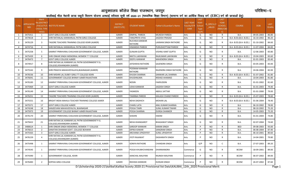आयुक्तालय कॉलेज शिक्षा राजस्थान, जयपुर $\mathbf x \in \mathbb{R}^{d}$  the state  $\mathbf x \in \mathbb{R}^{d}$  if  $\mathbf x \in \mathbb{R}^{d}$ 

## कालीबाई भील मेधावी छात्रा स्कूटी वितरण योजना अस्थाई वरीयता सूची वर्ष 2020—21 (माध्यमिक शिक्षा विभाग) (सामान्य वर्ग का आर्थिक पिछड़ वर्ग (EBC) वर्ग की छात्राओं हेतु)

|                |                   |                         |                                                                                                       |                 |                        |                           |                  | <b>LAST</b>   |                    | <b>LAST</b>     |                        |            |             |
|----------------|-------------------|-------------------------|-------------------------------------------------------------------------------------------------------|-----------------|------------------------|---------------------------|------------------|---------------|--------------------|-----------------|------------------------|------------|-------------|
|                |                   | Merit                   |                                                                                                       |                 |                        |                           |                  |               |                    |                 |                        |            |             |
|                | <b>APPLICATIO</b> | lo.(DISTRICT            |                                                                                                       | <b>DISTRICT</b> |                        |                           | <b>LAST YEAR</b> | <b>YEAR</b>   | <b>IS_SPECILLY</b> | <b>YEAR</b>     |                        |            | <b>LAST</b> |
| S.No.          |                   |                         | FACULTY/S INSTITUTE NAME                                                                              |                 | <b>STUDENT NAME</b>    | Father's/Guardian's Name  | Faculty/STR      | <b>School</b> |                    | <b>SCHOOL</b>   | <b>COURSE</b>          | <b>DOB</b> |             |
|                | <b>NID</b>        | <b>CHOOL TYPE</b>       |                                                                                                       | (INSTITUTE)     |                        |                           | EAM              | <b>Type</b>   | $\_$ ABLED         | <b>RBSE/CBS</b> |                        |            | YEAR%       |
|                |                   | WISE)                   |                                                                                                       |                 |                        |                           |                  | (G/P)         |                    | E)              |                        |            |             |
| 1              | 3475411           | 1                       | <b>GOVT GIRLS COLLEGE AJMER</b>                                                                       | <b>AJMER</b>    | DIMPAL PAREEK          | <b>MUKESH PAREEK</b>      | Arts             | G             | NO.                | R               | <b>B.A.</b>            | 09-05-2003 | 86.80       |
| $\overline{2}$ | 3474618           | 2                       | SHRI RATANLAL KANWARLAL PATNI GIRLS COLLEGE                                                           | AJMER           | TANUPRIYA VYAS         | JAGDISH PRASAD            | Arts             | G             | NO.                | R               | B.A- B.ED.(B.A- B.ED.) | 16-10-2002 | 86.20       |
|                |                   |                         |                                                                                                       |                 | RUCHIKA KANWAR         |                           |                  |               |                    |                 |                        |            |             |
| 3              | 3476129           | $\overline{\mathbf{3}}$ | TAGORE TEACHERS TRAINING COLLEGE KEKRI (AJMER)                                                        | <b>AJMER</b>    |                        | LAXMAN SINGH RATHORE      | Arts             | G             | NO.                | R               | B.A- B.ED.(B.A- B.ED.) | 01-10-2002 | 84.60       |
|                |                   |                         |                                                                                                       |                 | RATHORE                |                           |                  |               |                    |                 |                        |            |             |
| $\overline{a}$ | 3474716           | 4                       | SHRI RATANLAL KANWARLAL PATNI GIRLS COLLEGE                                                           | <b>AJMER</b>    | <b>HIMANSHI PAREEK</b> | PURUSHOTTAM PAREEK        | Arts             | G             | NO.                | R               | B.A- B.ED.(B.A- B.ED.) | 11-07-2004 | 84.00       |
| -5             | 3475258           | 5                       | SAMRAT PRIRHVIRAJ CHAUHAN GOVERNMENT COLLEGE, AJMER                                                   | <b>AJMER</b>    | <b>GUNJAN GUPTA</b>    | VISHNU KANT GUPTA         | Arts             | G             | NO.                | R               | <b>B.A.</b>            | 12-06-2003 | 83.80       |
| 6              | 3475439           | 6                       | SHRI ONKAR SINGH MEMORIAL WOMEN TT COLLEGE                                                            | <b>AJMER</b>    | NIKITA LAKHWANI        | RAJKUMAR LAKHWANI         | Arts             | G             | <b>NO</b>          | $\mathsf{R}$    | B.A- B.ED.(B.A- B.ED.) | 19-04-2003 | 83.60       |
| $\overline{7}$ | 3476473           | $7^{\circ}$             | <b>GOVT GIRLS COLLEGE AJMER</b>                                                                       | <b>AJMER</b>    | DEEPU KANWAR           | <b>MAHENDRA SINGH</b>     | Arts             | G             | <b>NO</b>          | $\mathsf{R}$    | <b>B.A.</b>            | 01-01-2003 | 83.40       |
|                |                   |                         | SHRI RATAN LAL KANWAR LAL PATNI GOVERNMENT P.G.                                                       |                 |                        |                           |                  |               |                    |                 |                        |            |             |
| 8              | 3474917           | 8                       | COLLEGE, KISHANGARH (AJMER)                                                                           | <b>AJMER</b>    | JAYSHIKHA RATHORE      | <b>GAJENDRA SINGH</b>     | Arts             | G             | NO.                | R               | <b>B.A.</b>            | 03-05-2003 | 83.00       |
|                |                   |                         |                                                                                                       |                 | POONAM KANWAR          |                           |                  |               |                    |                 |                        |            |             |
| 9              | 3475542           | 9                       | SHRI PRAGYA MAHAVIDYALAYA, BIJAINAGAR (AJMER)                                                         | <b>AJMER</b>    | RATHORE                | RAJENDRA SINGH RATHORE    | Arts             | G             | NO.                | R               | <b>B.A.</b>            | 24-06-2004 | 82.00       |
|                |                   |                         | SHRI MISHRI LAL DUBEY GIRLS TT COLLEGE KEKRI                                                          |                 |                        |                           |                  |               |                    |                 | B.A- B.ED.(B.A- B.ED.) | 01-07-2002 | 81.80       |
| 10             | 3476536           | 10                      |                                                                                                       | <b>AJMER</b>    | KHUSHI SHARMA          | SANWAR LAL SHARMA         | Arts             | G             | NO.                | R               |                        |            |             |
| 11             | 3476041           | 11                      | GOVERNMENT COLLEGE BHINAY AJMER RAJASTHAN                                                             | AJMER           | KHUSHNUMA              | RSHAD AHAMAD              | Arts             | G             | NO                 | R               | <b>B.A.</b>            | 10-04-2003 | 81.80       |
| 12             | 3476183           | 12                      | SAMRAT PRIRHVIRAJ CHAUHAN GOVERNMENT COLLEGE, AJMER                                                   | <b>AJMER</b>    | <b>NOSIN</b>           | <b>FAKRUDDIN</b>          | Arts             | G             | NO.                | R               | <b>B.A.</b>            | 01-01-2002 | 81.60       |
| 13             | 3475969           | 13                      | <b>GOVT GIRLS COLLEGE AJMER</b>                                                                       | <b>AJMER</b>    | USHA KANWAR            | JAGDISH SINGH             | Arts             | G             | NO.                | R               | <b>B.A.</b>            | 01-01-2003 | 79.40       |
| 14             | 3476149           | 14                      | SAMRAT PRIRHVIRAJ CHAUHAN GOVERNMENT COLLEGE, AJMER                                                   | <b>AJMER</b>    | YASMEEN                | <b>ABDUL SATTAR</b>       | Arts             | G             | NO.                | R               | B.A.                   | 01-01-2000 | 79.00       |
| 15             | 3476251           | 15                      | TAGORE TEACHERS TRAINING COLLEGE KEKRI (AJMER)                                                        | <b>AJMER</b>    | TAMNNA PAREEK          | KAILASH CHAND PAREEK      | Arts             | G             | <b>NO</b>          | R               | B.A- B.ED.(B.A- B.ED.) | 25-07-2003 | 78.60       |
| 16             | 3475551           | 16                      | BRIGHT INDIA MAHILA TEACHER TRAINING COLLEGE AJMER                                                    | <b>AJMER</b>    | NEHA DADHICH           | MOHAN LAL                 | Arts             | G             | NO.                | R               | B.A- B.ED.(B.A- B.ED.) | 01-06-2004 | 78.40       |
|                |                   |                         |                                                                                                       |                 |                        |                           |                  |               |                    |                 |                        |            |             |
| 17             | 3475571           | 17                      | <b>GOVT GIRLS COLLEGE AJMER</b>                                                                       | <b>AJMER</b>    | <b>CHARU LATA</b>      | ANIL KUMAR SHARMA         | Arts             | G             | NO.                | $\mathsf{R}$    | <b>B.A.</b>            | 06-10-2002 | 78.00       |
| 18             | 3474248           | 18                      | SANJEEVANI MAHAVIDYALYA, BIJAINAGAR                                                                   | <b>AJMER</b>    | POOJA TIWRI            | <b>SUNIL KUMAR TIWARI</b> | Arts             | G             | <b>NO</b>          | R               | <b>B.A.</b>            | 08-10-2002 | 75.20       |
| 19             | 3475973           | 19                      | GOVERNMENT COLLEGE BHINAY AJMER RAJASTHAN                                                             | <b>AJMER</b>    | POOJA SHARMA           | <b>DURGA SHANKER</b>      | Arts             | G             | NO.                | R               | <b>B.A.</b>            | 14-05-2003 | 75.20       |
| 20             | 3476170           | 20                      | SAMRAT PRIRHVIRAJ CHAUHAN GOVERNMENT COLLEGE, AJMER                                                   | <b>AJMER</b>    | <b>SHAHIN</b>          | HAKIM                     | Arts             | G             | NO.                | R               | B.A.                   | 01-01-2004 | 74.80       |
| 21             | 3479422           | 21                      | SHRI RATAN LAL KANWAR LAL PATNI GOVERNMENT P.G.<br>COLLEGE, KISHANGARH (AJMER)                        | <b>AJMER</b>    | <b>NEHA KHANGAROT</b>  | <b>BHAGAWAT SINGH</b>     | Arts             | G             | NO.                | R               | <b>B.A.</b>            | 02-07-2004 | 74.60       |
| 22             | 3480614           | 1                       | SHRI ONKAR SINGH MEMORIAL WOMEN TT COLLEGE                                                            | <b>AJMER</b>    | SAROOP KANWAR          | <b>KARAN SINGH</b>        | Arts             | P             | NO.                | R               | BED                    | 09-08-2003 | 93.00       |
| 23             | 3476613           | 2                       | SANATAN DHARAM GOVT. COLLEGE BEAWAR                                                                   | <b>AJMER</b>    | DIPIKA KAWAR           | SANGRAM SINGH             | Arts             | P             | NO.                | R               | <b>B.A.</b>            | 06-08-2004 | 87.40       |
| 24             | 3475563           | $\overline{3}$          | <b>GOVT GIRLS COLLEGE AJMER</b>                                                                       | <b>AJMER</b>    | ARCHANA UPADHYAY       | <b>SUNIL UPADHYAY</b>     | Arts             | P             | NO.                | R               | <b>B.A.</b>            | 06-10-2001 | 80.60       |
|                |                   |                         | SHRI RATAN LAL KANWAR LAL PATNI GOVERNMENT P.G.                                                       |                 |                        |                           |                  |               |                    |                 |                        |            |             |
| 25             | 3476159           | $\overline{4}$          | COLLEGE, KISHANGARH (AJMER)                                                                           | <b>AJMER</b>    | <b>JYOTI RAJAWAT</b>   | <b>DASHARATH SINGH</b>    | Arts             | P             | NO.                | R               | <b>B.A.</b>            | 14-04-2001 | 79.80       |
|                |                   |                         |                                                                                                       |                 |                        |                           |                  |               |                    |                 |                        |            |             |
| 26             | 3475498           |                         | SAMRAT PRIRHVIRAJ CHAUHAN GOVERNMENT COLLEGE, AJMER                                                   | AJMER           | <b>SONIYA RATHORE</b>  | <b>CHANDAN SINGH</b>      | Arts             | G/P           | NO                 |                 | B.A.                   | 27-07-2003 | 89.20       |
|                |                   |                         |                                                                                                       |                 |                        |                           |                  |               |                    |                 |                        |            |             |
| 27             | 3474545           | 1                       | SAMRAT PRIRHVIRAJ CHAUHAN GOVERNMENT COLLEGE. AJMER                                                   | AJMER           | POOJA KHUBHCHANDANI    | <b>DHARMANDRA</b>         | Commerce         | G             | <b>NO</b>          | R               | <b>BCOM</b>            | 18-09-2001 | 89.00       |
| 28             | 3474390           | 1                       | <b>GOVERNMENT COLLEGE, KEKRI</b>                                                                      | AJMER           | AANCHAL MALPANI        | RAJNISH MALPANI           | Commerce         | P             | <b>NO</b>          | R               | <b>BCOM</b>            | 06-07-2002 | 89.00       |
|                |                   |                         |                                                                                                       |                 |                        |                           |                  |               |                    |                 |                        |            |             |
| 29             | 3476483           | 2                       | SOPHIA GIRLS COLLEGE                                                                                  | <b>AJMER</b>    | RIDHIKA KANWAR         | <b>DURJAN SINGH</b>       | Commerce         | P             | NO                 | R               | <b>BCOM</b>            | 26-07-2002 | 87.60       |
|                |                   |                         | D. Calculated in 2020, 24 United Vality Conct., 2020, 24 Decisional list Data VALIDAL, 42th, 2020 Dec |                 |                        |                           |                  |               | $-1$ $-1$          |                 |                        |            | $\sim$      |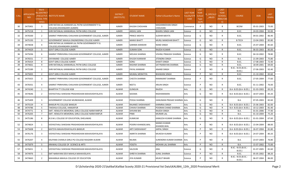| S.No. | <b>APPLICATIO</b><br><b>NID</b> | Merit<br>lo.(DISTRICT<br><b>CHOOL TYPE</b><br>WISE) | <b>/FACULTY/S INSTITUTE NAME</b>                                               | <b>DISTRICT</b><br>(INSTITUTE) | <b>STUDENT NAME</b>  | Father's/Guardian's Name         | <b>LAST YEAR</b><br>Faculty/STR<br>EAM | <b>LAST</b><br><b>YEAR</b><br>School<br><b>Type</b><br>(G/P) | <b>IS_SPECILLY</b><br>$\_$ ABLED | LAST<br><b>YEAR</b><br>SCHOOL<br><b>RBSE/CBS</b><br>E) | <b>COURSE</b>                        | DOB        | <b>LAST</b><br>YEAR% |
|-------|---------------------------------|-----------------------------------------------------|--------------------------------------------------------------------------------|--------------------------------|----------------------|----------------------------------|----------------------------------------|--------------------------------------------------------------|----------------------------------|--------------------------------------------------------|--------------------------------------|------------|----------------------|
| 30    | 3475901                         | $\overline{3}$                                      | SHRI RATAN LAL KANWAR LAL PATNI GOVERNMENT P.G.<br>COLLEGE, KISHANGARH (AJMER) | <b>AJMER</b>                   | KHUSHI CHOUHAN       | MADANMOHAN SINGH<br>CHOUHAN      | Commerce                               | P                                                            | NO.                              | R                                                      | <b>BCOM</b>                          | 05-01-2003 | 73.00                |
| 31    | 3475218                         | 1                                                   | SHRI RATANLAL KANWARLAL PATNI GIRLS COLLEGE                                    | <b>AJMER</b>                   | ANSHU JAIN           | <b>BHAIRU SINGH JAIN</b>         | Science                                | G                                                            | <b>NO</b>                        | $\mathsf{R}$                                           | B.SC.                                | 24-03-2004 | 92.00                |
| 32    | 3476500                         | $\overline{2}$                                      | SAMRAT PRIRHVIRAJ CHAUHAN GOVERNMENT COLLEGE, AJMER                            | <b>AJMER</b>                   | PRINCE MEHTA         | <b>SUDHIR MEHTA</b>              | Science                                | G                                                            | NO                               | R                                                      | B.SC.                                | 04-01-2002 | 86.40                |
| 33    | 3475193                         | $\overline{3}$                                      | GOVERNMENT MAHILA ENGINEERING COLLEGE AJMER                                    | <b>AJMER</b>                   | <b>MANVI BHATT</b>   | MURLI MANOHAR BHATT              | Science                                | G                                                            | <b>NO</b>                        | $\mathsf{R}$                                           | <b>B.TECH</b>                        | 13-04-2003 | 85.80                |
| 34    | 3474658                         | $\overline{4}$                                      | SHRI RATAN LAL KANWAR LAL PATNI GOVERNMENT P.G.<br>COLLEGE, KISHANGARH (AJMER) | <b>AJMER</b>                   | <b>GARIMA KANWAR</b> | <b>NAND SINGH</b>                | Science                                | G                                                            | NO.                              | $\mathsf{R}$                                           | B.SC.                                | 25-07-2004 | 85.60                |
| 35    | 3474429                         | 5 <sup>5</sup>                                      | <b>GOVT GIRLS COLLEGE AJMER</b>                                                | <b>AJMER</b>                   | <b>SUMAN SONI</b>    | RAJESH KUMAR                     | Science                                | G                                                            | <b>NO</b>                        | $\mathsf{R}$                                           | B.SC.                                | 06-03-2003 | 85.00                |
| 36    | 3475036                         | 6                                                   | SAMRAT PRIRHVIRAJ CHAUHAN GOVERNMENT COLLEGE, AJMER                            | <b>AJMER</b>                   | MOLIKA SHARMA        | VISHNU PRAKASH SHARMA            | Science                                | G                                                            | NO.                              | $\mathsf{R}$                                           | B.SC.                                | 04-10-2002 | 78.80                |
| 37    | 3476551                         | 7                                                   | DAYANAND COLLEGE AJMER                                                         | <b>AJMER</b>                   | KHUSHI KANWAR        | JITENDRA SINGH                   | Science                                | G                                                            | NO                               | R                                                      | B.A.                                 | 21-09-2003 | 75.80                |
| 38    | 3476424                         | 8                                                   | <b>GOVT GIRLS COLLEGE AJMER</b>                                                | <b>AJMER</b>                   | SONU                 | SHAKTI SINGH                     | Science                                | G                                                            | NO.                              | $\mathsf{R}$                                           | B.SC.                                | 17-08-2003 | 72.40                |
| 39    | 3474661                         | 9                                                   | SHRI RATANLAL KANWARLAL PATNI GIRLS COLLEGE                                    | <b>AJMER</b>                   | RASHMI SHARMA        | SATYNARAYAN SHARMA               | Science                                | G                                                            | <b>NO</b>                        | $\mathsf{R}$                                           | B.SC.                                | 18-09-2001 | 69.00                |
| 40    | 3475589                         | 1                                                   | SHRI RATANLAL KANWARLAL PATNI GIRLS COLLEGE                                    | AJMER                          | PAYAL KANWAR         | ANAND SINGH                      | Science                                | P                                                            | NO.                              | $\mathsf{R}$                                           | B.SC.- B.ED.(B.SC.-<br>B.ED.)        | 27-06-2003 | 92.40                |
| 41    | 3475835                         | $\overline{2}$                                      | <b>GOVT GIRLS COLLEGE AJMER</b>                                                | AJMER                          | MUMAL MERATIYA       | <b>BHAWANI SINGH</b>             | Science                                | P                                                            | NO                               | R                                                      | B.SC.                                | 21-10-2002 | 83.60                |
| 42    | 3475925                         | $\overline{3}$                                      | SAMRAT PRIRHVIRAJ CHAUHAN GOVERNMENT COLLEGE, AJMER                            | <b>AJMER</b>                   | <b>CHESTA SHARMA</b> | RAMAKANT SHARMA                  | Science                                | P                                                            | NO.                              | $\mathsf{R}$                                           | B.SC.                                | 27-05-2004 | 77.60                |
| 43    | 3476431                         | 4                                                   | SAMRAT PRIRHVIRAJ CHAUHAN GOVERNMENT COLLEGE, AJMER                            | AJMER                          | NEETU                | ARJUN SINGH                      | Science                                | P                                                            | NO                               | R                                                      | B.SC.                                | 01-11-2002 | 76.00                |
| 44    | 3474240                         | 1                                                   | <b>BHARTIYA TT COLLEGE KGB</b>                                                 | ALWAR                          | GUNGUN               | RAJESH                           | Arts                                   | G                                                            | <b>NO</b>                        | $\mathsf{R}$                                           | B.A- B.ED.(B.A- B.ED.)               | 01-03-2003 | 83.20                |
| 45    | 3474646                         | $\overline{2}$                                      | VIDYASTHALI SHIKSHAK PRASHIKSHAN MAHAVIDHYALAYA                                | ALWAR                          | <b>SEEEMA</b>        | RADHARAMAN                       | Arts                                   | G                                                            | NO.                              | R                                                      | B.A- B.ED.(B.A- B.ED.)               | 18-07-2003 | 83.20                |
| 46    | 3475409                         | 3                                                   | GOVERNMENT COLLEGE MUNDAWAR, ALWAR                                             | ALWAR                          | POOJA SHARMA         | HANUMAN PRASAD SHARMA Arts       |                                        | G                                                            | NO                               | R                                                      | <b>B.A.</b>                          | 07-05-2003 | 82.60                |
| 47    | 3475529                         | $\overline{4}$                                      | BANSUR PG COLLEGE BANSUR                                                       | ALWAR                          | RAJANEE SHEKHAWAT    | <b>KARMRAJ SINGH</b>             | Arts                                   | G                                                            | <b>NO</b>                        | $\mathsf{R}$                                           | B.A- B.ED.(B.A- B.ED.)               | 25-06-2003 | 82.00                |
| 48    | 3474786                         | -5                                                  | TAKSHILA COLLEGE, HAMJAPUR                                                     | <b>ALWAR</b>                   | CHHAVI SHARMA        | POORAN CHAND SHARMA              | Arts                                   | G                                                            | <b>NO</b>                        | $\mathsf{R}$                                           | B.A- B.ED.(B.A- B.ED.)               | 10-12-2003 | 81.40                |
| 49    | 3474771                         | 6                                                   | SMT. HEMLATA MEMORIAL GIRLS COLLEGE NARAYANPUR                                 | <b>ALWAR</b>                   | SHIVANI BAI          | <b>RAJESH SINGH</b>              | Arts                                   | G                                                            | <b>NO</b>                        | $\mathsf{R}$                                           | B.A.                                 | 01-01-2006 | 77.40                |
| 50    | 3476205                         | $\overline{7}$                                      | SMT. HEMLATA MEMORIAL GIRLS COLLEGE NARAYANPUR                                 | ALWAR                          | PINKI                | <b>MURARI LAL</b>                | Arts                                   | G                                                            | NO                               | R                                                      | B.A.                                 | 01-10-2004 | 75.20                |
| 51    | 3475186                         | 8                                                   | B.D.M.L COLLEGE OF EDUCATION, DHELAWAS                                         | ALWAR                          | KUMKUM               | KAMLESH KUMAR SHARMA             | Arts                                   | G                                                            | NO                               | R                                                      | B.A- B.ED.(B.A- B.ED.)               | 01-01-2004 | 67.60                |
| 52    | 3474824                         | 1                                                   | VIDYASTHALI SHIKSHAK PRASHIKSHAN MAHAVIDHYALAYA                                | ALWAR                          | POORVI KHANDELWAL    | <b>MANOJ KUMAR</b><br>KHANDELWAL | Arts                                   | P                                                            | NO.                              | R                                                      | B.A- B.ED.(B.A- B.ED.)               | 15-04-2004 | 88.00                |
| 53    | 3475608                         | $\overline{2}$                                      | MATSYA MAHAVIDHAYALAYA BANSUR                                                  | ALWAR                          | ARTI SHEKHAWAT       | JAIPAL SINGH                     | Arts                                   | P                                                            | <b>NO</b>                        | R                                                      | B.A- B.ED.(B.A- B.ED.)               | 26-07-2004 | 81.80                |
| 54    | 3476176                         | 3                                                   | VIDYASTHALI SHIKSHAK PRASHIKSHAN MAHAVIDHYALAYA                                | ALWAR                          | AMRITA SHARMA        | MUKESH KUMAR                     | Arts                                   | P                                                            | NO                               | $\mathsf{R}$                                           | B.A- B.ED.(B.A- B.ED.) 24-07-2004    |            | 80.20                |
| 55    | 3476207                         | $\overline{4}$                                      | KALPANA CHAWLA GIRLS PG COLLEGE RAJGARH ALWAR                                  | ALWAR                          | <b>NILIMA</b>        | SURENDRA KUMAR SHARMA Arts       |                                        | P                                                            | <b>NO</b>                        | $\mathsf{R}$                                           | B.A.                                 | 23-07-2003 | 76.80                |
| 56    | 3475879                         | 5                                                   | ARAWALI COLLEGE OF SCIENCE & ARTS                                              | <b>ALWAR</b>                   | <b>YOGITA</b>        | MOHAN LAL SHARMA                 | Arts                                   | P                                                            | <b>NO</b>                        | $\mathsf{R}$                                           | B.A.                                 | 15-07-2002 | 75.00                |
| 57    | 3476651                         | 1                                                   | VIDYASTHALI SHIKSHAK PRASHIKSHAN MAHAVIDHYALAYA                                | ALWAR                          | SALOUNI              | ANIL                             | Science                                | G                                                            | NO.                              | $\mathsf{R}$                                           | B.SC.- B.ED.(B.SC.-<br>B.ED.)        | 01-07-2005 | 81.60                |
| 58    | 3474976                         | 1                                                   | SMT NARAYANI DEVI MAHILA MAHAVIDLAYA                                           | ALWAR                          | SHREYA SHARMA        | <b>SUNIL SHARMA</b>              | Science                                | P                                                            | NO                               | R                                                      | B.SC.                                | 05-05-2002 | 88.20                |
| 59    | 3474663                         | $\overline{2}$                                      | MAHARAJA MAHILA COLLEGE OF EDUCATION                                           | ALWAR                          | <b>JIYA KUMARI</b>   | <b>MUKUT BIHARI</b>              | Science                                | P                                                            | <b>NO</b>                        | $\mathsf{R}$                                           | B.SC.- B.ED.(B.SC.-<br><b>B.ED.)</b> | 06-07-2004 | 86.00                |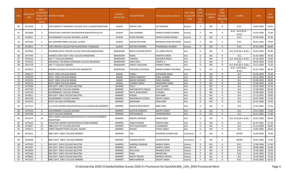| S.NO. | <b>APPLICATIO</b><br><b>NID</b> | Merit<br>lo.(DISTRICT<br><b>CHOOL TYPE</b><br>WISE) | /FACULTY/S INSTITUTE NAME                                    | <b>DISTRICT</b><br>(INSTITUTE) | <b>STUDENT NAME</b>     | ather's/Guardian's Name- | <b>LAST YEAR</b><br><b>Faculty/STR</b><br>EAM | LAST<br><b>YEAR</b><br>School<br><b>Type</b><br>(G/P) | <b>IS_SPECILL\</b><br>ABLED | LAST<br><b>YEAR</b><br><b>SCHOOL</b><br><b>RBSE/CBS</b><br>E) | <b>COURSE</b>                         | DOB        | <b>LAST</b><br>YEAR% |
|-------|---------------------------------|-----------------------------------------------------|--------------------------------------------------------------|--------------------------------|-------------------------|--------------------------|-----------------------------------------------|-------------------------------------------------------|-----------------------------|---------------------------------------------------------------|---------------------------------------|------------|----------------------|
| 60    | 3475328                         | 3                                                   | SHRI ADINATH COMMERCE COLLEGE (EVE.) ALWAR RAJASTHAN         | ALWAR                          | MAHAK JAIN              | JAY PRAKASH              | Science                                       | P                                                     | <b>NO</b>                   | R                                                             | B.SC.                                 | 18-05-2003 | 82.60                |
| 61    | 3475868                         | $\overline{4}$                                      | VIDYASTHALI SHIKSHAK PRASHIKSHAN MAHAVIDHYALAYA              | ALWAR                          | <b>DOLI SHARMA</b>      | HARISH KUMAR SHARMA      | Science                                       | P                                                     | <b>NO</b>                   | R                                                             | B.SC.- B.ED.(B.SC.-<br><b>B.ED.</b> ) | 16-03-2004 | 75.80                |
| 62    | 3476657                         | -5                                                  | GOVERNMENT COLLEGE RAJGARH, ALWAR                            | <b>ALWAR</b>                   | RITIKA MISHRA           | ASHOK KUMAR MISHRA       | Science                                       | P                                                     | NO                          | R                                                             | B.SC.                                 | 04-08-2005 | 75.80                |
| 63    | 3475269                         | 6                                                   | DEV INTERNATIONAL COLLEGE, ALWAR                             | ALWAR                          | SHIKHA RATHORE          | BHAWANI SINGH RATHORE    | Science                                       | P                                                     | NO                          | R                                                             | B.SC.                                 | 06-01-2003 | 70.80                |
| 64    | 3474851                         | $\overline{7}$                                      | SHRI VINAYAK COLLEGE NATHUSAR ROAD THANAGAZI                 | <b>ALWAR</b>                   | <b>KRATIKA SHARMA</b>   | PURANAMAL SHARMA         | Science                                       | P                                                     | NO                          | $\mathsf{R}$                                                  | B.SC.                                 | 05-05-2003 | 68.80                |
| 65    | 3474934                         | 1                                                   | RAVINDRA NATH TAIGOR COLLEGE ARTHUNA (BANSWARA)              | BANSWARA                       | NIKITA KUNVAR RAJPUT    | LAL SINGH RAJPUT         | Arts                                          | G                                                     | NO                          |                                                               | B.A- B.ED.(B.A- B.ED.                 | 04-02-2003 | 82.80                |
| 66    | 3475740                         | 2                                                   | HARIDEV JOSHI GOVT GIRLS COLLEGE BANSWARA                    | BANSWARA                       | <b>KIRAN</b>            | NARAPAT SINGH            | Arts                                          | G                                                     | <b>NO</b>                   | R                                                             | <b>B.A.</b>                           | 01-01-2003 | 76.40                |
| 67    | 3475216                         | $\overline{3}$                                      | LBS T T COLLEGE GANODA                                       | BANSWARA                       | TANISHA                 | <b>BAHADUR SINGH</b>     | Arts                                          | G                                                     | NO                          | R                                                             | B.A- B.ED.(B.A- B.ED.)                | 07-10-2003 | 74.60                |
| 68    | 3475502                         | $\overline{4}$                                      | SARVAPALLI DR.RADHA KRISHNAN COLLEGE BAGIDORA                | <b>BANSWARA</b>                | <b>AKSHI DOSI</b>       | <b>SHRIPAL JI</b>        | Arts                                          | G                                                     | NO                          | $\mathsf{R}$                                                  | B.A.                                  | 09-05-2003 | 74.40                |
| 69    | 3475278                         | 5                                                   | LBS T T COLLEGE GANODA                                       | <b>BANSWARA</b>                | <b>AARATI CHOUHAN</b>   | PARWAT SINGH             | Arts                                          | G                                                     | <b>NO</b>                   | R                                                             | B.A- B.ED.(B.A- B.ED.)                | 16-12-2003 | 71.60                |
| 70    | 3476524                         | 1                                                   | ADARSH COLLEGE OF EDUCATION ANANDPURI                        | <b>BANSWARA</b>                | YASHANSI CHOUBISA       | MANOJ KUMAR CHOUBISA     | Science                                       | G                                                     | <b>NO</b>                   | R                                                             | B.SC.- B.ED.(B.SC.-<br><b>B.ED.</b> ) | 02-01-2003 | 68.00                |
| 71    | 3483223                         | 1                                                   | GOVT. GIRLS COLLEGE BARAN                                    | BARAN                          | SONALI                  | JEETENDRA SINGH          | Arts                                          | G                                                     | NO                          | R                                                             | <b>B.A.</b>                           | 02-05-2004 | 74.00                |
| 72    | 3476744                         | 1                                                   | GOVT. GIRLS COLLEGE BARAN                                    | <b>BARAN</b>                   | SIDDHI SARSWAT          | <b>SUNIL SHARMA</b>      | Arts                                          | P                                                     | NO                          | R                                                             | B.A.                                  | 29-12-2004 | 84.20                |
| 73    | 3476750                         | $\overline{2}$                                      | GOVT. GIRLS COLLEGE BARAN                                    | <b>BARAN</b>                   | <b>RIDDHI SARSWAT</b>   | <b>SUNIL SHARMA</b>      | Arts                                          | P                                                     | NO                          | R                                                             | <b>B.A.</b>                           | 05-09-2003 | 80.00                |
| 74    | 3476722                         | $\overline{3}$                                      | GOVT. GIRLS COLLEGE BARAN                                    | <b>BARAN</b>                   | TWINKLE SINGH           | MAHENDRA SINGH           | Arts                                          | P                                                     | <b>NO</b>                   | R                                                             | <b>B.A.</b>                           | 15-08-2004 | 73.60                |
| 75    | 3475848                         | 1                                                   | DRJ GOVT. GIRLS COLLEGE BALOTRA                              | <b>BARMER</b>                  | <b>DOLLY</b>            | <b>LALIT KUMAR</b>       | Arts                                          | G                                                     | <b>NO</b>                   | R                                                             | B.A.                                  | 19-01-2003 | 91.20                |
| 76    | 3475730                         | $\overline{2}$                                      | <b>GOVERNMENT COLLEGE SIWANA</b>                             | <b>BARMER</b>                  | RAJPUROHITH VIMALA      | <b>DALPAT SINGH</b>      | Arts                                          | G                                                     | NO                          | R                                                             | <b>B.A.</b>                           | 12-06-2002 | 85.60                |
| 77    | 3475744                         | $\overline{\mathbf{3}}$                             | <b>GOVERNMENT COLLEGE SIWANA</b>                             | <b>BARMER</b>                  | <b>NETAL RAJPUROHIT</b> | <b>PUKHRAJ</b>           | Arts                                          | G                                                     | NO                          | $\mathsf{R}$                                                  | <b>B.A.</b>                           | 25-06-2002 | 79.60                |
| 78    | 3474811                         | $\overline{4}$                                      | DRJ GOVT. GIRLS COLLEGE BALOTRA                              | <b>BARMER</b>                  | PADMA                   | <b>SEVA RAM</b>          | Arts                                          | G                                                     | NO                          | R                                                             | <b>B.A.</b>                           | 12-12-2001 | 78.00                |
| 79    | 3475738                         | 5                                                   | <b>GOVERNMENT COLLEGE SIWANA</b>                             | <b>BARMER</b>                  | RAJPUROHITH POOJA       | <b>DALPAT SINGH</b>      | Arts                                          | G                                                     | <b>NO</b>                   | R                                                             | <b>B.A.</b>                           | 10-07-2003 | 77.40                |
| 80    | 3475415                         | 6                                                   | <b>GOVT COLLEGE DHORIMANA</b>                                | <b>BARMER</b>                  | <b>BHAWANA</b>          | <b>KANA RAM</b>          | Arts                                          | G                                                     | NO                          | R                                                             | <b>B.A.</b>                           | 01-01-2000 | 74.40                |
| 81    | 3477113                         | $7^{\circ}$                                         | LUV-KUSH ADARSH MAHAVIDHYALAYA GUDAMALANI (BARMER)           | <b>BARMER</b>                  | <b>MAMTA RAJPUROHIT</b> | <b>BABU RAM</b>          | Arts                                          | G                                                     | NO.                         | R                                                             | <b>B.A.</b>                           | 12-10-2001 | 74.20                |
| 82    | 3474526                         | 8                                                   | <b>GOVERNMENT COLLEGE SIWANA</b>                             | <b>BARMER</b>                  | <b>GAYATRI KANWAR</b>   | <b>DALPAT SINGH</b>      | Arts                                          | G                                                     | <b>NO</b>                   | $\mathsf{R}$                                                  | B.A.                                  | 29-11-2003 | 71.60                |
| 83    | 3474730                         | 9                                                   | <b>GOVT COLLEGE SAMDARI</b>                                  | <b>BARMER</b>                  | KIRTIKANWAR             | ISHAWARSINGH             | Arts                                          | G                                                     | NO                          | R                                                             | <b>B.A.</b>                           | 03-12-2002 | 71.00                |
| 84    | 3475374                         | 10                                                  | MAA VANKAL MALANI MAHAVIDYALAYA CHOHATAN BARMER<br>RAJASTHAN | <b>BARMER</b>                  | MADHU KANWAR            | <b>DHAN SINGH</b>        | Arts                                          | G                                                     | NO.                         |                                                               | B.A- B.ED.(B.A- B.ED.)                | 20-07-2003 | 68.40                |
| 85    | 3475633                         | 11                                                  | MAHATMA GANDHI MAHAVIDYALAYA GIRA-BARMER                     | <b>BARMER</b>                  | <b>JHIMO KUMARI</b>     | SARUPA RAM               | Arts                                          | G                                                     | NO.                         | R                                                             | <b>B.A.</b>                           | 01-07-2001 | 67.20                |
| 86    | 3475857                         | 12                                                  | MBR GOVT PG COLLEGE BALOTRA                                  | <b>BARMER</b>                  | <b>JOYTI RAJPUROHIT</b> | SUJANSINGH               | Arts                                          | G                                                     | <b>NO</b>                   | R                                                             | B.A.                                  | 21-10-2000 | 66.80                |
| 87    | 3476571                         | 13                                                  | SHREE GRAMOTTHAN COLLEGE, SEDWA                              | <b>BARMER</b>                  | RAVINA                  | PHOOL SINGH              | Arts                                          | G                                                     | <b>NO</b>                   | R                                                             | <b>B.A.</b>                           | 14-02-2002 | 66.60                |
| 88    | 3475631                         | 1                                                   | MBC GOVT. GIRLS' COLLEGE BARMER                              | <b>BARMER</b>                  | JUHI                    | RAJENDRA KUMAR JAIN      | Commerce                                      | P                                                     | <b>NO</b>                   |                                                               | <b>BCOM</b>                           | 16-09-2002 | 75.80                |
| 89    | 3476398                         | $\overline{2}$                                      | MBC GOVT. GIRLS' COLLEGE BARMER                              | <b>BARMER</b>                  | YASHIKA KHATRI          | <b>ASHOK KHATRI</b>      | Commerce                                      | P                                                     | NO                          | R                                                             | <b>BCOM</b>                           | 30-01-2003 | 72.80                |
| 90    | 3475550                         | -1                                                  | DRJ GOVT. GIRLS COLLEGE BALOTRA                              | <b>BARMER</b>                  | <b>KAMODA KANWAR</b>    | <b>MADHU SINGH</b>       | Science                                       | G                                                     | NO                          | R                                                             | B.SC.                                 | 12-06-2004 | 67.60                |
| 91    | 3475587                         | 1                                                   | DRJ GOVT. GIRLS COLLEGE BALOTRA                              | BARMER                         | <b>GAYTRI</b>           | <b>NARPAT SINGH</b>      | Science                                       | P                                                     | <b>NO</b>                   | R                                                             | B.SC.                                 | 08-08-2004 | 91.80                |
| 92    | 3474699                         | $\overline{2}$                                      | DRJ GOVT. GIRLS COLLEGE BALOTRA                              | <b>BARMER</b>                  | DIYA DAVE               | PRAMOD DAVE              | Science                                       | P                                                     | NO                          | R                                                             | B.SC.                                 | 25-05-2005 | 79.40                |
| 93    | 3476160                         | 3                                                   | DRJ GOVT. GIRLS COLLEGE BALOTRA                              | <b>BARMER</b>                  | KAJAL                   | <b>MISHRI MAL</b>        | Science                                       | P                                                     | <b>NO</b>                   | $\mathsf{R}$                                                  | B.SC.                                 | 16-02-2002 | 75.60                |
| 94    | 3476663                         | $\overline{4}$                                      | DRJ GOVT. GIRLS COLLEGE BALOTRA                              | <b>BARMER</b>                  | NIKITA TRIVEDI          | <b>RAMESH TRIVEDI</b>    | Science                                       | P                                                     | <b>NO</b>                   | R                                                             | <b>B.A.</b>                           | 22-03-2004 | 75.00                |
| 95    | 3475310                         | -5                                                  | MBC GOVT. GIRLS' COLLEGE BARMER                              | <b>BARMER</b>                  | NIRAJ KANWAR            | <b>DALPAT SINGH</b>      | Science                                       | P                                                     | <b>NO</b>                   | R                                                             | B.SC.                                 | 26-05-2002 | 69.20                |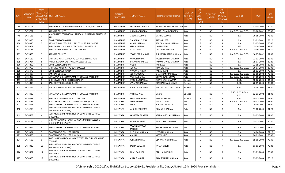| S.No. | <b>APPLICATIO</b><br><b>NID</b> | Merit<br>lo.(DISTRICT<br><b>CHOOL TYPE</b><br>WISE) | /FACULTY/S INSTITUTE NAME                                           | <b>DISTRICT</b><br>(INSTITUTE) | <b>STUDENT NAME</b>     | Father's/Guardian's Name    | <b>LAST YEAR</b><br><b>Faculty/STR</b><br><b>EAM</b> | <b>LAST</b><br><b>YEAR</b><br>School<br><b>Type</b><br>(G/P) | S_SPECILLY<br><b>ABLED</b> | LAST<br><b>YEAR</b><br>SCHOOL<br><b>RBSE/CBS</b><br>E) | <b>COURSE</b>                        | DOB        | <b>LAST</b><br>YEAR% |
|-------|---------------------------------|-----------------------------------------------------|---------------------------------------------------------------------|--------------------------------|-------------------------|-----------------------------|------------------------------------------------------|--------------------------------------------------------------|----------------------------|--------------------------------------------------------|--------------------------------------|------------|----------------------|
| 96    | 3474707                         | 1                                                   | SHRI GANDHI JYOTI MAHILA MAHAVIDYALAY, BHUSAWAR                     | <b>BHARATPUR</b>               | PRATIKSHA SHARMA        | NAGENDRA KUMAR SHARMA Arts  |                                                      | G                                                            | NO.                        | R                                                      | B.A.                                 | 01-03-2004 | 80.80                |
| 97    | 3475797                         | $\overline{2}$                                      | <b>SANSKAR COLLEGE</b>                                              | <b>BHARATPUR</b>               | <b>BHUMIKA SHARMA</b>   | SATISH CHAND SHARMA         | Arts                                                 | G                                                            | <b>NO</b>                  | R                                                      | B.A- B.ED.(B.A- B.ED.)               | 02-08-2002 | 75.80                |
| 98    | 3475183                         | 3                                                   | VIJAY BHARTI COLLEGE BALLABHGARH BHUSAWER BHARTPUR<br>RAJ           | <b>BHARATPUR</b>               | MUSKAN KUMARI           | <b>VISHNU KUMAR</b>         | Arts                                                 | G                                                            | NO.                        | R                                                      | <b>B.A.</b>                          | 10-05-2003 | 75.40                |
| 99    | 3475035                         | $\overline{4}$                                      | <b>GOVT COLLEGE BAYANA</b>                                          | <b>BHARATPUR</b>               | CHANCHAL KUMARI         | <b>SATYA PRKESH</b>         | Arts                                                 | G                                                            | <b>NO</b>                  | $\mathsf{R}$                                           | <b>B.A.</b>                          | 01-01-2002 | 73.20                |
| 100   | 3474810                         | -5                                                  | ARYA VIDHYAPEETH P.G. GIRLS COLLEGE, BHUSAWAR                       | <b>BHARATPUR</b>               | ANJALI SHARMA           | ASHOK KUMAR SHARMA          | Arts                                                 | G                                                            | <b>NO</b>                  | R                                                      | B.A.                                 | 31-05-2004 | 70.40                |
| 101   | 3474507                         | 1                                                   | SHREE AGRASEN MAHILA TT COLLEGE. BHARATPUR                          | <b>BHARATPUR</b>               | <b>ASTHA SHARMA</b>     | <b>JAYPRAKASH</b>           | Arts                                                 | P                                                            | <b>NO</b>                  | $\mathsf{R}$                                           | <b>BED</b>                           | 13-10-2005 | 93.40                |
| 102   | 3474722                         | $\overline{2}$                                      | SHRI RANGEY RAGHAV P.G.COLLEGE WEIR                                 | BHARATPUR                      | <b>RITU KUMARI</b>      | CHETRAM SHARMA              | Arts                                                 | P                                                            | <b>NO</b>                  | $\mathsf{R}$                                           | B.A- B.ED.(B.A- B.ED.)               | 25-06-2004 | 89.20                |
| 103   | 3475588                         | $\overline{3}$                                      | SANSKAR COLLEGE                                                     | <b>BHARATPUR</b>               | POORNIMA SHARMA         | SUBHASH CHAND SHARMA        | Arts                                                 | P                                                            | NO.                        | $\mathsf{R}$                                           | B.A- B.ED.(B.A- B.ED.)               | 16-05-2002 | 84.00                |
| 104   | 3476182                         | $\overline{4}$                                      | SHREE AGRASEN MAHILA PG COLLEGE, BHARATPUR                          | <b>BHARATPUR</b>               | PARUL SHARMA            | RAJESH KUMAR SHARMA         | Arts                                                 | P                                                            | <b>NO</b>                  | $\mathsf{R}$                                           | <b>B.A.</b>                          | 13-01-2004 | 82.40                |
| 105   | 3475984                         | 5                                                   | PANDIT PARSADI LAL SHARMA COLLEGE DEEG                              | <b>BHARATPUR</b>               | <b>BHAVANA SHARMA</b>   | PADAM CHAND SHARMA          | Arts                                                 | P                                                            | NO.                        | $\mathsf{R}$                                           | <b>B.A.</b>                          | 15-07-2003 | 80.20                |
| 106   | 3474806                         | 6                                                   | <b>GOVT COLLEGE NADBAI</b>                                          | <b>BHARATPUR</b>               | PREETI                  | RAMBABU                     | Arts                                                 | P                                                            | <b>NO</b>                  | $\mathsf{R}$                                           | <b>B.A.</b>                          | 12-05-2004 | 80.20                |
| 107   | 3474759                         | $\overline{7}$                                      | SHREE RATAN SINGH PG BOYS COLLEGE                                   | <b>BHARATPUR</b>               | SONIYA                  | <b>MANGTU RAM</b>           | Arts                                                 | P                                                            | <b>NO</b>                  | $\mathsf{R}$                                           | B.A- B.ED.(B.A- B.ED.)               | 10-07-2004 | 80.00                |
| 108   | 3475475                         | 8                                                   | <b>GOVT COLLEGE BAYANA</b>                                          | <b>BHARATPUR</b>               | PRAGYA SHARMA           | PARASHRAM                   | Arts                                                 | P                                                            | <b>NO</b>                  | $\mathsf{R}$                                           | B.A.                                 | 19-02-2003 | 78.20                |
| 109   | 3475497                         | 9                                                   | SANSKAR COLLEGE                                                     | <b>BHARATPUR</b>               | NEHA MUDGAL             | SHASHIKANT MUDGAL           | Arts                                                 | P                                                            | <b>NO</b>                  | $\mathsf{R}$                                           | B.A- B.ED.(B.A- B.ED.)               | 03-09-2002 | 75.40                |
| 110   | 3475086                         | 10                                                  | MAHARAJA SHREE SURAJMAL T T COLLEGE RAHIMPUR                        | <b>BHARATPUR</b>               | YASHIKA GUPTA           | <b>GHANSHYAM GOYAL</b>      | Arts                                                 | P                                                            | <b>NO</b>                  | $\mathsf{R}$                                           | B.A- B.ED.(B.A- B.ED.)               | 07-05-2004 | 72.00                |
| 111   | 3476443                         | 1                                                   | SHREE RADHEY P.G. COLLEGE NADBAI                                    | <b>BHARATPUR</b>               | ANUSHKA SHARMA          | TEJPRAKASH SHARMA           | Science                                              | P                                                            | <b>NO</b>                  | $\mathsf{R}$                                           | B.SC.                                | 18-02-2004 | 94.40                |
| 112   | 3474815                         | $\overline{2}$                                      | KALA BHARTI GIRLS PG COLLEGE                                        | <b>BHARATPUR</b>               | NAYANSI SHARMA          | GIRDHARI LALSHARMA          | Science                                              | P                                                            | <b>NO</b>                  | $\mathsf{R}$                                           | B.SC.                                | 20-09-2003 | 88.80                |
| 113   | 3475342                         | $\overline{3}$                                      | PARSHURAM MAHILA MAHAVIDHALAYA                                      | <b>BHARATPUR</b>               | RUCHIKA AGRAWAL         | PRAMOD KUMAR MANGAL         | Science                                              | P                                                            | NO                         | $\mathsf{R}$                                           | B.SC.                                | 14-05-2003 | 83.20                |
| 114   | 3474439                         | $\overline{4}$                                      | MAHARAJA SHREE SURAJMAL T T COLLEGE RAHIMPUR                        | BHARATPUR                      | JYOTI KATARA            | VINOD                       | Science                                              | P                                                            | NO.                        | $\mathsf{R}$                                           | B.SC.- B.ED.(B.SC.-<br><b>B.ED.)</b> | 02-11-2002 | 81.00                |
| 115   | 3476428                         | -5                                                  | SHREE RATAN SINGH PG BOYS COLLEGE                                   | <b>BHARATPUR</b>               | ASHI KHANDELWAL         | <b>GOVIND PRASAD</b>        | Science                                              | P                                                            | <b>NO</b>                  | $\mathsf{R}$                                           | B.SC.                                | 09-02-2003 | 79.60                |
| 116   | 3475292                         | 1                                                   | RUPI DEVI GIRLS COLLEGE OF EDUCATION (B.A.B.ED.)                    | <b>BHILWARA</b>                | SAKSI SHARMA            | VINOD KUMAR                 | Arts                                                 | G                                                            | <b>NO</b>                  | $\mathsf{R}$                                           | B.A- B.ED.(B.A- B.ED.)               | 09-01-2004 | 83.60                |
| 117   | 3475369                         | $\overline{2}$                                      | SHRI MANIKYA LAL VERMA GOVT. COLLEGE BHILWARA                       | BHILWARA                       | <b>NEHA</b>             | SURESH CHANDRA              | Arts                                                 | G                                                            | <b>NO</b>                  | $\mathsf{R}$                                           | <b>B.A.</b>                          | 29-04-2001 | 82.60                |
| 118   | 3474295                         | $\overline{3}$                                      | SHRI PRATAP SINGH BARAHAT GOVERNMENT COLLEGE<br>SHAHPURA (BHILWARA) | <b>BHILWARA</b>                | JAI SHREE SHARMA        | <b>GOVIND SHARMA</b>        | Arts                                                 | G                                                            | NO.                        | $\mathsf{R}$                                           | <b>B.A.</b>                          | 11-08-2004 | 81.20                |
| 119   | 3476609                         | 4                                                   | SETH MURLIDHAR MANSINGHKA GOVT. GIRLS COLLEGE<br><b>BHILWARA</b>    | <b>BHILWARA</b>                | SANGEETA SHARMA         | <b>KRISHAN GOPAL SHARMA</b> | Arts                                                 | G                                                            | NO.                        | $\mathsf{R}$                                           | B.A.                                 | 09-02-2000 | 81.00                |
| 120   | 3474252                         | 5                                                   | SHRI PRATAP SINGH BARAHAT GOVERNMENT COLLEGE<br>SHAHPURA (BHILWARA) | <b>BHILWARA</b>                | ANJANI SHARMA           | ANIL KUMAR SHARMA           | Arts                                                 | G                                                            | NO.                        | R                                                      | B.A.                                 | 23-11-2002 | 80.80                |
| 121   | 3475546                         | 6                                                   | SHRI MANIKYA LAL VERMA GOVT. COLLEGE BHILWARA                       | BHILWARA                       | PAWAN KANWAR<br>RATHORE | <b>MEJAR SINGH RATHORE</b>  | Arts                                                 | G                                                            | NO.                        | R                                                      | B.A.                                 | 19-12-2002 | 77.40                |
| 122   | 3475024                         |                                                     | <b>GOVERNMENT COLLEGE BANERA</b>                                    | <b>BHILWARA</b>                | DILKHUSH SHARMA         | JEETMAL SHARMA              | Arts                                                 | G                                                            | <b>NO</b>                  | R                                                      | <b>B.A.</b>                          | 14-06-2003 | 77.20                |
| 123   | 3474696                         | ୪                                                   | GOVERNMENT COLLEGE BIJOLIYAN                                        | BHILWARA                       | <b>ANCHAL</b>           | MITTU SINGH                 | Arts                                                 | G                                                            | NO.                        | R                                                      | B.A.                                 | 04-01-2001 | 76.80                |
| 124   | 3474503                         | 9                                                   | SMT. NARAYANI DEVI VERMA WOMEN TEACHERS TRAINING<br>COLLEGE         | BHILWARA                       | <b>ASTHA SHARMA</b>     | <b>DEVAKISHAN SHARMA</b>    | Arts                                                 | G                                                            | NO.                        | R                                                      | B.A- B.ED.(B.A- B.ED.)               | 05-09-2000 | 76.40                |
| 125   | 3474320                         | 10                                                  | SHRI PRATAP SINGH BARAHAT GOVERNMENT COLLEGE<br>SHAHPURA (BHILWARA) | BHILWARA                       | <b>BABITA SOLANKI</b>   | <b>RATAN SINGH</b>          | Arts                                                 | G                                                            | NO.                        | R                                                      | B.A.                                 | 01-01-2004 | 75.80                |
| 126   | 3475687                         | 11                                                  | SETH MURLIDHAR MANSINGHKA GOVT. GIRLS COLLEGE<br><b>BHILWARA</b>    | <b>BHILWARA</b>                | KIRAN DADHICH           | <b>DEBI LAL DADHICH</b>     | Arts                                                 | G                                                            | NO.                        | R                                                      | <b>B.A.</b>                          | 01-01-2004 | 75.00                |
| 127   | 3474803                         | 12                                                  | SETH MURLIDHAR MANSINGHKA GOVT. GIRLS COLLEGE<br>BHILWARA           | BHILWARA                       | <b>ANITA SHARMA</b>     | RADHESHYAM SHARMA           | Arts                                                 | G                                                            | NO                         | R                                                      | <b>B.A.</b>                          | 02-02-2003 | 73.20                |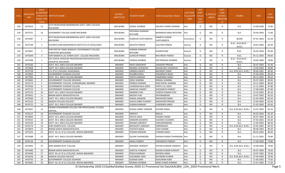| S.No.      | <b>APPLICATIO</b><br><b>NID</b> | Merit<br>o.(DISTRICT<br><b>CHOOL TYPE</b><br>WISE) | /FACULTY/S  INSTITUTE NAME                                          | <b>DISTRICT</b><br>(INSTITUTE)   | <b>STUDENT NAME</b>                       | Father's/Guardian's Name              | <b>LAST YEAR</b><br>Faculty/STR<br>EAM | <b>LAST</b><br><b>YEAR</b><br><b>School</b><br><b>Type</b><br>(G/P) | <b>S_SPECILLY</b><br>ABLED | LAST<br><b>YEAR</b><br><b>SCHOOL</b><br>(RBSE/CBS<br>E) | <b>COURSE</b>                         | DOB                      | <b>LAST</b><br>YEAR% |
|------------|---------------------------------|----------------------------------------------------|---------------------------------------------------------------------|----------------------------------|-------------------------------------------|---------------------------------------|----------------------------------------|---------------------------------------------------------------------|----------------------------|---------------------------------------------------------|---------------------------------------|--------------------------|----------------------|
| 128        | 3475416                         | 13                                                 | SETH MURLIDHAR MANSINGHKA GOVT. GIRLS COLLEGE<br>BHILWARA           | BHILWARA                         | KOMAL SHARMA                              | KAILASH CHAND SHARMA                  | Arts                                   | G                                                                   | <b>NO</b>                  | R                                                       | <b>B.A.</b>                           | 12-08-2000               | 72.80                |
| 129        | 3475751                         | 14                                                 | GOVERMENT COLLEGE ASIND BHILWARA                                    | BHILWARA                         | PRIYANSHI KANWAR<br>RATHORE               | <b>BHANWAR SINGH RATHORE</b>          | Arts                                   | G                                                                   | NO.                        | R                                                       | <b>B.A.</b>                           | 19-04-2003               | 71.80                |
| 130        | 3474587                         | $\mathbf{1}$                                       | SETH MURLIDHAR MANSINGHKA GOVT. GIRLS COLLEGE<br><b>BHILWARA</b>    | <b>BHILWARA</b>                  | KUMKUM VIJAYVARGIYA                       | RAMESH KUMAR<br>VIJAYVARGIYA          | Commerce                               | G                                                                   | NO.                        | R                                                       | <b>BCOM</b>                           | 07-01-2003               | 81.20                |
| 131        | 3475749                         | 1                                                  | ACHARYA SHRI MAHAPRAGYA INSTITUTE OF EXCELLENCE                     | BHILWARA                         | <b>AKSHITA PAREEK</b>                     | <b>GAUTAM PAREEK</b>                  | Science                                | G                                                                   | <b>NO</b>                  | $\mathsf{R}$                                            | B.SC.- B.ED.(B.SC.-<br>B.ED.)         | 18-05-2003               | 82.00                |
| 132        | 3474667                         | $\overline{2}$                                     | SHRI PRATAP SINGH BARAHAT GOVERNMENT COLLEGE<br>SHAHPURA (BHILWARA) | BHILWARA                         | <b>GARIMA KANWAR</b><br><b>RATHORE</b>    | GHANSHYAM                             | Science                                | G                                                                   | NO.                        | R                                                       | B.SC.                                 | 26-02-2004               | 82.00                |
| 133        | 3475649                         | 3                                                  | SHRI MANIKYA LAL VERMA GOVT. COLLEGE BHILWARA                       | <b>BHILWARA</b>                  | <b>GUNGUN PAREEK</b>                      | <b>BHUVNESH PAREEK</b>                | Science                                | G                                                                   | NO.                        | R                                                       | B.SC.                                 | 05-12-2003               | 80.60                |
| 134        | 3475298                         | 1                                                  | DEV KANYA SHIKSHAK PRASHIKSHAN MAHAVIDYALAYA,<br>JAHAJPUR, BHILWARA | BHILWARA                         | VARSHA SHARMA                             | OM PRAKSAH SHARMA                     | Science                                | P                                                                   | <b>NO</b>                  | $\mathsf{R}$                                            | B.SC.- B.ED.(B.SC.-<br><b>B.ED.</b> ) | 18-06-2004               | 78.80                |
| 135        | 3475263                         | <sup>1</sup>                                       | GOVT. M.S. GIRLS COLLEGE BIKANER                                    | <b>BIKANER</b>                   | <b>MAYA SARASWAT</b>                      | <b>JAGADISH PRASAD</b>                | Arts                                   | G                                                                   | <b>NO</b>                  | R                                                       | <b>B.A.</b>                           | 26-07-2003               | 91.40                |
| 136        | 3475838                         | 2                                                  | GOVT. M.S. GIRLS COLLEGE BIKANER                                    | <b>BIKANER</b>                   | <b>MONIKA UPADHYAY</b>                    | KISHAN DEV UPADHYAY                   | Arts                                   | G                                                                   | <b>NO</b>                  | $\mathsf{R}$                                            | <b>B.A.</b>                           | 13-09-2004               | 90.80                |
| 137        | 3474738                         | $\overline{3}$                                     | S.D. (P.G.) COLLEGE, KHAJUWALA                                      | <b>BIKANER</b>                   | URMEELA BHATI                             | <b>BALWANT SINGH</b>                  | Arts                                   | G                                                                   | <b>NO</b>                  | $\mathsf{R}$                                            | B.A- B.ED.(B.A- B.ED.)                | 09-06-2002               | 89.60                |
| 138        | 3474902                         | $\overline{4}$                                     | <b>GOVERNMENT DUNGAR COLLEGE</b>                                    | <b>BIKANER</b>                   | SHURBHI BISSA                             | KEDARNATH BISSA                       | Arts                                   | G                                                                   | <b>NO</b>                  | R                                                       | <b>B.A.</b>                           | 07-04-2003               | 89.20                |
| 139        | 3477995                         | -5                                                 | GOVT. M.S. GIRLS COLLEGE BIKANER                                    | <b>BIKANER</b>                   | <b>VINITA KANWAR</b>                      | <b>HEMENDRA SINGH</b>                 | Arts                                   | G                                                                   | <b>NO</b>                  | R                                                       | B.A.                                  | 08-12-2003               | 89.20                |
| 140        | 3474842                         | 6                                                  | <b>GOVERNMENT COLLEGE DESHNOK</b>                                   | <b>BIKANER</b>                   | <b>SONU SHARMA</b>                        | NIRMAL SHARMA                         | Arts                                   | G                                                                   | <b>NO</b>                  | R                                                       | <b>B.A.</b>                           | 03-07-2002               | 89.00                |
| 141        | 3475174                         | $\overline{7}$                                     | GOVERNMENT COLLEGE, DUNGARGARH, BIKANER                             | <b>BIKANER</b>                   | PRABHA SHARMA                             | RAM GOPAL SHARMA                      | Arts                                   | G                                                                   | <b>NO</b>                  | R                                                       | B.A.                                  | 10-11-2004               | 88.60                |
| 142        | 3475504                         | 8                                                  | <b>GOVERNMENT DUNGAR COLLEGE</b>                                    | <b>BIKANER</b>                   | CHANDAR KALA JOSHI                        | PAPPU LAL JOSHI                       | Arts                                   | G                                                                   | <b>NO</b>                  | R                                                       | B.A.                                  | 11-12-2003               | 87.80                |
| 143        | 3475713                         | 9                                                  | <b>GOVERNMENT DUNGAR COLLEGE</b>                                    | <b>BIKANER</b>                   | <b>AANCHAL PANDEY</b>                     | SHESHNATH PANDEY                      | Arts                                   | G                                                                   | <b>NO</b>                  | R                                                       | B.A.                                  | 17-08-2004               | 87.60                |
| 144        | 3475723                         | 10                                                 | GOVT. M.S. GIRLS COLLEGE BIKANER                                    | <b>BIKANER</b>                   | <b>NANDINI VYAS</b>                       | YOGESH KUMAR VYAS                     | Arts                                   | G                                                                   | <b>NO</b>                  | R                                                       | B.A.                                  | 15-10-2003               | 85.20                |
| 145        | 3476031                         | 11                                                 | BINANI KANYA MAHAVIDYALAYA                                          | <b>BIKANER</b>                   | <b>MEGHA VYAS</b>                         | DEVKINANDAN                           | Arts                                   | G                                                                   | <b>NO</b>                  | R                                                       | B.A.                                  | 14-07-2002               | 83.20                |
| 146        | 3475009                         | 12                                                 | GOVT. M.S. GIRLS COLLEGE BIKANER                                    | <b>BIKANER</b>                   | <b>KOMAL KANWAR</b>                       | MAHAVEER SINGH                        | Arts                                   | G                                                                   | <b>NO</b>                  | R                                                       | B.A.                                  | 01-03-2004               | 83.20                |
| 147<br>148 | 3475125<br>3474715              | 13<br>14                                           | AADESH COLLEGE KOLAYAT<br>GOVT. M.S. GIRLS COLLEGE BIKANER          | <b>BIKANER</b><br><b>BIKANER</b> | VIJAYA SHREE PUROHIT                      | <b>MAHAVEER PRASAD</b>                | Arts                                   | G<br>G                                                              | <b>NO</b><br><b>NO</b>     | R<br>R                                                  | B.A.<br><b>B.A.</b>                   | 15-04-2003               | 82.40<br>82.40       |
| 149        | 3475607                         | 15                                                 | SWAMI VIVEKANAND COLLEGE FOR PROFESSONAL STUDIES<br>SINTHAL         | <b>BIKANER</b>                   | <b>SUMAN KANWAR</b><br>DHANU SHREE TANWAR | SURENDRA SINGH<br><b>GOVIND SINGH</b> | Arts<br>Arts                           | G                                                                   | NO.                        | - R                                                     | B.A- B.ED.(B.A- B.ED.)                | 15-05-2003<br>23-07-2002 | 82.20                |
| 150        | 3476121                         | 16                                                 | GOVERNMENT DUNGAR COLLEGE                                           | <b>BIKANER</b>                   | <b>DROPATI</b>                            | <b>BRIJLAL</b>                        | Arts                                   | G                                                                   | <b>NO</b>                  | R                                                       | <b>B.A.</b>                           | 06-02-2003               | 82.20                |
| 151        | 3474843                         | 17                                                 | GOVT. M.S. GIRLS COLLEGE BIKANER                                    | <b>BIKANER</b>                   | <b>KAVITA JOSHI</b>                       | PADAM CHAND                           | Arts                                   | G                                                                   | <b>NO</b>                  | -R                                                      | B.A.                                  | 05-07-2005               | 82.20                |
| 152        | 3474415                         | 18                                                 | GOVT. M.S. GIRLS COLLEGE BIKANER                                    | <b>BIKANER</b>                   | HEMSHRI ACHARYA                           | SUKHDEV ACHARYA                       | Arts                                   | G                                                                   | NO.                        | R                                                       | B.A.                                  | 27-05-2001               | 81.40                |
| 153        | 3476234                         | 19                                                 | GOVT. M.S. GIRLS COLLEGE BIKANER                                    | <b>BIKANER</b>                   | ANJANA SARSWAT                            | HANUMANARAM                           | Arts                                   | G                                                                   | <b>NO</b>                  | $\mathsf{R}$                                            | B.A.                                  | 11-09-2003               | 80.40                |
| 154        | 3476174                         | 20                                                 | SHRI ADARSH B.ED. COLLEGE                                           | <b>BIKANER</b>                   | <b>BHAGWATI SARSWAT</b>                   | OMPRAKASH                             | Arts                                   | G                                                                   | <b>NO</b>                  | R                                                       | B.A- B.ED.(B.A- B.ED.)                | 25-05-2003               | 80.20                |
| 155        | 3474819                         | 21                                                 | BINANI KANYA MAHAVIDYALAYA                                          | <b>BIKANER</b>                   | YOGYATA BISSA                             | VIJAY KUMAR                           | Arts                                   | G                                                                   | <b>NO</b>                  | R                                                       | B.A.                                  | 09-08-2003               | 80.20                |
| 156        | 3475533                         | 22                                                 | GOVT. M.L.B. (P.G.) COLLEGE, NOKHA (BIKANER)                        | <b>BIKANER</b>                   | PUNAM KANWAR                              | <b>CHIMAN SINGH</b>                   | Arts                                   | G                                                                   | <b>NO</b>                  | R                                                       | <b>B.A.</b>                           | 08-02-2003               | 80.00                |
| 157        | 3474588                         | 23                                                 | GOVT. M.S. GIRLS COLLEGE BIKANER                                    | <b>BIKANER</b>                   | SALONI CHHANGANI                          | KISHAN KUMAR CHHANGANI Arts           |                                        | G                                                                   | <b>NO</b>                  | R                                                       | <b>B.A.</b>                           | 31-12-2001               | 79.80                |
| 158        | 3476134                         | 24                                                 | <b>GOVERNMENT DUNGAR COLLEGE</b>                                    | <b>BIKANER</b>                   | <b>ANJALI PANDEY</b>                      | SHESHNATH PANDEY                      | Arts                                   | G                                                                   | <b>NO</b>                  | $\mathsf{R}$                                            | <b>B.A.</b>                           | 17-06-2003               | 79.80                |
| 159        | 3474942                         | 25                                                 | SHRI ADARSH B.ED. COLLEGE                                           | <b>BIKANER</b>                   | JASHODA TAWNIYA                           | SHYAM SUNDAR TAWNIYA                  | Arts                                   | G                                                                   | <b>NO</b>                  |                                                         | B.A- B.ED.(B.A- B.ED.)                | 10-08-2002               | 79.60                |
| 160        | 3476486                         | 26                                                 | BINANI KANYA MAHAVIDYALAYA                                          | <b>BIKANER</b>                   | SHEETAL PUROHIT                           | KISHAN KUMAR PUROHIT                  | Arts                                   | G                                                                   | <b>NO</b>                  | R                                                       | <b>B.A.</b>                           | 03-07-2004               | 79.60                |
| 161        | 3474446                         | 27                                                 | GOVT. M.L.B. (P.G.) COLLEGE, NOKHA (BIKANER)                        | <b>BIKANER</b>                   | POOJA KANWAR                              | <b>BHOJRAJ SINGH</b>                  | Arts                                   | G                                                                   | <b>NO</b>                  | $\mathsf{R}$                                            | <b>B.A.</b>                           | 10-07-2005               | 79.00                |
| 162        | 3476256                         | 28                                                 | AADESH COLLEGE KOLAYAT                                              | <b>BIKANER</b>                   | VASUNDRA JOSHI                            | RAVINDRA KUMAR                        | Arts                                   | G                                                                   | <b>NO</b>                  | R                                                       | B.A- B.ED.(B.A- B.ED.)                | 27-04-2004               | 78.40                |
| 163        | 3476743                         | 29                                                 | <b>GOVERNMENT COLLEGE DESHNOK</b>                                   | <b>BIKANER</b>                   | <b>GUNJAN JAJRA</b>                       | RAJKUMAR JAJRA                        | Arts                                   | G                                                                   | <b>NO</b>                  | R                                                       | B.A.                                  | 11-06-2002               | 77.60                |
| 164        | 3475682                         | 30                                                 | GOVT. M.L.B. (P.G.) COLLEGE, NOKHA (BIKANER)                        | <b>BIKANER</b>                   | <b>MONIKA SHARMA</b>                      | NEMI CHAND SHARMA                     | Arts                                   | G                                                                   | <b>NO</b>                  | R                                                       | <b>B.A.</b>                           | 27-07-2002               | 77.20                |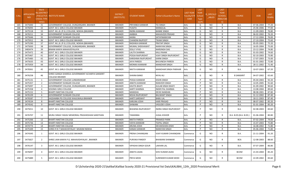| S.No. | <b>APPLICATIO</b><br>NID. | Merit<br>lo.(DISTRICT<br><b>CHOOL TYPE</b><br>WISE) | <b>/FACULTY/S INSTITUTE NAME</b>                                          | <b>DISTRICT</b><br>(INSTITUTE) | <b>STUDENT NAME</b>       | Father's/Guardian's Name     | <b>LAST YEAR</b><br>Faculty/STR<br><b>EAM</b> | LAST<br><b>YEAR</b><br>School<br><b>Type</b><br>(G/P) | IS_SPECILL\<br>ABLED | LAST<br><b>YEAR</b><br><b>SCHOOL</b><br>(RBSE/CBS<br>E) | <b>COURSE</b>          | DOB        | <b>LAST</b><br>YEAR% |
|-------|---------------------------|-----------------------------------------------------|---------------------------------------------------------------------------|--------------------------------|---------------------------|------------------------------|-----------------------------------------------|-------------------------------------------------------|----------------------|---------------------------------------------------------|------------------------|------------|----------------------|
| 165   | 3475840                   | 31                                                  | GOVERNMENT COLLEGE, DUNGARGARH, BIKANER                                   | <b>BIKANER</b>                 | PRIYANKA KANWAR           | TEJ SINGH                    | Arts                                          | G                                                     | NO.                  | R                                                       | <b>B.A.</b>            | 07-06-2004 | 77.20                |
| 166   | 3476093                   | 32                                                  | GOVT. M.S. GIRLS COLLEGE BIKANER                                          | <b>BIKANER</b>                 | YUGITA                    | <b>MANGILAL</b>              | Arts                                          | G                                                     | <b>NO</b>            | $\mathsf{R}$                                            | B.A.                   | 25-06-2006 | 77.00                |
| 167   | 3475518                   | 33                                                  | GOVT. M.L.B. (P.G.) COLLEGE, NOKHA (BIKANER)                              | <b>BIKANER</b>                 | INDRA KANWAR              | <b>BANNE SINGH</b>           | Arts                                          | G                                                     | <b>NO</b>            | $\mathsf{R}$                                            | <b>B.A.</b>            | 11-09-2003 | 76.80                |
| 168   | 3476211                   | 34                                                  | GOVERNMENT DUNGAR COLLEGE                                                 | <b>BIKANER</b>                 | AMBIKA                    | MAHAVEER PRASAD              | Arts                                          | G                                                     | <b>NO</b>            | R                                                       | <b>B.A.</b>            | 06-02-2002 | 76.20                |
| 169   | 3475646                   | 35                                                  | GOVERNMENT DUNGAR COLLEGE                                                 | <b>BIKANER</b>                 | AAINA                     | SATAYNARAYAN                 | Arts                                          | G                                                     | <b>NO</b>            | $\mathsf{R}$                                            | <b>B.A.</b>            | 17-12-2004 | 76.00                |
| 170   | 3475912                   | 36                                                  | GOVT. M.S. GIRLS COLLEGE BIKANER                                          | <b>BIKANER</b>                 | CHANDNI RAJPOOT           | TIKAM SINGH                  | Arts                                          | G                                                     | <b>NO</b>            | $\mathsf{R}$                                            | B.A.                   | 27-10-2004 | 75.60                |
| 171   | 3475290                   | 37                                                  | GOVT. M.L.B. (P.G.) COLLEGE, NOKHA (BIKANER)                              | <b>BIKANER</b>                 | RADHIKA KANWAR            | PRATAP SINGH                 | Arts                                          | G                                                     | <b>NO</b>            | $\mathsf{R}$                                            | B.A.                   | 05-05-2001 | 75.20                |
| 172   | 3475830                   | 38                                                  | GOVERNMENT COLLEGE, DUNGARGARH, BIKANER                                   | <b>BIKANER</b>                 | <b>MUMAL SHEKHAWAT</b>    | <b>NARAYAN SINGH</b>         | Arts                                          | G                                                     | <b>NO</b>            | $\mathsf{R}$                                            | <b>B.A.</b>            | 16-05-2004 | 75.00                |
| 173   | 3483474                   | 39                                                  | BINANI KANYA MAHAVIDYALAYA                                                | <b>BIKANER</b>                 | <b>DOLLY VYAS</b>         | NARSINGH DAS                 | Arts                                          | G                                                     | <b>NO</b>            | $\mathsf{R}$                                            | <b>B.A.</b>            | 23-12-2004 | 74.80                |
| 174   | 3475472                   | 40                                                  | GOVT. M.S. GIRLS COLLEGE BIKANER                                          | <b>BIKANER</b>                 | LALITA SHARMA             | KALU RAAM                    | Arts                                          | G                                                     | <b>NO</b>            | $\mathsf{R}$                                            | <b>B.A.</b>            | 01-03-2002 | 74.60                |
| 175   | 3475467                   | 41                                                  | GOVT. M.S. GIRLS COLLEGE BIKANER                                          | <b>BIKANER</b>                 | POOJA RAJPUROHIT          | VIJAY SINGH RAJPUROHIT       | Arts                                          | G                                                     | NO.                  | $\mathsf{R}$                                            | <b>B.A.</b>            | 02-10-2003 | 73.80                |
| 176   | 3475483                   | 42                                                  | GOVT. M.S. GIRLS COLLEGE BIKANER                                          | <b>BIKANER</b>                 | KARISHMA RAJPUROHIT       | <b>KARNI SINGH</b>           | Arts                                          | G                                                     | <b>NO</b>            | $\mathsf{R}$                                            | B.A.                   | 17-07-2003 | 73.00                |
| 177   | 3475635                   | 43                                                  | GOVT. M.S. GIRLS COLLEGE BIKANER                                          | <b>BIKANER</b>                 | <b>JAYA PAREEK</b>        | <b>BHUVNESH PAREEK</b>       | Arts                                          | G                                                     | <b>NO</b>            | $\mathsf{R}$                                            | <b>B.A.</b>            | 01-01-2002 | 72.80                |
| 178   | 3475959                   | 44                                                  | GOVT. M.S. GIRLS COLLEGE BIKANER                                          | <b>BIKANER</b>                 | MONIKA KANWAR             | <b>MANOHAR SINGH</b>         | Arts                                          | G                                                     | <b>NO</b>            | R                                                       | <b>B.A.</b>            | 28-11-2002 | 71.40                |
| 179   | 3478361                   | 45                                                  | GOVT. M.S. GIRLS COLLEGE BIKANER                                          | <b>BIKANER</b>                 | NIKITA KANWAR             | <b>MANOHAR SINGH PARIHAR</b> | Arts                                          | G                                                     | NO.                  | R                                                       | <b>B.A.</b>            | 10-07-2003 | 67.20                |
| 180   | 3476258                   | 46                                                  | SHREE GANGA SHARDUL GOVERNMENT ACHARYA SANSKRIT<br><b>COLLEGE BIKANER</b> | <b>BIKANER</b>                 | <b>SHAINA BANO</b>        | <b>NIYAJ ALI</b>             | Arts                                          | G                                                     | NO.                  | R                                                       | <b>B SANSKRIT</b>      | 04-07-2002 | 65.60                |
| 181   | 3475131                   | 1                                                   | GOVERNMENT COLLEGE LUNKARANSAR                                            | <b>BIKANER</b>                 | POOJA KANWAR              | <b>KISHN SINGH</b>           | Arts                                          | P                                                     | NO.                  | R                                                       | <b>B.A.</b>            | 05-04-2003 | 92.20                |
| 182   | 3475357                   | $\overline{2}$                                      | GOVERNMENT DUNGAR COLLEGE                                                 | <b>BIKANER</b>                 | ANKITA KANWAR             | <b>RANVEER SINGH</b>         | Arts                                          | P                                                     | <b>NO</b>            | $\mathsf{R}$                                            | <b>B.A.</b>            | 14-05-2005 | 91.60                |
| 183   | 3475097                   | $\overline{\mathbf{3}}$                             | GOVERNMENT COLLEGE, DUNGARGARH, BIKANER                                   | <b>BIKANER</b>                 | <b>KAVITA BHATI</b>       | GULAB SINGH BHATI            | Arts                                          | P                                                     | <b>NO</b>            | $\mathsf{R}$                                            | B.A.                   | 01-09-2002 | 90.60                |
| 184   | 3475358                   | $\overline{4}$                                      | SESOMU GIRLS COLLEGE                                                      | <b>BIKANER</b>                 | AARTI SHARMA              | INDER PAL SHARMA             | Arts                                          | P                                                     | <b>NO</b>            | $\mathsf{R}$                                            | <b>B.A.</b>            | 13-08-2004 | 89.60                |
| 185   | 3475152                   | - 5                                                 | <b>BHARTI NIKETAN COLLEGE</b>                                             | <b>BIKANER</b>                 | <b>MANISHA</b>            | DEVKI NANDAN                 | Arts                                          | P                                                     | <b>NO</b>            | $\mathsf{R}$                                            | <b>B.A.</b>            | 08-08-2001 | 87.80                |
| 186   | 3476109                   | 6                                                   | GOVERNMENT DUNGAR COLLEGE                                                 | <b>BIKANER</b>                 | NISHA RAJPUROHIT          | <b>BALWANT SINGH</b>         | Arts                                          | P                                                     | <b>NO</b>            | R                                                       | <b>B.A.</b>            | 31-12-2002 | 87.40                |
| 187   | 3476587                   | $\overline{7}$                                      | JAGDAMBA PG COLLEGE KHAJUWALA BIKANER                                     | <b>BIKANER</b>                 | <b>AARTI SARSWAT</b>      | <b>BABU LAL</b>              | Arts                                          | P                                                     | <b>NO</b>            | $\mathsf{R}$                                            | <b>B.A.</b>            | 18-11-2003 | 87.40                |
| 188   | 3474534                   | 8                                                   | <b>BHARTI NIKETAN COLLEGE</b>                                             | <b>BIKANER</b>                 | KARUNA JOSHI              | <b>HARI PRASAD</b>           | Arts                                          | P                                                     | <b>NO</b>            | $\mathsf{R}$                                            | B.A.                   | 08-07-2002 | 85.20                |
| 189   | 3474542                   | 9                                                   | <b>BHARTI NIKETAN COLLEGE</b>                                             | <b>BIKANER</b>                 | SHIWANI                   | VASUDEV JOSHI                | Arts                                          | P                                                     | <b>NO</b>            | $\mathsf{R}$                                            | <b>B.A.</b>            | 01-01-2004 | 85.20                |
| 190   | 3475011                   | 10                                                  | GOVT. M.S. GIRLS COLLEGE BIKANER                                          | <b>BIKANER</b>                 | <b>BHAWNA RAJPUROHIT</b>  | INDRA SINGH RAJPUROHIT       | Arts                                          | P                                                     | NO.                  | R                                                       | <b>B.A.</b>            | 02-08-2003 | 83.60                |
| 191   | 3476707                   | 11                                                  | MURLI SINGH YADAV MEMORIAL PRASHIKSHAN SANSTHAN                           | <b>BIKANER</b>                 | TAMANNA                   | <b>JUGAL KISHOR</b>          | Arts                                          | P                                                     | NO.                  | - R                                                     | B.A- B.ED.(B.A- B.ED.) | 01-06-2004 | 80.80                |
| 192   | 3475266                   | 12                                                  | <b>BHARTI NIKETAN COLLEGE</b>                                             | <b>BIKANER</b>                 | NIKITA PAREEK             | PRAMOD PARIK                 | Arts                                          | P                                                     | NO.                  | R                                                       | <b>B.A.</b>            | 07-02-2004 | 79.00                |
| 193   | 3475736                   | 13                                                  | <b>BHARTI NIKETAN COLLEGE</b>                                             | <b>BIKANER</b>                 | VIDYA KANWAR              | TEJPAL SINGH                 | Arts                                          | P                                                     | <b>NO</b>            | $\mathsf{R}$                                            | <b>B.A.</b>            | 15-07-2003 | 75.80                |
| 194   | 3474773                   | 14                                                  | <b>BHARTI NIKETAN COLLEGE</b>                                             | <b>BIKANER</b>                 | ARUNA JOSHI               | DEVAKISHAN JOSHI             | Arts                                          | P                                                     | NO.                  | R                                                       | <b>B.A.</b>            | 16-08-2002 | 71.80                |
| 195   | 3475349                   | 15                                                  | SHREE R N T MAHAVIDYALAY MUKAM NOKHA                                      | <b>BIKANER</b>                 | <b>KANAK KANWAR</b>       | NARAYAN SINGH                | Arts                                          | P                                                     | <b>NO</b>            | $\mathsf{R}$                                            | B.A.                   | 05-06-2004 | 71.80                |
| 196   | 3474345                   | 1                                                   | GOVT. M.S. GIRLS COLLEGE BIKANER                                          | <b>BIKANER</b>                 | <b>PRENA CHHANGANI</b>    | VIJAY KUMAR CHHANGANI        | Commerce                                      | G                                                     | NO.                  | R                                                       | <b>B.A.</b>            | 21-11-2004 | 91.20                |
| 197   | 3475827                   | $\overline{2}$                                      | SHREE JAIN KANYA P.G. MAHAVIDHYALAY, BIKANER                              | <b>BIKANER</b>                 | <b>PURVIKA PANDEY</b>     | <b>BHAWANI SHANKAR</b>       | Commerce                                      | G                                                     | <b>NO</b>            | $\mathsf{R}$                                            | <b>BCA</b>             | 12-08-2003 | 88.60                |
| 198   | 3476147                   | 3                                                   | GOVT. M.S. GIRLS COLLEGE BIKANER                                          | <b>BIKANER</b>                 | <b>VIPASHA SINGH GOUR</b> | <b>LAKHAN LAL</b>            | Commerce                                      | G                                                     | <b>NO</b>            | $\mathsf{R}$                                            | <b>B.A.</b>            | 07-07-2004 | 86.80                |
| 199   | 3476097                   | $\overline{4}$                                      | GOVT. M.S. GIRLS COLLEGE BIKANER                                          | <b>BIKANER</b>                 | ANKITA JAJDA              | SHIV KUMAR JAJDA             | Commerce                                      | G                                                     | <b>NO</b>            | $\mathsf{R}$                                            | BCOM                   | 21-03-2004 | 85.20                |
| 200   | 3475889                   | 5                                                   | GOVT. M.S. GIRLS COLLEGE BIKANER                                          | <b>BIKANER</b>                 | <b>PRIYA MODI</b>         | <b>SURENDER KUMAR MODI</b>   | Commerce                                      | G                                                     | <b>NO</b>            | R                                                       | <b>BCOM</b>            | 22-09-2002 | 83.60                |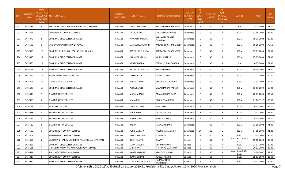| S.No. | <b>APPLICATIO</b><br><b>NID</b> | Merit<br>Io.(DISTRICT<br><b>CHOOL TYPE</b><br>WISE) | /FACULTY/S INSTITUTE NAME                       | <b>DISTRICT</b><br>(INSTITUTE) | STUDENT NAME              | ather's/Guardian's Name     | <b>LAST YEAR</b><br>Faculty/STR<br><b>EAM</b> | LAST<br><b>YEAR</b><br>School<br><b>Type</b><br>(G/P) | <b>IS_SPECILLY</b><br>$\_$ ABLED | <b>LAST</b><br><b>YEAR</b><br><b>SCHOOL</b><br><b>RBSE/CBS</b><br>E) | <b>COURSE</b>                        | <b>DOB</b> | LAST<br>YEAR% |
|-------|---------------------------------|-----------------------------------------------------|-------------------------------------------------|--------------------------------|---------------------------|-----------------------------|-----------------------------------------------|-------------------------------------------------------|----------------------------------|----------------------------------------------------------------------|--------------------------------------|------------|---------------|
| 201   | 3474891                         | 6                                                   | SHREE JAIN KANYA P.G. MAHAVIDHYALAY, BIKANER    | <b>BIKANER</b>                 | <b>CHARU SHRIMALI</b>     | MANOJ KUMAR SHRIMALI        | Commerce                                      | G                                                     | NO.                              | R                                                                    | <b>BCA</b>                           | 15-12-2005 | 82.80         |
| 202   | 3474758                         | $7\overline{ }$                                     | <b>GOVERNMENT DUNGAR COLLEGE</b>                | <b>BIKANER</b>                 | KRITIKA VYAS              | SHYAM SUNDER VYAS           | Commerce                                      | G                                                     | NO.                              | R                                                                    | <b>BCOM</b>                          | 01-06-2003 | 82.00         |
| 203   | 3474370                         | 8                                                   | <b>GOVT. M.S. GIRLS COLLEGE BIKANER</b>         | <b>BIKANER</b>                 | PRAGATI CHANDAK           | MAHAVEER PRASAD<br>CHANDAK  | Commerce                                      | G                                                     | NO.                              | R                                                                    | <b>BCOM</b>                          | 30-11-2002 | 80.20         |
| 204   | 3476692                         | 9                                                   | SRI DUNGARGARH MAHAVIDYALAYA                    | <b>BIKANER</b>                 | <b>JANHAVI RAJPUROHIT</b> | KAILASH SINGH RAJPUROHIT    | Commerce                                      | G                                                     | NO.                              | R                                                                    | <b>BCOM</b>                          | 10-10-2003 | 78.60         |
| 205   | 3474673                         | 10                                                  | GOVT. M.L.B. (P.G.) COLLEGE, NOKHA (BIKANER)    | <b>BIKANER</b>                 | KANTA PANCHARIYA          | SAMPAT LAL PANCHARIYA       | Commerce                                      | G                                                     | NO.                              | R                                                                    | <b>BCOM</b>                          | 05-01-2005 | 77.40         |
| 206   | 3475818                         | 11                                                  | GOVT. M.S. GIRLS COLLEGE BIKANER                | BIKANER                        | HARSHITA HARSH            | MUKESH HARSH                | Commerce                                      | G                                                     | NO                               | R                                                                    | <b>BCOM</b>                          | 07-05-2003 | 74.80         |
| 207   | 3475656                         | 12                                                  | GOVT. M.S. GIRLS COLLEGE BIKANER                | <b>BIKANER</b>                 | <b>SWATI SHARMA</b>       | PRMOD KUMAR SHARMA          | Commerce                                      | G                                                     | <b>NO</b>                        | R                                                                    | <b>B.A.</b>                          | 18-07-2003 | 74.80         |
| 208   | 3476761                         | 13                                                  | GOVT. M.S. GIRLS COLLEGE BIKANER                | <b>BIKANER</b>                 | PRIYANKA MOHATA           | <b>MANOJ KUMAR</b>          | Commerce                                      | G                                                     | NO.                              | R                                                                    | <b>BCOM</b>                          | 09-04-2002 | 71.60         |
| 209   | 3474822                         | 14                                                  | BINANI KANYA MAHAVIDYALAYA                      | <b>BIKANER</b>                 | SAKSHI BISSA              | VISHNU KUMAR                | Commerce                                      | G                                                     | NO.                              | R                                                                    | <b>BCOM</b>                          | 11-12-2002 | 70.80         |
| 210   | 3475804                         | 15                                                  | <b>COLLEGE OF HOME SCIENCE</b>                  | <b>BIKANER</b>                 | VAISHALI PAREEK           | ASHOK KUMAR TIWARI          | Commerce                                      | G                                                     | NO.                              | R                                                                    | B.SC.                                | 21-02-2002 | 67.80         |
| 211   | 3475625                         | 16                                                  | GOVT. M.S. GIRLS COLLEGE BIKANER                | <b>BIKANER</b>                 | POOJA PAREEK              | VIJAY SHANKAR PAREEK        | Commerce                                      | G                                                     | NO.                              | R                                                                    | <b>BCOM</b>                          | 06-01-2002 | 66.00         |
| 212   | 3474643                         | 1                                                   | <b>BHARTI NIKETAN COLLEGE</b>                   | <b>BIKANER</b>                 | MUSKAN DAGA               | ANJANI KUMAR DAGA           | Commerce                                      | P                                                     | NO.                              | R.                                                                   | <b>BCOM</b>                          | 22-07-2003 | 92.60         |
| 213   | 3474888                         | $\overline{2}$                                      | <b>BHARTI NIKETAN COLLEGE</b>                   | <b>BIKANER</b>                 | VIMLA MAL                 | <b>GOKUL CHAND MAL</b>      | Commerce                                      | P                                                     | NO.                              | R                                                                    | <b>BCOM</b>                          | 01-02-1997 | 86.60         |
| 214   | 3476729                         | $\overline{3}$                                      | <b>BASIC P.G. COLLEGE</b>                       | <b>BIKANER</b>                 | CHARUVI DAGA              | ANIL DAGA                   | Commerce                                      | P                                                     | NO.                              | R                                                                    | <b>BCOM</b>                          | 10-05-2002 | 85.20         |
| 215   | 3474538                         | $\overline{4}$                                      | <b>BHARTI NIKETAN COLLEGE</b>                   | <b>BIKANER</b>                 | RAJAL JOSHI               | DAMODAR JOSHI               | Commerce                                      | P                                                     | NO.                              | R                                                                    | <b>BCOM</b>                          | 27-02-2002 | 85.00         |
| 216   | 3474774                         | 5                                                   | <b>BHARTI NIKETAN COLLEGE</b>                   | <b>BIKANER</b>                 | RONAK JOSHI               | PAWAN KUMAR                 | Commerce                                      | P                                                     | NO                               | R                                                                    | <b>BCOM</b>                          | 24-03-2003 | 75.80         |
| 217   | 3475520                         | 6                                                   | <b>BHARTI NIKETAN COLLEGE</b>                   | <b>BIKANER</b>                 | RADHA                     | POONAM CHAND                | Commerce                                      | P                                                     | NO.                              | R                                                                    | <b>BCOM</b>                          | 11-09-2002 | 71.80         |
| 218   | 3474558                         | 1                                                   | <b>GOVERNMENT DUNGAR COLLEGE</b>                | <b>BIKANER</b>                 | PURNIMA RAJVI             | RAJENDRA PAL SINGH          | Commerce                                      | G/P                                                   | NO.                              | C                                                                    | <b>BCOM</b>                          | 04-08-2004 | 91.20         |
| 219   | 3475807                         |                                                     | <b>GOVERNMENT DUNGAR COLLEGE</b>                | <b>BIKANER</b>                 | SARITA SHARMA             | KISHANLAL                   | Science                                       | G                                                     | <b>NO</b>                        |                                                                      | B.SC.                                | 12-05-2003 | 90.40         |
| 220   | 3474682                         | 2                                                   | MURLI SINGH YADAV MEMORIAL PRASHIKSHAN SANSTHAN | <b>BIKANER</b>                 | <b>KIRAN KHATRI</b>       | <b>BHARAT</b>               | Science                                       | G                                                     | NO.                              | R                                                                    | B.SC.- B.ED.(B.SC.-<br>B.ED.)        | 05-05-2003 | 89.40         |
| 221   | 3475206                         | $\overline{3}$                                      | GOVT. M.S. GIRLS COLLEGE BIKANER                | <b>BIKANER</b>                 | <b>MAYA PUROHIT</b>       | <b>GIRIRAJ PUROHIT</b>      | Science                                       | G                                                     | <b>NO</b>                        | R                                                                    | B.SC.                                | 31-07-2004 | 89.20         |
| 222   | 3475121                         | 4                                                   | SHREE JAIN KANYA P.G. MAHAVIDHYALAY, BIKANER    | BIKANER                        | <b>CHITRA JAIN</b>        | PRASAN KUMAR SAND           | Science                                       | G                                                     | NO.                              | R                                                                    | <b>B.A.</b>                          | 26-02-2004 | 85.80         |
| 223   | 3476611                         | 5                                                   | S.D. (P.G.) COLLEGE, KHAJUWALA                  | BIKANER                        | SAVITA KANWAR             | <b>MAHENDER SINGH</b>       | Science                                       | G                                                     | NO.                              | R                                                                    | B.SC.- B.ED.(B.SC.-<br><b>B.ED.)</b> | 19-08-2002 | 84.60         |
| 224   | 3474317                         | 6                                                   | GOVERNMENT DUNGAR COLLEGE                       | <b>BIKANER</b>                 | ROUNAK KHATRI             | YOGESH KHATRI               | Science                                       | G                                                     | NO.                              | R                                                                    | B.SC.                                | 25-01-2003 | 82.40         |
| 225   | 3475684                         | 7                                                   | GOVT. M.S. GIRLS COLLEGE BIKANER                | BIKANER                        | YOGITA RAJAPUROHIT        | NARAPAT SINGH<br>RAJPUROHIT | Science                                       | G                                                     | <b>NO</b>                        | R                                                                    | B.SC.                                | 03-01-2003 | 80.00         |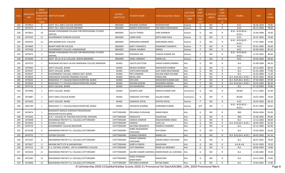| S.No. | <b>APPLICATIO</b><br>NID. | Merit<br>Io.(DISTRICT<br><b>CHOOL TYPE</b><br>WISE) | /FACULTY/S INSTITUTE NAME                                    | <b>DISTRICT</b><br>(INSTITUTE) | <b>STUDENT NAME</b>               | Father's/Guardian's Name                         | <b>LAST YEAR</b><br>Faculty/STR<br><b>EAM</b> | <b>LAST</b><br><b>YEAR</b><br>School<br><b>Type</b><br>(G/P) | S_SPECILLY<br>ABLED | <b>LAST</b><br><b>YEAR</b><br><b>SCHOOL</b><br>(RBSE/CBS<br>E) | <b>COURSE</b>                        | DOB        | <b>LAST</b><br>YEAR% |
|-------|---------------------------|-----------------------------------------------------|--------------------------------------------------------------|--------------------------------|-----------------------------------|--------------------------------------------------|-----------------------------------------------|--------------------------------------------------------------|---------------------|----------------------------------------------------------------|--------------------------------------|------------|----------------------|
| 226   | 3474813                   | 8                                                   | GOVT. M.S. GIRLS COLLEGE BIKANER                             | <b>BIKANER</b>                 | <b>BHAWNA SHARMA</b>              | RADHESHYAM                                       | Science                                       | G                                                            | NO.                 | R                                                              | B.SC.                                | 06-06-2004 | 78.80                |
| 227   | 3475572                   | 9                                                   | GOVT. M.S. GIRLS COLLEGE BIKANER                             | <b>BIKANER</b>                 | <b>JAGRATI SHEKHAWAT</b>          | OM SINGH SHEKHAWAT                               | Science                                       | G                                                            | NO.                 | R                                                              | B.SC.                                | 06-12-2003 | 78.60                |
| 228   | 3475821                   | 10                                                  | SWAMI VIVEKANAND COLLEGE FOR PROFESSONAL STUDIES<br>SINTHAL  | <b>BIKANER</b>                 | LALITA THANVI                     | <b>HARI SHANKAR</b>                              | Science                                       | G                                                            | NO.                 | R                                                              | B.SC.- B.ED.(B.SC.-<br><b>B.ED.)</b> | 25-06-2004 | 76.60                |
| 229   | 3475525                   | 11                                                  | <b>GOVERNMENT DUNGAR COLLEGE</b>                             | <b>BIKANER</b>                 | LAXMI OJHA                        | SEETA RAM OJHA                                   | Science                                       | G                                                            | <b>NO</b>           | R                                                              | B.SC.                                | 02-07-2005 | 76.00                |
| 230   | 3476342                   | 12                                                  | SHRI ADARSH B.ED. COLLEGE                                    | <b>BIKANER</b>                 | KARSHANA KANWAR                   | SAMUNDRA SINGH                                   | Science                                       | G                                                            | NO.                 | $\mathsf{R}$                                                   | B.SC.- B.ED.(B.SC.-<br>B.ED.)        | 17-07-2005 | 72.80                |
| 231   | 3474844                   | 1                                                   | <b>BHARTI NIKETAN COLLEGE</b>                                | <b>BIKANER</b>                 | AARTI TAWANIYA                    | KODARAM TAWANIYA                                 | Science                                       | P                                                            | <b>NO</b>           | R                                                              | B.SC.                                | 02-01-2003 | 93.60                |
| 232   | 3475566                   | $\overline{2}$                                      | GOVERNMENT COLLEGE LUNKARANSAR                               | <b>BIKANER</b>                 | KOMAL SHARMA                      | <b>MANOJ</b>                                     | Science                                       | P                                                            | <b>NO</b>           | R                                                              | B.SC.                                | 03-08-2003 | 85.20                |
| 233   | 3475075                   | 3                                                   | SWAMI VIVEKANAND COLLEGE FOR PROFESSONAL STUDIES<br>SINTHAL  | <b>BIKANER</b>                 | VEDANSHI JHA                      | YOGESH KUMAR JHA                                 | Science                                       | P                                                            | <b>NO</b>           | $\mathsf{R}$                                                   | B.SC.- B.ED.(B.SC.-<br>B.ED.)        | 21-03-2002 | 80.00                |
| 234   | 3474409                   | 4                                                   | GOVT. M.L.B. (P.G.) COLLEGE, NOKHA (BIKANER)                 | <b>BIKANER</b>                 | SANJU SARSWAT                     | <b>HEERA LAL</b>                                 | Science                                       | P                                                            | <b>NO</b>           | $\mathsf{R}$                                                   | B.SC.                                | 20-04-2003 | 69.40                |
| 235   | 3474725                   | 1                                                   | BHAGWAN ADI NATH JAI-RAJ MARWARA COLLEGE NAINWAN             | BUNDI                          | LAXITA GOUTTAM                    | VINOD KUMAR SHARMA                               | Arts                                          | G                                                            | NO.                 | R                                                              | B.A.                                 | 01-08-2004 | 84.20                |
| 236   | 3475093                   | 2                                                   | <b>GOVT.COLLEGE .BUNDI</b>                                   | <b>BUNDI</b>                   | MEGHA SHARMA                      | MAHAVEER SHARMA                                  | Arts                                          | G                                                            | <b>NO</b>           | R                                                              | <b>B.A.</b>                          | 04-10-2002 | 80.20                |
| 237   | 3476347                   | 3                                                   | <b>GOVT.COLLEGE .BUNDI</b>                                   | <b>BUNDI</b>                   | YUKTA BHATNAGAR                   | AJAY SINGH BHATNAGAR                             | Arts                                          | G                                                            | <b>NO</b>           | $\mathsf{R}$                                                   | <b>B.A.</b>                          | 01-01-2004 | 77.00                |
| 238   | 3476537                   | 4                                                   | GOVERNMENT COLLEGE, HINDOLI DIST. BUNDI                      | <b>BUNDI</b>                   | PRITI KANWAR                      | KALYAN SINGH SOLANKI                             | Arts                                          | G                                                            | <b>NO</b>           | R                                                              | B.A.                                 | 01-01-2004 | 71.20                |
| 239   | 3475819                   | $\overline{1}$                                      | SARVODAYA TEACHER TRAINING COLLEGE                           | <b>BUNDI</b>                   | <b>NEHAL JAIN</b>                 | <b>PARAS JAIN</b>                                | Arts                                          | P                                                            | <b>NO</b>           | $\mathsf{R}$                                                   | B.A- B.ED.(B.A- B.ED.)               | 05-07-2003 | 90.00                |
| 240   | 3475632                   | $\overline{2}$                                      | RAGHUKUL T.T. COLLEGE RAGHUVEERPURA, BUNDI                   | <b>BUNDI</b>                   | SIYA JAIN                         | MAHAVEER KUMAR JAIN                              | Arts                                          | P                                                            | <b>NO</b>           | $\mathsf{R}$                                                   | B.A- B.ED.(B.A- B.ED.)               | 27-03-2002 | 87.00                |
| 241   | 3475834                   | $\overline{\mathbf{3}}$                             | RAGHUKUL T.T. COLLEGE RAGHUVEERPURA, BUNDI                   | <b>BUNDI</b>                   | SHIVANI SAXENA                    | RAJENDRA SAXENA                                  | Arts                                          | P                                                            | <b>NO</b>           | R                                                              | B.A- B.ED.(B.A- B.ED.)               | 29-05-2003 | 86.40                |
| 242   | 3475716                   | 4                                                   | <b>GOVT.COLLEGE .BUNDI</b>                                   | <b>BUNDI</b>                   | ASH BHARDWAJ                      | NARESH BHARDWAJ                                  | Arts                                          | P                                                            | <b>NO</b>           | $\mathsf{R}$                                                   | <b>B.A.</b>                          | 07-10-2003 | 79.80                |
| 243   | 3475990                   | 1                                                   | GOVT.COLLEGE .BUNDI                                          | <b>BUNDI</b>                   | SOUMYA JAIN                       | RAKESH KUMAR JAIN                                | Commerce                                      | G                                                            | NO.                 | R                                                              | <b>BCOM</b>                          | 14-11-2002 | 91.00                |
| 244   | 3475887                   | $\mathbf{2}$                                        | <b>GOVT GIRLS COLLEGE BUNDI</b>                              | <b>BUNDI</b>                   | <b>VANSHIKA CHITTORA</b>          | <b>GULAB CHAND</b>                               | Commerce                                      | G                                                            | <b>NO</b>           | R                                                              | <b>BCOM</b>                          | 24-07-2003 | 76.00                |
| 245   | 3475443                   | 1                                                   | <b>GOVT.COLLEGE .BUNDI</b>                                   | <b>BUNDI</b>                   | SONAKSHI GOYAL                    | <b>DEEPAK GOYAL</b>                              | Science                                       | P                                                            | <b>NO</b>           | $\mathsf{R}$                                                   | B.SC.                                | 18-02-2003 | 66.20                |
| 246   | 3461760                   | 1                                                   | RAGHUKUL T.T. COLLEGE RAGHUVEERPURA, BUNDI                   | BUNDI                          | VISHAKHA SHARMA                   | SURENDRA KUMAR                                   | Science                                       | G/P                                                          | NO.                 | C                                                              | B.SC.- B.ED.(B.SC.-<br>B.ED.)        | 05-07-2003 | 90.60                |
| 247   | 3474674                   | 1                                                   | BHAGWATI MAHILA SHIKSHAK PRASHIKSHAN<br>MAHAVIDHYALAYA BASSI | CHITTORGARH                    | PRIYANSHI CHOUHAN                 | <b>AMAR SINGH</b>                                | Arts                                          | G                                                            | <b>NO</b>           | R                                                              | <b>BED</b>                           | 09-04-2004 | 92.00                |
| 248   | 3475645                   | 2                                                   | R.N.T. COLLEGE OF TEACHER EDUCATION, KAPASAN                 | CHITTORGARH                    | HEMALATA                          | <b>SAGAR MAL</b>                                 | Arts                                          | G                                                            | <b>NO</b>           | R                                                              | <b>BED</b>                           | 15-06-2002 | 84.80                |
| 249   | 3475408                   | 3                                                   | MAHARANA PRATAP P.G. COLLEGE, CHITTORGARH                    | CHITTORGARH                    | VARSHA KANWAR                     | RAGHAVENDRA SINGH                                | Arts                                          | G                                                            | <b>NO</b>           | $\mathsf{R}$                                                   | <b>B.A.</b>                          | 12-12-2003 | 84.00                |
| 250   | 3475650                   | 4                                                   | SUYASH COLLEGE                                               | CHITTORGARH                    | <b>HANSHA</b>                     | <b>LADU LAL</b>                                  | Arts                                          | G                                                            | <b>NO</b>           | R                                                              | B.A- B.ED.(B.A- B.ED.)               | 30-04-2005 | 82.40                |
| 251   | 3476719                   | - 5                                                 | GOVERNMENT COLLEGE, BADISADRI                                | CHITTORGARH                    | KALPANA MENARIYA                  | RAMESH CHANDRA                                   | Arts                                          | G                                                            | <b>NO</b>           | $\mathsf{R}$                                                   | B.A.                                 | 25-11-2003 | 82.00                |
| 252   | 3474198                   | 6                                                   | MAHARANA PRATAP P.G. COLLEGE, CHITTORGARH                    | CHITTORGARH                    | SHREE RAJKANWAR<br><b>CHOUHAN</b> | <b>RUP SINGH</b>                                 | Arts                                          | G                                                            | NO.                 | R                                                              | B.A.                                 | 14-02-2003 | 81.60                |
| 253   | 3474753                   |                                                     | SUYASH COLLEGE                                               | CHITTORGARH                    | SUMAN SUKHWAL                     | MANGI LAL                                        | Arts                                          | G                                                            | NO.                 | R                                                              | B.A- B.ED.(B.A- B.ED.) 08-03-2003    |            | 81.20                |
| 254   | 3475207                   | 8                                                   | MAHARANA PRATAP P.G. COLLEGE, CHITTORGARH                    | CHITTORGARH                    | <b>KISMAT KANWAR</b><br>CHOUHAN   | JAWAN SINGH CHOUHAN                              | Arts                                          | G                                                            | NO.                 | $\mathsf{R}$                                                   | <b>B.A.</b>                          | 28-07-2001 | 79.60                |
| 255   | 3475627                   | 9                                                   | MEWAR INSTITUTE & ENGINEERING                                | CHITTORGARH                    | <b>SHREYA PAREEK</b>              | BALKISHAN                                        | Arts                                          | G                                                            | NO                  | R                                                              | B.A & LLB                            | 01-01-2003 | 79.20                |
| 256   | 3475215                   | 10                                                  | U. S. OSTWAL SCIENCE, ART & COMMERCE COLLEGE                 | CHITTORGARH                    | JYOTI MENARIA                     | <b>BADRI LAL MENARIA</b>                         | Arts                                          | G                                                            | <b>NO</b>           | $\mathsf{R}$                                                   | B.A.                                 | 28-06-2003 | 74.80                |
| 257   | 3474234                   | 11                                                  | MAHARANA PRATAP P.G. COLLEGE, CHITTORGARH                    | CHITTORGARH                    |                                   | SALONI KUMARI SUKHWAL RAMESHWAR LAL SUKHWAL Arts |                                               | G                                                            | <b>NO</b>           | R.                                                             | <b>B.A.</b>                          | 12-08-2002 | 74.00                |
| 258   | 3475282                   | 12                                                  | MAHARANA PRATAP P.G. COLLEGE, CHITTORGARH                    | CHITTORGARH                    | <b>SANJU KUNWAR</b><br>SHAKTAWAT  | RAAM SINH                                        | Arts                                          | G                                                            | <b>NO</b>           | R                                                              | <b>B.A.</b>                          | 10-12-2001 | 73.80                |
| 259   | 3474606                   | 13                                                  | MAHARANA PRATAP P.G. COLLEGE, CHITTORGARH                    | CHITTORGARH                    | PRIYANKA KUNWAR                   | <b>RATAN SINGH</b>                               | Arts                                          | G                                                            | <b>NO</b>           | R                                                              | <b>B.A.</b>                          | 19-04-2001 | 71.80                |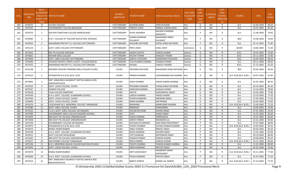| S.No. | <b>APPLICATIO</b><br><b>NID</b> | Merit<br>lo.(DISTRICT<br><b>CHOOL TYPE</b><br>WISE) | /FACULTY/S INSTITUTE NAME                                    | <b>DISTRICT</b><br>(INSTITUTE) | <b>STUDENT NAME</b>                   | Father's/Guardian's Name                | <b>LAST YEAR</b><br>Faculty/STR<br><b>EAM</b> | <b>LAST</b><br><b>YEAR</b><br>School<br><b>Type</b><br>(G/P) | S_SPECILLY<br>ABLED | LAST<br><b>YEAR</b><br><b>SCHOOL</b><br><b>RBSE/CBS</b><br>E) | <b>COURSE</b>          | <b>DOB</b> | <b>LAST</b><br>YEAR% |
|-------|---------------------------------|-----------------------------------------------------|--------------------------------------------------------------|--------------------------------|---------------------------------------|-----------------------------------------|-----------------------------------------------|--------------------------------------------------------------|---------------------|---------------------------------------------------------------|------------------------|------------|----------------------|
| 260   | 3476555                         | 14                                                  | <b>SUYASH COLLEGE</b>                                        | CHITTORGARH                    | ALVEENA BANU                          | <b>JAKIR HUSSAIN</b>                    | Arts                                          | G                                                            | NO.                 | $\mathsf{R}$                                                  | <b>B.A.</b>            | 01-09-2004 | 68.20                |
| 261   | 3475445                         | $\overline{1}$                                      | GOVERNMENT COLLEGE, BADISADRI                                | CHITTORGARH                    | PARVATI JOSHI                         | NIRMAL KUMAR JOSHI                      | Arts                                          | P                                                            | NO                  | $\mathsf{R}$                                                  | B.A.                   | 19-07-2002 | 82.20                |
| 262   | 3476753                         | $\overline{2}$                                      | OM SHIV SANSTHAN COLLEGE MANGALWAD                           | <b>CHITTORGARH</b>             | <b>PAYAL MENARIA</b>                  | KAILASH CHANDRA<br>MENARIYA             | Arts                                          | P                                                            | NO                  | R                                                             | B.A.                   | 27-06-2003 | 79.40                |
| 263   | 3476683                         | $\overline{3}$                                      | R.N.T. COLLEGE OF TEACHER EDUCATION, KAPASAN                 | CHITTORGARH                    | <b>SUMAN KUNWAR</b><br><b>DULAWAT</b> | <b>MAHENDAR SINGH</b><br><b>DULAWAT</b> | Arts                                          | P                                                            | NO                  | R                                                             | BED                    | 14-08-2003 | 76.60                |
| 264   | 3476563                         | $\overline{4}$                                      | MAHARANA PRATAP P.G. COLLEGE, CHITTORGARH                    | CHITTORGARH                    | KHUSHBU RATHORE                       | <b>GOPAL SINGH RATHORE</b>              | Arts                                          | P                                                            | NO.                 | R                                                             | B.A.                   | 01-12-2001 | 71.80                |
| 265   | 3476124                         | 1                                                   | GOVT. GIRLS COLLEGE CHITTORGARH                              | CHITTORGARH                    | PRIYA JOSHI                           | <b>SUNIL JOSHI</b>                      | Commerce                                      | G                                                            | NO.                 | R                                                             | <b>BCOM</b>            | 10-06-2003 | 71.40                |
| 266   | 3475441                         | -1                                                  | RNT PG COLLEGE KAPASAN                                       | CHITTORGARH                    | SAKSHI CHASTA                         | LOKESH KUMAR                            | Science                                       | G                                                            | NO                  | $\mathsf{R}$                                                  | B.SC.                  | 16-01-2002 | 74.60                |
| 267   | 3476061                         | $\overline{2}$                                      | MEWAR GIRLS COLLEGE                                          | CHITTORGARH                    | KHUSHI TIWARI                         | KAMLESH TIWARI                          | Science                                       | G                                                            | <b>NO</b>           | $\mathsf{R}$                                                  | B.SC.                  | 23-11-2003 | 72.40                |
| 268   | 3474950                         | $\overline{3}$                                      | GOVT. GIRLS COLLEGE CHITTORGARH                              | CHITTORGARH                    | <b>JANHVI CHOUHAN</b>                 | JAGMOHAN CHOUHAN                        | Science                                       | G                                                            | <b>NO</b>           | $\mathsf{R}$                                                  | B.SC.                  | 16-09-2004 | 68.20                |
| 269   | 3476496                         | $\overline{4}$                                      | SHAHEED ROOPA JI KRIPA JI GOVT. COLLEGE BEGUN                | CHITTORGARH                    | PUJA KUMARI SHARMA                    | <b>SHANJAI KUMAR</b>                    | Science                                       | G                                                            | NO.                 | $\mathsf{R}$                                                  | B.A.                   | 09-11-2000 | 66.60                |
| 270   | 3475555                         | 5                                                   | MAHARANA PRATAP P.G. COLLEGE, CHITTORGARH                    | CHITTORGARH                    | <b>RAVINA</b>                         | <b>SURESH CHANDR</b>                    | Science                                       | G                                                            | <b>NO</b>           | $\mathsf{R}$                                                  | B.SC.                  | 21-12-2002 | 65.20                |
| 271   | 3475198                         | 1                                                   | MODERN TEACHER TRAINING GIRLS COLLEGE CHURU                  | <b>CHURU</b>                   | PRIYANKA RATHORE                      | <b>MAHENDRA SINGH RATHORE Arts</b>      |                                               | G                                                            | NO.                 | $\mathsf{R}$                                                  | <b>BED</b>             | 03-03-2003 | 94.00                |
| 272   | 3474523                         | $\overline{2}$                                      | INTEGRATED B.A B.ED./B.SC. B.ED                              | CHURU                          | PRABHA SHARMA                         | LAKSHMINARAYAN SHARMA Arts              |                                               | G                                                            | NO.                 | R                                                             | B.A- B.ED.(B.A- B.ED.) | 04-07-2003 | 91.40                |
| 273   | 3474895                         | $\overline{3}$                                      | SMT. KAMLADEVI GAURIDUTT MITTAL MAHILA (PG)<br>MAHAVIDYALAYA | CHURU                          | <b>SONU SHARMA</b>                    | VINOD KUMAR SHARMA                      | Arts                                          | G                                                            | NO.                 | R                                                             | <b>B.A.</b>            | 01-01-2003 | 86.40                |
| 274   | 3476102                         | $\overline{4}$                                      | GOVT. LOHIA COLLEGE, CHURU                                   | <b>CHURU</b>                   | PRIYANKA KANWAR                       | PURAN SINGH RATHORE                     | Arts                                          | G                                                            | <b>NO</b>           | $\mathsf{R}$                                                  | <b>B.A.</b>            | 02-10-2003 | 81.40                |
| 275   | 3474767                         | 5                                                   | <b>ADARSH COLLEGE</b>                                        | <b>CHURU</b>                   | KANCHAN SHARMA                        | KAIALSH CHAND                           | Arts                                          | G                                                            | NO                  | R                                                             | B.A.                   | 15-10-2002 | 78.00                |
| 276   | 3476358                         | 6                                                   | <b>TILAK COLLEGE RAMPURA</b>                                 | CHURU                          | <b>KAVITA</b>                         | <b>KANVARAPAL SINGH</b>                 | Arts                                          | G                                                            | <b>NO</b>           | $\mathsf{R}$                                                  | <b>B.A.</b>            | 24-02-2003 | 77.80                |
| 277   | 3476769                         | $\overline{7}$                                      | G.H.S. GOVT. COLLEGE, SUJANGARH (CHURU)                      | <b>CHURU</b>                   | LOKESH SHARMA                         | <b>VINOD KUMAR</b>                      | Arts                                          | G                                                            | <b>NO</b>           | $\mathsf{R}$                                                  | <b>B.A.</b>            | 22-10-2002 | 77.20                |
| 278   | 3474700                         | 8                                                   | GOVT. LOHIA COLLEGE, CHURU                                   | <b>CHURU</b>                   | PUSHPA KANWAR                         | SIKENDRA SINGH                          | Arts                                          | G                                                            | <b>NO</b>           | R                                                             | <b>B.A.</b>            | 17-05-2003 | 77.20                |
| 279   | 3476005                         | 9                                                   | GOVT. LOHIA COLLEGE, CHURU                                   | <b>CHURU</b>                   | <b>KIRAN SHARMA</b>                   | <b>OM PRAKAS</b>                        | Arts                                          | G                                                            | <b>NO</b>           | $\mathsf{R}$                                                  | B.A.                   | 02-02-2004 | 76.00                |
| 280   | 3476254                         | 10                                                  | CHOUDHARY M.S. MEMORIAL COLLEGE TARANAGAR                    | CHURU                          | <b>BHAWANA</b>                        | RAMKUMAR SHARMA                         | Arts                                          | G                                                            | <b>NO</b>           | $\mathsf{R}$                                                  | B.A- B.ED.(B.A- B.ED.) | 15-04-2003 | 71.20                |
| 281   | 3475080                         | 11                                                  | GOVT. GIRLS COLLEGE, CHURU                                   | CHURU                          | <b>MINAKSHI</b>                       | DUNGARMAL                               | Arts                                          | G                                                            | <b>NO</b>           | $\mathsf{R}$                                                  | B.A.                   | 10-06-2002 | 70.40                |
| 282   | 3475432                         | 12                                                  | S.K.D.L GOVT. GIRLS COLLEGE, RATANGARH                       | <b>CHURU</b>                   | <b>KUSUM RATHORE</b>                  | <b>KISHAN SINGH</b>                     | Arts                                          | G                                                            | <b>NO</b>           | $\mathsf{R}$                                                  | <b>B.A.</b>            | 07-07-2003 | 67.60                |
| 283   | 3474780                         | 1                                                   | GOVERNMENT GIRLS COLLEGE RAJGARH (CHURU)                     | <b>CHURU</b>                   | <b>ITOYL</b>                          | SAWAI SINGH                             | Arts                                          | P                                                            | <b>NO</b>           | R                                                             | <b>B.A.</b>            | 31-07-2003 | 93.60                |
| 284   | 3475993                         | $\overline{2}$                                      | SBD GOVT PG COLLEGE SARDARSHAHAR                             | <b>CHURU</b>                   | POOJA SHARMA                          | OMPRAKASH                               | Arts                                          | P                                                            | <b>NO</b>           | $\mathsf{R}$                                                  | <b>B.A.</b>            | 15-07-2002 | 90.40                |
| 285   | 3475458                         | 3                                                   | SBD GOVT PG COLLEGE SARDARSHAHAR                             | CHURU                          | SARITA PAREEK                         | BHANWAR LAL                             | Arts                                          | P                                                            | NO                  | R                                                             | <b>B.A.</b>            | 01-01-2004 | 90.00                |
| 286   | 3475549                         | $\overline{4}$                                      | <b>GOVERNMENT COLLEGE RATANGARH</b>                          | CHURU                          | KAUSHALYA KANWAR                      | RAM SINGH RAJPUROHIT                    | Arts                                          | P                                                            | <b>NO</b>           | $\mathsf{R}$                                                  | B.A.                   | 07-07-2000 | 88.00                |
| 287   | 3474973                         | 5                                                   | INTEGRATED B.A B.ED./B.SC. B.ED                              | <b>CHURU</b>                   | YOGITA SHARMA                         | SHYAM SUNDAR SHARMA                     | Arts                                          | P                                                            | <b>NO</b>           | $\mathsf{R}$                                                  | B.A- B.ED.(B.A- B.ED.) | 24-06-2002 | 85.20                |
| 288   | 3474474                         | 6                                                   | <b>RSMGC RAMPURABERI</b>                                     | <b>CHURU</b>                   | ANNU KUMARI                           | <b>BRIJPAL SINGH</b>                    | Arts                                          | P                                                            | <b>NO</b>           | R                                                             | <b>B.A.</b>            | 04-04-2003 | 85.20                |
| 289   | 3476768                         | $\overline{7}$                                      | G.H.S. GOVT. COLLEGE, SUJANGARH (CHURU)                      | CHURU                          | <b>NISHA KANWAR</b>                   | <b>GOVIND SINGH</b>                     | Arts                                          | P                                                            | <b>NO</b>           | $\mathsf{R}$                                                  | <b>B.A.</b>            | 12-01-2004 | 85.00                |
| 290   | 3476521                         |                                                     | <b>GOVT COLLEGE RAJALDESAR</b>                               | <b>CHURU</b>                   | <b>JYOTI KANWAR</b>                   | DEEPENDAR SINGH                         | Arts                                          |                                                              | NO                  | R                                                             | B.A.                   | 30-10-2003 | 84.00                |
| 291   | 3475462                         | 9                                                   | SBD GOVT PG COLLEGE SARDARSHAHAR                             | CHURU                          | <b>SHAKSHI PAREEK</b>                 | PAWAN KUMAR                             | Arts                                          | P                                                            | <b>NO</b>           | $\mathsf{R}$                                                  | <b>B.A.</b>            | 30-08-2003 | 83.20                |
| 292   | 3476237                         | 10                                                  | SSM DEGREE COLLEGE TARANAGAR                                 | CHURU                          | PRIYA PAREEK                          | <b>SURESH KUMAR</b>                     | Arts                                          | P                                                            | <b>NO</b>           | $\mathsf{R}$                                                  | B.A- B.ED.(B.A- B.ED.) | 25-11-2004 | 80.60                |
| 293   | 3475196                         | 11                                                  | B.D.S. MEMORIAL BALIKA COLLEGE RAJPURA {CHURU}               | CHURU                          | YOGITA SHARMA                         | PAWAN KUMAR SHARMA                      | Arts                                          | P                                                            | <b>NO</b>           | $\mathsf{R}$                                                  | B.A.                   | 11-01-2004 | 80.00                |
| 294   | 3475945                         | 12                                                  | GOVT. LOHIA COLLEGE, CHURU                                   | CHURU                          | <b>DEEPA KANWAR</b>                   | PRATAP SINGH                            | Arts                                          | P                                                            | <b>NO</b>           | R                                                             | <b>B.A.</b>            | 01-01-2004 | 79.40                |
| 295   | 3474979                         | 13                                                  | <b>RSMGC RAMPURABERI</b>                                     | CHURU                          | KIRTI SHEKHAWAT                       | AMARDEEP SINGH<br>SHEKHAWAT             | Arts                                          | P                                                            | NO.                 | R                                                             | B.A- B.ED.(B.A- B.ED.) | 05-11-2001 | 77.40                |
| 296   | 3476260                         | 14                                                  | G.H.S. GOVT. COLLEGE, SUJANGARH (CHURU)                      | CHURU                          | POOJA KANWAR                          | PRATAP SINGH                            | Arts                                          | P                                                            | NO                  | R                                                             | <b>B.A.</b>            | 01-07-2002 | 77.20                |
| 297   | 3475616                         | 15                                                  | SMT. KAMLADEVI GAURIDUTT MITTAL MAHILA (PG)<br>MAHAVIDYALAYA | CHURU                          | <b>BABITA PAREEK</b>                  | <b>MANGI LAL PAREEK</b>                 | Arts                                          | P                                                            | <b>NO</b>           | R                                                             | B.A- B.ED.(B.A- B.ED.) | 07-10-2003 | 77.20                |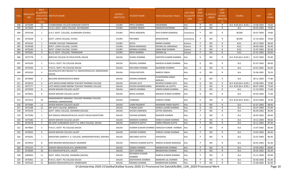| S.No. | APPLICATIO<br><b>NID</b> | Merit<br>o.(DISTRICT<br><b>HOOL TYPE</b><br>WISE) | <b>/FACULTY/S INSTITUTE NAME</b>                                     | <b>DISTRICT</b><br>(INSTITUTE) | <b>STUDENT NAME</b>              | Father's/Guardian's Name                  | LAST YEAR<br>Faculty/STR<br>EAM | <b>LAST</b><br><b>YEAR</b><br>School<br><b>Type</b><br>(G/P) | S_SPECILLY<br>ABLED | LAST<br><b>YEAR</b><br>SCHOOL<br><b>RBSE/CBS</b><br>E) | <b>COURSE</b>          | <b>DOB</b> | <b>LAST</b><br>YEAR% |
|-------|--------------------------|---------------------------------------------------|----------------------------------------------------------------------|--------------------------------|----------------------------------|-------------------------------------------|---------------------------------|--------------------------------------------------------------|---------------------|--------------------------------------------------------|------------------------|------------|----------------------|
| 298   | 3475689                  | 16                                                | CHANDGIRAM COLLEGE BAIRASAR CHHOTA                                   | CHURU                          | PRIYA SHARMA                     | MAHENDRA                                  | Arts                            | P                                                            | NO                  | R                                                      | B.A- B.ED.(B.A- B.ED.) | 14-08-2003 | 76.60                |
| 299   | 3475404                  | 17                                                | S.K.D.L GOVT. GIRLS COLLEGE, RATANGARH                               | <b>CHURU</b>                   | <b>GARIMA RINWA</b>              | RAMAVATAR RINWA                           | Arts                            | P                                                            | NO                  | $\mathsf{R}$                                           | <b>B.A.</b>            | 04-03-2003 | 73.80                |
| 300   | 3476148                  | 1                                                 | G.H.S. GOVT. COLLEGE, SUJANGARH (CHURU)                              | <b>CHURU</b>                   | PRIYA AGRAWAL                    | SHIV KUMAR AGRAWAL                        | Commerce                        | P                                                            | NO.                 | R                                                      | BCOM                   | 03-07-2003 | 79.80                |
| 301   | 3475628                  | $\overline{2}$                                    | <b>GOVT. LOHIA COLLEGE, CHURU</b>                                    | CHURU                          | PRIYANKA                         | <b>BANSHIDHAR</b>                         | Commerce                        | P                                                            | NO.                 | R                                                      | <b>BCOM</b>            | 15-10-2002 | 70.60                |
| 302   | 3476162                  | 1                                                 | TAGORE COLLEGE TARANAGAR                                             | CHURU                          | <b>DIVYA</b>                     | <b>MANOJ KUMAR</b>                        | Science                         | P                                                            | NO                  | R                                                      | B.SC.                  | 28-12-2003 | 96.60                |
| 303   | 3476548                  | $\overline{2}$                                    | GOVT. LOHIA COLLEGE, CHURU                                           | CHURU                          | NISHA SARAWAGI                   | KISHAN LAL SARAWAGI                       | Science                         | P                                                            | NO.                 | $\mathsf{R}$                                           | B.SC.                  | 28-09-2002 | 92.40                |
| 304   | 3475630                  | $\overline{3}$                                    | GOVT. LOHIA COLLEGE, CHURU                                           | CHURU                          | MONIKA SHARMA                    | ANNA RAM SHARMA                           | Science                         | P                                                            | <b>NO</b>           | $\mathsf{R}$                                           | B.SC.                  | 15-07-2003 | 85.00                |
| 305   | 3476281                  | $\overline{4}$                                    | M.J.D. GOVT. COLLEGE, TARANAGAR                                      | CHURU                          | NEHA SHARMA                      | <b>KISHAN LAL</b>                         | Science                         | P                                                            | <b>NO</b>           | $\mathsf{R}$                                           | B.SC.                  | 01-01-2003 | 83.00                |
| 306   | 3475778                  | 1                                                 | IMPULSE COLLEGE OF EDUCATION, DAUSA                                  | <b>DAUSA</b>                   | <b>GYANU SHARMA</b>              | SANTOSH KUMAR SHARMA                      | Arts                            | G                                                            | NO                  | R                                                      | B.A- B.ED.(B.A- B.ED.) | 10-07-2003 | 93.00                |
| 307   | 3474230                  | $\overline{2}$                                    | P.N.K.S. GOVT. PG COLLEGE DAUSA                                      | <b>DAUSA</b>                   | ROOPAL SHARMA                    | MAHESH KUMAR SHARMA                       | Arts                            | G                                                            | NO                  | R                                                      | <b>B.A.</b>            | 01-07-2002 | 84.00                |
| 308   | 3474544                  | 3                                                 | P.N.K.S. GOVT. PG COLLEGE DAUSA                                      | <b>DAUSA</b>                   | RACHANA SHARMA                   | RAJENDRA SHARMA                           | Arts                            | G                                                            | NO                  | R                                                      | <b>B.A.</b>            | 24-01-2001 | 81.60                |
| 309   | 3476105                  | $\overline{a}$                                    | KAUSHALAYA DEVI BALIKA P.G. MAHAVIDHALAYA, MANDAWAR,<br><b>DAUSA</b> | <b>DAUSA</b>                   | POOJA RATHOD                     | <b>NARESH SINGH</b>                       | Arts                            | G                                                            | NO.                 | R                                                      | B.A.                   | 25-06-2001 | 78.20                |
| 310   | 3475846                  | 5                                                 | <b>BALHANS MAHAVIDYALYA BIWAI</b>                                    | <b>DAUSA</b>                   | <b>SHIVRAJ KANWAR</b>            | PUSHPENDRA SINGH<br>NARUKA                | Arts                            | G                                                            | NO                  | $\mathsf{R}$                                           | B.A.                   | 28-11-2002 | 77.80                |
| 311   | 3476014                  | -6                                                | LATE MOOLCHAND MEENA TEACHER TRAINING COLLEGE                        | <b>DAUSA</b>                   | KHUSHI LATA                      | MUKESH KUMAR LATA                         | Arts                            | G                                                            | NO                  | R                                                      | B.A- B.ED.(B.A- B.ED.  | 10-08-2002 | 73.80                |
| 312   | 3475777                  | $\overline{7}$                                    | LATE MOOLCHAND MEENA TEACHER TRAINING COLLEGE                        | <b>DAUSA</b>                   | KHUSHI KHANDELAWAL               | <b>BANWARI LAL GUPTA</b>                  | Arts                            | G                                                            | <b>NO</b>           | $\mathsf{R}$                                           | B.A- B.ED.(B.A- B.ED.) | 08-07-2004 | 73.60                |
| 313   | 3475039                  | 8                                                 | ASHOK MAHAN COLLEGE LALSOT                                           | <b>DAUSA</b>                   | ANKITA SHARMA                    | VINOD KUMAR SHARMA                        | Arts                            | G                                                            | NO                  | $\mathsf{R}$                                           | <b>B.A.</b>            | 11-10-2002 | 71.60                |
| 314   | 3474831                  | 9                                                 | ASHOK MAHAN COLLEGE LALSOT                                           | <b>DAUSA</b>                   | NISHA SHARMA                     | MAHESH KUMAR SHARMA                       | Arts                            | G                                                            | <b>NO</b>           | $\mathsf{R}$                                           | B.A.                   | 20-03-2005 | 71.00                |
| 315   | 3475413                  | 10                                                | RAMSWAROOP AGRAWAL TEACHER TRAINING COLLEGE,<br>SARAWALI (MANDAWAR)  | DAUSA                          | VANDANA                          | <b>SURESH CHAND</b>                       | Arts                            | G                                                            | NO.                 | R                                                      | B.A- B.ED.(B.A- B.ED.) | 20-03-2004 | 70.40                |
| 316   | 3475484                  | 11                                                | ASHOK MAHAN COLLEGE LALSOT                                           | <b>DAUSA</b>                   | LAXMI RAJAWAT                    | RAJENDRA SINGH RAJPUT                     | Arts                            | G                                                            | NO.                 | $\mathsf{R}$                                           | B.A.                   | 01-07-2003 | 68.40                |
| 317   | 3475188                  | 12                                                | SRP GOVT.COLLEGE, BANDIKUI                                           | <b>DAUSA</b>                   | PUNAM JOSHI                      | <b>GANGA LAHARI SHARMA</b>                | Arts                            | G                                                            | NO.                 | $\mathsf{R}$                                           | B.A.                   | 20-07-2004 | 67.00                |
| 318   | 3474516                  | 1                                                 | GOVT. GIRLS COLLEGE, SIKANDRA (DAUSA)                                | <b>DAUSA</b>                   | KHUSHI AGRAWAL                   | SATISH AGRAWAL                            | Arts                            | P                                                            | NO                  | $\mathsf{R}$                                           | B.A.                   | 06-09-2003 | 90.00                |
| 319   | 3475396                  | 2                                                 | AVP MAHILA MAHAVIDYALAYA LALSOT DAUSA RAJASTHAN                      | DAUSA                          | SHIVANI SHARMA                   | RAJENDR SHARMA                            | Arts                            | P                                                            | NO.                 | R                                                      | <b>B.A.</b>            | 20-05-2002 | 89.60                |
| 320   | 3475580                  | 3                                                 | ASHOK MAHAN COLLEGE LALSOT                                           | <b>DAUSA</b>                   | MANISHA SHARMA                   | DINESH KUMAR SHARMA                       | Arts                            | P                                                            | <b>NO</b>           | $\mathsf{R}$                                           | B.A.                   | 19-12-2004 | 89.60                |
| 321   | 3475678                  | $\overline{4}$                                    | SRI SANT SUNDARDAS GOVT P.G. GIRLS COLLEGE, DAUSA                    | <b>DAUSA</b>                   | <b>HARSHITA GUPTA</b>            | GIRRAJ PRASAD GUPTA                       | Arts                            | P                                                            | NO                  | R                                                      | B.A.                   | 10-11-2002 | 87.40                |
| 322   | 3474665                  | 5                                                 | P.N.K.S. GOVT. PG COLLEGE DAUSA                                      | <b>DAUSA</b>                   |                                  | KUMARI GUNJAN SHARMA KAMLESH KUMAR SHARMA | Arts                            | P                                                            | NO                  | R                                                      | <b>B.A.</b>            | 15-07-2002 | 86.40                |
| 323   | 3476055                  |                                                   | ASHOK MAHAN COLLEGE LALSOT                                           | <b>DAUSA</b>                   | SAPANA SHARMA                    | <b>SURESH CHAND SHARMA</b>                | Arts                            | D                                                            | <b>NO</b>           | $\mathsf{R}$                                           | B.A.                   | 14-02-2003 | 86.40                |
| 324   | 3476291                  | $\overline{7}$                                    | MAHATMA GANDHI P. G. COLLEGE, MANDAWAR ROAD, MAHWA                   | <b>DAUSA</b>                   | <b>ARCHANA AVSTHI</b>            | SHIVDAYAL                                 | Arts                            | P                                                            | <b>NO</b>           | R                                                      | <b>B.A.</b>            | 23-07-2003 | 86.40                |
| 325   | 3474910                  | 8                                                 | SHRI KRISHNA MAHAVIDALAY SIKANDRA                                    | <b>DAUSA</b>                   | TANISHA KUMARI GUPTA             | NARESH KUMAR AGRAWAL                      | Arts                            | P                                                            | <b>NO</b>           | R                                                      | <b>B.A.</b>            | 26-01-2003 | 85.40                |
| 326   | 3476155                  | q                                                 | AAKASH MAHAVIDHALAYA, MANDAWAR                                       | <b>DAUSA</b>                   | SONIKA SHARMA                    | <b>MANMOHAN SHARMA</b>                    | Arts                            | P                                                            | <b>NO</b>           | $\mathsf{R}$                                           | <b>B.A.</b>            | 10-09-2003 | 84.80                |
| 327   | 3476064                  | 10                                                | M.D MAHAVIDYALAYA, LALSOT                                            | <b>DAUSA</b>                   | <b>ADITI SHARMA</b>              | <b>BRAJMOHAN SHARMA</b>                   | Arts                            | P                                                            | NO                  | $\mathsf{R}$                                           | B.A.                   | 29-05-2002 | 83.20                |
| 328   | 3483603                  | 11                                                | GOVT. GIRLS COLLEGE, SIKANDRA (DAUSA)                                | DAUSA                          | DEVANSHI KUMARI<br><b>SHARMA</b> | NARESH KUMAR SHARMA                       | Arts                            | P                                                            | NO.                 | R                                                      | <b>B.A.</b>            | 15-11-2004 | 83.00                |
| 329   | 3476401                  | 12                                                | P.N.K.S. GOVT. PG COLLEGE DAUSA                                      | <b>DAUSA</b>                   | <b>DEEPSHIKHA SHARMA</b>         | <b>BANWARI LAL SHARMA</b>                 | Arts                            | P                                                            | <b>NO</b>           | $\mathsf{R}$                                           | <b>B.A.</b>            | 02-06-2003 | 82.00                |
| 330   | 3476163                  | 13                                                | AAKASH MAHAVIDHALAYA, MANDAWAR                                       | <b>DAUSA</b>                   | <b>MONIKA SHARMA</b>             | <b>MANMOHAN SHARMA</b>                    | Arts                            | P                                                            | <b>NO</b>           | $\mathsf{R}$                                           | <b>B.A.</b>            | 31-08-2002 | 81.00                |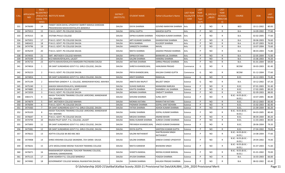| S.No. | <b>APPLICATIO</b><br><b>NID</b> | Merit<br>lo.(DISTRICT<br><b>CHOOL TYPE</b><br>WISE) | /FACULTY/S INSTITUTE NAME                                                                 | <b>DISTRICT</b><br>(INSTITUTE) | <b>STUDENT NAME</b>  | Father's/Guardian's Name     | <b>LAST YEAR</b><br>Faculty/STR<br>EAM | <b>LAST</b><br><b>YEAR</b><br>School<br><b>Type</b><br>(G/P) | <b>IS_SPECILLY</b><br>ABLED | LAST<br><b>YEAR</b><br>SCHOOL<br>(RBSE/CBS<br>E) | <b>COURSE</b>                        | DOB        | LAST<br>YEAR% |
|-------|---------------------------------|-----------------------------------------------------|-------------------------------------------------------------------------------------------|--------------------------------|----------------------|------------------------------|----------------------------------------|--------------------------------------------------------------|-----------------------------|--------------------------------------------------|--------------------------------------|------------|---------------|
| 331   | 3476690                         | 14                                                  | PANDIT DEEN DAYAL UPADHYAY SMIRITI MAHILA SHIKSHAK<br>PRASHIKSHAN MAHAVIDHYALAYA BANDIKUI | <b>DAUSA</b>                   | DIVYA SHARMA         | GOVIND NARAYAN SHARMA        | Arts                                   | P                                                            | NO.                         | R                                                | <b>BED</b>                           | 10-11-2002 | 80.00         |
| 332   | 3475913                         | 15                                                  | P.N.K.S. GOVT. PG COLLEGE DAUSA                                                           | <b>DAUSA</b>                   | <b>DIPALI GUPTA</b>  | <b>MAHESH GUPTA</b>          | Arts                                   | P                                                            | <b>NO</b>                   | $\mathsf{R}$                                     | <b>B.A.</b>                          | 14-09-2002 | 77.60         |
| 333   | 3476315                         | 16                                                  | <b>JYOTIBA PHULE COLLEGE</b>                                                              | DAUSA                          | DIPIKA KUMARI SHARMA | YOGENDA KUMAR SHARMA         | Arts                                   | P                                                            | NO.                         | R                                                | <b>B.A.</b>                          | 02-02-2005 | 77.60         |
| 334   | 3475951                         | 17                                                  | P.N.K.S. GOVT. PG COLLEGE DAUSA                                                           | <b>DAUSA</b>                   | ARTI KUMARI SHARMA   | GHANSHYAM SHARMA             | Arts                                   | P                                                            | <b>NO</b>                   | $\mathsf{R}$                                     | <b>B.A.</b>                          | 30-06-2003 | 76.60         |
| 335   | 3483422                         | 18                                                  | P.N.K.S. GOVT. PG COLLEGE DAUSA                                                           | <b>DAUSA</b>                   | RIYA SHARMA          | KULDEEP SHARMA               | Arts                                   | P                                                            | <b>NO</b>                   | $\mathsf{R}$                                     | B.A.                                 | 01-07-2003 | 76.00         |
| 336   | 3474796                         | 19                                                  | P.N.K.S. GOVT. PG COLLEGE DAUSA                                                           | <b>DAUSA</b>                   | SANGEETA SHARMA      | <b>NAVAL</b>                 | Arts                                   | P                                                            | <b>NO</b>                   | $\mathsf{R}$                                     | B.A.                                 | 10-07-2004 | 73.60         |
| 337   | 3476259                         | 20                                                  | P.N.K.S. GOVT. PG COLLEGE DAUSA                                                           | DAUSA                          | NIKITA SHARMA        | JAGDISH PRASAD SHARMA        | Arts                                   | P                                                            | NO.                         | R                                                | <b>B.A.</b>                          | 08-03-2003 | 71.80         |
| 338   | 3474935                         | 21                                                  | SMT. MOTADEVI COLLEGE MAHWA                                                               | <b>DAUSA</b>                   | DIPIKA KATARA        | BANWARI LAL SHARMA           | Arts                                   | P                                                            | <b>NO</b>                   | $\mathsf{R}$                                     | <b>B.A.</b>                          | 22-05-2004 | 71.00         |
| 339   | 3475599                         | 22                                                  | M.D MAHAVIDYALAYA, LALSOT                                                                 | <b>DAUSA</b>                   | SALONI SHARMA        | HANSRAJ SHARMA               | Arts                                   | P                                                            | NO                          | $\mathsf{R}$                                     | B.A.                                 | 15-06-2003 | 70.20         |
| 340   | 3476733                         | 23                                                  | ADITYA MAHAVIDHALAYA RAMGARH PACHWARA DAUSA                                               | <b>DAUSA</b>                   | ANTIMA SHARMA        | GIRRAJ PRASAD SHARMA         | Arts                                   | P                                                            | <b>NO</b>                   | $\mathsf{R}$                                     | B.A.                                 | 01-01-2004 | 69.00         |
| 341   | 3474816                         | 1                                                   | SRI SANT SUNDARDAS GOVT P.G. GIRLS COLLEGE, DAUSA                                         | DAUSA                          | SHREYA KHANDELWAL    | HANUMAN PRASAD               | Commerce                               | G                                                            | NO.                         | R                                                | <b>BCOM</b>                          | 30-03-2003 | 81.40         |
| 342   | 3476223                         | 2                                                   | P.N.K.S. GOVT. PG COLLEGE DAUSA                                                           | <b>DAUSA</b>                   | PRIYA KHANDELWAL     | KAILSAH CHAND GUPTA          | Commerce                               | G                                                            | NO.                         | $\mathsf{R}$                                     | <b>BCOM</b>                          | 01-12-2004 | 77.60         |
| 343   | 3474854                         | 1                                                   | SRI SANT SUNDARDAS GOVT P.G. GIRLS COLLEGE, DAUSA                                         | <b>DAUSA</b>                   | <b>ARATI SHARMA</b>  | RAMULAL                      | Science                                | G                                                            | <b>NO</b>                   | R                                                | B.SC.                                | 26-12-2003 | 72.40         |
| 344   | 3475194                         | $\overline{2}$                                      | MAHATMA GANDHI P. G. COLLEGE, MANDAWAR ROAD, MAHWA                                        | <b>DAUSA</b>                   | ANKITA BAI RAJPUT    | <b>BALJEET SINGH</b>         | Science                                | G                                                            | NO.                         | R                                                | B.A.                                 | 10-12-2002 | 67.20         |
| 345   | 3475240                         | 1                                                   | AAKASH MAHAVIDHALAYA, MANDAWAR                                                            | <b>DAUSA</b>                   | SUHASI NARUKA        | MANASINH NARUKA              | Science                                | P                                                            | <b>NO</b>                   | $\mathsf{R}$                                     | B.SC.                                | 07-01-2003 | 91.40         |
| 346   | 3474885                         | $\overline{2}$                                      | <b>ASHOK MAHAN COLLEGE LALSOT</b>                                                         | <b>DAUSA</b>                   | KAVITA SHARMA        | SHAMBHU LAL SHARMA           | Science                                | P                                                            | <b>NO</b>                   | R                                                | B.SC.                                | 17-02-2005 | 89.20         |
| 347   | 3472059                         | $\overline{3}$                                      | P.N.K.S. GOVT. PG COLLEGE DAUSA                                                           | <b>DAUSA</b>                   | <b>MONIKA SHARMA</b> | <b>OMDATT SHARMA</b>         | Science                                | P                                                            | NO.                         | $\mathsf{R}$                                     | B.SC.                                | 02-09-2003 | 88.00         |
| 348   | 3481571                         | 4                                                   | AKASH TEACHERS TRAINING COLLEGE UKROOND, MANDAWAR<br>TEH- MAHWA                           | DAUSA                          | SHIVANI SHARMA       | <b>SUNIL DATT</b>            | Science                                | P                                                            | NO.                         | $\mathsf{R}$                                     | B.SC.- B.ED.(B.SC.-<br><b>B.ED.)</b> | 10-07-2005 | 86.80         |
| 349   | 3474879                         | -5                                                  | SMT. MOTADEVI COLLEGE MAHWA                                                               | <b>DAUSA</b>                   | MONIKA KATARA        | RAMAVTAR KATARA              | Science                                | P                                                            | <b>NO</b>                   | $\mathsf{R}$                                     | B.SC.                                | 20-12-2003 | 83.40         |
| 350   | 3476094                         | 6                                                   | P.N.K.S. GOVT. PG COLLEGE DAUSA                                                           | <b>DAUSA</b>                   | PADMAXI SHARMA       | GOPAL KANT BOHARA            | Science                                | P                                                            | <b>NO</b>                   | R                                                | B.SC.                                | 15-02-2003 | 82.40         |
| 351   | 3474360                         | $\overline{7}$                                      | SRI SANT SUNDARDAS GOVT P.G. GIRLS COLLEGE, DAUSA                                         | <b>DAUSA</b>                   | YATIKA SHARMA        | ASHOK KUMAR SHARMA           | Science                                | P                                                            | <b>NO</b>                   | $\mathsf{R}$                                     | B.SC.                                | 21-09-2004 | 82.20         |
| 352   | 3476103                         | 8                                                   | AKASH TEACHERS TRAINING COLLEGE UKROOND, MANDAWAR<br>TEH- MAHWA                           | <b>DAUSA</b>                   | <b>SHANU SHARMA</b>  | <b>GOPAL KUMAR SHARMA</b>    | Science                                | P                                                            | <b>NO</b>                   | $\mathsf{R}$                                     | B.SC.- B.ED.(B.SC.-<br><b>B.ED.)</b> | 04-03-2005 | 80.40         |
| 353   | 3476647                         | 9                                                   | P.N.K.S. GOVT. PG COLLEGE DAUSA                                                           | <b>DAUSA</b>                   | MEGHA SHARMA         | ANAND BIHARI                 | Science                                | P                                                            | <b>NO</b>                   | R                                                | B.SC.                                | 08-04-2004 | 80.20         |
| 354   | 3474794                         | 10                                                  | RAJESH PILOT GOVT. P.G. COLLEGE, LALSOT                                                   | <b>DAUSA</b>                   | RANU KUMARI SHARMA   | SURESH CHAND SHARMA          | Science                                | P                                                            | NO.                         | $\mathsf{R}$                                     | B.SC.                                | 11-03-2003 | 80.00         |
| 355   | 3475893                         | 11                                                  | SRI SANT SUNDARDAS GOVT P.G. GIRLS COLLEGE, DAUSA                                         | DAUSA                          | PRIYANSHI KHANDELWAL | VINOD KUMAR DHAMANI          | Science                                | P                                                            | NO.                         | R                                                | B.SC.                                | 28-06-2004 | 79.20         |
| 356   | 3475981                         | 12                                                  | SRI SANT SUNDARDAS GOVT P.G. GIRLS COLLEGE, DAUSA                                         | <b>DAUSA</b>                   | <b>DIVYA GUPTA</b>   | SANTOSH KUMAR GUPTA          | Science                                | P                                                            | NO                          | R                                                | B.SC.                                | 27-04-2002 | 79.00         |
| 357   | 3476622                         | 13                                                  | ADITYA COLLEGE BA BED BSC BED                                                             | <b>DAUSA</b>                   | SALONI NATHAWAT      | SHATRUGHAN SINGH<br>NATHAWAT | Science                                | P                                                            | NO.                         | $\mathsf{R}$                                     | B.SC.- B.ED.(B.SC.-<br><b>B.ED.)</b> | 14-08-2004 | 77.60         |
| 358   | 3474908                         | 14                                                  | SHREE KRISHNA COLLEGE SIKANDRA , TEH-SIKRAI DAUSA                                         | <b>DAUSA</b>                   | <b>SALONI SHARMA</b> | <b>DINESH CHAND UPADHYAY</b> | Science                                | P                                                            | <b>NO</b>                   | $\mathsf{R}$                                     | B.SC.- B.ED.(B.SC.-<br><b>B.ED.)</b> | 29-04-2002 | 74.00         |
| 359   | 3476631                         | 15                                                  | LATE MOOLCHAND MEENA TEACHER TRAINING COLLEGE                                             | <b>DAUSA</b>                   | NIKITA KANWAR        | <b>BHAWANI SINGH</b>         | Science                                | P                                                            | NO                          | $\mathsf{R}$                                     | B.SC.- B.ED.(B.SC.-<br><b>B.ED.)</b> | 01-07-2003 | 71.60         |
| 360   | 3476071                         | 16                                                  | RAMSWAROOP AGRAWAL TEACHER TRAINING COLLEGE,<br>SARAWALI (MANDAWAR)                       | <b>DAUSA</b>                   | <b>SHWETA BANSAL</b> | NEERAJ KUMAR BANSAL          | Science                                | P                                                            | <b>NO</b>                   | $\mathsf{R}$                                     | B.SC.- B.ED.(B.SC.-<br>B.ED.)        | 01-01-2002 | 70.00         |
| 361   | 3475115                         | 17                                                  | SAINI ADARSH P.G. COLLEGE BANDIKUI                                                        | <b>DAUSA</b>                   | AYUSHI SHARMA        | YOGESH SHARMA                | Science                                | P                                                            | NO                          | R                                                | <b>B.A.</b>                          | 16-03-2003 | 66.00         |
| 362   | 3474982                         | 18                                                  | GOVERNMENT COLLEGE NANGAL RAJAWATAN (DAUSA)                                               | DAUSA                          | <b>SUMAN SHARMA</b>  | KAILASH PRASAD SHARMA        | Science                                | P                                                            | <b>NO</b>                   | $\mathsf{R}$                                     | <b>B.A.</b>                          | 08-02-2002 | 65.40         |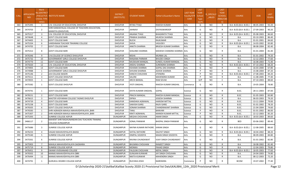| S.No. | <b>APPLICATIO</b><br><b>NID</b> | Merit<br>lo.(DISTRICT      | <b>/FACULTY/S INSTITUTE NAME</b>                                         | <b>DISTRICT</b><br>(INSTITUTE) | <b>STUDENT NAME</b>    | Father's/Guardian's Name    | <b>LAST YEAR</b><br>Faculty/STR | <b>LAST</b><br><b>YEAR</b><br>School | S_SPECILLY<br>ABLED | LAST<br><b>YEAR</b><br>SCHOOL | <b>COURSE</b>          | <b>DOB</b> | LAST<br>YEAR% |
|-------|---------------------------------|----------------------------|--------------------------------------------------------------------------|--------------------------------|------------------------|-----------------------------|---------------------------------|--------------------------------------|---------------------|-------------------------------|------------------------|------------|---------------|
|       |                                 | <b>CHOOL TYPE</b><br>WISE) |                                                                          |                                |                        |                             | EAM                             | <b>Type</b><br>(G/P)                 |                     | <b>RBSE/CBS</b><br>E)         |                        |            |               |
| 363   | 3475395                         | 1                          | S.N. COLLEGE OF EDUCATION, DHOLPUR                                       | <b>DHOLPUR</b>                 | RITIKA TYAGI           | RAKESH KUMAR                | Arts                            | G                                    | NO                  | R                             | B.A- B.ED.(B.A- B.ED.) | 08-05-2003 | 92.20         |
| 364   | 3474703                         | $\overline{2}$             | SHRI KANHAIYALAL COLLEGE OF TEACHERS EDUCATION,<br>MANIYYA (DHOLPUR)     | <b>DHOLPUR</b>                 | <b>JAHNAVI</b>         | <b>DIVYASWAROOP</b>         | Arts                            | G                                    | NO                  | R                             | B.A- B.ED.(B.A- B.ED.) | 27-09-2003 | 90.20         |
| 365   | 3475317                         | 3                          | S.N. COLLEGE OF EDUCATION, DHOLPUR                                       | <b>DHOLPUR</b>                 | <b>ANJANA TYAGI</b>    | <b>BHAGIRATH TYAGI</b>      | Arts                            | G                                    | NO                  | R                             | B.A- B.ED.(B.A- B.ED.) | 05-08-2003 | 86.60         |
| 366   | 3474648                         | $\overline{4}$             | <b>GOVT COLLEGE BARI</b>                                                 | <b>DHOLPUR</b>                 | PRABHA SHARMA          | <b>MUKESH SHARMA</b>        | Arts                            | G                                    | NO                  | $\mathsf{R}$                  | <b>B.A.</b>            | 03-10-2003 | 86.40         |
| 367   | 3474405                         | -5                         | <b>GOVT COLLEGE BARI</b>                                                 | <b>DHOLPUR</b>                 | <b>RUCHI</b>           | RAJKUMAR                    | Arts                            | G                                    | <b>NO</b>           | R                             | B.A.                   | 01-01-2001 | 84.60         |
| 368   | 3475334                         | 6                          | VARDHMAN TEACHER TRAINING COLLEGE                                        | <b>DHOLPUR</b>                 | <b>SHIVA</b>           | VASUDEV                     | Arts                            | G                                    | NO                  | $\mathsf{R}$                  | B.A- B.ED.(B.A- B.ED.) | 14-03-2002 | 83.80         |
| 369   | 3474705                         | $\overline{7}$             | <b>GOVT COLLEGE BARI</b>                                                 | <b>DHOLPUR</b>                 | ANKITA SHARMA          | <b>BRIJESH KUMAR SHARMA</b> | Arts                            | G                                    | NO                  | $\mathsf{R}$                  | B.A.                   | 08-08-2004 | 82.40         |
| 370   | 3475312                         | 8                          | <b>GOVT COLLEGE BARI</b>                                                 | <b>DHOLPUR</b>                 | SHALINEE SHARMA        | MAHESH CHANDRA SHARMA       | Arts                            | G                                    | NO.                 | R                             | <b>B.A.</b>            | 01-01-2004 | 81.40         |
| 371   | 3476346                         | 9                          | S.N.COLLEGE OF SCIENCE DHAULPUR                                          | <b>DHOLPUR</b>                 | <b>NISHA</b>           | <b>MUNNA LAL</b>            | Arts                            | G                                    | <b>NO</b>           | $\mathsf{R}$                  | B.A.                   | 01-01-2002 | 79.20         |
| 372   | 3475732                         | 10                         | GOVERNMENT GIRLS COLLEGE DHOLPUR                                         | <b>DHOLPUR</b>                 | RANJANA PARMAR         | <b>BHUDEV SINGH</b>         | Arts                            | G                                    | NO                  | R                             | B.A.                   | 12-12-2003 | 77.60         |
| 373   | 3474770                         | 11                         | <b>GOVT COLLEGE BARI</b>                                                 | <b>DHOLPUR</b>                 | MUSKAAN MANGAL         | <b>SUNEEL KUMAR MANGAL</b>  | Arts                            | G                                    | NO                  | $\mathsf{R}$                  | B.A.                   | 16-08-2003 | 71.40         |
| 374   | 3475020                         | 12                         | S.N. COLLEGE OF EDUCATION, DHOLPUR                                       | <b>DHOLPUR</b>                 | ANSHU SHARMA           | <b>SURENDRA SHARMA</b>      | Arts                            | G                                    | NO                  | R                             | B.A- B.ED.(B.A- B.ED.) | 07-10-2002 | 68.20         |
| 375   | 3474905                         | 13                         | <b>GOVT COLLEGE BARI</b>                                                 | <b>DHOLPUR</b>                 | KSHAMA SHARMA          | <b>GOPAL DAS SHARMA</b>     | Arts                            | G                                    | NO                  | $\mathsf{R}$                  | B.A.                   | 16-03-2000 | 67.80         |
| 376   | 3474988                         | 1                          | <b>GOVERNMENT GIRLS COLLEGE DHOLPUR</b>                                  | <b>DHOLPUR</b>                 | <b>SHIVANI SHARMA</b>  | <b>ASHOK SHARMA</b>         | Arts                            | P                                    | <b>NO</b>           | $\mathsf{R}$                  | <b>B.A.</b>            | 15-08-2004 | 87.20         |
| 377   | 3475146                         | 2                          | JLN COLLEGE BASERI                                                       | <b>DHOLPUR</b>                 | <b>KANCHI CHAUHAN</b>  | <b>JITENDRA</b>             | Arts                            | P                                    | NO                  | R                             | B.A- B.ED.(B.A- B.ED.) | 27-08-2003 | 84.20         |
| 378   | 3475511                         | $\overline{\mathbf{3}}$    | <b>GOVT.COLLEGE DHOLPUR</b>                                              | <b>DHOLPUR</b>                 | SALONI                 | <b>MAHENDRA KUMAR</b>       | Arts                            | P                                    | NO                  | $\mathsf{R}$                  | B.A.                   | 11-08-2005 | 77.40         |
| 379   | 3474925                         | 1                          | <b>GOVT COLLEGE BARI</b>                                                 | <b>DHOLPUR</b>                 | ARCHI BANSAL           | <b>RAM SEVAK</b>            | Arts                            | G/P                                  | NO                  | C                             | B.A.                   | 07-10-2003 | 88.60         |
| 380   | 3475582                         | 1                          | <b>GOVT.COLLEGE DHOLPUR</b>                                              | <b>DHOLPUR</b>                 | <b>JYOTI SINGHAL</b>   | RAKESH KUMAR SINGHAL        | Commerce                        | G                                    | NO                  | R                             | B.A.                   | 19-05-2004 | 78.80         |
| 381   | 3474741                         | 1                          | <b>GOVT COLLEGE BARI</b>                                                 | <b>DHOLPUR</b>                 | DIVYA KUMARI SINGHAL   | <b>GOPAL</b>                | Science                         | G                                    | <b>NO</b>           | R                             | B.SC.                  | 28-11-2003 | 87.00         |
| 382   | 3478151                         | 2                          | <b>GOVT COLLEGE BARI</b>                                                 | <b>DHOLPUR</b>                 | PRACHI MANGAL          | RAKESH KUMAR MANGAL         | Science                         | G                                    | NO                  | R                             | B.SC.                  | 01-05-2003 | 83.80         |
| 383   | 3476615                         | 3                          | MASTER VIDYARAM COLLEGE TASIMO DHOLPUR                                   | <b>DHOLPUR</b>                 | <b>DIPIKA</b>          | <b>JOGESH SHARMA</b>        | Science                         | G                                    | <b>NO</b>           | $\mathsf{R}$                  | B.A.                   | 06-03-2003 | 79.20         |
| 384   | 3474739                         | $\overline{4}$             | <b>GOVT COLLEGE BARI</b>                                                 | <b>DHOLPUR</b>                 | KANISHKA AGRAWAL       | <b>HARIOM MITTAL</b>        | Science                         | G                                    | NO                  | R                             | B.SC.                  | 13-11-2004 | 79.00         |
| 385   | 3475238                         | .5                         | <b>GOVT COLLEGE BARI</b>                                                 | <b>DHOLPUR</b>                 | SAKHSHI GARG           | RAJIV GARG                  | Science                         | G                                    | NO                  | R                             | B.SC.                  | 01-01-2002 | 78.20         |
| 386   | 3476505                         | 6                          | <b>GOVT.COLLEGE DHOLPUR</b>                                              | <b>DHOLPUR</b>                 | <b>SONAM SHARMA</b>    | <b>CHANDRAKANT SHARMA</b>   | Science                         | G                                    | NO                  | $\mathsf{R}$                  | B.SC.                  | 21-04-2004 | 74.60         |
| 387   | 3476583                         | 1                          | SHRI AGRASEN MAHILA MAHAVIDHYALAYA , BARI                                | <b>DHOLPUR</b>                 | <b>TANU</b>            | <b>BANVARI</b>              | Science                         | P                                    | NO                  | R                             | B.SC.                  | 01-01-2002 | 86.00         |
| 388   | 3475307                         | $\overline{2}$             | SHRI AGRASEN MAHILA MAHAVIDHYALAYA , BARI                                | <b>DHOLPUR</b>                 | <b>KRATI AGRAWAL</b>   | <b>MANISH KUMAR MITTAL</b>  | Science                         | P                                    | <b>NO</b>           | $\mathsf{R}$                  | B.SC.                  | 22-12-2003 | 85.20         |
| 389   | 3475393                         | 1                          | SUNRISE COLLEGE ASPUR                                                    | <b>DUNGARPUR</b>               | <b>MEGHA CHOUHAN</b>   | AMAR SINGH                  | Arts                            | G                                    | NO                  | $\mathsf{R}$                  | B.A- B.ED.(B.A- B.ED.) | 18-03-2003 | 89.60         |
| 390   | 3466117                         | $\overline{2}$             | MAHENT SHRI RAGHUNANDAN DAS TEACHERS TRANING<br><b>COLLEGE DUNGARPUR</b> | <b>DUNGARPUR</b>               | SONAL PANWAR           | <b>BHOPAL SINGH PANWAR</b>  | Arts                            | G                                    | <b>NO</b>           | R                             | <b>BED</b>             | 03-06-2002 | 89.40         |
| 391   | 3475686                         | 3                          | SUNRISE COLLEGE ASPUR                                                    | <b>DUNGARPUR</b>               | NAYNA KUMARI RATHORE   | <b>KARAN SINGH</b>          | Arts                            | G                                    | NO.                 | R                             | B.A- B.ED.(B.A- B.ED.) | 12-08-2005 | 88.60         |
| 392   | 3476233                         |                            | VAGAD MAHAVIDYALAYA BADGI                                                | <b>DUNGARPUR</b>               | <b>SHITAL RATHORE</b>  | <b>DALPAT SINGH</b>         | Arts                            | G                                    | NO                  | R                             | B.A- B.ED.(B.A- B.ED.) | 18-04-2002 | 88.20         |
| 393   | 3475540                         | -5                         | SUNRISE COLLEGE ASPUR                                                    | <b>DUNGARPUR</b>               | DIMPAL SISODIYA        | MAAN SINGH SISODIYA         | Arts                            | G                                    | NO.                 | К                             | B.A.                   | 08-09-2003 | 84.80         |
| 394   | 3475561                         | 6                          | <b>SUNRISE COLLEGE ASPUR</b>                                             | <b>DUNGARPUR</b>               | RAVINA CHUNDAWAT       | VIJAY SINGH CHUNDAWAT       | Arts                            | G                                    | NO.                 | R                             | <b>B.A.</b>            | 01-01-2002 | 82.80         |
| 395   | 3475903                         | $\overline{7}$             | MAHILA MAHAVIDHYALAYA SAGWARA                                            | <b>DUNGARPUR</b>               | <b>BHUMIKA CHOUHAN</b> | RANJEET SINGH               | Arts                            | G                                    | <b>NO</b>           | R                             | <b>B.A.</b>            | 18-08-2002 | 81.40         |
| 396   | 3475719                         | 8                          | <b>SUNRISE COLLEGE ASPUR</b>                                             | <b>DUNGARPUR</b>               | MONIKA                 | PAHAD SINGH                 | Arts                            | G                                    | NO.                 | $\mathsf{R}$                  | B.A.                   | 12-04-2003 | 79.80         |
| 397   | 3476451                         | 9                          | SWAMI VIVEKANAND COLLEGE                                                 | <b>DUNGARPUR</b>               | <b>FALGUNI CHOUHAN</b> | <b>NEPAL SINGH</b>          | Arts                            | G                                    | <b>NO</b>           | R                             | B.A- B.ED.(B.A- B.ED.) | 18-05-2003 | 77.60         |
| 398   | 3476502                         | 10                         | MANAS MAHAVIDHYALAYA OBRI                                                | <b>DUNGARPUR</b>               | <b>GUNJJAN KUNWAR</b>  | JAY SINGH CHOUHAN           | Arts                            | G                                    | <b>NO</b>           | $\mathsf{R}$                  | B.A.                   | 24-04-2003 | 74.80         |
| 399   | 3476494                         | 11                         | MANAS MAHAVIDHYALAYA OBRI                                                | <b>DUNGARPUR</b>               | NIKITA KUNWAR          | MAHENDRA SINGH              | Arts                            | G                                    | <b>NO</b>           | $\mathsf{R}$                  | <b>B.A.</b>            | 08-12-2003 | 72.20         |
| 400   | 3474791                         | 1                          | <b>GURUKUL DEGREE COLLEGE ASPUR</b>                                      | <b>DUNGARPUR</b>               | RUCHIKA JOSHI          | NARENDRA                    | Commerce                        | P                                    | <b>NO</b>           | $\mathsf{R}$                  | <b>BCOM</b>            | 19-07-2002 | 77.40         |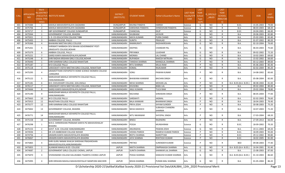| S.No. | <b>APPLICATIO</b><br><b>NID</b> | Merit<br>o.(DISTRICT<br><b>CHOOL TYPE</b><br>WISE) | /FACULTY/S  INSTITUTE NAME                                                      | <b>DISTRICT</b><br>(INSTITUTE) | STUDENT NAME            | Father's/Guardian's Name     | <b>LAST YEAR</b><br>Faculty/STR<br>EAM | <b>LAST</b><br><b>YEAR</b><br>School<br><b>Type</b><br>(G/P) | S_SPECILLY<br>ABLED | LAST<br><b>YEAR</b><br>SCHOOL<br><b>RBSE/CBS</b><br>E) | <b>COURSE</b>          | <b>DOB</b> | LAST<br>YEAR% |
|-------|---------------------------------|----------------------------------------------------|---------------------------------------------------------------------------------|--------------------------------|-------------------------|------------------------------|----------------------------------------|--------------------------------------------------------------|---------------------|--------------------------------------------------------|------------------------|------------|---------------|
| 401   | 3474384                         | $\mathbf{1}$                                       | MAHILA MAHAVIDHYALAYA SAGWARA                                                   | <b>DUNGARPUR</b>               | RAVINA PANDYA           | <b>HARISH</b>                | Science                                | G                                                            | NO                  | R                                                      | B.SC.                  | 15-05-2003 | 79.00         |
| 402   | 3475706                         | $\overline{2}$                                     | MAHILA MAHAVIDHYALAYA SAGWARA                                                   | <b>DUNGARPUR</b>               | <b>KARISHMA PANDIYA</b> | <b>DHNESHVAR PANDIYA</b>     | Science                                | G                                                            | <b>NO</b>           | $\mathsf{R}$                                           | B.A.                   | 08-03-2003 | 68.20         |
| 403   | 3474717                         | $\overline{3}$                                     | SBP GOVERNMENT COLLEGE DUNGARPUR                                                | <b>DUNGARPUR</b>               | CHANCHAL                | <b>DILIP</b>                 | Science                                | G                                                            | NO                  | $\mathsf{R}$                                           | B.SC.                  | 24-04-2001 | 66.40         |
| 404   | 3475944                         | 1                                                  | GOVERNMENT COLLEGE, BHADRA                                                      | HANUMANGARH                    | SHUBHAM                 | <b>JAYAVIR</b>               | Arts                                   | G                                                            | NO                  | R                                                      | B.A.                   | 20-06-2003 | 82.80         |
| 405   | 3475921                         | 2                                                  | S. D. CO-EDUCATION COLLEGE TIBBI                                                | HANUMANGARH                    | <b>MAYA KUMARI</b>      | PURN CHAND                   | Arts                                   | G                                                            | NO.                 | R                                                      | <b>B.A.</b>            | 25-02-2001 | 82.40         |
| 406   | 3475493                         | $\overline{3}$                                     | AMBIKA COLLEGE, PALLU                                                           | HANUMANGARH                    | <b>SUNITA</b>           | PRAHLAD                      | Arts                                   | G                                                            | <b>NO</b>           | R                                                      | B.A.                   | 01-07-2002 | 80.20         |
| 407   | 3476366                         | $\overline{4}$                                     | <b>BHAWANI NIKETAN GIRLS COLLEGE</b>                                            | HANUMANGARH                    | RAMMURATI               | RADHAKRISHAN                 | Arts                                   | G                                                            | <b>NO</b>           | $\mathsf{R}$                                           | <b>B.A.</b>            | 02-10-2004 | 76.60         |
| 408   | 3475261                         | .5                                                 | SHRIMATI NARBADA DEVI BIHANI GOVERNMENT POST-<br><b>GRADUATE COLLEGE, NOHAR</b> | HANUMANGARH                    | DEEPIKA                 | <b>CHANDAR PAL</b>           | Arts                                   | G                                                            | NO                  | $\mathsf{R}$                                           | B.A.                   | 06-03-2003 | 75.60         |
| 409   | 3475379                         | 6                                                  | AMBIKA COLLEGE, PALLU                                                           | HANUMANGARH                    | PRIYANKA                | LILADHAR                     | Arts                                   | G                                                            | NO                  | R                                                      | <b>B.A.</b>            | 09-02-2002 | 72.20         |
| 410   | 3475221                         | $\overline{7}$                                     | GARGI KANYA MAHAVIDYALAYA, NOHAR                                                | HANUMANGARH                    | MONIKA                  | <b>LAL CHAND</b>             | Arts                                   | G                                                            | <b>NO</b>           | R                                                      | <b>B.A.</b>            | 10-02-2003 | 69.60         |
| 411   | 3475248                         | 8                                                  | SHRI RADHA KRISHAN GIRLS COLLEGE, NOHAR                                         | HANUMANGARH                    | RUPANSHI                | RAKESH MITRUKA               | Arts                                   | G                                                            | NO                  | R                                                      | <b>B.A.</b>            | 15-02-2002 | 66.60         |
| 412   | 3476440                         | 1                                                  | SHRI KANIRAM GIRLS COLLEGE RAWATSAR                                             | HANUMANGARH                    | <b>TANISHA SHARMA</b>   | <b>MANGILAL SHARMA</b>       | Arts                                   | P                                                            | NO                  | $\mathsf{R}$                                           | <b>B.A.</b>            | 03-12-2003 | 89.00         |
| 413   | 3475187                         | 2                                                  | M D COLLEGE PALLU                                                               | HANUMANGARH                    | RITU SHARMA             | <b>MULA RAM</b>              | Arts                                   | P                                                            | NO                  | R                                                      | <b>B.A.</b>            | 05-06-2003 | 85.40         |
| 414   | 3475118                         | 3                                                  | SARASWATI VIDYA NIKETAN GIRLS COLLEGE, RAWATSAR                                 | HANUMANGARH                    | KOMAL                   | <b>RAJKUMAR</b>              | Arts                                   | P                                                            | NO.                 | R                                                      | <b>B.A.</b>            | 02-02-2004 | 85.20         |
| 415   | 3475295                         | $\overline{a}$                                     | GRAMOTTHAN VIDYAPEETH HOME SCIENCE WOMEN COLLEGE<br>,SANGARIA                   | HANUMANGARH                    | SONU                    | <b>PAWAN KUMAR</b>           | Arts                                   | P                                                            | NO                  | R                                                      | B.A.                   | 14-08-2002 | 83.60         |
| 416   | 3475122                         | 5                                                  | MARUDHAR MAHILA VIDYAPEETH COLLEGE PALLU,<br><b>HANUMANGARH</b>                 | <b>HANUMANGARH</b>             | <b>BHAWANA KANWAR</b>   | <b>BACHAN SINGH</b>          | Arts                                   | P                                                            | NO                  | R                                                      | B.A.                   | 05-08-2004 | 82.00         |
| 417   | 3475181                         | 6                                                  | B.R. CHOUDHARY COLLEGE, GOLUWALA                                                | HANUMANGARH                    | <b>NEHA SHARMA</b>      | <b>MOHAN LAL</b>             | Arts                                   | P                                                            | NO                  | R                                                      | B.A- B.ED.(B.A- B.ED.) | 08-08-2004 | 81.00         |
| 418   | 3476117                         | $\overline{7}$                                     | SARASWATI VIDYA NIKETAN GIRLS COLLEGE, RAWATSAR                                 | HANUMANGARH                    | <b>KHUSHBU</b>          | <b>BABU LAL</b>              | Arts                                   | P                                                            | NO                  | $\mathsf{R}$                                           | <b>B.A.</b>            | 09-02-2004 | 80.40         |
| 419   | 3474444                         | 8                                                  | GARGI KANYA MAHAVIDYALAYA, NOHAR                                                | HANUMANGARH                    | ANJU KUMARI             | TULSI RAM                    | Arts                                   | P                                                            | NO                  | R                                                      | <b>B.A.</b>            | 29-02-2004 | 78.80         |
| 420   | 3475190                         | q                                                  | MARUDHAR MAHILA VIDYAPEETH COLLEGE PALLU,<br><b>HANUMANGARH</b>                 | HANUMANGARH                    | RACHANA                 | <b>SHRAWAN SINGH</b>         | Arts                                   | P                                                            | NO                  | R                                                      | B.A.                   | 08-05-2004 | 77.00         |
| 421   | 3475663                         | 10                                                 | M D COLLEGE PALLU                                                               | HANUMANGARH                    | SARSWATI                | <b>JAGMAL</b>                | Arts                                   | P                                                            | <b>NO</b>           | $\mathsf{R}$                                           | <b>B.A.</b>            | 02-02-2003 | 76.60         |
| 422   | 3475915                         | 11                                                 | RAJASTHAN COLLEGE PALLU                                                         | HANUMANGARH                    | <b>BALA KANWAR</b>      | <b>BHANWAR SINGH</b>         | Arts                                   | P                                                            | NO                  | R                                                      | <b>B.A.</b>            | 18-04-2003 | 76.40         |
| 423   | 3475577                         | 12                                                 | SHRI KANIRAM GIRLS COLLEGE RAWATSAR                                             | HANUMANGARH                    | PRIYA JOSHI             | <b>SHYAM SUNDER</b>          | Arts                                   | P                                                            | NO                  | R                                                      | <b>B.A.</b>            | 30-08-2003 | 75.20         |
| 424   | 3475842                         | 13                                                 | <b>GOVERNMENT COLLEGE, BHADRA</b>                                               | HANUMANGARH                    | NEHA DADHICH            | SUBHASH CHANDRA<br>SHARMA    | Arts                                   | P                                                            | NO                  | $\mathsf{R}$                                           | <b>B.A.</b>            | 10-07-2003 | 71.20         |
| 425   | 3476771                         | 14                                                 | MARUDHAR MAHILA VIDYAPEETH COLLEGE PALLU,<br><b>HANUMANGARH</b>                 | HANUMANGARH                    | <b>NITU NKANWAR</b>     | <b>SHYOPAL SINGH</b>         | Arts                                   | P                                                            | NO                  | R                                                      | <b>B.A.</b>            | 17-03-2004 | 68.20         |
| 426   | 3475158                         | 15                                                 | GOVERNMENT COLLEGE, BHADRA                                                      | HANUMANGARH                    | <b>BINDU</b>            | RAJENDRA                     | Arts                                   | P                                                            | NO                  | R                                                      | <b>B.A.</b>            | 27-09-2013 | 66.00         |
| 427   | 3476298                         | 1                                                  | M.R.S. SHRIKRISHAN PRANAMI KANYA PG MAHAVIDHALAY<br><b>BHADRA</b>               | HANUMANGARH                    | POOJA                   | <b>MUNSHIRAM</b>             | Science                                | G                                                            | NO                  | R                                                      | B.SC.                  | 18-09-2002 | 70.20         |
| 428   | 3475153                         | 2                                                  | GOVT. N.M. COLLEGE HANUMANGARH                                                  | HANUMANGARH                    | ANURADHA                | PAWAN JOSHI                  | Science                                | G                                                            | NO                  | R                                                      | <b>B.A.</b>            | 19-11-2003 | 69.20         |
| 429   | 3474594                         | 1                                                  | DR .B R AMBEDKAR COLLEGE NOHAR                                                  | HANUMANGARH                    | <b>VEDIKA PAREEK</b>    | RAMESH KUMAR PAREEK          | Science                                | P                                                            | NO                  | $\mathsf{R}$                                           | B.SC.                  | 18-09-2003 | 95.00         |
| 430   | 3474756                         | $\overline{2}$                                     | GRAMIN KANYA MAHAVIDYALAYA BHADRA                                               | HANUMANGARH                    | <b>REETU SHARMA</b>     | NAROTTAM                     | Science                                |                                                              | <b>NO</b>           | К                                                      | B.SC.                  | 29-12-2002 | 90.80         |
| 431   | 3476067                         | 3                                                  | GRAMIN KANYA MAHAVIDYALAYA BHADRA                                               | HANUMANGARH                    | JAYA SHARMA             | ROHTASH KUMAR                | Science                                | P                                                            | <b>NO</b>           | $\mathsf{R}$                                           | B.SC.                  | 18-02-2005 | 81.00         |
| 432   | 3475865                         | 4                                                  | SHRI GURU NANAK KHALSA SHIKSHAK PRASHIKSHAN<br>MAHAVIDYALAYA, HANUMANGARH       | HANUMANGARH                    | PRITIKA                 | <b>SURENDER KUMAR</b>        | Science                                | P                                                            | NO.                 | $\mathsf{R}$                                           | <b>BED</b>             | 09-08-2003 | 77.40         |
| 433   | 3475855                         | 1                                                  | ALANKAR MAHILA B.ED. COLLEGE                                                    | <b>JAIPUR</b>                  | NIKITA SHARMA           | <b>OMPRAKASH SHARMA</b>      | Arts                                   | G                                                            | <b>NO</b>           | R                                                      | B.A- B.ED.(B.A- B.ED.) | 16-04-2001 | 91.40         |
| 434   | 3474687                         | $\overline{2}$                                     | GOVERNMENT GIRLS COLLEGE CHOMU, JAIPUR                                          | <b>JAIPUR</b>                  | <b>SUNITA SHARMA</b>    | SHANKAR LAL SHARMA           | Arts                                   | G                                                            | NO.                 | $\mathsf{R}$                                           | <b>B.A.</b>            | 15-08-2003 | 87.00         |
| 435   | 3475870                         | 3                                                  | VIVEKANAND COLLEGE KALUKABAS TIGARIYA CHOMU JAIPUR                              | <b>JAIPUR</b>                  | POOJA SHARMA            | <b>IKAMLESH KUMAR SHARMA</b> | Arts                                   | G                                                            | NO.                 | R                                                      | B.A- B.ED.(B.A- B.ED.) | 01-10-2003 | 86.60         |
| 436   | 3475995                         |                                                    | SHRI KRISHAN MAHILA MAHAVIDHYALAY MANPURA MACHERI                               | <b>JAIPUR</b>                  | NISHA SHARMA            | PURAN MAL SHARMA             | Arts                                   | G                                                            | <b>NO</b>           | $\mathsf{R}$                                           | <b>B.A.</b>            | 01-05-2004 | 86.20         |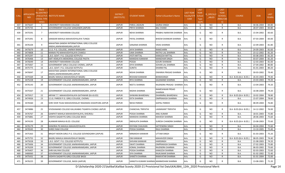| S.No. | <b>APPLICATIO</b><br><b>NID</b> | Merit<br>lo.(DISTRICT<br><b>CHOOL TYPE</b><br>WISE) | /FACULTY/S INSTITUTE NAME                                                 | <b>DISTRICT</b><br>(INSTITUTE) | <b>STUDENT NAME</b>                   | Father's/Guardian's Name    | <b>LAST YEAR</b><br>Faculty/STR<br>EAM | LAST<br><b>YEAR</b><br>School<br><b>Type</b><br>(G/P) | S_SPECILLY<br>ABLED | LAST<br><b>YEAR</b><br>SCHOOL<br><b>RBSE/CBS</b><br>E) | <b>COURSE</b>          | DOB        | LAST<br>YEAR% |
|-------|---------------------------------|-----------------------------------------------------|---------------------------------------------------------------------------|--------------------------------|---------------------------------------|-----------------------------|----------------------------------------|-------------------------------------------------------|---------------------|--------------------------------------------------------|------------------------|------------|---------------|
| 437   | 3475647                         | -5                                                  | UNIVERSITY MAHARANI COLLEGE                                               | <b>JAIPUR</b>                  | PARUL JADAUN                          | GAJRAJ SINGH                | Arts                                   | G                                                     | NO                  | R                                                      | <b>B.A.</b>            | 30-06-2004 | 84.80         |
| 438   | 3475735                         | 6                                                   | <b>GOVERNMENT COLLEGE SANGANER (JAIPUR)</b>                               | <b>JAIPUR</b>                  | PRIYA SHARMA                          | <b>BAL CHAND</b>            | Arts                                   | G                                                     | <b>NO</b>           | $\mathsf{R}$                                           | B.A.                   | 28-07-2003 | 83.80         |
| 439   | 3475591                         | $7^{\circ}$                                         | UNIVERSITY MAHARANI COLLEGE                                               | <b>JAIPUR</b>                  | <b>NEHA SHARMA</b>                    | PRABHU NARAYAN SHARMA       | Arts                                   | G                                                     | NO                  | R                                                      | <b>B.A.</b>            | 15-04-2002 | 83.60         |
| 440   | 3475391                         | 8                                                   | SANSKAR MAHILA MAHAVIDYALAYA TUNGA                                        | <b>JAIPUR</b>                  | PAYAL SHARMA                          | BHEEM SHANKAR SHARMA        | Arts                                   | G                                                     | NO                  | $\mathsf{R}$                                           | B.A.                   | 07-03-2004 | 83.00         |
| 441   | 3476104                         | 9                                                   | MAHATMA GANDHI INTERNATIONAL GIRLS COLLEGE<br>ANDHI, JAMWARAMGARH, JAIPUR | <b>JAIPUR</b>                  | SANJANA SHARMA                        | <b>VIKAS SHARMA</b>         | Arts                                   | G                                                     | NO.                 | $\mathsf{R}$                                           | B.A.                   | 22-09-2003 | 81.80         |
| 442   | 3475679                         | 10                                                  | S.S.S. P.G. COLLEGE, JAMWA RAMGARH                                        | <b>JAIPUR</b>                  | <b>JAYA SHARMA</b>                    | RAMCHARN                    | Arts                                   | G                                                     | NO.                 | R                                                      | <b>B.A.</b>            | 24-09-2003 | 81.60         |
| 443   | 3474808                         | 11                                                  | MANAV PG MAHAVIDHYALAYA CHAKSU                                            | <b>JAIPUR</b>                  | <b>UMA SHARMA</b>                     | NATHU LAL SHARMA            | Arts                                   | G                                                     | <b>NO</b>           | $\mathsf{R}$                                           | B.A.                   | 23-12-2002 | 81.20         |
| 444   | 3475297                         | 12                                                  | L.B.S. GOVT. P.G. COLLEGE KOTPUTLI                                        | <b>JAIPUR</b>                  | <b>JYOTI MITTAL</b>                   | KAMLESH MITTAL              | Arts                                   | G                                                     | <b>NO</b>           | $\mathsf{R}$                                           | B.A.                   | 03-08-2003 | 81.20         |
| 445   | 3476406                         | 13                                                  | SMT HEMLATA MEMORIAL COLLEGE PAOTA                                        | <b>JAIPUR</b>                  | MANISHA KANWAR                        | <b>MANOHAR SINGH</b>        | Arts                                   | G                                                     | NO.                 | $\mathsf{R}$                                           | B.A.                   | 03-07-2004 | 81.20         |
| 446   | 3476049                         | 14                                                  | UNIVERSITY MAHARANI COLLEGE                                               | <b>JAIPUR</b>                  | POOJA                                 | <b>GOURI SHANKAR</b>        | Arts                                   | G                                                     | <b>NO</b>           | $\mathsf{R}$                                           | B.A.                   | 12-03-2003 | 81.00         |
| 447   | 3475067                         | 15                                                  | GOVERNMENT GIRLS COLLEGE CHOMU, JAIPUR                                    | <b>JAIPUR</b>                  | DIYA SHARMA                           | SOHAN LAL SHARMA            | Arts                                   | G                                                     | NO.                 | R                                                      | <b>B.A.</b>            | 27-04-2002 | 80.80         |
| 448   | 3475775                         | 16                                                  | L.B.S. GOVT. P.G. COLLEGE KOTPUTLI                                        | <b>JAIPUR</b>                  | <b>SUNITA</b>                         | <b>DHARM PAL</b>            | Arts                                   | G                                                     | <b>NO</b>           | $\mathsf{R}$                                           | B.A.                   | 01-01-2003 | 80.20         |
| 449   | 3476047                         | 17                                                  | MAHATMA GANDHI INTERNATIONAL GIRLS COLLEGE<br>ANDHI,JAMWARAMGARH,JAIPUR   | <b>JAIPUR</b>                  | NISHA SHARMA                          | DWARKA PRASAD SHARMA        | Arts                                   | G                                                     | NO.                 | $\mathsf{R}$                                           | <b>B.A.</b>            | 30-03-2002 | 79.40         |
| 450   | 3475569                         | 18                                                  | BAGRU MAHILA MAHAVIDHLAY BAGRU                                            | <b>JAIPUR</b>                  | <b>RESHAM KANWAR</b>                  | <b>BHIMASINGH</b>           | Arts                                   | G                                                     | <b>NO</b>           | $\mathsf{R}$                                           | B.A- B.ED.(B.A- B.ED.) | 26-03-2003 | 79.40         |
| 451   | 3475228                         | 19                                                  | GOVERNMENT COLLEGE JAMWARAMGARH, JAIPUR                                   | <b>JAIPUR</b>                  | RIYA SHARMA                           | GAJANAND SHARMA             | Arts                                   | G                                                     | NO                  | R                                                      | <b>B.A.</b>            | 23-03-2003 | 79.20         |
| 452   | 3476143                         | 20                                                  | GOVERNMENT COLLEGE JAMWARAMGARH, JAIPUR                                   | <b>JAIPUR</b>                  | <b>NEETU SHARMA</b>                   | RAJENDRA PRASAD SHARMA Arts |                                        | G                                                     | NO                  | $\mathsf{R}$                                           | B.A.                   | 13-04-2003 | 79.20         |
| 453   | 3475567                         | 21                                                  | GOVERNMENT COLLEGE JAMWARAMGARH, JAIPUR                                   | <b>JAIPUR</b>                  | RADHA SHARMA                          | RAMESHWAR PRSAD<br>SHARMA   | Arts                                   | G                                                     | NO.                 | R                                                      | B.A.                   | 16-08-2004 | 79.20         |
| 454   | 3475917                         | 22                                                  | ARYAN T.T. MAHAVIDHYALAYA GATHWARI {B.A.B.ED}                             | <b>JAIPUR</b>                  | SHIWANI BHARDWAJ                      | DHARMRAJ BHARDWAJ           | Arts                                   | G                                                     | <b>NO</b>           | $\mathsf{R}$                                           | B.A- B.ED.(B.A- B.ED.) | 10-02-2004 | 78.80         |
| 455   | 3474926                         | 23                                                  | S.S.G. PAREEK P.G. GIRLS COLLEGE, CHOMU                                   | <b>JAIPUR</b>                  | <b>EKTA SHARMA</b>                    | <b>OMPRAKASH SHARMA</b>     | Arts                                   | G                                                     | NO                  | R                                                      | <b>B.A.</b>            | 15-07-2004 | 78.60         |
| 456   | 3476560                         | 24                                                  | SHRI VEER TEJAJI MAHAVIDHALAY RADAWAS SHAHPURA JAIPUR                     | <b>JAIPUR</b>                  | NEHA PAREEK                           | GOPAL PAREEK                | Arts                                   | G                                                     | NO                  | R                                                      | <b>B.A.</b>            | 08-09-2004 | 76.80         |
| 457   | 3474886                         | 25                                                  | VIVEKANAND COLLEGE KALUKABAS TIGARIYA CHOMU JAIPUR                        | JAIPUR                         | <b>CHANCHAL TRIPATHI</b>              | LAXMIKANT TRIPATHI          | Arts                                   | G                                                     | NO.                 | R                                                      | B.A- B.ED.(B.A- B.ED.) | 14-12-2002 | 76.00         |
| 458   | 3476767                         | 26                                                  | GANPATI MAHILA MAHAVIDHYALAYA, KHEJROLI                                   | <b>JAIPUR</b>                  | POOJA SHARMA                          | ANIL KUMAR                  | Arts                                   | G                                                     | NO                  | $\mathsf{R}$                                           | <b>B.A.</b>            | 18-01-2003 | 75.80         |
| 459   | 3475881                         | 27                                                  | VIDHYA SAGAR PG GIRLS COLLEGE BASSI                                       | <b>JAIPUR</b>                  | MANISHA SHARMA                        | MAHESH SHARMA               | Arts                                   | G                                                     | <b>NO</b>           | $\mathsf{R}$                                           | B.A.                   | 28-06-2003 | 75.60         |
| 460   | 3474193                         | 28                                                  | ALANKAR MAHILA B.ED. COLLEGE                                              | <b>JAIPUR</b>                  | SNEHLATA SHARMA                       | SURESH CHANDRA SHARMA       | Arts                                   | G                                                     | NO.                 | R                                                      | B.A- B.ED.(B.A- B.ED.) | 23-08-2003 | 75.60         |
| 461   | 3476179                         | 29                                                  | KANORIA PG MAHILA MAHAVIDYALAYA                                           | <b>JAIPUR</b>                  | <b>DIVYANI CHAUHAN</b>                | SATYENDRA SINGH             | Arts                                   | G                                                     | NO.                 | R                                                      | B.A.                   | 04-04-2004 | 75.60         |
| 462   | 3476545                         | 30                                                  | SHREE RAM COLLEGE                                                         | <b>JAIPUR</b>                  | POOJA SHARMA                          | RAJU SHARMA                 | Arts                                   | G                                                     | NO                  | R                                                      | <b>B.A.</b>            | 13-10-2005 | 75.40         |
| 463   | 3475363                         | 31                                                  | BRIGHT MOON GIRLS P.G. COLLEGE GOVINDGARH (JAIPUR)                        | <b>JAIPUR</b>                  | MINAKSHI KANWAR                       | UTTAM SINGH                 | Arts                                   | G                                                     | NO.                 | R                                                      | B.A.                   | 01-03-2003 | 75.20         |
| 464   | 3475755                         | 32                                                  | BAGRU MAHILA MAHAVIDHLAY BAGRU                                            | <b>JAIPUR</b>                  | OM KANWAR                             | MAHAVEER SINGH              | Arts                                   | G                                                     | <b>NO</b>           | $\mathsf{R}$                                           | B.A- B.ED.(B.A- B.ED.) | 08-05-2003 | 74.40         |
| 465   | 3475028                         | 33                                                  | L.B.S. GOVT. P.G. COLLEGE KOTPUTLI                                        | <b>JAIPUR</b>                  | SHIVANI KANWAR                        | <b>HARISINGH</b>            | Arts                                   | G                                                     | <b>NO</b>           | $\mathsf{R}$                                           | B.A.                   | 21-08-2003 | 74.20         |
| 466   | 3475606                         | 34                                                  | GOVERNMENT COLLEGE JAMWARAMGARH, JAIPUR                                   | <b>JAIPUR</b>                  | <b>SWATI SHARMA</b>                   | <b>OMPRAKASH SHARMA</b>     | Arts                                   | G                                                     | <b>NO</b>           | R                                                      | <b>B.A.</b>            | 27-02-2003 | 73.80         |
| 467   | 3476209                         | 35                                                  | GOVERNMENT COLLEGE JAMWARAMGARH, JAIPUR                                   | <b>JAIPUR</b>                  | <b>KOMAL SHARMA</b>                   | RAJENDRA SHARMA             | Arts                                   | G                                                     | NO                  | $\mathsf{R}$                                           | B.A.                   | 06-03-2002 | 73.60         |
| 468   | 3476407                         | 36                                                  | SHRI KALYAN COLLEGE                                                       | <b>JAIPUR</b>                  | POOJA SHARMA                          | KAMLESH SHARMA              | Arts                                   | G                                                     | <b>NO</b>           | $\mathsf{R}$                                           | B.A.                   | 02-03-2003 | 72.60         |
| 469   | 3480060                         | 37                                                  | GOVERNMENT COLLEGE JAMWARAMGARH, JAIPUR                                   | <b>JAIPUR</b>                  | SIYA SHARMA                           | RAJKUMAR SHARMA             | Arts                                   | G                                                     | NO                  | $\mathsf{R}$                                           | <b>B.A.</b>            | 01-02-2002 | 72.40         |
| 470   | 3475431                         | 38                                                  | VIDHYA SAGAR PG GIRLS COLLEGE BASSI                                       | <b>JAIPUR</b>                  | SHWETA SHARMA                         | RAMVATAR SHARMA             | Arts                                   | G                                                     | <b>NO</b>           | $\mathsf{R}$                                           | B.A.                   | 01-01-2004 | 72.00         |
| 471   | 3476225                         | 39                                                  | GOVERNMENT COLLEGE, BASSI (JAIPUR)                                        | <b>JAIPUR</b>                  | SANGITA KUMARI SHARMA MANMOHAN SHARMA |                             | Arts                                   | G                                                     | NO                  | R                                                      | B.A.                   | 13-08-2001 | 71.20         |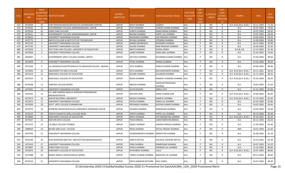| S.No. | APPLICATIO<br><b>NID</b> | Merit<br>o.(DISTRICT<br><b>HOOL TYPE</b><br>WISE) | <b>/FACULTY/S INSTITUTE NAME</b>                              | <b>DISTRICT</b><br>(INSTITUTE) | <b>STUDENT NAME</b>                 | Father's/Guardian's Name          | <b>LAST YEAR</b><br>Faculty/STR<br>EAM | <b>LAST</b><br><b>YEAR</b><br>School<br><b>Type</b><br>(G/P) | <b>IS_SPECILLY</b><br>ABLED | LAST<br><b>YEAR</b><br>SCHOOL<br><b>RBSE/CBS</b><br>E) | <b>COURSE</b>          | <b>DOB</b> | <b>LAST</b><br>YEAR% |
|-------|--------------------------|---------------------------------------------------|---------------------------------------------------------------|--------------------------------|-------------------------------------|-----------------------------------|----------------------------------------|--------------------------------------------------------------|-----------------------------|--------------------------------------------------------|------------------------|------------|----------------------|
| 472   | 3476044                  | 40                                                | SHRI KRISHAN MAHAVIDHYALAYA GOVINDGARH (JAIPUR)               | <b>JAIPUR</b>                  | MAYA SHARMA                         | JAGDISH                           | Arts                                   | G                                                            | NO                          | R                                                      | B.A- B.ED.(B.A- B.ED.) | 26-11-2003 | 71.20                |
| 473   | 3476301                  | 41                                                | GOVERNMENT COLLEGE JAMWARAMGARH, JAIPUR                       | <b>JAIPUR</b>                  | JYOTI SHARMA                        | <b>SURESH CHAND SHARMA</b>        | Arts                                   | G                                                            | NO                          | R                                                      | <b>B.A.</b>            | 03-07-2003 | 70.60                |
| 474   | 3475934                  | 42                                                | SHREE RAM COLLEGE                                             | <b>JAIPUR</b>                  | <b>SUNITA SHARMA</b>                | RAMCHARAN SHARMA                  | Arts                                   | G                                                            | NO                          | $\mathsf{R}$                                           | B.A.                   | 10-07-2003 | 69.00                |
| 475   | 3476321                  | 43                                                | GOVERNMENT COLLEGE JAMWARAMGARH, JAIPUR                       | <b>JAIPUR</b>                  | RAVINA SHARMA                       | PAPPU LAL SHARMA                  | Arts                                   | G                                                            | <b>NO</b>                   | R                                                      | B.A.                   | 19-07-2003 | 68.20                |
| 476   | 3476654                  | $\mathbf{1}$                                      | UNIVERSITY MAHARANI COLLEGE                                   | <b>JAIPUR</b>                  | <b>BHAWANA SHARMA</b>               | OM PRAKASH SHARMA                 | Arts                                   | P                                                            | <b>NO</b>                   | R                                                      | B.A.                   | 10-06-2004 | 94.20                |
| 477   | 3475773                  | $\overline{2}$                                    | MEHTA COLLEGE & INSTITUTE OF TECHNOLOGY                       | <b>JAIPUR</b>                  | RIYANSI SHARMA                      | JITENDRA SHARMA                   | Arts                                   | P                                                            | NO                          | R                                                      | <b>B.A.</b>            | 13-08-2004 | 93.80                |
| 478   | 3475145                  | 3                                                 | UNIVERSITY MAHARANI COLLEGE                                   | <b>JAIPUR</b>                  | ARNIKA BHARDWAJ                     | RAJENDRA SHARMA                   | Arts                                   | P                                                            | NO                          | R                                                      | <b>B.A.</b>            | 26-12-2003 | 92.00                |
| 479   | 3475765                  | $\overline{4}$                                    | UNIVERSITY MAHARANI COLLEGE                                   | <b>JAIPUR</b>                  | <b>SALONI SHARMA</b>                | RAM PRAKASH SHARMA                | Arts                                   | P                                                            | NO                          | $\mathsf{R}$                                           | B.A.                   | 26-06-2002 | 91.40                |
| 480   | 3475659                  | -5                                                | FIVE YEAR LAW COLLEGE, UNIVERSITY OF RAJASTHAN                | <b>JAIPUR</b>                  | NIKITA KANWAR                       | RAJPAL SINGH                      | Arts                                   | P                                                            | <b>NO</b>                   | R                                                      | B.A & LLB              | 22-10-2003 | 91.40                |
| 481   | 3474938                  | 6                                                 | UNIVERSITY MAHARANI COLLEGE                                   | <b>JAIPUR</b>                  | LAXMI SHARMA                        | <b>SURAJ MAL SHARMA</b>           | Arts                                   | P                                                            | <b>NO</b>                   | $\mathsf{R}$                                           | B.A.                   | 25-02-2003 | 91.00                |
| 482   | 3464697                  | $7^{\circ}$                                       | GOVERNMENT GIRLS COLLEGE CHOMU, JAIPUR                        | <b>JAIPUR</b>                  | AAYUSHI SHARMA                      | RAVINDRA KUMAR SHARMA             | Arts                                   | P                                                            | NO                          | R                                                      | B.A.                   | 25-04-2004 | 90.60                |
| 483   | 3474939                  | 8                                                 | UNIVERSITY MAHARANI COLLEGE                                   | <b>JAIPUR</b>                  | PAYAL SHARMA                        | <b>MANOJ SHARMA</b>               | Arts                                   | P                                                            | NO.                         | $\mathsf{R}$                                           | <b>B.A.</b>            | 13-03-2004 | 89.20                |
| 484   | 3475246                  | 9                                                 | LAL BAHADUR SHASTRI MAHILA PG MAHAVIDHYALAYA, BADHAL          | <b>JAIPUR</b>                  | <b>JAYA SHARMA</b>                  | <b>DINESH KUMAR SHARMA</b>        | Arts                                   | P                                                            | NO.                         | R                                                      | B.A.                   | 24-09-2005 | 89.00                |
| 485   | 3474836                  | 10                                                | AKASHDEEP PG GIRLS COLLEGE                                    | <b>JAIPUR</b>                  | EKTA SHARMA                         | BHUVNESHWAR SHARMA                | Arts                                   | P                                                            | NO.                         | $\mathsf{R}$                                           | B.A- B.ED.(B.A- B.ED.  | 03-11-2001 | 88.20                |
| 486   | 3475314                  | 11                                                | RAGHUKUL COLLEGE OF EDUCATION                                 | <b>JAIPUR</b>                  | SALONI SHARMA                       | <b>DULARAM SHARMA</b>             | Arts                                   | P                                                            | NO                          | R                                                      | B.A- B.ED.(B.A- B.ED.) | 01-11-2002 | 88.20                |
| 487   | 3476534                  | 12                                                | RAGHUKUL COLLEGE OF EDUCATION                                 | <b>JAIPUR</b>                  | NISHA SHARMA                        | RAMESH CHANDRA SHARMA Arts        |                                        | P                                                            | NO.                         | R                                                      | B.A- B.ED.(B.A- B.ED.) | 05-03-2003 | 88.20                |
| 488   | 3476308                  | 13                                                | VINAYAK COLLEGE BAGRU                                         | <b>JAIPUR</b>                  | MEGHA SHARMA                        | <b>MAHAVIR PRASHAAD</b><br>SHARMA | Arts                                   | P                                                            | <b>NO</b>                   | $\mathsf{R}$                                           | B.A.                   | 24-02-2003 | 87.60                |
| 489   | 3474391                  | 14                                                | UNIVERSITY MAHARANI COLLEGE                                   | <b>JAIPUR</b>                  | ALIYA KOUSAR                        | ABDUL ATIK                        | Arts                                   | P                                                            | NO.                         | R                                                      | B.A.                   | 01-01-2005 | 87.00                |
| 490   | 3476742                  | 15                                                | S.S. JAIN SUBODH MAHILA SHIKSHAK PRASHIKSHAN<br>MAHAVIDYALAYA | <b>JAIPUR</b>                  | AAYUSHI JAIN                        | VIMAL KUMAR JAIN                  | Arts                                   | P                                                            | NO                          | R                                                      | B.A- B.ED.(B.A- B.ED.) | 05-06-2003 | 86.00                |
| 491   | 3475974                  | 16                                                | JAIPUR NATIONAL UNIVERSITY                                    | <b>JAIPUR</b>                  | MEGHA SHARMA                        | RAMPAL SHARMA                     | Arts                                   | P                                                            | NO                          | R                                                      | B.A- B.ED.(B.A- B.ED.) | 31-10-2003 | 85.60                |
| 492   | 3475873                  | 17                                                | UNIVERSITY MAHARANI COLLEGE                                   | <b>JAIPUR</b>                  | POOJA SHARMA                        | RAMJI LAL SHARMA                  | Arts                                   | P                                                            | NO                          | R                                                      | <b>B.A.</b>            | 02-03-2004 | 83.80                |
| 493   | 3476309                  | 18                                                | GOVT. ARTS COLLEGE CHIMANPURA                                 | <b>JAIPUR</b>                  | PRIYANSHI SHARMA                    | DEEPAK KUMAR SHARMA               | Arts                                   | P                                                            | NO                          | R                                                      | B.A.                   | 18-02-2003 | 83.40                |
| 494   | 3476270                  | 19                                                | SUPREME MAHAVIDAYALAYA HINGONIYA DOONGARI JAIPUR              | <b>JAIPUR</b>                  | <b>VISAKHA SHARMA</b>               | <b>BANSIDHAR SHARMA</b>           | Arts                                   | P                                                            | NO                          | R                                                      | B.A.                   | 19-05-2003 | 83.40                |
| 495   | 3476123                  | 20                                                | VIDHYA SAGAR PG GIRLS COLLEGE BASSI                           | <b>JAIPUR</b>                  | <b>VINITA SHARMA</b>                | PAPPU LAL SHARMA                  | Arts                                   | P                                                            | NO                          | R                                                      | <b>B.A.</b>            | 06-10-2004 | 83.40                |
| 496   | 3474864                  | 21                                                | SIDDHARTH COLLEGE OF EDUCATION                                | <b>JAIPUR</b>                  | ANITA SHARMA                        | SATYANARAYAN SHARMA               | Arts                                   | P                                                            | NO                          | $\mathsf{R}$                                           | B.A- B.ED.(B.A- B.ED.) | 02-04-2001 | 83.20                |
| 497   | 3474337                  | 22                                                | KASTURI DEVI COLLEGE                                          | <b>JAIPUR</b>                  | POOJA BINDAL                        | LAXMI NARAYAN BINDAL              | Arts                                   | P                                                            | <b>NO</b>                   | $\mathsf{R}$                                           | <b>B.A.</b>            | 03-12-2003 | 83.20                |
| 498   | 3475370                  | 23                                                | J.B.GIRLS COLLEGE TOONGA                                      | <b>JAIPUR</b>                  | <b>ANJALI SHARMA</b>                | JAGDISH PRASAD SHARMA             | Arts                                   | P                                                            | <b>NO</b>                   | R                                                      | B.A.                   | 11-04-2003 | 81.60                |
| 499   | 3480059                  | 24                                                | BIYANI GIRLS B.ED. COLLEGE                                    | <b>JAIPUR</b>                  | <b>NEHA SHARMA</b>                  | SHITAL PRASAD SHARMA              | Arts                                   | P                                                            | <b>NO</b>                   | R                                                      | <b>BED</b>             | 18-01-2004 | 81.40                |
| 500   | 3474792                  | 25                                                | UNIVERSITY MAHARANI COLLEGE                                   | <b>JAIPUR</b>                  | CHANDARKANTA SHARMA RAMAVTAR SHARMA |                                   | Arts                                   | P                                                            | NO.                         |                                                        | <b>B.A.</b>            | 05-08-2002 | 81.20                |
| 501   | 3476190                  | 26                                                | SHRI BHAWANI NIKETAN SNATKOTTAR MAHAVIDYALAYA                 | <b>JAIPUR</b>                  | ANKITA MITTAL                       | KOUSHAL KISHORE MITTAL            | Arts                                   | P                                                            | <b>NO</b>                   | $\mathsf{R}$                                           | B.A.                   | 23-10-2002 | 81.20                |
| 502   | 3475919                  | 27                                                | UNIVERSITY MAHARANI COLLEGE                                   | <b>JAIPUR</b>                  | PINKI SHARMA                        | RAMKISHAN SHARMA                  | Arts                                   | P                                                            | <b>NO</b>                   | $\mathsf{R}$                                           | B.A.                   | 30-07-2003 | 81.20                |
| 503   | 3475867                  | 28                                                | SHREE RAM COLLEGE                                             | <b>JAIPUR</b>                  | POOJA SHARMA                        | SHANKAR LAL SHARMA                | Arts                                   | P                                                            | NO                          | $\mathsf{R}$                                           | <b>B.A.</b>            | 15-10-2002 | 80.80                |
| 504   | 3476675                  | 29                                                | SIDDHARTH COLLEGE OF EDUCATION                                | <b>JAIPUR</b>                  | KHUSHBOO SHARMA                     | LALLU                             | Arts                                   | P                                                            | <b>NO</b>                   | $\mathsf{R}$                                           | B.A- B.ED.(B.A- B.ED.) | 10-07-2003 | 80.80                |
| 505   | 3475688                  | 30                                                | BAGRU MAHILA MAHAVIDHLAY BAGRU                                | <b>JAIPUR</b>                  | TANNU KUMARI SHARMA                 | <b>BANWARI LAL SHARMA</b>         | Arts                                   | P                                                            | NO.                         | $\mathsf{R}$                                           | <b>B.A.</b>            | 09-12-2002 | 80.60                |
| 506   | 3474216                  | 31                                                | UNIVERSITY MAHARANI COLLEGE                                   | <b>JAIPUR</b>                  | PRIYA KANWAR RATHORE                | <b>RAJU SINGH</b>                 | Arts                                   | P                                                            | <b>NO</b>                   | $\mathsf{R}$                                           | <b>B.A.</b>            | 26-07-2003 | 80.40                |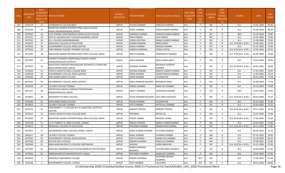| S.No. | APPLICATIO | Merit<br>o.(DISTRICT      | /FACULTY/S INSTITUTE NAME                                                             | <b>DISTRICT</b> | <b>STUDENT NAME</b>                     | Father's/Guardian's Name                | LAST YEAR<br>Faculty/STR | <b>LAST</b><br><b>YEAR</b><br>School | <b>IS_SPECILLY</b> | LAST<br><b>YEAR</b><br>SCHOOL | <b>COURSE</b>          | DOB        | <b>LAST</b> |
|-------|------------|---------------------------|---------------------------------------------------------------------------------------|-----------------|-----------------------------------------|-----------------------------------------|--------------------------|--------------------------------------|--------------------|-------------------------------|------------------------|------------|-------------|
|       | <b>NID</b> | <b>HOOL TYPE</b><br>WISE) |                                                                                       | (INSTITUTE)     |                                         |                                         | EAM                      | <b>Type</b><br>(G/P)                 | ABLED              | <b>RBSE/CBS</b><br>E)         |                        |            | YEAR%       |
| 507   | 3476379    | 32                        | ATMARAM PG COLLEGE BASSI                                                              | <b>JAIPUR</b>   | KHUSHI SHARMA                           | <b>KAMLESH SHARMA</b>                   | Arts                     | P                                    | NO.                | $\mathsf{R}$                  | <b>B.A.</b>            | 15-05-2004 | 80.40       |
| 508   | 3475930    | 33                        | MAHATMA GANDHI INTERNATIONAL GIRLS COLLEGE<br>ANDHI, JAMWARAMGARH, JAIPUR             | <b>JAIPUR</b>   | PAYAL SHARMA                            | VINOD KUMAR SHARMA                      | Arts                     | P                                    | NO.                | R                             | B.A.                   | 01-06-2004 | 80.20       |
| 509   | 3476359    | 34                        | LATE KUMARI LAXMI BADHALA MAHILA B ED COLLEGE                                         | <b>JAIPUR</b>   | SIMARAN SHARMA                          | PAWAN KUMAR SHARMA                      | Arts                     | P                                    | <b>NO</b>          | R                             | <b>BED</b>             | 24-10-2003 | 79.80       |
| 510   | 3475741    | 35                        | SETH R L SAHARIA GOVT COLLEGE KALADERA, JAIPUR                                        | <b>JAIPUR</b>   | PRIYA PAREEK                            | <b>AJAY PAREEK</b>                      | Arts                     | P                                    | <b>NO</b>          | $\mathsf{R}$                  | B.A.                   | 14-01-2004 | 79.60       |
| 511   | 3475761    | 36                        | G.D. COLLEGE JAMWARAMGARH                                                             | <b>JAIPUR</b>   | SIDDHI GOUTAM                           | MANOJ KUMAR SHARMA                      | Arts                     | P                                    | NO                 | $\mathsf{R}$                  | <b>B.A.</b>            | 31-08-2004 | 79.60       |
| 512   | 3476257    | 37                        | RAGHUKUL COLLEGE OF EDUCATION                                                         | <b>JAIPUR</b>   | SUMAN KANWAR                            | <b>NDRA SINGH</b>                       | Arts                     | P                                    | NO                 | R                             | B.A- B.ED.(B.A- B.ED.) | 10-06-2001 | 79.40       |
| 513   | 3475025    | 38                        | <b>GOVERNMENT COLLEGE, BASSI (JAIPUR)</b>                                             | <b>JAIPUR</b>   | ANJALI SHARMA                           | RAMJAS SHARMA                           | Arts                     | P                                    | <b>NO</b>          | $\mathsf{R}$                  | B.A.                   | 01-01-2002 | 79.40       |
| 514   | 3475503    | 39                        | SHRI KRISHNA TEACHER TRAINING COLLEGE                                                 | <b>JAIPUR</b>   | SHAKSHI AGARWAL                         | <b>TEJMAL GOYAL</b>                     | Arts                     | P                                    | <b>NO</b>          | R                             | B.A- B.ED.(B.A- B.ED.) | 23-05-2004 | 79.40       |
| 515   | 3475265    | 40                        | MAHATMA GANDHI INTERNATIONAL GIRLS COLLEGE, ANDHI                                     | <b>JAIPUR</b>   | <b>NIKITA SHARMA</b>                    | <b>OMPRAKASH SHARMA</b>                 | Arts                     | P                                    | <b>NO</b>          | $\mathsf{R}$                  | B.A- B.ED.(B.A- B.ED.) | 06-09-2004 | 79.00       |
| 516   | 3475335    | 41                        | SHRIMATI PANADEVI MORIJAWALA RAJKIYA KANYA<br>MAHAVIDHYALAYA KOTPUTLI                 | <b>JAIPUR</b>   | <b>SONU KANWAR</b>                      | <b>MATU SINGH BHATI</b>                 | Arts                     | P                                    | NO.                | R                             | <b>B.A.</b>            | 10-10-2003 | 78.60       |
| 517   | 3475074    | 42                        | RAJASTHAN SHIKSHAK PRASHIKSHAN VIDYAPEETH, SHAHPURA<br><b>BAAG AAMER ROAD, JAIPUR</b> | <b>JAIPUR</b>   | <b>BHAWNA SHARMA</b>                    | <b>BHAWANI SHANKAR</b><br><b>SHARMA</b> | Arts                     | P                                    | <b>NO</b>          | R                             | B.A- B.ED.(B.A- B.ED.) | 09-03-2002 | 78.40       |
| 518   | 3476429    | 43                        | VIDHYA SAGAR PG GIRLS COLLEGE BASSI                                                   | <b>JAIPUR</b>   | SAPANA SHARMA                           | RAKESH KUMAR SHARMA                     | Arts                     | P                                    | NO.                | $\mathsf{R}$                  | B.A.                   | 17-05-2003 | 78.40       |
| 519   | 3476528    | 44                        | GOVERNMENT COLLEGE, BASSI (JAIPUR)                                                    | <b>JAIPUR</b>   | KIRAN SHARMA                            | KEDAR PRASAD SHARMA                     | Arts                     | P                                    | NO                 | R                             | B.A.                   | 15-04-2004 | 78.20       |
| 520   | 3476266    | 45                        | SHRI GANGA SINGH COLLEGE                                                              | <b>JAIPUR</b>   | KIRAN SHARMA                            | <b>JAI NARAYAN</b>                      | Arts                     | P                                    | <b>NO</b>          | R                             | B.A.                   | 08-05-2004 | 77.60       |
| 521   | 3476169    | 46                        | GOVERNMENT COLLEGE, BASSI (JAIPUR)                                                    | <b>JAIPUR</b>   | SONU KANWAR RAJAWAT                     | <b>BHANWAR SINGH</b>                    | Arts                     | P                                    | NO.                | $\mathsf{R}$                  | <b>B.A.</b>            | 02-08-2003 | 77.00       |
| 522   | 3476304    | 47                        | J.B.GIRLS COLLEGE TOONGA                                                              | <b>JAIPUR</b>   | KOMAL SHARMA                            | RAMJI LAL SHARMA                        | Arts                     | P                                    | <b>NO</b>          | $\mathsf{R}$                  | B.A.                   | 03-12-2003 | 76.80       |
| 523   | 3475157    | 48                        | VIDYASTHALI MAHILA SHIKSHAK PRASHIKSHAN<br>MAHAVIDYALAYA, JAIPUR                      | <b>JAIPUR</b>   | SWATI SHARMA                            | <b>SUDHAKAR SHARMA</b>                  | Arts                     | P                                    | <b>YES</b>         | R                             | <b>BED</b>             | 24-03-2002 | 76.40       |
| 524   | 3476053    | 49                        | AKASHDEEP PG GIRLS COLLEGE                                                            | <b>JAIPUR</b>   | PALAK KANWAR RAJAWAT AJAY SINGH RAJAWAT |                                         | Arts                     | P                                    | <b>NO</b>          | R                             | B.A- B.ED.(B.A- B.ED.) | 09-03-2004 | 76.20       |
| 525   | 3476540    | 50                        | SHRI GANGA SINGH COLLEGE                                                              | <b>JAIPUR</b>   | POOJA SHARMA                            | <b>JAI NARAYAN</b>                      | Arts                     | P                                    | <b>NO</b>          | R                             | B.A.                   | 02-07-2005 | 75.80       |
| 526   | 3474853    | 51                        | J.B.GIRLS COLLEGE TOONGA                                                              | <b>JAIPUR</b>   | JYOTI SHARMA                            | NATHULAL SHARMA                         | Arts                     | P                                    | <b>NO</b>          | R                             | B.A.                   | 03-04-2002 | 75.20       |
| 527   | 3475576    | 52                        | CHOUDHARY T. T. COLLEGE N.H.-8, SANGTEDA, KOTPUTLI<br>(JAIPUR)                        | <b>JAIPUR</b>   | <b>ANSHITA TRIVEDI</b>                  | <b>SANDEEP TRIVEDI</b>                  | Arts                     | P                                    | NO                 | R                             | B.A- B.ED.(B.A- B.ED.) | 04-11-2002 | 75.20       |
| 528   | 3476227    | 53                        | VIDHYA SAGAR PG GIRLS COLLEGE BASSI                                                   | <b>JAIPUR</b>   | PRIYNAKA                                | <b>RATAN LAL</b>                        | Arts                     | P                                    | <b>NO</b>          | $\mathsf{R}$                  | B.A.                   | 26-07-2002 | 72.80       |
| 529   | 3475609    | 54                        | MAHATMA GANDHI INTERNATIONAL GIRLS COLLEGE, ANDHI                                     | <b>JAIPUR</b>   | KOMAL SHRMA                             | <b>MAHESH CHAND</b>                     | Arts                     | P                                    | NO                 | R                             | B.A- B.ED.(B.A- B.ED.) | 12-08-2004 | 72.60       |
| 530   | 3476748    | 55                        | S.S.G. PAREEK P.G. GIRLS COLLEGE, CHOMU                                               | <b>JAIPUR</b>   | MANJU SHARMA                            | RAJESH CHAND SHARMA                     | Arts                     | P                                    | NO.                | R                             | B.A.                   | 03-04-2002 | 72.40       |
| 531   | 3476673    | 56                        | RAGHUKUL COLLEGE OF EDUCATION                                                         | <b>JAIPUR</b>   | PRIYANKA SHARMA                         | RAMAVATAR SHARMA                        | Arts                     | P                                    | NO                 | R                             | B.A- B.ED.(B.A- B.ED.) | 06-12-2003 | 71.80       |
| 532   | 3475012    | 57                        | GOVERNMENT GIRLS COLLEGE CHOMU, JAIPUR                                                | <b>JAIPUR</b>   | SAROJ KUMARI SHARMA                     | <b>SITA RAM SHARMA</b>                  | Arts                     | P                                    | NO.                | R                             | <b>B.A.</b>            | 08-06-2003 | 71.20       |
| 533   | 3481617    | 58                        | <b>J.B.GIRLS COLLEGE TOONGA</b>                                                       | JAIPUR          | KAJAL SHARMA                            | SIYARAM SHARMA                          | Arts                     |                                      | ΝO                 | R                             | <b>B.A.</b>            | 07-05-2003 | 70.40       |
| 534   | 3475425    | 59                        | GOVERNMENT COLLEGE, BASSI (JAIPUR)                                                    | <b>JAIPUR</b>   | KAVYA SHARMA                            | RAMAJI LAL SHARMA                       | Arts                     | P                                    | NO                 | R                             | B.A.                   | 10-10-2003 | 69.20       |
| 535   | 3475768    | 60                        | <b>KASTURI DEVI COLLEGE</b>                                                           | <b>JAIPUR</b>   | <b>MONIKA SHARMA</b>                    | RAMJI LAL SHARMA                        | Arts                     | P                                    | <b>NO</b>          | $\mathsf{R}$                  | B.A.                   | 25-08-2001 | 67.80       |
| 536   | 3482448    | 61                        | BABA NARAYAN DAS P G COLLEGE VIRATNAGAR                                               | <b>JAIPUR</b>   | SHIVANI                                 | LAXMI NARAYAN                           | Arts                     | P                                    | <b>NO</b>          | R                             | B.A- B.ED.(B.A- B.ED.) | 01-01-2006 | 67.60       |
| 537   | 3475309    | 62                        | SONI DEVI KANARAM (S.K) COLLEGE BANSKHO PHATAK BASSI                                  | <b>JAIPUR</b>   | <b>DIMPLE KANWAR</b><br>RAJAWAT         | <b>CHATAR SINGH RAJAWAT</b>             | Arts                     | P                                    | NO.                | R                             | <b>B.A.</b>            | 20-04-2004 | 67.00       |
| 538   | 3475815    | 63                        | SANSKAR MAHILA MAHAVIDYALAYA TUNGA                                                    | <b>JAIPUR</b>   | PRAYANKA SHARMA                         | <b>KAMALESH SHARMA</b>                  | Arts                     | P                                    | <b>NO</b>          | R                             | <b>B.A.</b>            | 20-05-2004 | 67.00       |
| 539   | 3476634    | 1                         | UNIVERSITY MAHARANI COLLEGE                                                           | <b>JAIPUR</b>   | KANIKA AGARWAL                          | RAJENDRA PRASAD<br>AGARWAL              | Arts                     | G/P                                  | NO.                | C                             | <b>B.A.</b>            | 11-06-2002 | 91.60       |
| 540   | 3476168    | 2                         | GOVERNMENT COLLEGE, CHAKSU                                                            | <b>JAIPUR</b>   | JYOTI SHARMA                            | LALCHAND                                | Arts                     | G/P                                  | <b>NO</b>          | $\mathsf{C}$                  | <b>B.A.</b>            | 08-10-2004 | 88.00       |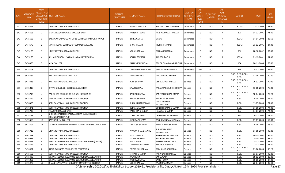| S.No. | <b>APPLICATIO</b><br><b>NID</b> | Merit<br>Io.(DISTRICT<br><b>HOOL TYPE</b><br>WISE) | FACULTY/S INSTITUTE NAME                                                   | <b>DISTRICT</b><br>(INSTITUTE) | STUDENT NAME            | ather's/Guardian's Name-          | <b>LAST YEAR</b><br><b>Faculty/STR</b><br>EAM | <b>LAST</b><br><b>YEAR</b><br>School<br><b>Type</b><br>(G/P) | <b>IS_SPECILLY</b><br>ABLED | LAST<br><b>YEAR</b><br><b>SCHOOL</b><br>(RBSE/CBS<br>E) | <b>COURSE</b>                        | <b>DOB</b> | LAST<br>YEAR% |
|-------|---------------------------------|----------------------------------------------------|----------------------------------------------------------------------------|--------------------------------|-------------------------|-----------------------------------|-----------------------------------------------|--------------------------------------------------------------|-----------------------------|---------------------------------------------------------|--------------------------------------|------------|---------------|
| 541   | 3474461                         | 1                                                  | UNIVERSITY MAHARANI COLLEGE                                                | <b>JAIPUR</b>                  | NISHITA SHARMA          | RAKESH KUMAR SHARMA               | Commerce                                      | G                                                            | NO                          | $\mathsf{R}$                                            | <b>BCOM</b>                          | 22-12-2005 | 82.60         |
| 542   | 3476606                         | $\overline{2}$                                     | VIDHYA SAGAR PG GIRLS COLLEGE BASSI                                        | JAIPUR                         | JYOTSNA TIWARI          | HARI NARAYAN SHARMA               | Commerce                                      | G                                                            | NO                          | R                                                       | <b>B.A.</b>                          | 04-12-2001 | 71.80         |
| 543   | 3475665                         | 1                                                  | BABA GANGADAS GOVT, GIRLS COLLEGE SHAHPURA, JAIPUR                         | <b>JAIPUR</b>                  | <b>ISHIKA GUPTA</b>     | VINOD                             | Commerce                                      | P                                                            | NO                          | R                                                       | <b>BCOM</b>                          | 04-04-2002 | 86.60         |
| 544   | 3474678                         | $\overline{2}$                                     | MAHESHWARI COLLEGE OF COMMERCE & ARTS                                      | JAIPUR                         | KHUSHI TAMBI            | MUKESH TAAMBI                     | Commerce                                      | P                                                            | NO                          | R                                                       | <b>BCOM</b>                          | 31-12-2001 | 84.80         |
| 545   | 3475123                         | 3                                                  | UNIVERSITY MAHARANI COLLEGE                                                | <b>JAIPUR</b>                  | <b>NEHA SHARMA</b>      | <b>BALRAM SHARMA</b>              | Commerce                                      | P                                                            | NO.                         | R                                                       | BBA                                  | 20-10-2002 | 82.80         |
| 546   | 3475165                         | $\overline{4}$                                     | S.S. JAIN SUBODH P G MAHILA MAHAVIDYALAYA                                  | <b>JAIPUR</b>                  | RONAK TRIPATHI          | <b>ALOK TRIPATHI</b>              | Commerce                                      | P                                                            | NO                          | R                                                       | <b>BCOM</b>                          | 01-12-2001 | 81.80         |
| 547   | 3474866                         | 5                                                  | <b>ICFAI COLLEGE</b>                                                       | <b>JAIPUR</b>                  | KAJAL VASHISHTHA        | TRILOK CHAND VASHISHTHA           | Commerce                                      | P                                                            | NO                          | R                                                       | <b>BCA</b>                           | 28-11-2004 | 69.60         |
| 548   | 3474708                         | 1                                                  | UNIVERSITY MAHARANI COLLEGE                                                | <b>JAIPUR</b>                  | KHUSHI MAHESHWARI       | <b>GOVIND MAHESHWARI</b>          | Commerce                                      | G/P                                                          | <b>NO</b>                   | C                                                       | BBA                                  | 25-07-2003 | 92.00         |
| 549   | 3476367                         | 1                                                  | AKASHDEEP PG GIRLS COLLEGE                                                 | <b>JAIPUR</b>                  | DEEYA MISHRA            | SHYAM BABU MISHRA                 | Science                                       | G                                                            | NO                          | $\mathsf{R}$                                            | B.SC.- B.ED.(B.SC.-<br><b>B.ED.)</b> | 01-06-2004 | 80.20         |
| 550   | 3474413                         | $\overline{2}$                                     | AKASHDEEP PG GIRLS COLLEGE                                                 | <b>JAIPUR</b>                  | ADITI SHARMA            | DEENDAYAL SHARMA                  | Science                                       | G                                                            | NO.                         | R                                                       | B.SC.- B.ED.(B.SC.-<br>B.ED.)        | 26-02-2005 | 79.00         |
| 551   | 3475817                         | 3                                                  | BIYANI GIRLS B.ED. COLLEGE (B.SC.-B.ED.)                                   | JAIPUR                         | SIYA SISODIYA           | RAMAVTAR SINGH SISODIYA           | Science                                       | G                                                            | NO                          | $\mathsf{R}$                                            | B.SC.- B.ED.(B.SC.-<br>B.ED.)        | 13-08-2004 | 78.80         |
| 552   | 3474713                         | $\overline{4}$                                     | PARISHKAR COLLEGE OF GLOBAL EXCELLENCE                                     | <b>JAIPUR</b>                  | KASHISH GUPTA           | SANTOSH KUMAR GUPTA               | Science                                       | G                                                            | <b>NO</b>                   | R                                                       | B.SC.- B.ED.(B.SC.-<br>B.ED.)        | 18-04-2003 | 77.20         |
| 553   | 3475759                         | 5                                                  | SETH RAMVILASH JOSHI COLLEGE TOONGA                                        | <b>JAIPUR</b>                  | ANKITA SHARMA           | RAVINDRA SHARMA                   | Science                                       | G                                                            | NO                          | R                                                       | B.SC.                                | 15-08-2002 | 76.40         |
| 554   | 3476323                         | 6                                                  | SETH RAMVILASH JOSHI COLLEGE TOONGA                                        | <b>JAIPUR</b>                  | KHUSHI KHANDELWAL       | <b>SANJAY KUMAR</b><br>KHANDELWAL | Science                                       | G                                                            | NO                          | R                                                       | B.SC.                                | 11-05-2004 | 74.80         |
| 555   | 3476271                         | $\overline{7}$                                     | SETH RAMVILASH JOSHI COLLEGE TOONGA                                        | <b>JAIPUR</b>                  | KOMAL SHARMA            | DINESH KUMAR SHARMA               | Science                                       | G                                                            | NO                          | $\mathsf{R}$                                            | B.SC.                                | 17-10-2004 | 74.80         |
| 556   | 3475727                         | 8                                                  | TILAK P.G COLLEGE BASSI                                                    | <b>JAIPUR</b>                  | VANSHIKA SHARMA         | HANSRAJ SHARMA                    | Science                                       | G                                                            | NO                          | R                                                       | B.A.                                 | 14-07-2004 | 74.00         |
| 557   | 3474793                         | 9                                                  | SHRI KRISHAN SHIKSHAN SANSTHAN B.ED. COLLEGE<br><b>GOVINDGARH (JAIPUR)</b> | <b>JAIPUR</b>                  | <b>KOMAL SHARMA</b>     | DHARMENDRA SHARMA                 | Science                                       | G                                                            | NO                          | R                                                       | <b>BED</b>                           | 10-12-2003 | 71.40         |
| 558   | 3475365                         | 10                                                 | <b>KASTURI DEVI COLLEGE</b>                                                | <b>JAIPUR</b>                  | AKSHITA SHARMA          | RAGHUNANDAN SHARMA                | Science                                       | G                                                            | <b>NO</b>                   | R                                                       | B.SC.                                | 07-01-2003 | 69.00         |
| 559   | 3477307                         | 11                                                 | JAI BABA AMARNATH MAHAVIDAYALAYA BHAINSAWA JAIPUR                          | <b>JAIPUR</b>                  | SANTOSH SHARMA          | RAMAWATAR SHARMA                  | Science                                       | G                                                            | <b>NO</b>                   | R                                                       | B.SC.                                | 15-06-2005 | 66.80         |
| 560   | 3476712                         | 1                                                  | UNIVERSITY MAHARANI COLLEGE                                                | JAIPUR                         | PRAGYA KHANDELWAL       | SUBHASH CHAND<br>KHANDELWAL       | Science                                       | P                                                            | NO.                         | R                                                       | B.SC.                                | 07-08-2003 | 96.20         |
| 561   | 3461418                         |                                                    | UNIVERSITY MAHARANI COLLEGE                                                | <b>JAIPUR</b>                  | <b>JAYA DADHICH</b>     | RADHESHYAM SHARMA                 | Science                                       |                                                              | <b>NO</b>                   |                                                         | B.SC.                                | 30-05-2002 | 94.40         |
| 562   | 3476639                         | $\overline{3}$                                     | UNIVERSITY MAHARANI COLLEGE                                                | <b>JAIPUR</b>                  | DIKSHA SHARMA           | RAVIKANT SHARMA                   | Science                                       | P                                                            | <b>NO</b>                   | R                                                       | B.SC.                                | 25-08-2002 | 93.80         |
| 563   | 3476593                         |                                                    | SHRI KRISHAN MAHAVIDHYALAYA GOVINDGARH (JAIPUR)                            | <b>JAIPUR</b>                  | RANU BAJAJ              | SHIMBHU DAYAL BAJAJ               | Science                                       | P                                                            | <b>NO</b>                   | R                                                       | B.SC.                                | 23-12-2003 | 93.60         |
| 564   | 3475799                         | 5                                                  | UNIVERSITY MAHARANI COLLEGE                                                | <b>JAIPUR</b>                  | <b>KARISHMA RATHORE</b> | <b>MADHURAJ SINGH</b>             | Science                                       | P                                                            | <b>NO</b>                   | $\mathsf{R}$                                            | B.SC.                                | 12-12-2004 | 93.40         |
| 565   | 3474481                         | 6                                                  | INDIA OVERSEAS COLLEGE FOR EDUCATION                                       | <b>JAIPUR</b>                  | PRIYANKA SHARMA         | RAM KISHOR SHARMA                 | Science                                       | P                                                            | NO.                         | R                                                       | B.SC.- B.ED.(B.SC.-<br>B.ED.)        | 01-06-2003 | 90.20         |
| 566   | 3475652                         |                                                    | SETH RAMVILASH JOSHI COLLEGE TOONGA                                        | <b>JAIPUR</b>                  | SHIVANI SHARMA          | RAMVILASH SHARMA                  | Science                                       | P                                                            | <b>NO</b>                   | R                                                       | B.SC.                                | 01-07-2003 | 90.20         |
| 567   | 3475499                         | 8                                                  | S.S.JAIN SUBODH P.G. (AUTONOMOUS)COLLEGE, JAIPUR                           | <b>JAIPUR</b>                  | ANJALI JAIN             | SANJAY JAIN                       | Science                                       | P                                                            | <b>NO</b>                   | $\mathsf{R}$                                            | B.SC.                                | 08-02-2003 | 89.20         |
| 568   | 3476062                         | 9                                                  | S.S.JAIN SUBODH P.G. (AUTONOMOUS)COLLEGE, JAIPUR                           | <b>JAIPUR</b>                  | <b>AKSHIKA GUPTA</b>    | SATISH GUTA                       | Science                                       | P                                                            | <b>NO</b>                   | R                                                       | B.SC.                                | 15-06-2003 | 87.80         |
| 569   | 3475275                         | 10                                                 | KHANDELWAL VAISH GIRLS INSTITUTE OF TECHNOLOGY                             | <b>JAIPUR</b>                  | <b>NEHA SHARMA</b>      | RAJENDRA KUMAR                    | Science                                       | P                                                            | <b>NO</b>                   | R                                                       | B.SC.                                | 22-04-2004 | 85.40         |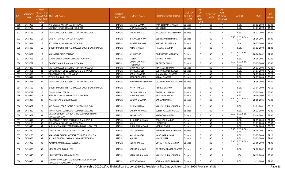| S.No. | <b>APPLICATIO</b><br><b>NID</b> | Merit<br>lo.(DISTRICT<br><b>CHOOL TYPE</b><br>WISE) | /FACULTY/S INSTITUTE NAME                                             | <b>DISTRICT</b><br>(INSTITUTE) | <b>STUDENT NAME</b>               | Father's/Guardian's Name              | <b>LAST YEAR</b><br>Faculty/STR<br>EAM | <b>LAST</b><br><b>YEAR</b><br>School<br><b>Type</b><br>(G/P) | S_SPECILLY<br>ABLED | LAST<br><b>YEAR</b><br>SCHOOL<br>(RBSE/CBS<br>E) | <b>COURSE</b>                        | DOB        | LAST<br>YEAR% |
|-------|---------------------------------|-----------------------------------------------------|-----------------------------------------------------------------------|--------------------------------|-----------------------------------|---------------------------------------|----------------------------------------|--------------------------------------------------------------|---------------------|--------------------------------------------------|--------------------------------------|------------|---------------|
| 570   | 3474966                         | 11                                                  | R.K. VIGYAN P.G. MAHAVIDHYALAYA                                       | <b>JAIPUR</b>                  | NISHA SHARMA                      | RADHESHYAM SHARMA                     | Science                                | P                                                            | NO                  | $\mathsf{R}$                                     | B.SC.                                | 01-12-2003 | 85.00         |
| 571   | 3475760                         | 12                                                  | MOTHER TERESA COLLEGE FOR GIRLS                                       | <b>JAIPUR</b>                  | <b>MONIKA KANWAR</b>              | <b>OM SINGH</b>                       | Science                                | P                                                            | <b>NO</b>           | $\mathsf{R}$                                     | B.SC.                                | 14-07-2002 | 84.80         |
| 572   | 3476565                         | 13                                                  | MEHTA COLLEGE & INSTITUTE OF TECHNOLOGY                               | <b>JAIPUR</b>                  | <b>NEHA SHARMA</b>                | BHAGWAN SAHAY SHARMA                  | Science                                | P                                                            | NO                  | $\mathsf{R}$                                     | B.SC.                                | 08-12-2003 | 84.40         |
| 573   | 3475899                         | 14                                                  | GANPATI MAHILA MAHAVIDHYALAYA                                         | <b>JAIPUR</b>                  | <b>BHAVNA SHARMA</b>              | VED PRAKASH SHARMA                    | Science                                | P                                                            | NO                  | $\mathsf{R}$                                     | B.SC.- B.ED.(B.SC.-<br>B.ED.)        | 19-10-2005 | 84.00         |
| 574   | 3475021                         | 15                                                  | R.K. VIGYAN P.G. MAHAVIDHYALAYA                                       | <b>JAIPUR</b>                  | SHIVANI SHARMA                    | MANNA LAL SHARMA                      | Science                                | P                                                            | NO.                 | R                                                | B.A.                                 | 24-07-2003 | 82.00         |
| 575   | 3475485                         | 16                                                  | BRIGHT MOON GIRLS P.G. COLLEGE GOVINDGARH (JAIPUR)                    | <b>JAIPUR</b>                  | PINKY SHARMA                      | HANSRAJ SHARMA                        | Science                                | P                                                            | NO                  | $\mathsf{R}$                                     | B.SC.                                | 11-02-2003 | 81.80         |
| 576   | 3476452                         | 17                                                  | <b>MAHARANI GIRLS COLLEGE</b>                                         | <b>JAIPUR</b>                  | ANJALI VIJAY                      | DINESH VIJAY WARGIYA                  | Science                                | P                                                            | NO                  | $\mathsf{R}$                                     | B.SC.- B.ED.(B.SC.-<br>B.ED.)        | 28-06-2002 | 81.60         |
| 577   | 3475756                         | 18                                                  | VIVEKANANDA GLOBAL UNIVERSITY, JAIPUR                                 | <b>JAIPUR</b>                  | <b>SNEHA</b>                      | VISHNU TRIPATHI                       | Science                                | P                                                            | <b>NO</b>           | $\mathsf{R}$                                     | B.SC.                                | 10-10-2001 | 80.80         |
| 578   | 3475752                         | 19                                                  | GANPATI MAHILA MAHAVIDHYALAYA                                         | <b>JAIPUR</b>                  | <b>OJASVI KANWAR</b><br>SHEKHAWAT | RAJENDRA SINGH                        | Science                                | P                                                            | NO.                 | $\mathsf{R}$                                     | B.SC.- B.ED.(B.SC.-<br><b>B.ED.)</b> | 05-07-2004 | 80.40         |
| 579   | 3476236                         | 20                                                  | MEHTA COLLEGE & INSTITUTE OF TECHNOLOGY                               | <b>JAIPUR</b>                  | DIVYA AGARWAL                     | <b>MAHENDER KUMAR</b>                 | Science                                | P                                                            | <b>NO</b>           | $\mathsf{R}$                                     | B.SC.                                | 26-03-2004 | 79.80         |
| 580   | 3476361                         | 21                                                  | GOVERNMENT GIRLS COLLEGE CHOMU, JAIPUR                                | <b>JAIPUR</b>                  | <b>KRITIKA PAREEK</b>             | SURYAPRAKASH PAREEK                   | Science                                | P                                                            | <b>NO</b>           | $\mathsf{R}$                                     | B.SC.                                | 17-07-2004 | 79.60         |
| 581   | 3475970                         | 22                                                  | <b>GOVERNMENT COLLEGE JAIPUR</b>                                      | <b>JAIPUR</b>                  | SONALI SHARMA                     | SHANKAR LAL SHARMA                    | Science                                | P                                                            | <b>NO</b>           | $\mathsf{R}$                                     | B.SC.                                | 18-07-2003 | 79.20         |
| 582   | 3476544                         | 23                                                  | <b>BIYANI GIRLS COLLEGE</b>                                           | <b>JAIPUR</b>                  | <b>KASHISH SHARMA</b>             | <b>KAMAL SHARMA</b>                   | Science                                | P                                                            | <b>NO</b>           | $\mathsf{R}$                                     | B.SC.                                | 30-07-2003 | 78.40         |
| 583   | 3475721                         | 24                                                  | MEHTA COLLEGE & INSTITUTE OF TECHNOLOGY                               | <b>JAIPUR</b>                  | <b>BHUNESHVARY SHARMA</b>         | <b>CHANDRA PRAKASH SHARMA Science</b> |                                        | P                                                            | NO                  | $\mathsf{R}$                                     | B.SC.                                | 19-05-2003 | 77.40         |
| 584   | 3475592                         | 25                                                  | BRIGHT MOON GIRLS P.G. COLLEGE GOVINDGARH (JAIPUR)                    | <b>JAIPUR</b>                  | PRIYA SHARMA                      | <b>HEMRAJ SHARMA</b>                  | Science                                | P                                                            | NO                  | $\mathsf{R}$                                     | B.SC.                                | 21-04-2003 | 76.60         |
| 585   | 3476727                         | 26                                                  | TILAK P.G COLLEGE BASSI                                               | <b>JAIPUR</b>                  | TANUJA SHARMA                     | GOPAL LAL SHARMA                      | Science                                | P                                                            | NO                  | $\mathsf{R}$                                     | B.SC.                                | 07-09-2001 | 76.40         |
| 586   | 3476626                         | 27                                                  | SETH RAMVILASH JOSHI COLLEGE TOONGA                                   | <b>JAIPUR</b>                  | <b>MAYA SHARMA</b>                | <b>HANUMAN SAHAY</b>                  | Science                                | P                                                            | <b>NO</b>           | $\mathsf{R}$                                     | B.SC.                                | 24-04-2003 | 76.20         |
| 587   | 3475007                         | 28                                                  | AKASHDEEP PG GIRLS COLLEGE                                            | <b>JAIPUR</b>                  | <b>GUNJAN SHARMA</b>              | SANJAY SHARMA                         | Science                                | P                                                            | NO.                 | $\mathsf{R}$                                     | B.SC.- B.ED.(B.SC.-<br>B.ED.)        | 28-05-2005 | 76.20         |
| 588   | 3476382                         | 29                                                  | MEHTA COLLEGE & INSTITUTE OF TECHNOLOGY                               | <b>JAIPUR</b>                  | DIPIKA SHARMA                     | MAHESH KUMAR SHARMA                   | Science                                | P                                                            | NO.                 | R                                                | B.SC.                                | 01-01-2002 | 75.20         |
| 589   | 3475869                         | 30                                                  | MAHESHWARI COLLEGE OF COMMERCE & ARTS                                 | <b>JAIPUR</b>                  | <b>GARIMA AGRAWAL</b>             | SUSHIL KUMAR SINGHAL                  | Science                                | P                                                            | <b>NO</b>           | $\mathsf{R}$                                     | B.SC.                                | 20-12-2003 | 75.20         |
| 590   | 3475952                         | 31                                                  | S.S. JAIN SUBODH MAHILA SHIKSHAK PRASHIKSHAN<br>MAHAVIDYALAYA         | <b>JAIPUR</b>                  | SANIYA NAQVI                      | MARGOOB AHMED                         | Science                                | P                                                            | NO.                 | $\mathsf{R}$                                     | B.SC.- B.ED.(B.SC.-<br><b>B.ED.)</b> | 23-10-2002 | 74.40         |
| 591   | 3476314                         | 32                                                  | GOVERNMENT GIRLS COLLEGE CHOMU, JAIPUR                                | <b>JAIPUR</b>                  | KU SNEHA SHARMA                   | RAMJI LAL SHARMA                      | Science                                | P                                                            | NO                  | $\mathsf{R}$                                     | B.SC.                                | 08-09-2004 | 74.00         |
| 592   | 3476158                         | 33                                                  | R.K. VIGYAN P.G. MAHAVIDHYALAYA                                       | <b>JAIPUR</b>                  | NISHA                             | LALCHAND                              | Science                                | P                                                            | <b>NO</b>           | $\mathsf{R}$                                     | B.SC.                                | 01-01-2003 | 72.40         |
| 593   | 3475345                         | 34                                                  | SHRI BHAWANI NIKETAN MAHILA PG GIRLS COLLEGE                          | <b>JAIPUR</b>                  | KHUSHBU KANWAR                    | <b>MOHAN SINGH</b>                    | Science                                | P                                                            | <b>NO</b>           | $\mathsf{R}$                                     | B.SC.                                | 15-06-2004 | 72.20         |
| 594   | 3475789                         | 35                                                  | SHRI KRISHNA TEACHER TRAINING COLLEGE                                 | <b>JAIPUR</b>                  | NIKITA SHARMA                     | RAMESH CHANDRA KOSHIK                 | Science                                | P                                                            | NO                  | R                                                | B.SC.- B.ED.(B.SC.-<br><b>B.ED.)</b> | 05-08-2005 | 71.40         |
| 595   | 3475256                         | 36                                                  | MAHATMA GANDHI MEDICAL COLLEGE & HOSPITAL                             | <b>JAIPUR</b>                  | AYUSHI KANSAL                     | NARENDRA KUMAR                        | Science                                |                                                              | NO                  | R                                                | B.SC.                                | 02-07-2003 | 71.20         |
| 596   | 3474355                         | 37                                                  | S.S. JAIN SUBODH P G MAHILA MAHAVIDYALAYA                             | <b>JAIPUR</b>                  | ANCHAL                            | <b>VIJAY KUMAR</b>                    | Science                                | P                                                            | NO.                 | $\mathsf{R}$                                     | B.SC.                                | 09-03-2003 | 71.00         |
| 597   | 3476000                         | 38                                                  | ALANKAR MAHILA B.ED. COLLEGE                                          | <b>JAIPUR</b>                  | <b>NEHA SHARMA</b>                | GIRRAJ PRASAD SHARMA                  | Science                                | P                                                            | NO                  | $\mathsf{R}$                                     | B.SC.- B.ED.(B.SC.-<br>B.ED.)        | 21-06-2003 | 71.00         |
| 598   | 3476470                         | 39                                                  | NEW ADARSH PG COLLEGE                                                 | <b>JAIPUR</b>                  | VARSHA SHARMA                     | RAJENDRA PRASAD SHARMA Science        |                                        | P                                                            | NO.                 | $\mathsf{R}$                                     | B.SC.                                | 10-02-2002 | 69.80         |
| 599   | 3475043                         | 40                                                  | UNIVERSITY MAHARANI COLLEGE                                           | <b>JAIPUR</b>                  | <b>VANSHIKA SHARMA</b>            | MAHESH KUMAR SHARMA                   | Science                                | P                                                            | NO.                 | $\mathsf{R}$                                     | <b>BCA</b>                           | 28-12-2003 | 69.40         |
| 600   | 3476319                         | 41                                                  | SHRIMATI PANADEVI MORIJAWALA RAJKIYA KANYA<br>MAHAVIDHYALAYA KOTPUTLI | JAIPUR                         | NIKITA TANWAR                     | <b>KRISHAN SINGH TANWAR</b>           | Science                                | P                                                            | <b>NO</b>           | R                                                | B.SC.                                | 11-11-2003 | 67.00         |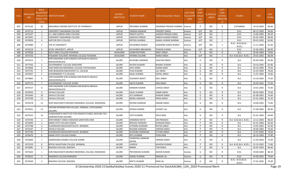| S.No. | <b>APPLICATIO</b><br>NID. | Merit<br>o.(DISTRICT<br>CHOOL TYPE<br>WISE) | <b>FACULTY/S INSTITUTE NAME</b>                                               | <b>DISTRICT</b><br>(INSTITUTE) | <b>STUDENT NAME</b>                    | Father's/Guardian's Name    | <b>LAST YEAR</b><br>Faculty/STR<br>EAM | <b>LAST</b><br><b>YEAR</b><br>School<br><b>Type</b><br>(G/P) | S_SPECILLY<br>ABLED | LAST<br><b>YEAR</b><br>SCHOOL<br>RBSE/CBS<br>E) | <b>COURSE</b>                        | DOB        | LAST<br>YEAR% |
|-------|---------------------------|---------------------------------------------|-------------------------------------------------------------------------------|--------------------------------|----------------------------------------|-----------------------------|----------------------------------------|--------------------------------------------------------------|---------------------|-------------------------------------------------|--------------------------------------|------------|---------------|
| 601   | 3475164                   | 42                                          | MAHARISHI ARVIND INSTITUTE OF PHARMACY                                        | <b>JAIPUR</b>                  | PRIYANKA SHARMA                        | DWARAKA PRASAD SHARMA       | Science                                | P                                                            | NO                  | R                                               | <b>B.PHARMA</b>                      | 10-10-2003 | 66.60         |
| 602   | 3474714                   | 1                                           | UNIVERSITY MAHARANI COLLEGE                                                   | <b>JAIPUR</b>                  | SIMRAN KANWAR                          | PRADEEP SINGH               | Science                                | G/P                                                          | NO                  | C                                               | B.SC.                                | 06-12-2003 | 94.60         |
| 603   | 3474197                   | $\overline{2}$                              | S.S. JAIN SUBODH GIRLS COLLEGE                                                | <b>JAIPUR</b>                  | SRISHTI GUPTA                          | JAGDISH PRASAD GARG         | Science                                | G/P                                                          | NO                  | C                                               | B.SC.                                | 13-06-2002 | 90.20         |
| 604   | 3475091                   | 3                                           | UNIVERSITY MAHARANI COLLEGE                                                   | <b>JAIPUR</b>                  | AARUSHI PAREEK                         | DINESH KUMAR PAREEK         | Science                                | G/P                                                          | NO                  | C                                               | B.SC.                                | 05-02-2003 | 89.00         |
| 605   | 3476054                   | 4                                           | KASTURI DEVI COLLEGE                                                          | <b>JAIPUR</b>                  | KRITIKA SHARMA                         | KAMAL KUMAR SHARMA          | Science                                | G/P                                                          | <b>NO</b>           | C                                               | B.SC.                                | 09-03-2003 | 82.80         |
| 606   | 3474989                   | 5                                           | THE IIS UNIVERSITY                                                            | <b>JAIPUR</b>                  | KHUSHBOO RAWAT                         | <b>GAJENDRA SINGH RAWAT</b> | Science                                | G/P                                                          | NO                  | C                                               | B.SC.- B.ED.(B.SC.-<br>B.ED.)        | 11-11-2002 | 81.60         |
| 607   | 3476218                   | 6                                           | JECRC UNIVERSITY, JAIPUR                                                      | <b>JAIPUR</b>                  | KHUSHBOO BBHABHRA                      | PAWAN KUMAR                 | Science                                | G/P                                                          | NO                  | C                                               | B.SC.                                | 22-06-2002 | 80.00         |
| 608   | 3475828                   | 1                                           | GOVT.GIRLS COLLEGE POKARAN                                                    | JAISALMER                      | <b>UGAM RATHORE</b>                    | KIRAT SINGH                 | Arts                                   | P                                                            | NO                  | R                                               | B.A.                                 | 26-06-2004 | 79.00         |
| 609   | 3474736                   | 1                                           | POKARAN TEACHERS TRAINING COLLEGE POKARAN                                     | JAISALMER                      | APARNA SOLANKI                         | <b>NDRA SINGH</b>           | Arts                                   | G/P                                                          | NO                  | C                                               | B.A- B.ED.(B.A- B.ED.)               | 29-03-2002 | 86.08         |
| 610   | 3474215                   | 1                                           | SHRI RAJENDRA SURI KUNDAN JAIN RAJKIYA MAHILA<br>MAHAVIDHALAYA                | <b>JALORE</b>                  | KHUSHBU KANWAR                         | <b>SHAITAN SINGH</b>        | Arts                                   | G                                                            | NO                  | R                                               | B.A.                                 | 05-09-2001 | 82.80         |
| 611   | 3477593                   | 2                                           | GOVERNMENT COLLEGE SANCHORE                                                   | <b>JALORE</b>                  | KHUSHI KUMARI                          | <b>BHARAT KUMAR</b>         | Arts                                   | G                                                            | NO                  | R                                               | <b>B.A.</b>                          | 20-10-2002 | 81.80         |
| 612   | 3476066                   | 3                                           | SHRI NARAYAN MEMORIAL COLLEGE CHITALWANA                                      | <b>JALORE</b>                  | <b>JAYA SHREE</b>                      | <b>DHANA RAM</b>            | Arts                                   | G                                                            | <b>NO</b>           | R                                               | B.A.                                 | 20-10-2000 | 79.40         |
| 613   | 3475791                   | $\overline{4}$                              | SHRI BHAGWAN MAHAVEER P.G. COLLEGE                                            | <b>JALORE</b>                  | PUJA KUMARI                            | <b>LAL SINGH</b>            | Arts                                   | G                                                            | NO                  | R                                               | B.A.                                 | 22-03-2004 | 78.60         |
| 614   | 3475937                   | 5                                           | <b>GOVERNMENT P G COLLEGE</b>                                                 | <b>JALORE</b>                  | KAJAL KUMARI                           | GOPAL SINGH                 | Arts                                   | G                                                            | NO                  | R                                               | B.A.                                 | 11-07-2002 | 76.80         |
| 615   | 3474865                   | 6                                           | SHRI RAJENDRA SURI KUNDAN JAIN RAJKIYA MAHILA<br>MAHAVIDHALAYA                | <b>JALORE</b>                  | <b>SUSHMITA BHATI</b>                  | <b>MUL SINGH</b>            | Arts                                   | G                                                            | NO                  | R                                               | <b>B.A.</b>                          | 13-10-2002 | 75.60         |
| 616   | 3475772                   | $\overline{7}$                              | <b>GOVERNMENT COLLEGE AHORE</b>                                               | <b>JALORE</b>                  | <b>MAYA KUMARI</b>                     | <b>RAN SINGH</b>            | Arts                                   | G                                                            | <b>NO</b>           | $\mathsf{R}$                                    | B.A.                                 | 20-09-2001 | 75.40         |
| 617   | 3474727                   | 8                                           | SHRI RAJENDRA SURI KUNDAN JAIN RAJKIYA MAHILA<br>MAHAVIDHALAYA                | <b>JALORE</b>                  | KANKAR KUMARI                          | <b>CHHOG SINGH</b>          | Arts                                   | G                                                            | NO.                 | R                                               | B.A.                                 | 10-01-2002 | 75.40         |
| 618   | 3474954                   | 9                                           | SAYALA COLLEGE                                                                | <b>JALORE</b>                  | KAJAL KUMARI                           | <b>JABAR SINGH</b>          | Arts                                   | G                                                            | NO.                 | R                                               | B.A.                                 | 09-09-2002 | 75.00         |
| 619   | 3476340                   | 10                                          | SAYALA COLLEGE                                                                | JALORE                         | JITU KANWAR                            | <b>ISHWAR SINGH</b>         | Arts                                   | G                                                            | NO                  | R                                               | <b>B.A.</b>                          | 01-08-2001 | 74.60         |
| 620   | 3475709                   | 11                                          | SAYALA COLLEGE                                                                | <b>JALORE</b>                  | NEERU KANWAR                           | PREM SINGH                  | Arts                                   | G                                                            | NO                  | R                                               | B.A.                                 | 01-01-2002 | 73.20         |
| 621   | 3476278                   | 12                                          | SHRI RAGHUNATH BISHNOI MEMORIAL COLLEGE, RANIWARA                             | <b>JALORE</b>                  | RAVINA KANWAR                          | ANAND SINGH                 | Arts                                   | G                                                            | NO                  | R                                               | <b>B.A.</b>                          | 10-08-2001 | 71.80         |
| 622   | 3476541                   | 13                                          | OXFORD INTERNATION COLLEGE, PARAWA, CHITALWANA<br>(JALORE)                    | <b>JALORE</b>                  | SEEMA KUMARI                           | <b>JAYANTI LAL</b>          | Arts                                   | G                                                            | NO                  | R                                               | B.A.                                 | 27-08-2002 | 69.00         |
| 623   | 3475532                   | 14                                          | SUNDHAMATA INSTITUTE FOR HIGHER STUDIES, RAJPURA TEH-<br>JASWANTPURA (JALORE) | <b>JALORE</b>                  | JYOTI KUMARI                           | <b>DEVA RAM</b>             | Arts                                   | G                                                            | NO.                 | R                                               | B.A.                                 | 01-01-2003 | 69.00         |
| 624   | 3474746                   | 1                                           | SHRI RANJEET SINGH SHIKSHAN SANSTHAN JHAB                                     | <b>JALORE</b>                  | HIMANSHI RATHI                         | <b>OM PRAKASH</b>           | Arts                                   | P                                                            | NO                  | R                                               | B.A- B.ED.(B.A- B.ED.)               | 13-12-2003 | 86.60         |
| 625   | 3476090                   | 2                                           | AMAR JYOTI COLLEGE DAWAL                                                      | <b>JALORE</b>                  | RENUKA KANWAR                          | <b>DUNGAR SINGH</b>         | Arts                                   | P                                                            | NO                  | $\mathsf{R}$                                    | B.A.                                 | 01-01-2006 | 85.60         |
| 626   | 3475788                   | $\overline{3}$                              | SUDARSHAN MAHAVIDHYALAYA BHINMAL                                              | <b>JALORE</b>                  | JITENDRA KANWAR                        | RATAN SINGH                 | Arts                                   | P                                                            | NO                  | R                                               | <b>B.A.</b>                          | 13-05-2002 | 81.00         |
| 627   | 3475547                   | 4                                           | SAYALA COLLEGE                                                                | <b>JALORE</b>                  | RAUNAK KANWAR                          | VIKRAM SINGH                | Arts                                   | P                                                            | NO                  | R                                               | <b>B.A.</b>                          | 20-06-2002 | 76.40         |
| 628   | 3475783                   | 5                                           | SUDARSHAN MAHAVIDHYALAYA BHINMAL                                              | <b>JALORE</b>                  | KHUSHBU KANWAAR                        | UTTAM SINGH                 | Arts                                   | P                                                            | NO                  | $\mathsf{R}$                                    | <b>B.A.</b>                          | 12-07-2003 | 74.00         |
| 629   | 3476676                   | 6                                           | AMAR JYOTI COLLEGE DAWAL                                                      | <b>JALORE</b>                  | <b>RITU KUMARI</b>                     | PURA RAM                    | Arts                                   |                                                              | NO                  | К                                               | B.A.                                 | 26-10-2003 | 72.80         |
| 630   | 3476600                   | $\overline{7}$                              | AARADHANA DEGREE COLLEGE AHORE                                                | JALORE                         | <b>CHANCHAL KANWAR</b><br><b>DEORA</b> | <b>VIKRAM SINGH</b>         | Arts                                   | P                                                            | NO                  | $\mathsf{R}$                                    | <b>B.A.</b>                          | 21-09-2003 | 72.00         |
| 631   | 3475229                   | 8                                           | ROYAL RAJASTHAN COLLEGE, BHINMAL                                              | <b>JALORE</b>                  | VAIDEHI                                | MUKESH KUMAR                | Arts                                   | P                                                            | <b>NO</b>           | R                                               | B.A- B.ED.(B.A- B.ED.)               | 25-10-2002 | 71.80         |
| 632   | 3476081                   | 9                                           | BAGODA COLLEGE, BAGODA                                                        | <b>JALORE</b>                  | <b>NIRMA</b>                           | <b>TAN SINGH</b>            | Arts                                   | P                                                            | <b>NO</b>           | $\mathsf{R}$                                    | <b>B.A.</b>                          | 03-05-2003 | 66.60         |
| 633   | 3475643                   | 1                                           | SHRI RAGHUNATH BISHNOI MEMORIAL COLLEGE, RANIWARA                             | <b>JALORE</b>                  | PRIYANSHEE KUMARI                      | ASHOK KUMAR                 | Science                                | G                                                            | NO                  | $\mathsf{R}$                                    | B.SC.                                | 29-08-2003 | 80.20         |
| 634   | 3476022                   | $\overline{2}$                              | RAMSEEN COLLEGE, RAMSEEN                                                      | JALORE                         | <b>SONALI KUMARI</b>                   | <b>MADAN LAL</b>            | Science                                | G                                                            | <b>NO</b>           | $\mathsf{R}$                                    | B.SC.                                | 24-08-2001 | 79.00         |
| 635   | 3474549                   | 3                                           | BAGODA COLLEGE, BAGODA                                                        | JALORE                         | NEETU KUMARI                           | RAM LAL                     | Science                                | G                                                            | NO                  | R                                               | B.SC.- B.ED.(B.SC.-<br><b>B.ED.)</b> | 27-01-2002 | 74.00         |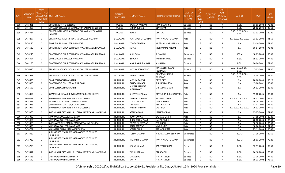| S.No. | <b>APPLICATIO</b><br><b>NID</b> | Merit<br>Io.(DISTRICT<br><b>CHOOL TYPE</b><br>WISE) | FACULTY/S INSTITUTE NAME                                        | <b>DISTRICT</b><br>(INSTITUTE) | STUDENT NAME              | ather's/Guardian's Name            | <b>LAST YEAR</b><br><b>Faculty/STR</b><br>EAM | <b>LAST</b><br><b>YEAR</b><br>School<br><b>Type</b><br>(G/P) | <b>IS_SPECILL\</b><br>ABLED | LAST<br><b>YEAR</b><br>SCHOOL<br><b>RBSE/CBS</b><br>E) | <b>COURSE</b>                         | <b>DOB</b> | LAST<br>YEAR% |
|-------|---------------------------------|-----------------------------------------------------|-----------------------------------------------------------------|--------------------------------|---------------------------|------------------------------------|-----------------------------------------------|--------------------------------------------------------------|-----------------------------|--------------------------------------------------------|---------------------------------------|------------|---------------|
| 636   | 3475891                         | 4                                                   | <b>GOVERNMENT P G COLLEGE</b>                                   | JALORE                         | KALPANA KANWAR            | <b>MANOHAR SINGH</b>               | Science                                       | G                                                            | <b>NO</b>                   | R                                                      | B.SC.                                 | 01-01-2002 | 73.80         |
| 637   | 3476253                         | 1                                                   | MAHADEV COLLEGE OF EDUACATION SANKAD SANCHORE                   | <b>JALORE</b>                  | <b>NIRMA KUMARI</b>       | <b>DEVA RAM</b>                    | Science                                       | P                                                            | <b>NO</b>                   | $\mathsf{R}$                                           | B.SC.                                 | 28-02-2004 | 90.60         |
| 638   | 3476734                         | $\overline{2}$                                      | OXFORD INTERNATION COLLEGE, PARAWA, CHITALWANA<br>(JALORE)      | <b>JALORE</b>                  | REKHA                     | DEVI LAL                           | Science                                       | P                                                            | NO.                         | R                                                      | B.SC.- B.ED.(B.SC.-<br>B.ED.)         | 03-03-2002 | 89.20         |
| 639   | 3474297                         | 1                                                   | <b>GREAT INDIA TEACHER TRAINING COLLEGE KHANPUR</b>             | <b>JHALAWAR</b>                | VIJAYLAKSHMI GOUTAM       | RAVI PRAKASH SHARMA                | Arts                                          | G                                                            | <b>NO</b>                   |                                                        | B.A- B.ED.(B.A- B.ED.)                | 31-03-2004 | 91.60         |
| 640   | 3476146                         | $\overline{2}$                                      | GOVT.GIRLS P.G.COLLEGE JHALAWAR                                 | <b>JHALAWAR</b>                | YOGITA SHARMA             | NILESH KUMAR SHARMA                | Arts                                          | G                                                            | <b>NO</b>                   | R                                                      | <b>B.A.</b>                           | 01-10-2003 | 77.80         |
| 641   | 3476539                         | $\overline{\mathbf{3}}$                             | GOVERNMENT BIRLA COLLEGE BHAWANI MANDI JHALAWAR                 | JHALAWAR                       | <b>SEFIYA</b>             | MOHAMMAD ANWAR                     | Arts                                          | G                                                            | NO.                         | R                                                      | <b>B.A.</b>                           | 16-04-2003 | 72.00         |
| 642   | 3476240                         | 1                                                   | GOVERNMENT BIRLA COLLEGE BHAWANI MANDI JHALAWAR                 | JHALAWAR                       | SHAILBALA                 | SHYAM LAL                          | Commerce                                      | G                                                            | <b>NO</b>                   | R                                                      | <b>BCOM</b>                           | 18-03-2004 | 86.00         |
| 643   | 3476354                         | 1                                                   | GOVT.GIRLS P.G.COLLEGE JHALAWAR                                 | <b>JHALAWAR</b>                | ISHA JAIN                 | RAMESH CHAND                       | Science                                       | G                                                            | <b>NO</b>                   | R                                                      | B.SC.                                 | 05-03-2003 | 77.40         |
| 644   | 3461180                         | $\overline{2}$                                      | GOVERNMENT BIRLA COLLEGE BHAWANI MANDI JHALAWAR                 | JHALAWAR                       | ANGURBALA SHARMA          | KISHAN LAL                         | Science                                       | G                                                            | <b>NO</b>                   | R                                                      | B.SC.                                 | 04-06-2001 | 77.00         |
| 645   | 3476310                         | $\overline{\mathbf{3}}$                             | <b>GREAT INDIA TEACHER TRAINING COLLEGE KHANPUR</b>             | <b>JHALAWAR</b>                | MONIKA JODHAWAT           | <b>MAHAVEER PRASAD</b><br>JODHAWAT | Science                                       | G                                                            | NO.                         | R                                                      | B.SC.- B.ED.(B.SC.-<br><b>B.ED.</b> ) | 17-02-2002 | 67.80         |
| 646   | 3475968                         | 1                                                   | <b>GREAT INDIA TEACHER TRAINING COLLEGE KHANPUR</b>             | JHALAWAR                       | JYOTI RAJAWAT             | DHARMVEER SINGH<br>RAJAWAT         | Science                                       | P                                                            | <b>NO</b>                   | R                                                      | B.SC.- B.ED.(B.SC.-<br>B.ED.)         | 28-08-2002 | 67.40         |
| 647   | 3474659                         | 1                                                   | <b>GOVT COLLEGE NAWALGARH</b>                                   | JHUNJHUNU                      | <b>MONIKA RAWAT</b>       | <b>DEVKI DEVI</b>                  | Arts                                          | G                                                            | <b>NO</b>                   | $\mathsf{R}$                                           | <b>B.A.</b>                           | 28-08-2000 | 86.20         |
| 648   | 3475496                         | 2                                                   | GOVERNMENT COLLEGE, GUDHA GORJI                                 | <b>JHUNJHUNU</b>               | <b>GANGA KUMARI</b>       | <b>SUBHASH GUPTA</b>               | Arts                                          | G                                                            | <b>NO</b>                   | R                                                      | <b>B.A.</b>                           | 15-08-2002 | 85.40         |
| 649   | 3475698                         | $\overline{\mathbf{3}}$                             | <b>GOVT COLLEGE NAWALGARH</b>                                   | <b>JHUNJHUNU</b>               | MUMAL KANWAR<br>SHEKHAWAT | SHREE MAL SINGH                    | Arts                                          | G                                                            | <b>NO</b>                   | R                                                      | <b>B.A.</b>                           | 20-03-2003 | 85.40         |
| 650   | 3476052                         | $\overline{4}$                                      | SWAMI VIVEKANAND GOVERNMENT COLLEGE KHETRI                      | <b>JHUNJHUNU</b>               | SHIWANI SHARMA            | DEVENDRA KUMAR SHARMA              | Arts                                          | G                                                            | <b>NO</b>                   | R                                                      | B.A.                                  | 15-08-2005 | 82.80         |
| 651   | 3450621                         | -5                                                  | BHOM SINGH TEACHERS TRAINING COLLEGE                            | <b>JHUNJHUNU</b>               | DEEKSHA KANWAR            | <b>BHAWANI SINGH</b>               | Arts                                          | G                                                            | NO                          | R                                                      | B.A- B.ED.(B.A- B.ED.                 | 09-01-2003 | 82.40         |
| 652   | 3475286                         | 6                                                   | NARAYANI DEVI GIRLS COLLEGE SULTANA                             | <b>UNUHLINUHL</b>              | SONU KANWAR               | SATPAL SINGH                       | Arts                                          | G                                                            | <b>NO</b>                   | $\mathsf{R}$                                           | B.A.                                  | 30-10-2005 | 80.80         |
| 653   | 3474933                         | $\overline{7}$                                      | GOVERNMENT COLLEGE, GUDHA GORJI                                 | <b>JHUNJHUNU</b>               | TANUSHRI                  | <b>ASHOK KUMAR</b>                 | Arts                                          | G                                                            | <b>NO</b>                   | R                                                      | B.A.                                  | 01-07-2003 | 77.80         |
| 654   | 3474947                         | 8                                                   | BHOM SINGH TEACHERS TRAINING COLLEGE                            | <b>JHUNJHUNU</b>               | VARSHA KANWAR             | <b>LAL SINGH</b>                   | Arts                                          | G                                                            | <b>NO</b>                   | R                                                      | B.A- B.ED.(B.A- B.ED.)                | 10-02-2003 | 77.60         |
| 655   | 3475065                         | 9                                                   | SMT. KUNANI DEVI MAHILA (PG) MAHAVIDYALYA, NAWALGARH            | <b>JHUNJHUNU</b>               | ARTI KANWAR               | JITENDRA SINGH                     | Arts                                          | G                                                            | NO                          | R                                                      | <b>B.A.</b>                           | 05-07-2003 | 71.40         |
| 656   | 3475085                         | 1                                                   | MANDAWA COLLEGE, MANDAWA                                        | <b>JHUNJHUNU</b>               | ROOP KANWAR               | <b>BAJRANG SINGH</b>               | Arts                                          | P                                                            | NO                          | R                                                      | B.A.                                  | 17-05-2002 | 89.20         |
| 657   | 3475962                         | $\overline{2}$                                      | MANDAWA COLLEGE, MANDAWA                                        | JHUNJHUNU                      | KHUSHBU KANWAR            | <b>NAHAR SINGH</b>                 | Arts                                          | P                                                            | <b>NO</b>                   | R                                                      | B.A.                                  | 28-08-2003 | 83.40         |
| 658   | 3475866                         | $\overline{\mathbf{3}}$                             | SMT.SAVITRI DEVI MAHILA MAHAVIDYALAYA BALODA                    | <b>JHUNJHUNU</b>               | PRIYANKA KANWAR           | PEP SINGH                          | Arts                                          | P                                                            | <b>NO</b>                   | $\mathsf{R}$                                           | B.A.                                  | 18-10-2004 | 82.40         |
| 659   | 3475090                         | 4                                                   | MANDAWA COLLEGE, MANDAWA                                        | <b>JHUNJHUNU</b>               | KAJAL KANWAR              | <b>VINOD SINGH</b>                 | Arts                                          | P                                                            | <b>NO</b>                   | R                                                      | B.A.                                  | 18-06-2003 | 81.40         |
| 660   | 3474701                         | 5                                                   | MAHARANI BALIKA MAHAVIDHYALAYA                                  | JHUNJHUNU                      | ARPITA PARIK              | SANJAY KUMAR                       | Arts                                          | P                                                            | <b>NO</b>                   | R                                                      | B.A.                                  | 25-11-2003 | 80.80         |
| 661   | 3474382                         | 1                                                   | SHRI RADHESHYAM R MORARKA GOVT. PG COLLEGE.<br><b>JHUNJHUNU</b> | <b>UNUHLINUHL</b>              | TOSIKA SHARMA             | KRISHAN KUMAR SHARMA               | Commerce                                      | P                                                            | <b>NO</b>                   |                                                        | <b>BCOM</b>                           | 27-10-2003 | 89.60         |
| 662   | 3475920                         | $\overline{2}$                                      | SHRI RADHESHYAM R MORARKA GOVT. PG COLLEGE,<br>UNUHIUNU         | <b>JHUNJHUNU</b>               | HIMANSHI SHARMA           | RAVI PRAKASH SHARMA                | Commerce                                      | P                                                            | <b>NO</b>                   | R.                                                     | <b>BCOM</b>                           | 19-01-2003 | 76.20         |
| 663   | 3474755                         | 1                                                   | SHRI RADHESHYAM R MORARKA GOVT. PG COLLEGE,<br><b>JHUNJHUNU</b> | JHUNJHUNU                      | ARUNA KUMARI              | SANTOSH KUMAR                      | Science                                       | G                                                            | NO.                         | R                                                      | B.SC.                                 | 12-11-2003 | 89.60         |
| 664   | 3475611                         | 2                                                   | SMT. KUNANI DEVI MAHILA (PG) MAHAVIDYALYA, NAWALGARH            | <b>JHUNJHUNU</b>               | TANU SHARMA               | DEENDAYAL                          | Science                                       | G                                                            | NO                          | R                                                      | B.SC.                                 | 06-10-2003 | 78.60         |
| 665   | 3476633                         | $\overline{3}$                                      | SHRI BALAJI MAHAVIDHYALAYA                                      | JHUNJHUNU                      | CHANCHAL                  | <b>PRATAP SINGH</b>                | Science                                       | G                                                            | NO                          | $\mathsf{R}$                                           | B.SC.                                 | 13-10-2000 | 77.40         |
| 666   | 3476640                         | 4                                                   | SHRI BALAJI MAHAVIDHYALAYA                                      | JHUNJHUNU                      | KANTA                     | <b>PRATAP SINGH</b>                | Science                                       | G                                                            | <b>NO</b>                   | R                                                      | B.SC.                                 | 08-11-2002 | 76.60         |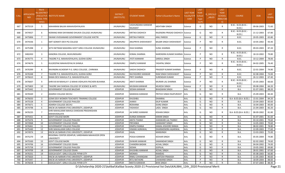| S.No. | <b>APPLICATIO</b><br><b>NID</b> | Merit<br>lo.(DISTRICT<br><b>CHOOL TYPE</b><br>WISE) | <b>/FACULTY/S INSTITUTE NAME</b>                                     | <b>DISTRICT</b><br>(INSTITUTE) | <b>STUDENT NAME</b>          | ather's/Guardian's Name-        | <b>LAST YEAR</b><br><b>Faculty/STR</b><br>EAM | <b>LAST</b><br><b>YEAR</b><br>School<br><b>Type</b><br>(G/P) | <b>IS_SPECILL\</b><br>ABLED | LAST<br><b>YEAR</b><br><b>SCHOOL</b><br><b>RBSE/CBS</b><br>E) | <b>COURSE</b>                         | <b>DOB</b> | LAST<br>YEAR% |
|-------|---------------------------------|-----------------------------------------------------|----------------------------------------------------------------------|--------------------------------|------------------------------|---------------------------------|-----------------------------------------------|--------------------------------------------------------------|-----------------------------|---------------------------------------------------------------|---------------------------------------|------------|---------------|
| 667   | 3475519                         | 5                                                   | MAHARANI BALIKA MAHAVIDHYALAYA                                       | <b>JHUNJHUNU</b>               | VASHUNDARA KANWAR<br>RAJAWAT | <b>MEHTABH SINGH</b>            | Science                                       | G                                                            | NO.                         | R                                                             | B.SC.- B.ED.(B.SC.-<br>B.ED.)         | 09-06-2003 | 71.60         |
| 668   | 3474927                         | 6                                                   | NORANG RAM DAYANAND DHUKIA COLLEGE JHUNJHUNU                         | <b>JHUNJHUNU</b>               | <b>KRITIKA DADHICH</b>       | RAJENDRA PRASAD DADHICH Science |                                               | G                                                            | NO                          | R                                                             | B.SC.- B.ED.(B.SC.-<br>B.ED.          | 21-12-2003 | 67.80         |
| 669   | 3475806                         | $\overline{7}$                                      | SWAMI VIVEKANAND GOVERNMENT COLLEGE KHETRI                           | <b>JHUNJHUNU</b>               | <b>KRITIKA PAREEK</b>        | <b>ANIL PAREEK</b>              | Science                                       | G                                                            | NO                          | R                                                             | B.SC.                                 | 20-05-2003 | 65.80         |
| 670   | 3474336                         | 1                                                   | SMT GOMATI DEVI PG COLLEGE                                           | <b>JHUNJHUNU</b>               | <b>ANUPRIYA SHEKHAWAT</b>    | <b>BALBIR SINGH SHEKHAWAT</b>   | Science                                       | P                                                            | NO                          | R                                                             | B.SC.                                 | 10-05-2002 | 93.40         |
| 671   | 3475398                         | $\overline{2}$                                      | SETH NETRAM MAGHRAJ GOVT GIRLS COLLEGE JHUNJHUNU                     | JHUNJHUNU                      | <b>ISHA SHARMA</b>           | <b>SUNIL SHARMA</b>             | Science                                       | P                                                            | NO                          | R                                                             | B.SC.                                 | 09-03-2003 | 87.20         |
| 672   | 3482450                         | $\overline{3}$                                      | KANORIA COLLEGE, MUKUNDGARH                                          | <b>JHUNJHUNU</b>               | KOMAL SHARMA                 | NARENDRA KUMAR SHARMA Science   |                                               | P                                                            | NO                          | R                                                             | B.SC.- B.ED.(B.SC.-<br><b>B.ED.</b> ) | 18-10-2002 | 79.80         |
| 673   | 3476775                         | $\overline{4}$                                      | TAGORE P.G. MAHAVIDYALAYA, GUDHA GORJI                               | <b>JHUNJHUNU</b>               | <b>JYOTI KANWAR</b>          | SARDUL SINGH                    | Science                                       | P                                                            | NO                          | R                                                             | B.SC.                                 | 10-12-2004 | 78.00         |
| 674   | 3474676                         | 5                                                   | KULDEEPAK MAHAVIDYALYA SHIMLA                                        | <b>JHUNJHUNU</b>               | <b>DIMPLE KANWAR</b>         | YASHPAL SINGH                   | Science                                       | P                                                            | <b>NO</b>                   | R                                                             | B.SC.- B.ED.(B.SC.-<br>B.ED.          | 04-02-2005 | 76.40         |
| 675   | 3476399                         | 6                                                   | RAVINDRA ACADEMY P.G. GIRLS COLLEGE, CHIRAWA                         | <b>JHUNJHUNU</b>               | <b>SAKSHI DADHICH</b>        | PRADEEP KUMAR SHARMA            | Science                                       | P                                                            | <b>NO</b>                   | R                                                             | B.SC.                                 | 22-01-2004 | 74.80         |
| 676   | 3476348                         | $\overline{7}$                                      | TAGORE P.G. MAHAVIDYALAYA, GUDHA GORJI                               | <b>JHUNJHUNU</b>               | RAJYASHREE KANWAR            | RAM SINGH SHEKHAWAT             | Science                                       | P                                                            | NO                          | R                                                             | B.SC.                                 | 02-08-2004 | 73.00         |
| 677   | 3476610                         | 8                                                   | RAMA DEVI MAHILA P.G. MAHAVIDYALAYA                                  | <b>JHUNJHUNU</b>               | PRITI SHARMA                 | <b>SURENDAR KUMAR</b>           | Science                                       | P                                                            | <b>NO</b>                   | R                                                             | B.SC.                                 | 26-12-2003 | 67.40         |
| 678   | 3476607                         | 9                                                   | SHRI B B M MAHILA P. G MAHA VIDHLAYA PACHERI-BUHANA                  | <b>JHUNJHUNU</b>               | <b>ARATI SHARMA</b>          | <b>MURARI LAL SHARMA</b>        | Science                                       | P                                                            | NO.                         | R                                                             | B.SC.- B.ED.(B.SC.-<br>B.ED.          | 25-05-2003 | 66.60         |
| 679   | 3475803                         | 10                                                  | TAGORE SAH SHIKSHA COLLEGE OF SCIENCE & ARTS                         | <b>JHUNJHUNU</b>               | MUSKAN KANWAR                | MUKESH SINGH                    | Science                                       | P                                                            | NO                          | R                                                             | B.SC.                                 | 09-08-2004 | 66.20         |
| 680   | 3475442                         | 1                                                   | GOVERNMENT COLLEGE BALESAR                                           | <b>JODHPUR</b>                 | SEEMA KANWAR                 | <b>BHAGWAN SINGH</b>            | Arts                                          | G                                                            | NO                          | R                                                             | B.A.                                  | 01-07-2001 | 88.20         |
| 681   | 3476569                         | $\overline{2}$                                      | ADARSH COLLEGE DECHU                                                 | <b>JODHPUR</b>                 | <b>MANISHA KANWAR</b>        | PRITHVI SINGH RAJPUROHIT        | Arts                                          | G                                                            | NO                          | R                                                             | B.A.                                  | 25-09-2003 | 84.40         |
| 682   | 3476650                         | 3                                                   | GOMI DEVI WOMEN TEACHER'S TRAINING COLLEGE                           | <b>JODHPUR</b>                 | KHUSHBU                      | DHANRAJ                         | Arts                                          | G                                                            | NO                          | R                                                             | B.A- B.ED.(B.A- B.ED.                 | 15-01-2004 | 84.20         |
| 683   | 3475528                         | $\overline{4}$                                      | <b>GOVERNMENT COLLEGE PHALODI</b>                                    | <b>JODHPUR</b>                 | <b>JHANVI</b>                | <b>DILIP KUMAR</b>              | Arts                                          | G                                                            | <b>NO</b>                   | $\mathsf{R}$                                                  | B.A.                                  | 23-04-2003 | 83.60         |
| 684   | 3475671                         | 5                                                   | ADARSH COLLEGE DECHU                                                 | <b>JODHPUR</b>                 | ROSHANA                      | DURG SINGH                      | Arts                                          | G                                                            | <b>NO</b>                   | R                                                             | B.A.                                  | 16-04-2003 | 83.00         |
| 685   | 3474798                         | 6                                                   | KNCW JAI NARAIN VYAS UNIVERSITY, JODHPUR                             | <b>JODHPUR</b>                 | YASHASVI                     | LADU SINGH                      | Arts                                          | G                                                            | <b>NO</b>                   | $\mathsf{R}$                                                  | <b>B.A.</b>                           | 21-04-2003 | 82.20         |
| 686   | 3476235                         | $\overline{7}$                                      | SHRI MAHALAXMI MAHILA SHIKSHAK PRASHIKSHAN<br>MAHAVIDALAYA           | <b>JODHPUR</b>                 | JAI SHREE KANWAR             | <b>KISHAN SINGH</b>             | Arts                                          | G                                                            | <b>NO</b>                   | R                                                             | B.A- B.ED.(B.A- B.ED.)                | 08-09-2002 | 81.80         |
| 687   | 3475421                         | 8                                                   | <b>GOVT COLLEGE BAORI</b>                                            | <b>JODHPUR</b>                 | <b>DURGA KANWAR</b>          | <b>KARAN SINGH</b>              | Arts                                          | G                                                            | NO                          | R.                                                            | <b>B.A.</b>                           | 01-07-2001 | 81.60         |
| 688   | 3475476                         | 9                                                   | <b>GOVERNMENT COLLEGE PHALODI</b>                                    | <b>JODHPUR</b>                 | <b>ANITA THANVI</b>          | JHANWARI LAL THANVI             | Arts                                          | G                                                            | <b>NO</b>                   | R                                                             | B.A.                                  | 03-10-2001 | 79.60         |
| 689   | 3474968                         | 10                                                  | <b>GOVERNMENT COLLEGE OSIAN</b>                                      | <b>JODHPUR</b>                 | PRIYANKA                     | <b>HANWANT SINGH</b>            | Arts                                          | G                                                            | <b>NO</b>                   | $\mathsf{R}$                                                  | <b>B.A.</b>                           | 14-05-2003 | 79.60         |
| 690   | 3476461                         | 11                                                  | <b>GOVERNMENT COLLEGE PHALODI</b>                                    | <b>JODHPUR</b>                 | <b>DIMPLE RANGA</b>          | KAMAL KISHORE RANGA             | Arts                                          | G                                                            | <b>NO</b>                   | $\mathsf{R}$                                                  | <b>B.A.</b>                           | 08-02-2001 | 78.80         |
| 691   | 3475440                         | 12                                                  | SHRI MAHALAXMI GIRLS COLLEGE                                         | <b>JODHPUR</b>                 | HIMANI AGRAWAL               | DHARMENDRA AGARWAL              | Arts                                          | G                                                            | NO                          | R                                                             | <b>B.A.</b>                           | 22-09-2003 | 77.60         |
| 692   | 3474974                         | 13                                                  | KNCW JAI NARAIN VYAS UNIVERSITY, JODHPUR                             | <b>JODHPUR</b>                 | KAJAL                        | MANSINGH                        | Arts                                          | G                                                            | <b>NO</b>                   | R                                                             | <b>B.A.</b>                           | 13-03-2003 | 75.00         |
| 693   | 3475270                         | 14                                                  | REGIONAL CENTER JODHPUR, VARDHMAN MAHAVEER OPEN<br><b>UNIVERSITY</b> | <b>JODHPUR</b>                 | POOJA KANWAR                 | <b>KESHAR SINGH</b>             | Arts                                          | G                                                            | NO                          | R                                                             | <b>B.A.</b>                           | 05-05-2004 | 74.80         |
| 694   | 3475500                         | 15                                                  | <b>GOVT COLLEGE BAORI</b>                                            | <b>JODHPUR</b>                 | <b>ISHWAR KANWAR</b>         | SAMANDAR SINGH                  | Arts                                          | G                                                            | NO                          | R                                                             | B.A.                                  | 02-02-2002 | 74.60         |
| 695   | 3474706                         | 16                                                  | GOVERNMENT COLLEGE OSIAN                                             | <b>JODHPUR</b>                 | <b>CHANDRA BADAN</b>         | <b>ACHAL SINGH</b>              | Arts                                          | G                                                            | NO                          | R                                                             | B.A.                                  | 04-04-2002 | 74.00         |
| 696   | 3475758                         | 17                                                  | <b>GOVERNMENT COLLEGE PHALODI</b>                                    | <b>JODHPUR</b>                 | <b>SEEMA</b>                 | <b>GOPILAL</b>                  | Arts                                          | G                                                            | NO                          | R                                                             | B.A.                                  | 19-05-2002 | 69.80         |
| 697   | 3474709                         | 18                                                  | GOVERNMENT COLLEGE OSIAN                                             | <b>JODHPUR</b>                 | KHUSHBU KANWAR               | <b>ACHAL SINGH</b>              | Arts                                          | G                                                            | <b>NO</b>                   | R                                                             | B.A.                                  | 28-01-2001 | 67.60         |
| 698   | 3476331                         | 19                                                  | SSDCLB GOVT. GIRLS COLLEGE PIPAR CITY                                | <b>JODHPUR</b>                 | <b>MONIKA</b>                | RAMDAS                          | Arts                                          | G                                                            | NO                          | R                                                             | <b>B.A.</b>                           | 05-08-2003 | 66.80         |
| 699   | 3475820                         | 1                                                   | KNCW JAI NARAIN VYAS UNIVERSITY, JODHPUR                             | <b>JODHPUR</b>                 | RINKU CHHANGANI              | <b>SANTOSH PRAKASH</b>          | Arts                                          | P                                                            | NO                          | R                                                             | <b>B.A.</b>                           | 11-05-2003 | 90.60         |
| 700   | 3475447                         | 2                                                   | KNCW JAI NARAIN VYAS UNIVERSITY, JODHPUR                             | <b>JODHPUR</b>                 | <b>RITU RATHORE</b>          | <b>CHAWAND SINGH</b>            | Arts                                          | P                                                            | <b>NO</b>                   | R                                                             | B.A.                                  | 18-09-2004 | 88.60         |
| 701   | 3476658                         | 3                                                   | SSDCLB GOVT. GIRLS COLLEGE PIPAR CITY                                | <b>JODHPUR</b>                 | NIKITA KANWAR                | <b>BHIK SINGH</b>               | Arts                                          | P                                                            | <b>NO</b>                   | R                                                             | B.A.                                  | 07-07-2003 | 88.40         |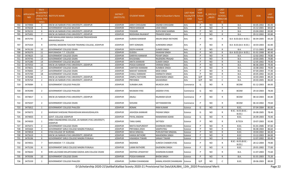| S.No. | APPLICATIO<br><b>NID</b> | Merit<br>o.(DISTRICT<br><b>HOOL TYPE</b><br>WISE) | <b>/FACULTY/S INSTITUTE NAME</b>                                       | <b>DISTRICT</b><br>(INSTITUTE) | <b>STUDENT NAME</b>     | Father's/Guardian's Name   | <b>LAST YEAR</b><br>Faculty/STR<br>EAM | <b>LAST</b><br><b>YEAR</b><br>School<br><b>Type</b><br>(G/P) | S_SPECILLY<br>ABLED | LAST<br><b>YEAR</b><br><b>SCHOOL</b><br><b>RBSE/CBS</b><br>E) | <b>COURSE</b>                 | <b>DOB</b> | <b>LAST</b><br>YEAR% |
|-------|--------------------------|---------------------------------------------------|------------------------------------------------------------------------|--------------------------------|-------------------------|----------------------------|----------------------------------------|--------------------------------------------------------------|---------------------|---------------------------------------------------------------|-------------------------------|------------|----------------------|
| 702   | 3474900                  | 4                                                 | KNCW JAI NARAIN VYAS UNIVERSITY, JODHPUR                               | <b>JODHPUR</b>                 | JANVI CHHUGANI          | ANAND CHHUGANI             | Arts                                   | P                                                            | NO                  | R                                                             | <b>B.A.</b>                   | 03-05-2002 | 85.40                |
| 703   | 3476028                  | -5                                                | GOVERNMENT COLLEGE BALESAR                                             | <b>JODHPUR</b>                 | PREM KANWAR             | UDAI SINGH                 | Arts                                   | P                                                            | NO                  | R                                                             | <b>B.A.</b>                   | 15-12-2001 | 84.60                |
| 704   | 3476232                  | 6                                                 | KNCW JAI NARAIN VYAS UNIVERSITY, JODHPUR                               | <b>JODHPUR</b>                 | <b>YOGSHRI</b>          | RUPA RAM SHARMA            | Arts                                   | P                                                            | NO                  | $\mathsf{R}$                                                  | <b>B.A.</b>                   | 23-04-2002 | 83.80                |
| 705   | 3475491                  | 7                                                 | KNCW JAI NARAIN VYAS UNIVERSITY, JODHPUR                               | <b>JODHPUR</b>                 | RIDDHIMA RAJAWAT        | PRAMOD SINGH               | Arts                                   | P                                                            | NO                  | R                                                             | <b>B.A.</b>                   | 29-12-2002 | 83.80                |
| 706   | 3475743                  | 8                                                 | SHRI MAHALAXMI MAHILA SHIKSHAK PRASHIKSHAN<br>MAHAVIDALAYA             | <b>JODHPUR</b>                 | <b>SUMAN KANWAR</b>     | <b>ARJUN SINGH RATHORE</b> | Arts                                   | P                                                            | NO                  | R                                                             | B.A- B.ED.(B.A- B.ED.)        | 06-04-2005 | 83.20                |
| 707   | 3475424                  | 9                                                 | CENTRAL MODERN TEACHER TRAINING COLLEGE, JODHPUR                       | <b>JODHPUR</b>                 | KIRTI SONIGRA           | <b>SURENDRA SINGH</b>      | Arts                                   | P                                                            | <b>NO</b>           | R                                                             | B.A- B.ED.(B.A- B.ED.)        | 18-03-2003 | 82.80                |
| 708   | 3476130                  | 10                                                | GOVERNMENT COLLEGE OSIAN                                               | <b>JODHPUR</b>                 | DEEPA KAWAR             | <b>SUMER SINGH</b>         | Arts                                   | P                                                            | NO                  | $\mathsf{R}$                                                  | B.A.                          | 17-11-2003 | 80.60                |
| 709   | 3476370                  | 11                                                | MAYURAKSHI T.T. COLLEGE                                                | <b>JODHPUR</b>                 | <b>GUDDU</b>            | HAAKAM SINGH               | Arts                                   | P                                                            | <b>NO</b>           | $\mathsf{R}$                                                  | B.A- B.ED.(B.A- B.ED.)        | 01-01-2008 | 80.40                |
| 710   | 3474625                  | 12                                                | GOVERNMENT COLLEGE OSIAN                                               | <b>JODHPUR</b>                 | DARIYAV KANWAR          | PEHAP SINGH                | Arts                                   | P                                                            | NO                  | $\mathsf{R}$                                                  | <b>B.A.</b>                   | 12-02-2002 | 79.80                |
| 711   | 3474743                  | 13                                                | <b>GOVERNMENT COLLEGE OSIAN</b>                                        | <b>JODHPUR</b>                 | KHUSHABU                | RAJENDRA PRASAD            | Arts                                   | P                                                            | NO                  | R                                                             | B.A.                          | 10-03-2005 | 79.80                |
| 712   | 3475280                  | 14                                                | <b>GOVERNMENT COLLEGE BALESAR</b>                                      | <b>JODHPUR</b>                 | ANITA KANWAR            | <b>SUMER SINGH</b>         | Arts                                   | P                                                            | NO                  | $\mathsf{R}$                                                  | B.A.                          | 12-05-2002 | 79.40                |
| 713   | 3475910                  | 15                                                | KNCW JAI NARAIN VYAS UNIVERSITY, JODHPUR                               | JODHPUR                        | POOJA KANWAR            | <b>VIKRAM SINGH</b>        | Arts                                   | P                                                            | <b>NO</b>           | R                                                             | B.A.                          | 06-06-2004 | 79.40                |
| 714   | 3474651                  | 16                                                | <b>GOVERNMENT COLLEGE OSIAN</b>                                        | <b>JODHPUR</b>                 | <b>SANTOSH KANWAR</b>   | <b>KUMBHA SINGH</b>        | Arts                                   | P                                                            | <b>NO</b>           | $\mathsf{R}$                                                  | B.A.                          | 16-08-2002 | 79.00                |
| 715   | 3476065                  | 17                                                | GOVERNMENT COLLEGE OSIAN                                               | <b>JODHPUR</b>                 | NAKHAT KANWAR           | MOD SINGH                  | Arts                                   | P                                                            | NO                  | $\mathsf{R}$                                                  | B.A.                          | 07-04-2003 | 77.40                |
| 716   | 3475700                  | 18                                                | <b>GOVERNMENT COLLEGE OSIAN</b>                                        | <b>JODHPUR</b>                 | CHAILU KANWAR           | <b>HARNATH SINGH</b>       | Arts                                   | P                                                            | NO                  | R                                                             | B.A.                          | 20-05-2002 | 65.00                |
| 717   | 3476388                  | 1                                                 | KNCW JAI NARAIN VYAS UNIVERSITY, JODHPUR                               | <b>JODHPUR</b>                 | <b>DIMPLE RATHORE</b>   | MAHENDRA SINGH             | Arts                                   | G/P                                                          | NO                  | C                                                             | B.A.                          | 10-03-2003 | 89.20                |
| 718   | 3476764                  | $\overline{2}$                                    | KNCW JAI NARAIN VYAS UNIVERSITY, JODHPUR                               | <b>JODHPUR</b>                 | PRIYANKA                | SAVAISINGH                 | Arts                                   | G/P                                                          | <b>NO</b>           | C                                                             | B.A.                          | 24-03-2005 | 86.60                |
| 719   | 3476084                  | 1                                                 | <b>GOVERNMENT COLLEGE PHALODI</b>                                      | <b>JODHPUR</b>                 | <b>SURABHI JAIN</b>     | <b>MUKESH JAIN</b>         | Commerce                               | G                                                            | <b>NO</b>           | $\mathsf{R}$                                                  | <b>BCOM</b>                   | 01-12-2003 | 84.00                |
| 720   | 3476390                  | $\overline{2}$                                    | <b>GOVERNMENT COLLEGE PHALODI</b>                                      | <b>JODHPUR</b>                 | MUSKAN VYAS             | <b>JAGDISH VYAS</b>        | Commerce                               | G                                                            | NO.                 | R                                                             | <b>BCOM</b>                   | 29-10-2003 | 78.00                |
| 721   | 3474817                  | 1                                                 | KNCW JAI NARAIN VYAS UNIVERSITY, JODHPUR                               | <b>JODHPUR</b>                 | ANJALI                  | <b>RAJARAM GOUR</b>        | Commerce                               | P                                                            | <b>NO</b>           | R                                                             | BCOM                          | 08-10-2003 | 83.80                |
| 722   | 3475037                  | $\overline{2}$                                    | <b>GOVERNMENT COLLEGE OSIAN</b>                                        | <b>JODHPUR</b>                 | SHIVANI                 | SATYANARAYAN               | Commerce                               | P                                                            | NO                  | R                                                             | <b>BCOM</b>                   | 06-10-2002 | 79.60                |
| 723   | 3475812                  | 1                                                 | <b>GOVERNMENT COLLEGE PHALODI</b>                                      | <b>JODHPUR</b>                 | <b>RONAK</b>            | <b>RAM KUMAR</b>           | Science                                | G                                                            | NO                  | $\mathsf{R}$                                                  | B.SC.                         | 07-04-2004 | 85.00                |
| 724   | 3476072                  | 2                                                 | MARWAR SHIKSHAK PRASHIKSHAN MAHAVIDHALAYA                              | <b>JODHPUR</b>                 | JASHODA KANWAR          | <b>PADAM SINGH</b>         | Science                                | G                                                            | <b>NO</b>           | $\mathsf{R}$                                                  | B.SC.- B.ED.(B.SC.-<br>B.ED.  | 26-08-2005 | 78.40                |
| 725   | 3474833                  | $\overline{3}$                                    | GOVT. COLLEGE JODHPUR                                                  | <b>JODHPUR</b>                 | PAYAL ANDANI            | NANAKRAM ADANI             | Science                                | G                                                            | <b>NO</b>           | R                                                             | B.SC.                         | 26-09-2003 | 70.40                |
| 726   | 3474920                  | 1                                                 | MBM ENGINEERING COLLEGE, JAI NARAIN VYAS UNIVERSITY,<br><b>JODHPUR</b> | <b>JODHPUR</b>                 | <b>TANU GARG</b>        | SATYDEV                    | Science                                | P                                                            | NO                  | R                                                             | <b>B.TECH</b>                 | 19-07-2003 | 92.80                |
| 727   | 3475471                  | 2                                                 | <b>GOVERNMENT COLLEGE OSIAN</b>                                        | <b>JODHPUR</b>                 | NIKITA RAJPUROHIT       | <b>SHARWAN SINGH</b>       | Science                                | P                                                            | NO                  | $\mathsf{R}$                                                  | B.SC.                         | 01-01-2006 | 87.60                |
| 728   | 3455664                  | 3                                                 | GOVERNMENT GIRLS COLLEGE MAGRA PUNJALA                                 | JODHPUR                        | PRIYANKA JOSHI          | SAMPATRAJ                  | Science                                | P                                                            | NO                  | R                                                             | B.SC.                         | 06-08-2004 | 86.60                |
| 729   | 3474818                  | $\overline{a}$                                    | VYAS COLLEGE OF NURSING                                                | <b>JODHPUR</b>                 | <b>NEHA SINGHAL</b>     | PURUSOTAM SINGHAL          | Science                                | p                                                            | <b>NO</b>           | R                                                             | B.SC.                         | 19-04-2002 | 84.40                |
| 730   | 3475619                  | -5                                                | KNCW JAI NARAIN VYAS UNIVERSITY, JODHPUR                               | <b>JODHPUR</b>                 | HANSA RATHORE           | MAHENDRA SINGH             | Science                                |                                                              | NO.                 | R                                                             | B.SC.                         | 13-12-2003 | 84.00                |
| 731   | 3476196                  | 6                                                 | GOVERNMENT GIRLS COLLEGE MAGRA PUNJALA                                 | <b>JODHPUR</b>                 | HIMANSHI TIWARI         | SANJAY TIWARI              | Science                                | P                                                            | NO                  | $\mathsf{R}$                                                  | B.SC.                         | 12-07-2002 | 83.40                |
| 732   | 3474921                  | $\overline{7}$                                    | MAYURAKSHI T.T. COLLEGE                                                | <b>JODHPUR</b>                 | RADHIKA                 | <b>SURESH CHANDR VYAS</b>  | Science                                | P                                                            | <b>NO</b>           | R                                                             | B.SC.- B.ED.(B.SC.-<br>B.ED.) | 28-12-2004 | 79.80                |
| 733   | 3475236                  | $\mathbf{8}$                                      | GOVERNMENT GIRLS COLLEGE MAGRA PUNJALA                                 | <b>JODHPUR</b>                 | <b>LAXMI RATHORE</b>    | <b>GAJENDRA SINGH</b>      | Science                                | P                                                            | <b>NO</b>           | R                                                             | B.SC.                         | 20-01-2002 | 77.00                |
| 734   | 3476642                  | 9                                                 | SHRI LALCHAND MILAPCHAND DADHA JAIN COLLEGE OSIAN                      | <b>JODHPUR</b>                 | <b>DEEPIKA UPADHYAY</b> | <b>SHARWAN KUMAR</b>       | Science                                | P                                                            | NO.                 | $\mathsf{R}$                                                  | <b>B.A.</b>                   | 11-07-2003 | 75.60                |
| 735   | 3476506                  | 10                                                | <b>GOVERNMENT COLLEGE OSIAN</b>                                        | <b>JODHPUR</b>                 | POOJA KANWAR            | <b>BHOM SINGH</b>          | Science                                | P                                                            | <b>NO</b>           | $\mathsf{R}$                                                  | <b>B.A.</b>                   | 01-01-2003 | 75.20                |
| 736   | 3475559                  | 1                                                 | <b>GOVERNMENT COLLEGE PHALODI</b>                                      | <b>JODHPUR</b>                 | <b>SURBHI CHHANGANI</b> | KAMAL KISHOR CHHANGANI     | Science                                | G/P                                                          | <b>NO</b>           | C                                                             | B.SC.                         | 28-06-2003 | 89.00                |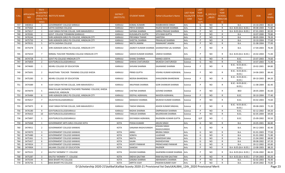| S.No. | APPLICATIO<br><b>NID</b> | Merit<br>o.(DISTRICT<br><b>CHOOL TYPE</b><br>WISE) | <b>/FACULTY/S INSTITUTE NAME</b>                                         | <b>DISTRICT</b><br>(INSTITUTE) | <b>STUDENT NAME</b>                        | Father's/Guardian's Name    | <b>LAST YEAR</b><br><b>Faculty/STR</b><br><b>EAM</b> | <b>LAST</b><br><b>YEAR</b><br>School<br><b>Type</b><br>(G/P) | <b>S_SPECILLY</b><br>$-$ ABLED | LAST<br><b>YEAR</b><br><b>SCHOOL</b><br>(RBSE/CBS<br>E) | <b>COURSE</b>                 | DOB        | LAST<br>YEAR% |
|-------|--------------------------|----------------------------------------------------|--------------------------------------------------------------------------|--------------------------------|--------------------------------------------|-----------------------------|------------------------------------------------------|--------------------------------------------------------------|--------------------------------|---------------------------------------------------------|-------------------------------|------------|---------------|
| 737   | 3483812                  | - 1                                                | <b>GOVERNMENT COLLEGE KARAULI</b>                                        | KARAULI                        | <b>KOMAL KUMARI</b>                        | RAMBHAROSI SINGH            | Arts                                                 | G                                                            | <b>NO</b>                      | R                                                       | B.A.                          | 23-10-2003 | 86.60         |
| 738   | 3475064                  | 2                                                  | SATYA SADHNA COLLEGE                                                     | KARAULI                        | PRIYA SHARMA                               | RAJESH BIHARI SHARMA        | Arts                                                 | G                                                            | <b>NO</b>                      | $\mathsf{R}$                                            | B.A- B.ED.(B.A- B.ED.         | 09-08-2004 | 71.80         |
| 739   | 3475017                  | 1                                                  | VIJAY SINGH PATHIK COLLGE, SHRI MAHAVEER JI                              | KARAULI                        | SAPANA SHARMA                              | GIRRAJ PRASAD SHARMA        | Arts                                                 | P                                                            | <b>NO</b>                      | $\mathsf{R}$                                            | B.A- B.ED.(B.A- B.ED.)        | 07-01-2003 | 82.00         |
| 740   | 3476581                  | 2                                                  | GOVT. COLLEGE TODABHIM (KARAULI)                                         | KARAULI                        | <b>KUSUMLATA GUPTA</b>                     | SITA RAM GUPTA              | Arts                                                 | P                                                            | <b>NO</b>                      | R                                                       | B.A.                          | 10-07-2000 | 79.80         |
| 741   | 3476244                  | 3                                                  | SHRI AGRASEN GIRLS PG COLLEGE, HINDAUN CITY                              | KARAULI                        | PRIYANKA TIWARI                            | SANTOSH                     | Arts                                                 | P                                                            | <b>NO</b>                      | $\mathsf{R}$                                            | B.A.                          | 08-05-2004 | 78.20         |
| 742   | 3475750                  | $\overline{4}$                                     | SHRI AGRASEN GIRLS PG COLLEGE, HINDAUN CITY                              | KARAULI                        | SHEETAL SHARMA                             | PRAHALAD SHARMA             | Arts                                                 | P                                                            | <b>NO</b>                      | $\mathsf{R}$                                            | B.A.                          | 10-10-2004 | 77.60         |
| 743   | 3479531                  | 5                                                  | SATYA SADHNA COLLEGE                                                     | KARAULI                        | NIKITA JAIMINI                             | RAMAKANT JAIMINI            | Arts                                                 | P                                                            | <b>NO</b>                      | $\mathsf{R}$                                            | B.A.                          | 31-08-2004 | 77.00         |
| 744   | 3475478                  | 6                                                  | SHRI AGRASEN GIRLS PG COLLEGE, HINDAUN CITY                              | KARAULI                        | JAGRATI KUMARI SHARMA GHANSHYAM LAL SHARMA |                             | Arts                                                 | P                                                            | <b>NO</b>                      | R                                                       | B.A.                          | 17-04-2003 | 76.40         |
| 745   | 3475019                  | $\overline{7}$                                     | NIRMAL TEACHER TRAINING COLLEGE HINDAUN CITY                             | KARAULI                        | SAKSHI KUMARI SHARMA                       | <b>UMESH SHARMA</b>         | Arts                                                 | P                                                            | <b>NO</b>                      | - R                                                     | B.A- B.ED.(B.A- B.ED.)        | 24-02-2004 | 71.00         |
| 746   | 3474728                  | -1                                                 | GOVT PG COLLEGE HINDAUN CITY                                             | KARAULI                        | SHANU SHARMA                               | MANOJ UDEIYA                | Science                                              | G                                                            | <b>NO</b>                      | R                                                       | B.SC.                         | 23-07-2003 | 74.60         |
| 747   | 3475859                  | $\overline{2}$                                     | GOVTGIRLSCOLLEGEKARAULI                                                  | KARAULI                        | SHIKHA CHATURVEDI                          | MUKESH CHATURVEDI           | Science                                              | G                                                            | <b>NO</b>                      | $\mathsf{R}$                                            | B.SC.                         | 14-07-2003 | 71.40         |
| 748   | 3474683                  | 1                                                  | NEHRU COLLEGE OF EDUCATION                                               | KARAULI                        | SHIVANI SHARMA                             | <b>GAJANAND SHARMA</b>      | Science                                              | P                                                            | <b>NO</b>                      | R                                                       | B.SC.- B.ED.(B.SC.-<br>B.ED.) | 20-02-2001 | 84.80         |
| 749   | 3475691                  | $2^{\circ}$                                        | RAJASTHAN TEACHER TRAINING COLLEGE KHEDA                                 | KARAULI                        | <b>PRINSI GUPTA</b>                        | VISHNU KUMAR AGRAWAL        | Science                                              | P                                                            | <b>NO</b>                      | $\mathsf{R}$                                            | B.SC.- B.ED.(B.SC.-<br>B.ED.) | 14-06-2003 | 84.40         |
| 750   | 3475283                  | 3                                                  | NEHRU COLLEGE OF EDUCATION                                               | KARAULI                        | NEERJA BHARDWAJ                            | SHAILENDRA BHARDWAK         | Science                                              | P                                                            | <b>NO</b>                      | $\mathsf{R}$                                            | B.SC.- B.ED.(B.SC.-<br>B.ED.) | 09-10-2003 | 84.20         |
| 751   | 3474389                  | 4                                                  | VIJAY SINGH PATHIK COLLGE, SHRI MAHAVEER JI                              | KARAULI                        | ANUPAMA SHARMA                             | GORI SHANKAR SHARMA         | Science                                              | P                                                            | <b>NO</b>                      | $\mathsf{R}$                                            | B.SC.- B.ED.(B.SC.-<br>B.ED.  | 11-08-2004 | 82.40         |
| 752   | 3474470                  | 5                                                  | RAM DULARI (WOMEN) TEACHERS TRAINING COLLEGE, KHEDA<br>JAMALPUR, HINDAUN | KARAULI                        | <b>CHETNA SHARMA</b>                       | <b>GOVIND SHARMA</b>        | Science                                              | P                                                            | <b>NO</b>                      | R                                                       | <b>BED</b>                    | 28-05-2004 | 81.60         |
| 753   | 3476484                  | 6                                                  | SHRI AGRASEN GIRLS PG COLLEGE, HINDAUN CITY                              | KARAULI                        | DEEPALI AGRAWAL                            | <b>NAVEEN AGRAWAL</b>       | Science                                              | P                                                            | <b>NO</b>                      | $\mathsf{R}$                                            | B.SC.                         | 30-10-2004 | 77.40         |
| 754   | 3476417                  | $\overline{7}$                                     | EKLAVYACOLLEGEKARAULI                                                    | KARAULI                        | MANASVI SHARMA                             | MUKESH KUMAR SHARMA         | Science                                              | P                                                            | <b>NO</b>                      | R                                                       | B.SC.                         | 03-02-2003 | 73.60         |
| 755   | 3475875                  | 8                                                  | VIJAY SINGH PATHIK COLLGE, SHRI MAHAVEER JI                              | KARAULI                        | TAKSHI SINGHAL                             | ASHOK KUMAR SINGHAL         | Science                                              | P                                                            | <b>NO</b>                      | R                                                       | B.SC.- B.ED.(B.SC.-<br>B.ED.) | 09-08-2003 | 71.20         |
| 756   | 3476180                  | 9                                                  | GOVTGIRLSCOLLEGEKARAULI                                                  | KARAULI                        | RADHA SHARMA                               | <b>OMPRAKASH SHARMA</b>     | Science                                              | P                                                            | <b>NO</b>                      | $\mathsf{R}$                                            | B.SC.                         | 02-12-2002 | 69.20         |
| 757   | 3476423                  | 10                                                 | GOVTGIRLSCOLLEGEKARAULI                                                  | KARAULI                        | TANUJA SHARMA                              | <b>BALKRISHAN SHARMA</b>    | Science                                              | P                                                            | <b>NO</b>                      | R                                                       | B.SC.                         | 02-05-2004 | 69.00         |
| 758   | 3475897                  | 1                                                  | GOVTGIRLSCOLLEGEKARAULI                                                  | KARAULI                        | DIVYANSHI AGRAWAL                          | RAJENDRA KUMAR GUPTA        | Science                                              | G/P                                                          | <b>NO</b>                      | C                                                       | B.SC.                         | 25-09-2002 | 93.50         |
| 759   | 3475068                  | -1                                                 | GOVERNMENT ARTS GIRLS COLLEGE KOTA                                       | <b>KOTA</b>                    | POOJA KUMARI                               | ARJUN SINGH                 | Arts                                                 | G                                                            | <b>NO</b>                      | R                                                       | B.A.                          | 24-05-2001 | 86.80         |
| 760   | 3474911                  | $\overline{2}$                                     | <b>GOVERNMENT COLLEGE KANWAS</b>                                         | KOTA                           | SANJANA RAGHUVANSHI                        | KISHAN SINGH<br>RAGHUVANSHI | Arts                                                 | G                                                            | NO.                            | R                                                       | <b>B.A.</b>                   | 04-12-2003 | 82.40         |
| 761   | 3474970                  | $\mathbf{R}$                                       | <b>GOVERNMENT COLLEGE KANWAS</b>                                         | <b>KOTA</b>                    | ANNU                                       | <b>BRIJRAJ SINGH</b>        | Arts                                                 | G                                                            | <b>NO</b>                      | $\mathsf{R}$                                            | B.A.                          | 01-01-2003 | 77.00         |
| 762   | 3475480                  |                                                    | <b>GOVERNMENT COLLEGE KANWAS</b>                                         | KOTA                           | SONIYA                                     | LILADHAR                    | Arts                                                 | G                                                            | NO.                            | R                                                       | <b>B.A.</b>                   | 01-01-2002 | 71.80         |
| 763   | 3475361                  | -5                                                 | GOVERNMENT COLLEGE KANWAS                                                | <b>KOTA</b>                    | <b>NIKITA</b>                              | DAMODAR SINH                | Arts                                                 | G                                                            | <b>NO</b>                      | R                                                       | B.A.                          | 21-04-2002 | 68.00         |
| 764   | 3475457                  | 6                                                  | <b>GOVERNMENT COLLEGE KANWAS</b>                                         | <b>KOTA</b>                    | SAJAN                                      | RADHESHYAM                  | Arts                                                 | G                                                            | <b>NO</b>                      | R                                                       | B.A.                          | 09-08-2002 | 67.20         |
| 765   | 3474924                  | $\overline{7}$                                     | <b>GOVERNMENT COLLEGE KANWAS</b>                                         | <b>KOTA</b>                    | <b>KEERTI PANWAR</b>                       | PREMCHAND PANWAR            | Arts                                                 | G                                                            | <b>NO</b>                      | R                                                       | B.A.                          | 20-12-2002 | 65.80         |
| 766   | 3474904                  | 1                                                  | AKLANK COLLEGE OF EDUCATION                                              | <b>KOTA</b>                    | SAAKSHI                                    | RAJENDR                     | Arts                                                 | P                                                            | <b>NO</b>                      | $\mathsf{R}$                                            | B.A- B.ED.(B.A- B.ED.)        | 13-08-2003 | 88.20         |
| 767   | 3475521                  | $\overline{2}$                                     | KAUTILY WOMEN T.T. COLLEGE                                               | KOTA                           | KHUSHI SHARMA                              | GAJENDRA KUMAR SHARMA Arts  |                                                      | P                                                            | NO.                            | -R                                                      | B.A- B.ED.(B.A- B.ED.)        | 23-06-2002 | 86.20         |
| 768   | 3475287                  | -3                                                 | KAUTILY WOMEN T.T. COLLEGE                                               | <b>KOTA</b>                    | <b>SNEHA GAUTAM</b>                        | RAM KALYAN GAUTAM           | Arts                                                 | P                                                            | <b>NO</b>                      | R                                                       | B.A- B.ED.(B.A- B.ED.)        | 27-04-2003 | 83.20         |
| 769   | 3475544                  | $\overline{4}$                                     | MAA BHARTI PG COLLEGE                                                    | <b>KOTA</b>                    | SANJNA SHARMA                              | <b>ABHIMANYU SHARMA</b>     | Arts                                                 | P                                                            | <b>NO</b>                      | R                                                       | B.A.                          | 02-02-2003 | 76.40         |
| 770   | 3476756                  | -5                                                 | MAA BHARTI PG COLLEGE                                                    | KOTA                           | <b>ARPITA VIJAY</b>                        | PAWAN KUMAR VIJAY           | Arts                                                 | P                                                            | <b>NO</b>                      | $\mathsf{R}$                                            | B.A.                          | 28-04-2002 | 75.00         |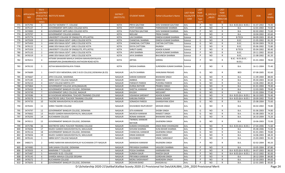| S.No. | <b>APPLICATIO</b><br>NID. | Merit<br><b>Io.(DISTRICT</b><br><b>CHOOL TYPE</b> | <b>/FACULTY/S INSTITUTE NAME</b>                                                             | <b>DISTRICT</b><br>(INSTITUTE) | <b>STUDENT NAME</b>             | Father's/Guardian's Name | <b>LAST YEAR</b><br><b>Faculty/STR</b><br>EAM | <b>LAST</b><br><b>YEAR</b><br>School<br><b>Type</b> | <b>IS_SPECILLY</b><br>ABLED | LAST<br><b>YEAR</b><br><b>SCHOOL</b><br>(RBSE/CBS | <b>COURSE</b>                 | <b>DOB</b> | LAST<br>YEAR% |
|-------|---------------------------|---------------------------------------------------|----------------------------------------------------------------------------------------------|--------------------------------|---------------------------------|--------------------------|-----------------------------------------------|-----------------------------------------------------|-----------------------------|---------------------------------------------------|-------------------------------|------------|---------------|
|       |                           | WISE)                                             |                                                                                              |                                |                                 |                          |                                               | (G/P)                                               |                             | E)                                                |                               |            |               |
| 771   | 3475792                   | 6                                                 | KAUTILY WOMEN T.T. COLLEGE                                                                   | KOTA                           | PRIYA GAUTAM                    | SHIV SHANKAR GAUTAM      | Arts                                          | P                                                   | NO.                         | R                                                 | B.A- B.ED.(B.A- B.ED.)        | 31-07-2002 | 74.40         |
| 772   | 3475137                   | $\overline{7}$                                    | GOVERNMENT ARTS GIRLS COLLEGE KOTA                                                           | <b>KOTA</b>                    | <b>JYOTI SHARMA</b>             | PARMANAND SHARMA         | Arts                                          | P                                                   | <b>NO</b>                   | $\mathsf{R}$                                      | B.A.                          | 12-01-2002 | 72.00         |
| 773   | 3474983                   | 8                                                 | GOVERNMENT ARTS GIRLS COLLEGE KOTA                                                           | KOTA                           | PUSHTIKA GAUTAM                 | SHIV SHANKAR SHARMA      | Arts                                          | P                                                   | <b>NO</b>                   | R                                                 | B.A.                          | 02-02-2002 | 71.60         |
| 774   | 3479797                   | 9                                                 | <b>GOVERNMENT COLLEGE KANWAS</b>                                                             | <b>KOTA</b>                    | NEELAM                          | PREM CHAND               | Arts                                          | P                                                   | <b>NO</b>                   | R                                                 | <b>B.A.</b>                   | 10-04-2002 | 65.60         |
| 775   | 3475774                   | 1                                                 | UNIVERSITY COLLEGE OF ENGG(UTD, RTU, KOTA)                                                   | <b>KOTA</b>                    | LAVI SHARMA                     | DINESH KUMAR SHARMA      | Science                                       | G                                                   | <b>NO</b>                   | $\mathsf{R}$                                      | <b>B.TECH</b>                 | 04-09-2003 | 85.40         |
| 776   | 3475509                   | $\overline{2}$                                    | JANKI DEVI BAJAJ GOVT. GIRLS COLLEGE KOTA                                                    | <b>KOTA</b>                    | CHANCHAL SHARMA                 | DINESH KUMAR SHARMA      | Science                                       | G                                                   | <b>NO</b>                   | $\mathsf{R}$                                      | B.SC.                         | 21-05-2002 | 81.20         |
| 777   | 3475450                   | $\overline{3}$                                    | JANKI DEVI BAJAJ GOVT. GIRLS COLLEGE KOTA                                                    | <b>KOTA</b>                    | <b>CHANCHAL CHITTORA</b>        | <b>CHETAN CHITTORA</b>   | Science                                       | G                                                   | <b>NO</b>                   | $\mathsf{R}$                                      | B.SC.                         | 02-04-2003 | 79.20         |
| 778   | 3476122                   | $\overline{4}$                                    | JANKI DEVI BAJAJ GOVT. GIRLS COLLEGE KOTA                                                    | KOTA                           | <b>DIVYA CHITTORA</b>           | RAJNISH                  | Science                                       | G                                                   | <b>NO</b>                   | R                                                 | B.SC.                         | 05-06-2002 | 72.80         |
| 779   | 3475359                   | 1                                                 | UNIVERSITY COLLEGE OF ENGG(UTD, RTU, KOTA)                                                   | <b>KOTA</b>                    | SHRUTI GARG                     | ASHOK KUMAR              | Science                                       | P                                                   | <b>NO</b>                   | R                                                 | <b>B.TECH</b>                 | 05-04-2002 | 90.40         |
| 780   | 3475132                   | 2                                                 | JANKI DEVI BAJAJ GOVT. GIRLS COLLEGE KOTA                                                    | <b>KOTA</b>                    | URVI SHARMA                     | ASHOK KUMAR SHARMA       | Science                                       | P                                                   | <b>NO</b>                   | $\mathsf{R}$                                      | B.SC.                         | 20-11-2002 | 83.60         |
| 781   | 3476519                   | 3                                                 | JANKI DEVI BAJAJ GOVT. GIRLS COLLEGE KOTA                                                    | <b>KOTA</b>                    | JAYA SHARMA                     | BHUVNESH SHARMA          | Science                                       | P                                                   | <b>NO</b>                   | $\mathsf{R}$                                      | B.SC.                         | 21-08-2002 | 81.20         |
| 782   | 3476311                   | $\overline{a}$                                    | HITKARI SAHAKARI MAHILA SHIKSHA MAHAVIDHYALAYA<br>AARAMPURA (DHAKARKHEDI) KAITHOON ROAD KOTA | KOTA                           | <b>ARTIKA</b>                   | <b>GIRIRAJ</b>           | Science                                       | P                                                   | <b>NO</b>                   | $\mathsf{R}$                                      | B.SC.- B.ED.(B.SC.-<br>B.ED.) | 01-01-2004 | 78.60         |
| 783   | 3476132                   | 5                                                 | ASTHA MAHAVIDHYALAYA ITAWA                                                                   | KOTA                           | <b>DIKSHA SHARMA</b>            | SURENDRA KUMAR SHARMA    | Science                                       | P                                                   | NO.                         | $\mathsf{R}$                                      | <b>B.A.</b>                   | 16-11-2004 | 75.40         |
| 784   | 3476689                   | 1                                                 | CHHOTI DEVI MEMORIAL GIRL'S B.ED COLLEGE, DIDWANA (B.ED)                                     | <b>NAGAUR</b>                  | LALITA SHARMA                   | <b>HANUMAN PRASAD</b>    | Arts                                          | G                                                   | NO.                         | R                                                 | <b>BED</b>                    | 07-08-2005 | 92.60         |
| 785   | 3476667                   | 2                                                 | APEX COLLEGE, MAKRANA                                                                        | <b>NAGAUR</b>                  | <b>KARANI KANWAR</b>            | <b>BHAWANI SINGH</b>     | Arts                                          | G                                                   | <b>NO</b>                   | R                                                 | <b>B.A.</b>                   | 11-09-2004 | 88.00         |
| 786   | 3475185                   | 3                                                 | SBRM GOVT COLLEGE NAGAUR                                                                     | <b>NAGAUR</b>                  | AMBIKA                          | NARAYAN                  | Arts                                          | G                                                   | <b>NO</b>                   | R                                                 | <b>B.A.</b>                   | 05-04-2003 | 82.60         |
| 787   | 3476210                   | 4                                                 | <b>GOVT COLLEGE MERTA CITY</b>                                                               | <b>NAGAUR</b>                  | PARWATI PAREEK                  | PUKHRAJ PAREEK           | Arts                                          | G                                                   | <b>NO</b>                   | $\mathsf{R}$                                      | <b>B.A.</b>                   | 14-06-2002 | 80.20         |
| 788   | 3475864                   | 5                                                 | GOVERNMENT COLLEGE JAYAL(NAGAUR)                                                             | NAGAUR                         | DURGA RATHOR                    | PRABHU SINGH             | Arts                                          | G                                                   | <b>NO</b>                   | $\mathsf{R}$                                      | <b>B.A.</b>                   | 01-01-2004 | 79.40         |
| 789   | 3476430                   | 6                                                 | GOVERNMENT BANGUR COLLEGE, DIDWANA                                                           | <b>NAGAUR</b>                  | SHEETAL KANWAR                  | LAXMAN SINGH             | Arts                                          | G                                                   | <b>NO</b>                   | R                                                 | B.A.                          | 12-03-2005 | 79.40         |
| 790   | 3474749                   | $\overline{7}$                                    | GOVERNMENT GIRLS COLLEGE, NAGAUR                                                             | <b>NAGAUR</b>                  | <b>KHUSHI</b>                   | NEELKANT                 | Arts                                          | G                                                   | <b>NO</b>                   | R                                                 | <b>B.A.</b>                   | 21-01-2004 | 77.40         |
| 791   | 3474586                   | 8                                                 | B R KHOKHAR MEMORIAL TEACHER TRAINING COLLEGE                                                | <b>NAGAUR</b>                  | <b>VISHAKHA SARSWAT</b>         | <b>ASHOK KUMAR</b>       | Arts                                          | G                                                   | <b>NO</b>                   | $\mathsf{R}$                                      | B.A- B.ED.(B.A- B.ED.         | 06-10-2005 | 76.40         |
| 792   | 3476576                   | 9                                                 | MAITREYEE GIRLS TEACHER TRAINING COLLEGE                                                     | <b>NAGAUR</b>                  | <b>KARUNA PAREEK</b>            | <b>KAMAL KISHOR</b>      | Arts                                          | G                                                   | <b>NO</b>                   | $\mathsf{R}$                                      | B.A- B.ED.(B.A- B.ED.)        | 20-09-2002 | 75.60         |
| 793   | 3474735                   | 10                                                | TAGORE MAHAVIDHYALYA MOLASAR                                                                 | NAGAUR                         | SONAKSHI PAREEK                 | GHANSHYAM JOSHI          | Arts                                          | G                                                   | <b>NO</b>                   | R                                                 | <b>B.A.</b>                   | 25-08-2004 | 75.60         |
| 794   | 3476341                   | 11                                                | SHREE TAGORE COLLEGE                                                                         | <b>NAGAUR</b>                  | KHUSHBOO RAJPUROHIT             | <b>MOHAN SINGH</b>       | Arts                                          | G                                                   | <b>NO</b>                   | R                                                 | B.A.                          | 04-02-2002 | 74.80         |
| 795   | 3474797                   | 12                                                | GOVERNMENT BANGUR COLLEGE, DIDWANA                                                           | <b>NAGAUR</b>                  | SITA KANWAR                     | SHOBH SINGH              | Arts                                          | G                                                   | <b>NO</b>                   | R                                                 | <b>B.A.</b>                   | 01-06-2003 | 74.80         |
| 796   | 3476662                   | 13                                                | RAJEEV GANDHI MAHAVIDHYALYA, MAULASAR                                                        | <b>NAGAUR</b>                  | MUKESH KANWAR                   | RANJEET SINGH            | Arts                                          | G                                                   | <b>NO</b>                   | R                                                 | B.A.                          | 01-08-2003 | 74.20         |
| 797   | 3476293                   | 14                                                | KUCHAMAN COLLEGE                                                                             | NAGAUR                         | RONAK KANWAR                    | <b>BHAWANI SINGH</b>     | Arts                                          | G                                                   | <b>NO</b>                   | R                                                 | <b>B.A.</b>                   | 26-10-2004 | 73.20         |
| 798   | 3476511                   | 15                                                | GOVERNMENT BANGUR COLLEGE, DIDWANA                                                           | NAGAUR                         | TWINKAL KANWAR<br><b>RATHOR</b> | <b>GAJENDRA SINGH</b>    | Arts                                          | G                                                   | NO.                         | R                                                 | B.A.                          | 10-06-2003 | 72.00         |
| 799   | 3475786                   | 16                                                | MAITREYEE GIRLS TEACHER TRAINING COLLEGE                                                     | <b>NAGAUR</b>                  | <b>SUMAN CHHANGANI</b>          | ANDA RAM CHHANGANI       | Arts                                          | G                                                   | <b>NO</b>                   | R                                                 | B.A- B.ED.(B.A- B.ED.)        | 27-04-2006 | 71.60         |
| 800   | 3476046                   | 17                                                | RAJEEV GANDHI MAHAVIDHYALYA, MAULASAR                                                        | <b>NAGAUR</b>                  | SHIVANI SHARMA                  | KUNJ BIHARI SHARMA       | Arts                                          | G                                                   | <b>NO</b>                   | $\mathsf{R}$                                      | B.A.                          | 05-08-2006 | 71.00         |
| 801   | 3476116                   | 18                                                | GOVERNMENT BANGUR COLLEGE, DIDWANA                                                           | <b>NAGAUR</b>                  | CHANCHAL KANWAR                 | GAJENDRA SINGH           | Arts                                          | G                                                   | <b>NO</b>                   | R                                                 | B.A.                          | 01-01-2001 | 70.80         |
| 802   | 3476656                   | 19                                                | RAJEEV GANDHI MAHAVIDHYALYA, MAULASAR                                                        | NAGAUR                         | <b>KIRAN KANWAR</b>             | <b>AMAR SINGH</b>        | Arts                                          | G                                                   | <b>NO</b>                   | $\mathsf{R}$                                      | B.A.                          | 14-06-2003 | 68.20         |
| 803   | 3476141                   | 1                                                 | SBRM GOVT COLLEGE NAGAUR                                                                     | <b>NAGAUR</b>                  | <b>KHUSHBOO</b>                 | VIMAL SARASWAT           | Arts                                          | P                                                   | <b>NO</b>                   | $\mathsf{R}$                                      | <b>B.A.</b>                   | 15-03-2003 | 91.20         |
| 804   | 3480271                   | $\overline{2}$                                    | SHREE NARAYAN MAHAVIDHYALAY KUCHAMAN CITY NAGAUR                                             | NAGAUR                         | <b>MANISHA KANWAR</b>           | RAJENDRA SINGH           | Arts                                          | P                                                   | <b>NO</b>                   | R                                                 | <b>B.A.</b>                   | 02-02-2004 | 90.20         |
| 805   | 3474985                   | 3                                                 | SHRI SAWAI COLLEGE, DIDWANA                                                                  | <b>NAGAUR</b>                  | PRIYANSHI SHARMA                | <b>VASUDEV SHARMA</b>    | Arts                                          | P                                                   | <b>NO</b>                   | R                                                 | <b>B.A.</b>                   | 10-05-2004 | 87.80         |
| 806   | 3476503                   | $\overline{4}$                                    | <b>MAKRANA T T COLLEGE</b>                                                                   | NAGAUR                         | POOJA SHARMA                    | HARINARAYAN              | Arts                                          | P                                                   | <b>NO</b>                   | $\mathsf{R}$                                      | B.A- B.ED.(B.A- B.ED.)        | 04-07-2003 | 86.60         |
| 807   | 3475487                   | -5                                                | MAHADEV B.ED. COLLEGE                                                                        | <b>NAGAUR</b>                  | <b>SUNIDHI GAUR</b>             | <b>RAKESH GAUR</b>       | Arts                                          | P                                                   | <b>NO</b>                   | $\mathsf{R}$                                      | B.A- B.ED.(B.A- B.ED.)        | 10-12-2002 | 85.00         |
| 808   | 3476145                   | 6                                                 | SHARDA MAHILA COLLEGE DEGANA                                                                 | <b>NAGAUR</b>                  | PRIYANKA KANWAR                 | <b>GORDHAN SINGH</b>     | Arts                                          | P                                                   | <b>NO</b>                   | R                                                 | <b>B.A.</b>                   | 28-12-2004 | 84.80         |
| 809   | 3476572                   | $\overline{7}$                                    | <b>KUCHAMAN COLLEGE</b>                                                                      | <b>NAGAUR</b>                  | MONU SHEKHAWAT                  | NARENDRA SINGH           | Arts                                          | P                                                   | <b>NO</b>                   | R                                                 | B.A.                          | 22-10-2003 | 84.60         |
| 810   | 3476693                   | 8                                                 | GOVERNMENT BANGUR COLLEGE, DIDWANA                                                           | NAGAUR                         | <b>ROSHAN BANO</b>              | AHASAN ALI               | Arts                                          | P                                                   | <b>NO</b>                   | $\mathsf{R}$                                      | <b>B.A.</b>                   | 22-01-2005 | 83.60         |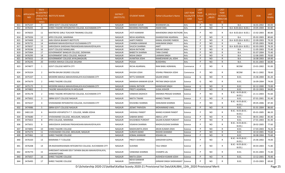| S.No. | <b>APPLICATIO</b><br><b>NID</b> | Merit<br>lo.(DISTRICT<br><b>HOOL TYPE</b><br>WISE) | <b>/FACULTY/S INSTITUTE NAME</b>                                   | <b>DISTRICT</b><br>(INSTITUTE) | <b>STUDENT NAME</b>      | Father's/Guardian's Name              | <b>LAST YEAR</b><br>Faculty/STR<br><b>EAM</b> | <b>LAST</b><br><b>YEAR</b><br>School<br><b>Type</b><br>(G/P) | S_SPECILLY<br><b>ABLED</b> | LAST<br><b>YEAR</b><br>SCHOOL<br><b>RBSE/CBS</b><br>E) | <b>COURSE</b>                        | <b>DOB</b> | <b>LAST</b><br>YEAR% |
|-------|---------------------------------|----------------------------------------------------|--------------------------------------------------------------------|--------------------------------|--------------------------|---------------------------------------|-----------------------------------------------|--------------------------------------------------------------|----------------------------|--------------------------------------------------------|--------------------------------------|------------|----------------------|
| 811   | 3475237                         | -9                                                 | SBRM GOVT COLLEGE NAGAUR                                           | NAGAUR                         | <b>MANSHI GOUR</b>       | <b>BHANWAR LAL</b>                    | Arts                                          | P                                                            | NO.                        | $\mathsf{R}$                                           | <b>B.A.</b>                          | 16-01-2002 | 83.00                |
| 812   | 3476435                         | 10                                                 | SHREE TAGORE INTEGRATED COLLEGE, KUCHAMAN CITY                     | <b>NAGAUR</b>                  | NIHARIKA RATHORE         | AMAR SING                             | Arts                                          | P                                                            | <b>NO</b>                  | $\mathsf{R}$                                           | B.A- B.ED.(B.A- B.ED.)               | 19-05-2004 | 82.80                |
| 813   | 3476025                         | 11                                                 | MAITREYEE GIRLS TEACHER TRAINING COLLEGE                           | NAGAUR                         | JYOTI KANWAR             | MAHENDRA SINGH RATHORE Arts           |                                               | P                                                            | NO.                        | R                                                      | B.A- B.ED.(B.A- B.ED.)               | 15-02-2003 | 80.80                |
| 814   | 3475026                         | 12                                                 | APEX COLLEGE, MAKRANA                                              | <b>NAGAUR</b>                  | <b>NEHA AGARWAL</b>      | <b>GHANSHYAM AGARWAL</b>              | Arts                                          | P                                                            | <b>NO</b>                  | $\mathsf{R}$                                           | B.A.                                 | 05-02-2003 | 80.60                |
| 815   | 3474400                         | 13                                                 | JAIN VISHVA BHARATI INSTITUTE                                      | NAGAUR                         | AARTI PAREEK             | KAMAL KISHORE PAREEK                  | Arts                                          | P                                                            | <b>NO</b>                  | $\mathsf{R}$                                           | B.A- B.ED.(B.A- B.ED.)               | 22-09-2003 | 79.20                |
| 816   | 3476731                         | 14                                                 | MARWAR MAHAVIDHYALAY KUCHAMAN CITY                                 | <b>NAGAUR</b>                  | CHANDA KANWAR            | <b>HANUMAN SINGH</b>                  | Arts                                          | P                                                            | <b>NO</b>                  | $\mathsf{R}$                                           | B.A.                                 | 07-05-2003 | 78.80                |
| 817   | 3476037                         | 15                                                 | SARVODAYA SHIKSHAK PRASHIKSHAN MAHAVIDYALAYA                       | <b>NAGAUR</b>                  | <b>SHUCHI SHARMA</b>     | AMIT                                  | Arts                                          | P                                                            | <b>NO</b>                  | $\mathsf{R}$                                           | B.A- B.ED.(B.A- B.ED.)               | 02-03-2003 | 76.20                |
| 818   | 3476596                         | 16                                                 | <b>GOVT COLLEGE MANGLANA</b>                                       | NAGAUR                         | <b>NISHA RATHORE</b>     | <b>GIRVAR SINGH</b>                   | Arts                                          | P                                                            | <b>NO</b>                  | $\mathsf{R}$                                           | <b>B.A.</b>                          | 11-05-2003 | 75.40                |
| 819   | 3475964                         | 17                                                 | GOVERNMENT BANGUR COLLEGE, DIDWANA                                 | <b>NAGAUR</b>                  | <b>BABEETA SHARMA</b>    | <b>TARA CHAND</b>                     | Arts                                          | P                                                            | <b>NO</b>                  | $\mathsf{R}$                                           | <b>B.A.</b>                          | 01-07-2004 | 75.40                |
| 820   | 3476295                         | 18                                                 | GOVERNMENT GIRLS COLLEGE, NAGAUR                                   | <b>NAGAUR</b>                  | NISHA SINGH              | LAXMAN SINGH                          | Arts                                          | P                                                            | <b>NO</b>                  | $\mathsf{R}$                                           | B.A.                                 | 12-06-2005 | 70.60                |
| 821   | 3475022                         | 19                                                 | GOVERNMENT COLLEGE JAYAL(NAGAUR)                                   | <b>NAGAUR</b>                  | AVANTIKA JOSHI           | RAMESHWAR LAL JOSHI                   | Arts                                          | P                                                            | <b>NO</b>                  | R                                                      | B.A.                                 | 16-08-2003 | 69.40                |
| 822   | 3476245                         | 20                                                 | SHARDA MAHILA COLLEGE DEGANA                                       | NAGAUR                         | POOJA                    | <b>BUDDHRAJ</b>                       | Arts                                          | P                                                            | <b>NO</b>                  | $\mathsf{R}$                                           | B.A.                                 | 01-01-2003 | 66.80                |
| 823   | 3474877                         | 1                                                  | <b>GOVT COLLEGE MERTA CITY</b>                                     | <b>NAGAUR</b>                  | RICHA AGARWAL            | RAM BABU AGRAWAL                      | Commerce                                      | P                                                            | NO                         | $\mathsf{R}$                                           | <b>BCOM</b>                          | 23-01-2002 | 91.00                |
| 824   | 3476324                         | $\overline{2}$                                     | MATRA BHUMI DEGREE COLLEGE                                         | NAGAUR                         | KHUSHI JOSHI             | VISHNU PRAKASH JOSHI                  | Commerce                                      | P                                                            | NO.                        | $\mathsf{R}$                                           | <b>BCOM</b>                          | 06-11-2002 | 78.60                |
| 825   | 3475337                         | 1                                                  | MODERN MAHILA MAHAVIDHALAYA KUCHAMAN CITY                          | NAGAUR                         | <b>NITTU KANWAR</b>      | <b>SAJJAN SINGH</b>                   | Science                                       | G                                                            | <b>NO</b>                  | $\mathsf{R}$                                           | B.SC.                                | 15-06-2004 | 81.20                |
| 826   | 3475670                         | $\overline{2}$                                     | SHREE TAGORE COLLEGE                                               | NAGAUR                         | MANSHA KANWAR GOUR       | PRITAM SINGH GOUR                     | Science                                       | G                                                            | NO.                        | R                                                      | B.SC.                                | 16-09-2004 | 74.00                |
| 827   | 3475175                         | 3                                                  | MODERN MAHILA MAHAVIDHALAYA KUCHAMAN CITY                          | NAGAUR                         | <b>KAMAL RATHOR</b>      | <b>MANOHAR SINGH</b>                  | Science                                       | G                                                            | <b>NO</b>                  | $\mathsf{R}$                                           | B.SC.                                | 02-12-2000 | 73.00                |
| 828   | 3474802                         | 1                                                  | TAGORE MAHAVIDHYALYA MOLASAR                                       | <b>NAGAUR</b>                  | PREETI AGARWAL           | <b>JUGAL KISHOR</b>                   | Science                                       | P                                                            | <b>NO</b>                  | $\mathsf{R}$                                           | B.SC.                                | 05-10-2003 | 94.80                |
| 829   | 3476178                         | $\overline{2}$                                     | SHREE TAGORE INTEGRATED COLLEGE, KUCHAMAN CITY                     | <b>NAGAUR</b>                  | VANISHA DADHICH          | DWARKA PRASAD SHARMA                  | Science                                       | P                                                            | NO.                        | $\mathsf{R}$                                           | B.SC.- B.ED.(B.SC.-<br><b>B.ED.)</b> | 21-11-2003 | 91.60                |
| 830   | 3475832                         | 3                                                  | SBRM GOVT COLLEGE NAGAUR                                           | NAGAUR                         | NIKITA TIWARI            | <b>MANOJ TIWARI</b>                   | Science                                       | P                                                            | <b>NO</b>                  | $\mathsf{R}$                                           | B.SC.                                | 07-01-2001 | 91.40                |
| 831   | 3474227                         | $\overline{4}$                                     | VIVEKANAND INTEGRATED COLLEGE, KUCHAMAN CITY                       | NAGAUR                         | KHUSHBU SHARMA           | HANUMAN SHARMA                        | Science                                       | P                                                            | NO.                        | $\mathsf{R}$                                           | B.SC.- B.ED.(B.SC.-<br>B.ED.)        | 09-05-2006 | 87.40                |
| 832   | 3474986                         | 5                                                  | SBRM GOVT COLLEGE NAGAUR                                           | <b>NAGAUR</b>                  | JEENAT PARVEEN           | MOHAMMAD VAKIL                        | Science                                       | P                                                            | <b>NO</b>                  | $\mathsf{R}$                                           | B.SC.                                | 01-01-2004 | 86.60                |
| 833   | 3481120                         | 6                                                  | NAVEEN VIDYAPEETH T.T. COLLEGE, NIMBI JODHA                        | <b>NAGAUR</b>                  | <b>VAISHALI PANDIT</b>   | <b>MANOJ KUMAR PANDIT</b>             | Science                                       | P                                                            | <b>NO</b>                  | $\mathsf{R}$                                           | B.SC.- B.ED.(B.SC.-<br><b>B.ED.)</b> | 05-01-2005 | 86.20                |
| 834   | 3476680                         | 7                                                  | VIVEKANAND COLLEGE, MOLASAR, NAGAUR                                | NAGAUR                         | SABANA BANO              | ABDUL LATIF                           | Science                                       | P                                                            | NO                         | R                                                      | B.SC.                                | 08-01-2002 | 85.40                |
| 835   | 3475823                         | 8                                                  | APEX COLLEGE, MAKRANA                                              | NAGAUR                         | KHUSHBOO PUROHIT         | SAJJAN KUMAR PUROHIT                  | Science                                       | P                                                            | <b>NO</b>                  | $\mathsf{R}$                                           | B.SC.                                | 27-01-2003 | 81.40                |
| 836   | 3475651                         | 9                                                  | SARVODAYA SHIKSHAK PRASHIKSHAN MAHAVIDYALAYA                       | <b>NAGAUR</b>                  | <b>VISAKHA SHARMA</b>    | MADHUSUDAN SHARMA                     | Science                                       | P                                                            | <b>NO</b>                  | $\mathsf{R}$                                           | B.SC.- B.ED.(B.SC.-<br><b>B.ED.)</b> | 28-02-2005 | 77.60                |
| 837   | 3474892                         | 10                                                 | SHREE TAGORE COLLEGE                                               | <b>NAGAUR</b>                  | MADHUMITA JOSHI          | ARUN KUMAR JOSHI                      | Science                                       | P                                                            | <b>NO</b>                  | R                                                      | B.SC.                                | 17-03-2003 | 76.20                |
| 838   | 3475274                         | 11                                                 | VIVEKANAND COLLEGE, MOLASAR, NAGAUR                                | <b>NAGAUR</b>                  | <b>SURAIYA BANO</b>      | RASHID AHAMAD                         | Science                                       | P                                                            | NO.                        | $\mathsf{R}$                                           | B.SC.                                | 10-10-2001 | 75.60                |
| 839   | 3475961                         | 12                                                 | SHREE TAGORE COLLEGE                                               | NAGAUR                         | KOMAL KANWAR             | KISHAN LAL                            | Science                                       | P                                                            | NO.                        | R                                                      | B.SC.                                | 30-08-2004 | 75.60                |
| 840   | 3476320                         | 13                                                 | <b>MAKRANA T T COLLEGE</b>                                         | NAGAUR                         | PREETI SHARMA            | <b>GIRADHAR GOPAL</b>                 | Science                                       | P                                                            | <b>NO</b>                  | $\mathsf{R}$                                           | B.SC.- B.ED.(B.SC.-<br>B.ED.)        | 25-06-2002 | 74.00                |
| 841   | 3476208                         | 14                                                 | DR.RADHAKRISHANAN INTEGRATED COLLEGE, KUCHAMAN CITY                | NAGAUR                         | SUSHMA                   | TAJU SINGH                            | Science                                       | P                                                            | NO                         | $\mathsf{R}$                                           | B.SC.- B.ED.(B.SC.-<br><b>B.ED.)</b> | 04-03-2003 | 71.80                |
| 842   | 3476770                         | 15                                                 | SHREEMATI MOHARI DEVI TAPARIA BALIKA MAHAVIDYALAYA,<br>JASWANTGARH | NAGAUR                         | VANDANA SHARMA           | <b>CHAMPA LAL</b>                     | Science                                       | P                                                            | <b>NO</b>                  | $\mathsf{R}$                                           | B.SC.                                | 01-01-2003 | 71.40                |
| 843   | 3475057                         | 16                                                 | SHREE TAGORE COLLEGE                                               | <b>NAGAUR</b>                  | NIKITA JOSHI             | AVDHESH KUMAR JOSHI                   | Science                                       | P                                                            | <b>NO</b>                  | R                                                      | B.SC.                                | 13-12-2001 | 70.40                |
| 844   | 3476495                         | 17                                                 | SHREE TAGORE COLLEGE                                               | NAGAUR                         | NEHA KANWAR<br>SHEKHAWAT | <b>GIRWAR SINGH SHEKHAWAT Science</b> |                                               | P                                                            | <b>NO</b>                  | $\mathsf{R}$                                           | B.SC.                                | 15-03-2003 | 69.60                |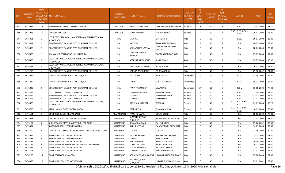| S.No. | <b>APPLICATIO</b><br><b>NID</b> | Merit<br>lo.(DISTRICT<br><b>CHOOL TYPE</b><br>WISE) | <b>/FACULTY/S INSTITUTE NAME</b>                               | <b>DISTRICT</b><br>(INSTITUTE) | <b>STUDENT NAME</b>                      | Father's/Guardian's Name           | <b>LAST YEAR</b><br>Faculty/STR<br><b>EAM</b> | <b>LAST</b><br><b>YEAR</b><br>School<br><b>Type</b><br>(G/P) | S_SPECILLY<br>ABLED | LAST<br><b>YEAR</b><br>SCHOOL<br><b>RBSE/CBS</b><br>E) | <b>COURSE</b>                        | DOB        | <b>LAST</b><br>YEAR% |
|-------|---------------------------------|-----------------------------------------------------|----------------------------------------------------------------|--------------------------------|------------------------------------------|------------------------------------|-----------------------------------------------|--------------------------------------------------------------|---------------------|--------------------------------------------------------|--------------------------------------|------------|----------------------|
| 845   | 3475622                         | 18                                                  | GOVERNMENT GIRLS COLLEGE, NAGAUR                               | NAGAUR                         | PRAKRITI PARASHAR                        | DINESH KUMAR PARASHAR              | Science                                       | P                                                            | NO.                 | $\mathsf{R}$                                           | B.SC.                                | 23-05-2003 | 67.20                |
| 846   | 3474948                         | 19                                                  | <b>SANDESH COLLEGE</b>                                         | NAGAUR                         | <b>DIVYA KANWAR</b>                      | PRABHU SINGH                       | Science                                       | P                                                            | NO                  | $\mathsf{R}$                                           | B.SC.- B.ED.(B.SC.-<br>B.ED.)        | 10-01-2004 | 66.20                |
| 847   | 3475051                         | 1                                                   | LEELA DEVI PARASMAL SANCHETI KANYA MAHAVIDYALAYA,<br>VIDYAWADI | PALI                           | <b>MONIKA</b>                            | <b>CHEL SINGH</b>                  | Arts                                          | G                                                            | NO.                 | $\mathsf{R}$                                           | B.SC.                                | 06-07-2003 | 82.80                |
| 848   | 3475882                         | $\overline{2}$                                      | GOVERNEMENT BANGUR POST GRADUATE COLLEGE                       | PALI                           | SANTOSH                                  | RAMCHANDRA SINGH                   | Arts                                          | G                                                            | <b>NO</b>           | $\mathsf{R}$                                           | B.A.                                 | 30-05-2003 | 78.80                |
| 849   | 3476009                         | $\overline{3}$                                      | <b>GOVERNEMENT BANGUR POST GRADUATE COLLEGE</b>                | PALI                           | NAINA SHREE VASTAV                       | <b>UMA SHANKAR SHREE</b><br>VASTAV | Arts                                          | G                                                            | NO.                 | $\mathsf{R}$                                           | B.A.                                 | 08-04-2004 | 72.80                |
| 850   | 3476603                         | 1                                                   | AISHWARYA COLLEGE OF EDUCATION PALI                            | PALI                           | KHUSHI KANWAR<br><b>RATHORE</b>          | GOPAL SINGH RATHORE                | Arts                                          | P                                                            | NO.                 | $\mathsf{R}$                                           | B.A.                                 | 07-09-2004 | 87.60                |
| 851   | 3476550                         | $\overline{2}$                                      | LEELA DEVI PARASMAL SANCHETI KANYA MAHAVIDYALAYA,<br>VIDYAWADI | PALI                           | APEKSHA RAJPUROHIT                       | <b>KIRAN SINGH</b>                 | Arts                                          | P                                                            | NO.                 | $\mathsf{R}$                                           | B.A.                                 | 05-05-2003 | 80.00                |
| 852   | 3476413                         | $\overline{3}$                                      | LEELA DEVI PARASMAL SANCHETI KANYA MAHAVIDYALAYA,<br>VIDYAWADI | PALI                           | <b>SHAKSHI RAJPUROHIT</b>                | <b>BUDH SINGH</b>                  | Arts                                          | P                                                            | NO.                 | R                                                      | B.A.                                 | 16-07-2003 | 77.60                |
| 853   | 3475293                         | $\overline{4}$                                      | GOVERNEMENT BANGUR POST GRADUATE COLLEGE                       | PALI                           | <b>VARSHA RAJPUROHIT</b>                 | POONAM SINGH                       | Arts                                          | P                                                            | <b>NO</b>           | $\mathsf{R}$                                           | B.A.                                 | 25-10-2002 | 71.80                |
| 854   | 3474987                         | 1                                                   | SGPB GOVERNMENT GIRLS COLLEGE, PALI                            | PALI                           | NIKITA JAIN                              | MUL CHAND                          | Commerce                                      | G                                                            | NO.                 | $\mathsf{R}$                                           | <b>BCOM</b>                          | 03-09-2003 | 72.20                |
| 855   | 3475212                         | 1                                                   | SGPB GOVERNMENT GIRLS COLLEGE, PALI                            | PALI                           | LAXMI                                    | <b>SURESH KUMAR</b>                | Commerce                                      | P                                                            | <b>NO</b>           | $\mathsf{R}$                                           | <b>BCOM</b>                          | 05-11-2002 | 67.80                |
| 856   | 3476032                         | 1                                                   | <b>GOVERNEMENT BANGUR POST GRADUATE COLLEGE</b>                | PALI                           | TANVI RAJPUROHIT                         | <b>VIJAY SINGH</b>                 | Commerce                                      | G/P                                                          | NO.                 | C                                                      | <b>BCOM</b>                          | 16-08-2004 | 77.40                |
| 857   | 3475356                         | 1                                                   | C L G DEGREE COLLEGE, SUMERPUR                                 | PALI                           | KARISHMA KANWAR                          | <b>HIMMAT SINGH</b>                | Science                                       | G                                                            | NO.                 | $\mathsf{R}$                                           | B.SC.                                | 21-05-2005 | 73.20                |
| 858   | 3476454                         | $\overline{2}$                                      | GOVERNEMENT BANGUR POST GRADUATE COLLEGE                       | PALI                           | <b>DIKSHITA</b>                          | <b>KAMLESH KUMAR</b>               | Science                                       | G                                                            | <b>NO</b>           | $\mathsf{R}$                                           | B.SC.                                | 01-01-2003 | 72.20                |
| 859   | 3476694                         | $\overline{\mathbf{3}}$                             | <b>GOVERNMENT COLLEGE SUMERPUR</b>                             | PALI                           | <b>MANISHA</b>                           | <b>KALU SINGH</b>                  | Science                                       | G                                                            | NO                  | $\mathsf{R}$                                           | B.SC.                                | 01-01-2002 | 65.20                |
| 860   | 3474666                         | 1                                                   | LEELA DEVI PARASMAL SANCHETI KANYA MAHAVIDYALAYA,<br>VIDYAWADI | PALI                           | <b>KANCHAN RATHORE</b>                   | TEJ SINGH                          | Science                                       | P                                                            | NO                  | $\mathsf{R}$                                           | B.SC.- B.ED.(B.SC.-<br>B.ED.)        | 01-01-2003 | 86.20                |
| 861   | 3476736                         | $\overline{2}$                                      | KANKU VIJAY COLLEGE OF EDUCATION                               | PALI                           | <b>DEEPSHIKHA</b>                        | <b>BHANWAR SINGH</b>               | Science                                       | P                                                            | NO.                 | $\mathsf{R}$                                           | B.SC.- B.ED.(B.SC.-<br><b>B.ED.)</b> | 10-01-2003 | 73.40                |
| 862   | 3476151                         | 1                                                   | GOVT. PG COLLEGE PRATAPGARH                                    | PRATAPGARH                     | <b>TAMU KUNWAR</b>                       | <b>GULAB SINGH</b>                 | Arts                                          | G                                                            | <b>NO</b>           | R                                                      | <b>B.A.</b>                          | 08-06-2002 | 70.80                |
| 863   | 3475958                         | 1                                                   | THE ANKUR B.ED.COLLEGE NATHDWARA                               | RAJSAMAND                      | SUMAN KUNWAR<br>CHOUHAN                  | <b>NAHAR SINGH CHOUHAN</b>         | Arts                                          | G                                                            | NO.                 | $\mathsf{R}$                                           | <b>BED</b>                           | 07-07-2004 | 83.20                |
| 864   | 3475104                         | 2                                                   | SHRI HERA LAL DEVPURA GOVT COLLEGE AMET                        | RAJSAMAND                      | KISMAT KANWAR                            | <b>DALPAT SINGH</b>                | Arts                                          | G                                                            | <b>NO</b>           | $\mathsf{R}$                                           | B.A.                                 | 09-06-2002 | 82.60                |
| 865   | 3475534                         | $\overline{\mathbf{3}}$                             | SMBGOVTPGCOLLEGENATHDWARA                                      | RAJSAMAND                      | <b>BINU KUNWAR</b>                       | <b>GANPAT NATH CHOUHAN</b>         | Arts                                          | G                                                            | NO.                 | $\mathsf{R}$                                           | B.A.                                 | 14-03-2003 | 82.00                |
| 866   | 3475790                         | 4                                                   | SETH RANGLAL KOTHARI GOVERNMENT COLLEGE RAJSAMAND              | RAJSAMAND                      | <b>SUNIDHI</b>                           | LOKESH                             | Arts                                          | G                                                            | NO.                 | R                                                      | B.A.                                 | 23-05-2003 | 80.40                |
| 867   | 3475515                         |                                                     | GOVT. GIRLS COLLEGE NATHDWARA                                  | RAJSAMAND                      | <b>MONIKA PANERI</b>                     | SHANKAR LAL PANERI                 | Arts                                          | G                                                            | NO                  | R                                                      | <b>B.A.</b>                          | 27-11-2002 | 78.80                |
| 868   | 3475883                         | 6                                                   | SMBGOVTPGCOLLEGENATHDWARA                                      | RAJSAMAND                      | KARINA                                   | RAM KISHAN                         | Arts                                          | G                                                            | <b>NO</b>           | R                                                      | B.A.                                 | 01-01-2001 | 78.40                |
| 869   | 3475739                         | $\overline{7}$                                      | GOVT. GIRLS COLLEGE NATHDWARA                                  | RAJSAMAND                      | <b>RINU KANWAR</b>                       | <b>MAHENDRA SINH</b>               | Arts                                          | G                                                            | NO.                 | $\mathsf{R}$                                           | B.A.                                 | 09-09-2002 | 77.40                |
| 870   | 3475177                         | 8                                                   | SAINT MEERA SHIKSHAK PRASHIKSHAN MAHAVIDHLYA                   | RAJSAMAND                      | <b>KOMAL PALIWAL</b>                     | MUKESH PALIWAL                     | Arts                                          | G                                                            | <b>NO</b>           | $\mathsf{R}$                                           | <b>BED</b>                           | 20-12-2002 | 77.40                |
| 871   | 3474686                         | 9                                                   | GOVT. GIRLS COLLEGE NATHDWARA                                  | RAJSAMAND                      | SUNITA KUNWAR                            | <b>BHAGWAT SINGH</b>               | Arts                                          | G                                                            | NO                  | $\mathsf{R}$                                           | B.A.                                 | 27-02-2003 | 77.40                |
| 872   | 3474598                         | 10                                                  | GOVT. GIRLS COLLEGE NATHDWARA                                  | RAJSAMAND                      | YUMAN KUNWAR                             | RAGUNATH SINGH                     | Arts                                          | G                                                            | NO                  | $\mathsf{R}$                                           | B.A.                                 | 07-02-2002 | 77.20                |
| 873   | 3474225                         | 11                                                  | <b>GOVT COLLEGE RAILMAGRA</b>                                  | RAJSAMAND                      | SONA KANWAR DULAWAT HIMMAT SINGH DULAWAT |                                    | Arts                                          | G                                                            | NO.                 | R                                                      | <b>B.A.</b>                          | 05-08-2003 | 77.00                |
| 874   | 3474958                         | 12                                                  | GOVT. GIRLS COLLEGE NATHDWARA                                  | RAJSAMAND                      | PRITAM KUNWAR<br><b>CHOUHAN</b>          | <b>ISHWAR SINGH CHOUHAN</b>        | Arts                                          | G                                                            | <b>NO</b>           | R                                                      | B.A.                                 | 23-01-2002 | 73.40                |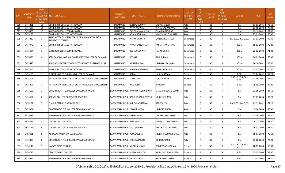| S.No. | <b>APPLICATIO</b><br><b>NID</b> | Merit<br><b>IO.(DISTRICT</b><br><b>CHOOL TYPE</b><br>WISE) | /FACULTY/S INSTITUTE NAME                                          | <b>DISTRICT</b><br>(INSTITUTE) | <b>STUDENT NAME</b>                | Father's/Guardian's Name   | <b>LAST YEAR</b><br>Faculty/STR<br>EAM | <b>LAST</b><br><b>YEAR</b><br>School<br><b>Type</b><br>(G/P) | S_SPECILLY<br>$\_$ ABLED | LAST<br><b>YEAR</b><br>SCHOOL<br><b>RBSE/CBS</b><br>E) | <b>COURSE</b>                        | DOB        | LAST<br>YEAR% |
|-------|---------------------------------|------------------------------------------------------------|--------------------------------------------------------------------|--------------------------------|------------------------------------|----------------------------|----------------------------------------|--------------------------------------------------------------|--------------------------|--------------------------------------------------------|--------------------------------------|------------|---------------|
| 875   | 3474801                         | 13                                                         | GOVT. GIRLS COLLEGE NATHDWARA                                      | RAJSAMAND                      | KUSHAL KUNWAR                      | VIKRAM SINGH               | Arts                                   | G                                                            | <b>NO</b>                | $\mathsf{R}$                                           | <b>B.A.</b>                          | 01-01-2001 | 72.60         |
| 876   | 3474688                         | 14                                                         | GOVT. GIRLS COLLEGE NATHDWARA                                      | RAJSAMAND                      | PRIYA PALIWAL                      | KHYALI LAL PALIWAL         | Arts                                   | G                                                            | <b>NO</b>                | $\mathsf{R}$                                           | B.A.                                 | 23-10-2003 | 70.00         |
| 877   | 3476629                         | 15                                                         | SMBGOVTPGCOLLEGENATHDWARA                                          | RAJSAMAND                      | TANISHA SANADHYA                   | <b>CHANDR SHEKHAR</b>      | Arts                                   | G                                                            | <b>NO</b>                | $\mathsf{R}$                                           | B.A.                                 | 02-12-2002 | 67.00         |
| 878   | 3475159                         | 1                                                          | GOVT. GIRLS COLLEGE NATHDWARA                                      | RAJSAMAND                      | SEJAL CHOUHAN                      | <b>VIJAY SINGH CHOUHAN</b> | Arts                                   | P                                                            | NO                       | R                                                      | <b>B.A.</b>                          | 27-01-2002 | 65.80         |
| 879   | 3474820                         | $\mathbf{1}$                                               | SAINT MEERA SHIKSHAK PRASHIKSHAN MAHAVIDHLAYA<br>INTIGRATED COURSE | RAJSAMAND                      | PRIYANKA JOSHI                     | LAKSHMIKANT JOSHI          | Commerce                               | G                                                            | NO                       | R                                                      | B.A- B.ED.(B.A- B.ED.)               | 01-01-2003 | 76.40         |
| 880   | 3474373                         | $\overline{2}$                                             | GOVT. GIRLS COLLEGE NATHDWARA                                      | RAJSAMAND                      | <b>PRAGTI SANCHIHAR</b>            | <b>PARESH SANCHIHAR</b>    | Commerce                               | G                                                            | NO.                      | $\mathsf{R}$                                           | <b>BCOM</b>                          | 09-03-2004 | 75.20         |
| 881   | 3475494                         | 3                                                          | SMBGOVTPGCOLLEGENATHDWARA                                          | RAJSAMAND                      | <b>KESHAR KUNWAR</b>               | <b>NAHAR SINGH</b>         | Commerce                               | G                                                            | NO.                      | $\mathsf{R}$                                           | <b>BCOM</b>                          | 23-12-2002 | 71.80         |
| 882   | 3476455                         | $\overline{4}$                                             | SETH RANGLAL KOTHARI GOVERNMENT COLLEGE RAJSAMAND                  | RAJSAMAND                      | <b>JIGYASA</b>                     | ANIL KUMAR                 | Commerce                               | G                                                            | NO.                      | $\mathsf{R}$                                           | <b>BCOM</b>                          | 04-01-2004 | 66.80         |
| 883   | 3475543                         | 1                                                          | SHRINATHJI INSTITUTE OF BIOTECHNOLOGY & MANAGEMENT                 | RAJSAMAND                      | <b>SWATI PALIWAL</b>               | LAXMI LAL PALIWAL          | Commerce                               | P                                                            | NO.                      | $\mathsf{R}$                                           | <b>BCOM</b>                          | 28-10-2001 | 89.80         |
| 884   | 3482406                         | $\overline{2}$                                             | GOVT. GIRLS COLLEGE NATHDWARA                                      | RAJSAMAND                      | <b>BHUMIKA PALIWAL</b>             | RAMESH PALIWAL             | Commerce                               | P                                                            | NO.                      | R                                                      | <b>BCOM</b>                          | 01-01-2001 | 70.80         |
| 885   | 3476165                         | 1                                                          | BHUPAL NOBLES P.G.GIRLS COLLEGE RAJSAMAND                          | RAJSAMAND                      | <b>KOMAL</b>                       | <b>HARI NARAYAN</b>        | Science                                | G                                                            | NO                       | $\mathsf{R}$                                           | B.SC.                                | 13-04-2002 | 67.20         |
| 886   | 3475703                         | $\overline{2}$                                             | NATHDWARA INSTITUTE OF BIOTECHNOLOGY & MANAGEMENT                  | RAJSAMAND                      | <b>DIVYA JOSHI</b>                 | LOKESH JOSHI               | Science                                | G                                                            | NO.                      | $\mathsf{R}$                                           | B.SC.- B.ED.(B.SC.-<br><b>B.ED.)</b> | 07-08-2001 | 66.60         |
| 887   | 3475204                         | 1                                                          | NATHDWARA INSTITUTE OF BIOTECHNOLOGY & MANAGEMENT                  | RAJSAMAND                      | <b>ANJU JOSHI</b>                  | <b>KHUBI LAL</b>           | Science                                | P                                                            | NO                       | $\mathsf{R}$                                           | B.SC.                                | 15-09-2003 | 72.20         |
| 888   | 3475102                         | 1                                                          | GOVERNMENT P.G. COLLEGE SAWAIMADHOPUR                              |                                | SAWAI MADHOPUR ANURADHA BHARDWAJ   | SHAMBHUDYAL SHARMA         | Arts                                   | G                                                            | NO.                      | $\mathsf{R}$                                           | B.A.                                 | 21-06-2003 | 84.60         |
| 889   | 3475464                         | $\overline{2}$                                             | SORABH COLLEGE OF TEACHER TRAINING                                 |                                | SAWAI MADHOPUR RADHIKA RAGHUVANSHI | <b>MUKESH KUMAR</b>        | Arts                                   | G                                                            | NO.                      | $\mathsf{R}$                                           | B.A.                                 | 01-01-2003 | 83.20         |
| 890   | 3474201                         | $\overline{3}$                                             | THAKUR MADAN SINGH COLLEGE                                         |                                | SAWAI MADHOPUR AMLEKHA SHARMA      | SANWALIYA                  | Arts                                   | G                                                            | NO                       | R                                                      | B.A- B.ED.(B.A- B.ED.)               | 21-11-2001 | 74.20         |
| 891   | 3475434                         | 1                                                          | GOVERNMENT P.G. COLLEGE SAWAIMADHOPUR                              | SAWAI MADHOPUR PRAGYA JADON    |                                    | <b>LAKHPAT SINGH</b>       | Arts                                   | P                                                            | NO.                      | R                                                      | B.A.                                 | 15-08-2004 | 90.40         |
| 892   | 3476017                         | $\overline{2}$                                             | GOVERNMENT P.G. COLLEGE SAWAIMADHOPUR                              | SAWAI MADHOPUR SAKSHI GUPTA    |                                    | OM PRAKASH GUPTA           | Arts                                   | P                                                            | NO                       | $\mathsf{R}$                                           | <b>B.A.</b>                          | 07-04-2003 | 85.80         |
| 893   | 3476517                         | $\overline{3}$                                             | TAGORE COLLEGE, BONLI                                              | SAWAI MADHOPUR ASTHA MANGAL    |                                    | KRISHAN KUMAR MANGAL       | Arts                                   | P                                                            | NO.                      | $\mathsf{R}$                                           | B.A.                                 | 19-12-2002 | 83.20         |
| 894   | 3475573                         | $\overline{4}$                                             | SORABH COLLEGE OF TEACHER TRAINING                                 | SAWAI MADHOPUR NIKITA MITTAL   |                                    | ASHOK KUMAR MITTAL         | Arts                                   | P                                                            | NO.                      | R                                                      | B.A.                                 | 05-02-2002 | 81.80         |
| 895   | 3483401                         | 5                                                          | AGRAWAL KANYA MAHAVIDHALAYA                                        | SAWAI MADHOPUR POOJA GUPTA     |                                    | MUKESH KUMAR GUPTA         | Arts                                   |                                                              | NO                       | R                                                      | B.A.                                 | 18-07-2002 | 76.60         |
| 896   | 3476003                         | 6                                                          | GOVERNMENT P.G. COLLEGE SAWAIMADHOPUR                              | SAWAI MADHOPUR HARSITA JAIMINI |                                    | <b>DINESH JAIMINI</b>      | Arts                                   | P                                                            | NO                       | R                                                      | <b>B.A.</b>                          | 03-06-2004 | 72.20         |
| 897   | 3476142                         | 1                                                          | JAMVAY GIRLS COLLEGE                                               | SAWAI MADHOPUR SAKSHI SHARMA   |                                    | RAMESWAR SHARMA            | Science                                | G                                                            | <b>NO</b>                | $\mathsf{R}$                                           | B.SC.- B.ED.(B.SC.-<br>B.ED.)        | 28-09-2003 | 65.00         |
| 898   | 3476746                         | 1                                                          | CREATIVE GIRLS COLLEGE                                             | SAWAI MADHOPUR MUSKAN GUPTA    |                                    | MUKESH KUMAR GUPTA         | Science                                | P                                                            | NO                       | $\mathsf{R}$                                           | B.SC.                                | 07-03-2005 | 89.00         |
| 899   | 3474995                         | $\overline{2}$                                             | GOVERNMENT P.G. COLLEGE SAWAIMADHOPUR                              | SAWAI MADHOPUR ISHITA GUPTA    |                                    | RAVIRAMAN GUPTA            | Science                                | P                                                            | NO                       | R                                                      | B.SC.                                | 12-05-2002 | 87.20         |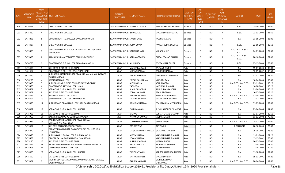| S.No. | <b>APPLICATIO</b><br><b>NID</b> | Merit<br>Io.(DISTRICT<br><b>CHOOL TYPE</b><br>WISE) | FACULTY/S INSTITUTE NAME                                           | <b>DISTRICT</b><br>(INSTITUTE) | STUDENT NAME          | ather's/Guardian's Name-           | <b>LAST YEAR</b><br><b>Faculty/STR</b><br>EAM | <b>LAST</b><br><b>YEAR</b><br>School<br><b>Type</b><br>(G/P) | <b>IS_SPECILLY</b><br>ABLED | LAST<br><b>YEAR</b><br><b>SCHOOL</b><br><b>RBSE/CBS</b><br>E) | <b>COURSE</b>                 | DOB        | LAST<br>YEAR% |
|-------|---------------------------------|-----------------------------------------------------|--------------------------------------------------------------------|--------------------------------|-----------------------|------------------------------------|-----------------------------------------------|--------------------------------------------------------------|-----------------------------|---------------------------------------------------------------|-------------------------------|------------|---------------|
| 900   | 3476442                         | $\overline{\mathbf{3}}$                             | <b>CREATIVE GIRLS COLLEGE</b>                                      | SAWAI MADHOPUR MUSKAN TRIVEDI  |                       | GOVIND PRASAD SHARMA               | Science                                       | P                                                            | NO.                         | R                                                             | B.SC.                         | 23-09-2004 | 85.00         |
| 901   | 3475469                         | $\overline{4}$                                      | <b>CREATIVE GIRLS COLLEGE</b>                                      | SAWAI MADHOPUR ISHA GOYAL      |                       | SHYAM SUNDAR GOYAL                 | Science                                       | P                                                            | NO.                         | R                                                             | B.SC.                         | 23-03-2003 | 83.60         |
| 902   | 3474893                         | 5                                                   | GOVERNMENT P.G. COLLEGE SAWAIMADHOPUR                              | SAWAI MADHOPUR SAKSHI GARG     |                       | <b>RAJENDRA GARG</b>               | Science                                       | P                                                            | NO.                         | R                                                             | B.A.                          | 31-08-2003 | 83.00         |
| 903   | 3474487                         | 6                                                   | <b>CREATIVE GIRLS COLLEGE</b>                                      | SAWAI MADHOPUR AVIKA GUPTA     |                       | PAWAN KUMAR GUPTA                  | Science                                       | P                                                            | NO.                         | R                                                             | B.SC.                         | 23-06-2004 | 80.60         |
| 904   | 3475888                         | $7^{\circ}$                                         | SARASWATI MAHILA TEACHER TRAINING COLLEGE SAWAI<br><b>MADHOPUR</b> | SAWAI MADHOPUR VANDANA JAIN    |                       | VIJENDRA JAIN                      | Science                                       | P                                                            | NO.                         | R                                                             | B.SC.- B.ED.(B.SC.-<br>B.ED.  | 04-01-2000 | 77.60         |
| 905   | 3475329                         | 8                                                   | RADHAKRISHNAN TEACHERS TRAINING COLLEGE                            | SAWAI MADHOPUR ASTHA AGRAWAL   |                       | GIRRAJ PRASAD BANSAL               | Science                                       | P                                                            | NO.                         | R                                                             | B.SC.- B.ED.(B.SC.-<br>B.ED.) | 28-10-2004 | 77.00         |
| 906   | 3474785                         | 9                                                   | <b>GOVERNMENT P.G. COLLEGE SAWAIMADHOPUR</b>                       | SAWAI MADHOPUR ANJLI JINDAL    |                       | POORANMAL GUPTA                    | Science                                       | P                                                            | NO.                         | R                                                             | B.SC.                         | 05-12-2003 | 73.60         |
| 907   | 3475406                         | 1                                                   | S.K. GOVT. GIRLS COLLEGE. SIKAR                                    | <b>SIKAR</b>                   | MANJIT KANWAR         | <b>BAJRANG SINGH</b>               | Arts                                          | G                                                            | NO                          | R                                                             | B.A.                          | 15-07-2004 | 90.80         |
| 908   | 3461467                         | $\overline{2}$                                      | GOVERNMENT COLLEGE LOSAL, SIKAR (RAJ.)                             | <b>SIKAR</b>                   | NIKITA SHARMA         | RAMESH SHARMA                      | Arts                                          | G                                                            | NO                          | $\mathsf{R}$                                                  | <b>B.A.</b>                   | 12-09-2002 | 90.60         |
| 909   | 3474829                         | $\overline{3}$                                      | SHRI RAGHUNATH SHIKSHAK PRASHIKSHAN MAHAVIDYALAYA<br>DANTARAMGARH  | <b>SIKAR</b>                   | <b>NEHA SHEKHAWAT</b> | SHER SINGH SHEKHAWAT               | Arts                                          | G                                                            | NO                          | R                                                             | <b>BED</b>                    | 01-01-2004 | 88.80         |
| 910   | 3476299                         | $\overline{4}$                                      | <b>AMRIT NATH COLLEGE</b>                                          | <b>SIKAR</b>                   | PRIYANKA SHARMA       | <b>MANGTU RAM</b>                  | Arts                                          | G                                                            | NO                          | R                                                             | B.A.                          | 10-04-2003 | 88.40         |
| 911   | 3475330                         | -5                                                  | SHRI KRISHNA P.G.GIRLS COLLEGE KANWAT (SIKAR)                      | <b>SIKAR</b>                   | <b>ANTU BANSAL</b>    | <b>KRISHN GOPAL</b>                | Arts                                          | G                                                            | <b>NO</b>                   | R                                                             | B.A- B.ED.(B.A- B.ED.)        | 29-11-2001 | 86.20         |
| 912   | 3475560                         | 6                                                   | <b>GOVERNMENT ARTS COLLEGE, SIKAR</b>                              | <b>SIKAR</b>                   | YASHODA               | NATHMAL SHARMA                     | Arts                                          | G                                                            | NO                          | R                                                             | B.A.                          | 10-08-2002 | 86.20         |
| 913   | 3474601                         | $\overline{7}$                                      | VEDANTA P.G. GIRLS COLLEGE, RINGUS                                 | SIKAR                          | RUCHIKA LADDHA        | ANIL KUMAR LADDHA                  | Arts                                          | G                                                            | <b>NO</b>                   | R                                                             | <b>B.A.</b>                   | 01-06-2004 | 86.20         |
| 914   | 3475401                         | 8                                                   | S.K. GOVT. GIRLS COLLEGE, SIKAR                                    | SIKAR                          | KOMAL KANWAR          | PRAHLAD SINGH                      | Arts                                          | G                                                            | NO                          | R                                                             | <b>B.A.</b>                   | 16-07-2004 | 85.20         |
| 915   | 3475354                         | 9                                                   | <b>BHARTIYA BALIKA TT COLLEGE</b>                                  | <b>SIKAR</b>                   | <b>NEETIKA SHARMA</b> | RAMAVATAR SHARMA                   | Arts                                          | G                                                            | NO                          | $\mathsf R$                                                   | B.A- B.ED.(B.A- B.ED.)        | 07-08-2005 | 84.40         |
| 916   | 3476402                         | 10                                                  | GOVERNMENT COLLEGE LAXMANGARH                                      | <b>SIKAR</b>                   | MONIKA SHARMA         | VIJAY KUMAR SHARMA                 | Arts                                          | G                                                            | NO                          | R                                                             | <b>B.A.</b>                   | 12-07-2003 | 83.00         |
| 917   | 3475935                         | 11                                                  | SHEKHAWATI GRAMIN COLLEGE , BAY DANTARAMGARH                       | <b>SIKAR</b>                   | KRISHNA SHARMA        | PRAHALAD SAHAY SHARMA              | Arts                                          | G                                                            | <b>NO</b>                   | R                                                             | B.A- B.ED.(B.A- B.ED.)        | 31-03-2004 | 82.00         |
| 918   | 3476437                         | 12                                                  | VEDANTA P.G. GIRLS COLLEGE, RINGUS                                 | SIKAR                          | JYOTI KANWAR          | SHYOJI SINGH SHEKHAWAT             | Arts                                          | G                                                            | NO.                         | R                                                             | <b>B.A.</b>                   | 23-04-2004 | 81.80         |
| 919   | 3475906                         | 13                                                  | S.K. GOVT. GIRLS COLLEGE, SIKAR                                    | <b>SIKAR</b>                   | <b>DIMPAL</b>         | <b>SURESH CHAND SHARMA</b>         | Arts                                          | G                                                            | <b>NO</b>                   | R                                                             | B.A.                          | 03-07-2003 | 80.60         |
| 920   | 3474969                         | 14                                                  | BABA KHINWADAS PG COLLEGE SANGALIA                                 | SIKAR                          | PRIYANKA KANWAR       | JAGMAL SINGH                       | Arts                                          | G                                                            | <b>NO</b>                   | $\mathsf{R}$                                                  | B.A.                          | 01-03-2002 | 79.40         |
| 921   | 3475989                         | 15                                                  | BARJI DEVI MAHILA SHIKSHAK PRASHIKSHAN<br>MAHAVIDHYALAYA, SIKAR    | <b>SIKAR</b>                   | KUMKUM RATHORE        | <b>GOPAL SINGH</b>                 | Arts                                          | G                                                            | NO                          | R                                                             | B.A- B.ED.(B.A- B.ED.)        | 28-01-2002 | 79.00         |
| 922   | 3475954                         | 16                                                  | S.K. GOV. SANSKRIT COLLEGE SIKAR                                   | SIKAR                          | OM KANWAR             | AJIT SINGH                         | Arts                                          | G                                                            | NO.                         | $\mathsf{R}$                                                  | <b>B SANSKRIT</b>             | 20-10-2004 | 79.00         |
| 923   | 3476279                         | 17                                                  | BABA VISHAWAMBHAR DAS GOVT GIRLS COLLEGE HOD<br>(KHANDELA)         | <b>SIKAR</b>                   | MEGHA KUMARI SHARMA   | <b>GAJANAND SHARMA</b>             | Arts                                          | G                                                            | NO.                         | R                                                             | <b>B.A.</b>                   | 15-10-2001 | 78.40         |
| 924   | 3476378                         | 18                                                  | SHRI LBS GIRLS PG COLLEGE SHRIMADHOPUR                             | SIKAR                          | NIKITA SHARMA         | MANOJ KUMAR SHARMA                 | Arts                                          | G                                                            | NO                          |                                                               | <b>B.A.</b>                   | 11-01-2003 | 77.20         |
| 925   | 3475568                         | 19                                                  | TAGORE BALIKA PG MAHAVIDALIYA AJITGARH                             | SIKAR                          | POOJA SHARMA          | MANOJ KUMAR SHARMA                 | Arts                                          | G                                                            | NO                          | R                                                             | B.A.                          | 12-12-2002 | 76.80         |
| 926   | 3475120                         | 20                                                  | S.K. GOVT. GIRLS COLLEGE, SIKAR                                    | SIKAR                          | <b>BULBUL KANWAR</b>  | <b>VIKRAM SINGH</b>                | Arts                                          | G                                                            | <b>NO</b>                   | R                                                             | B.A.                          | 06-02-2003 | 76.00         |
| 927   | 3483244                         | 21                                                  | INDIRA PRIYADARSHINI P.G. MAHILA MAHAVIDHYALAYA                    | SIKAR                          | PRIYA SHARMA          | MOHANLAL SHARMA                    | Arts                                          | G                                                            | <b>NO</b>                   | R                                                             | <b>B.A.</b>                   | 17-08-2002 | 71.80         |
| 928   | 3475905                         | 22                                                  | CAMBRIDGE P G GIRLS COLLEGE                                        | SIKAR                          | RAJBALA               | RAJESH KUMAR                       | Arts                                          | G                                                            | <b>NO</b>                   | R                                                             | B.A.                          | 17-10-2002 | 70.80         |
| 929   | 3476400                         | 23                                                  | VEDANTA P.G. GIRLS COLLEGE, RINGUS                                 | SIKAR                          | TANISHA TIWARI        | KAILASH CHANDRA TIWARI             | Arts                                          | G                                                            | NO.                         | R                                                             | <b>B.A.</b>                   | 11-10-2004 | 67.00         |
| 930   | 3475699                         | 1                                                   | S.K. GOVT. GIRLS COLLEGE, SIKAR                                    | SIKAR                          | <b>KRISHNA PAREEK</b> | <b>SHYAM SUNDAR</b>                | Arts                                          | P                                                            | NO.                         | R                                                             | B.A.                          | 05-01-2001 | 94.20         |
| 931   | 3475001                         | $\overline{2}$                                      | MOHINI DEVI GOENKA MAHILA MAHAVIDYALAYA, GHASSU,<br>LACHHMANGARH   | SIKAR                          | <b>GARIMA KANWAR</b>  | <b>GAJENDRA SINGH</b><br>SHEKHAWAT | Arts                                          | P                                                            | <b>NO</b>                   | R                                                             | B.A- B.ED.(B.A- B.ED.)        | 28-06-2003 | 92.60         |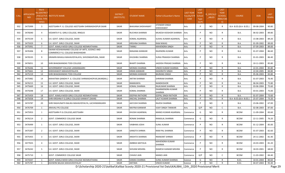| S.No. | <b>APPLICATIO</b><br><b>NID</b> | Merit<br>lo.(DISTRICT<br><b>HOOL TYPE</b><br>WISE) | /FACULTY/S INSTITUTE NAME                                                        | <b>DISTRICT</b><br>(INSTITUTE) | <b>STUDENT NAME</b>      | Father's/Guardian's Name    | <b>LAST YEAR</b><br>Faculty/STR<br><b>EAM</b> | <b>LAST</b><br><b>YEAR</b><br>School<br><b>Type</b><br>(G/P) | S_SPECILLY<br>ABLED | LAST<br><b>YEAR</b><br>SCHOOL<br>RBSE/CBS<br>E) | <b>COURSE</b>          | DOB        | <b>LAST</b><br>YEAR% |
|-------|---------------------------------|----------------------------------------------------|----------------------------------------------------------------------------------|--------------------------------|--------------------------|-----------------------------|-----------------------------------------------|--------------------------------------------------------------|---------------------|-------------------------------------------------|------------------------|------------|----------------------|
| 932   | 3475999                         | $\overline{3}$                                     | AJEETGARH P. G. COLLEGE AJEETGARH SHRIMADHOPUR SIKAR                             | <b>SIKAR</b>                   | <b>BHAVANA SHEKHAWAT</b> | JITENDER SINGH<br>SHEKHAWAT | Arts                                          | P                                                            | NO.                 | $\mathsf{R}$                                    | B.A- B.ED.(B.A- B.ED.) | 09-08-2004 | 90.80                |
| 933   | 3476040                         | 4                                                  | VEDANTA P.G. GIRLS COLLEGE, RINGUS                                               | <b>SIKAR</b>                   | RUCHIKA SHARMA           | MUKESH KIOSHOR SHARMA       | Arts                                          | P                                                            | NO.                 | $\mathsf{R}$                                    | <b>B.A.</b>            | 06-02-2003 | 89.80                |
| 934   | 3475539                         | 5                                                  | S.K. GOVT. GIRLS COLLEGE, SIKAR                                                  | <b>SIKAR</b>                   | KOMAL AGARWAL            | SUSHIL KUMAR AGARWAL        | Arts                                          | P                                                            | NO.                 | $\mathsf{R}$                                    | B.A.                   | 15-08-2003 | 89.20                |
| 935   | 3475929                         | 6                                                  | S.K. GOVT. GIRLS COLLEGE, SIKAR                                                  | <b>SIKAR</b>                   | KRISHNA SHARMA           | <b>RAM NIWAS</b>            | Arts                                          | P                                                            | <b>NO</b>           | $\mathsf{R}$                                    | B.A.                   | 01-09-2002 | 89.00                |
| 936   | 3475991                         | $\overline{7}$                                     | GOVT. KAMLA MODI GIRLS COLLEGE NEEMKATHANA                                       | <b>SIKAR</b>                   | TANNU                    | <b>MAHENDRA SINGH</b>       | Arts                                          | P                                                            | NO.                 | $\mathsf{R}$                                    | <b>B.A.</b>            | 07-09-2003 | 89.00                |
| 937   | 3476306                         | 8                                                  | SWAMI KESHWANAND COLLEGE OF ARTS, SCIENCE AND<br>COMMERCE P.G. COLLEGE BHADHADAR | <b>SIKAR</b>                   | RANJANA KANWAR           | RAJENDRA KUMAR              | Arts                                          | P                                                            | NO.                 | $\mathsf{R}$                                    | <b>B.A.</b>            | 01-07-2004 | 86.60                |
| 938   | 3476535                         | 9                                                  | GRAMIN MHAILA MAHAVIDYALAYA, SHIVSINGHPURA, SIKAR                                | <b>SIKAR</b>                   | KHUSHBU SHARMA           | SURAJ PRAKASH SHARMA        | Arts                                          | P                                                            | NO.                 | $\mathsf{R}$                                    | B.A.                   | 01-01-2003 | 86.40                |
| 939   | 3476051                         | 10                                                 | SHRI BHAGWANDAS TODI COLLEGE                                                     | <b>SIKAR</b>                   | <b>BHARTI SHARMA</b>     | JAGDISH PRASAD SHARMA       | Arts                                          | P                                                            | NO.                 | $\mathsf{R}$                                    | B.A.                   | 10-11-2003 | 85.80                |
| 940   | 3476446                         | 11                                                 | GOVERNMENT COLLEGE LAXMANGARH                                                    | <b>SIKAR</b>                   | MONIKA SHARMA            | VINOD KUMAR SHARMA          | Arts                                          | P                                                            | <b>NO</b>           | $\mathsf{R}$                                    | <b>B.A.</b>            | 22-01-2004 | 85.80                |
| 941   | 3475661                         | 12                                                 | SHEKHAWATI MAHAVIDYALAYA                                                         | <b>SIKAR</b>                   | <b>KIRAN KANWAR</b>      | <b>DASHRATH SINGH</b>       | Arts                                          | P                                                            | <b>NO</b>           | $\mathsf{R}$                                    | <b>B.A.</b>            | 22-04-2005 | 84.80                |
| 942   | 3475219                         | 13                                                 | SHRI BHAGWANDAS TODI COLLEGE                                                     | <b>SIKAR</b>                   | MONIKA KANWAR            | <b>BAJRANG SINGH</b>        | Arts                                          | P                                                            | NO                  | $\mathsf{R}$                                    | B.A.                   | 05-06-2003 | 83.80                |
| 943   | 3475982                         | 14                                                 | MAHATMA GANDHI P. G. COLLEGE SHRIMADHOPUR, SIKAR (RAJ.)                          | <b>SIKAR</b>                   | <b>ANTIM SHARMA</b>      | <b>SHRIRAM SHARMA</b>       | Arts                                          | P                                                            | NO.                 | $\mathsf{R}$                                    | B.A.                   | 01-07-2003 | 76.40                |
| 944   | 3476215                         | 15                                                 | S.K. GOVT. GIRLS COLLEGE, SIKAR                                                  | <b>SIKAR</b>                   | RAMKANYA                 | <b>NANDKISHOR</b>           | Arts                                          | P                                                            | <b>NO</b>           | $\mathsf{R}$                                    | B.A.                   | 06-04-2003 | 75.80                |
| 945   | 3475669                         | 16                                                 | S.K. GOVT. GIRLS COLLEGE, SIKAR                                                  | <b>SIKAR</b>                   | KOMAL SHARMA             | RAJKUMAR SHARMA             | Arts                                          | P                                                            | NO                  | $\mathsf{R}$                                    | <b>B.A.</b>            | 03-06-2004 | 75.60                |
| 946   | 3475048                         | 17                                                 | S.K. GOVT. GIRLS COLLEGE, SIKAR                                                  | <b>SIKAR</b>                   | KOMAL SHARMA             | DHARMENDRA KUMAR<br>SHARMA  | Arts                                          | P                                                            | NO.                 | $\mathsf{R}$                                    | B.A.                   | 03-01-2003 | 75.00                |
| 947   | 3475459                         | 18                                                 | GOVT. KAMLA MODI GIRLS COLLEGE NEEMKATHANA                                       | <b>SIKAR</b>                   | <b>DEEPIKA RATHORE</b>   | <b>GOPAL SINGH RATHOR</b>   | Arts                                          | P                                                            | <b>NO</b>           | $\mathsf{R}$                                    | <b>B.A.</b>            | 01-07-2004 | 73.60                |
| 948   | 3475058                         | 19                                                 | SHRI KRISHNA P.G.GIRLS COLLEGE KANWAT (SIKAR)                                    | <b>SIKAR</b>                   | ANCHAL SHARMA            | LALIT KUMAR SHARMA          | Arts                                          | P                                                            | <b>NO</b>           | $\mathsf{R}$                                    | B.A- B.ED.(B.A- B.ED.) | 25-07-2004 | 73.20                |
| 949   | 3474787                         | 20                                                 | SHRI RAGHUNATH BALIKA MAHAVIDYALYA, LACHHMANGARH                                 | <b>SIKAR</b>                   | AAYUSHI SHARMA           | RAJESH SHARMA               | Arts                                          | P                                                            | NO.                 | $\mathsf{R}$                                    | <b>B.A.</b>            | 23-06-2002 | 67.00                |
| 950   | 3476709                         | 1                                                  | ARAVALI PG COLLEGE                                                               | <b>SIKAR</b>                   | NAIYNA KANWAR            | <b>VIJAY SINGH TANWAR</b>   | Arts                                          | G/P                                                          | <b>NO</b>           | $\mathsf{C}$                                    | B.A.                   | 02-08-2003 | 87.00                |
| 951   | 3475953                         | 1                                                  | AJEETGARH P.G.COLLEGE, AJEETGARH                                                 | <b>SIKAR</b>                   | KHUSHI AGARWAL           | MANOJ KUMAR AGARWAL         | Commerce                                      | G                                                            | NO.                 | $\mathsf{R}$                                    | <b>BCOM</b>            | 11-09-2004 | 83.60                |
| 952   | 3476214                         | $\overline{2}$                                     | GOVT. COMMERCE COLLEGE SIKAR                                                     | <b>SIKAR</b>                   | RONAK SHARMA             | RAMJILAL SHARMA             | Commerce                                      | G                                                            | NO                  | $\mathsf{R}$                                    | <b>BCOM</b>            | 22-11-2005 | 76.20                |
| 953   | 3476499                         | 1                                                  | S.K. GOVT. GIRLS COLLEGE, SIKAR                                                  | <b>SIKAR</b>                   | VAIBHIKA JOSHI           | <b>SUNIL KUMAR</b>          | Commerce                                      | P                                                            | NO.                 | $\mathsf{R}$                                    | <b>BCOM</b>            | 01-12-2004 | 85.00                |
| 954   | 3475387                         | $\overline{2}$                                     | S.K. GOVT. GIRLS COLLEGE, SIKAR                                                  | <b>SIKAR</b>                   | <b>SANGITA SHRMA</b>     | RAM PAL SHARMA              | Commerce                                      | P                                                            | NO.                 | R                                               | <b>BCOM</b>            | 01-07-2003 | 82.60                |
| 955   | 3475455                         | $\overline{3}$                                     | S.K. GOVT. GIRLS COLLEGE, SIKAR                                                  | SIKAR                          | <b>ANSHITA SHARMA</b>    | <b>RMAKANT SHRMA</b>        | Commerce                                      | P                                                            | <b>NO</b>           | $\mathsf{R}$                                    | <b>BCOM</b>            | 24-11-2002 | 81.40                |
| 956   | 3477655                         | 4                                                  | S.K. GOVT. GIRLS COLLEGE, SIKAR                                                  | <b>SIKAR</b>                   | AMBIKA MATOLIA           | MAHENDRA KUMAR<br>SHARMA    | Commerce                                      | P                                                            | NO                  | $\mathsf{R}$                                    | <b>BCOM</b>            | 24-03-2003 | 81.20                |
| 957   | 3476242                         | 5                                                  | S.K. GOVT. GIRLS COLLEGE, SIKAR                                                  | <b>SIKAR</b>                   | SHIVANI MISHRA           | RAMESH KAIMAR MISHRA        | Commerce                                      | P                                                            | NO                  | $\mathsf{R}$                                    | <b>BCOM</b>            | 18-03-2001 | 68.00                |
| 958   | 3475710                         | 1                                                  | <b>GOVT. COMMERCE COLLEGE SIKAR</b>                                              | <b>SIKAR</b>                   | <b>CHHAVI JAIN</b>       | <b>MANOJ JAIN</b>           | Commerce                                      | G/P                                                          | <b>NO</b>           | C                                               | <b>BCOM</b>            | 11-03-2002 | 84.40                |
| 959   | 3474347                         | 1                                                  | GOVT. KAMLA MODI GIRLS COLLEGE NEEMKATHANA                                       | <b>SIKAR</b>                   | <b>KANIKA SHARMA</b>     | <b>SUNIL KUMAR SHARMA</b>   | Science                                       | G                                                            | NO                  | $\mathsf{R}$                                    | B.SC.                  | 10-01-2004 | 80.60                |
| 960   | 3475787                         | 1                                                  | ASHWINI BALIKA MAHAVIDHYALAY                                                     | <b>SIKAR</b>                   | ANTIMA                   | VINOD KUMAR                 | Science                                       | P                                                            | <b>NO</b>           | $\mathsf{R}$                                    | B.SC.                  | 04-07-2003 | 95.40                |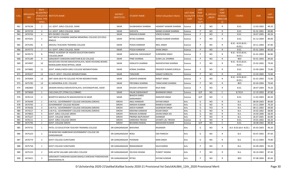| S.No.      | <b>APPLICATIO</b><br><b>NID</b> | Merit<br>lo.(DISTRICT<br><b>HOOL TYPE</b><br>WISE) | <b>/FACULTY/S INSTITUTE NAME</b>                                                    | <b>DISTRICT</b><br>(INSTITUTE)  | <b>STUDENT NAME</b>                   | Father's/Guardian's Name       | <b>LAST YEAR</b><br>Faculty/STR<br><b>EAM</b> | <b>LAST</b><br><b>YEAR</b><br>School<br><b>Type</b><br>(G/P) | S_SPECILLY<br>ABLED    | LAST<br><b>YEAR</b><br>SCHOOL<br><b>RBSE/CBS</b><br>E) | <b>COURSE</b>                        | DOB                      | <b>LAST</b><br>YEAR% |
|------------|---------------------------------|----------------------------------------------------|-------------------------------------------------------------------------------------|---------------------------------|---------------------------------------|--------------------------------|-----------------------------------------------|--------------------------------------------------------------|------------------------|--------------------------------------------------------|--------------------------------------|--------------------------|----------------------|
| 961        | 3474236                         | $\overline{2}$                                     | S.K. GOVT. GIRLS COLLEGE, SIKAR                                                     | <b>SIKAR</b>                    | SHUBHANSHI SHARMA                     | HEMANT KAIMAR SHARMA           | Science                                       | P                                                            | NO.                    | $\mathsf{R}$                                           | B.SC.                                | 12-03-2002               | 90.20                |
| 962        | 3474729                         | $\overline{\mathbf{3}}$                            | S.K. GOVT. GIRLS COLLEGE, SIKAR                                                     | <b>SIKAR</b>                    | SHEVATA                               | MANOJ KUMAR SHARMA             | Science                                       | P                                                            | <b>NO</b>              | $\mathsf{R}$                                           | B.SC.                                | 01-01-2001               | 89.80                |
| 963        | 3476703                         | $\overline{4}$                                     | <b>BPS DEGREE COLLEGE</b>                                                           | <b>SIKAR</b>                    | <b>RANJAN KUMARI</b>                  | VINOD KUMAR                    | Science                                       | P                                                            | <b>NO</b>              | R                                                      | B.SC.                                | 18-07-2005               | 89.20                |
| 964        | 3475501                         | 5                                                  | SMT.REETA CHANDRA SAXENA MEMORIAL COLLEGE (CO-EDU)<br><b>RINGUS</b>                 | <b>SIKAR</b>                    | RITIKA SHARMA                         | MANOJ KUMAR SHARMA             | Science                                       | P                                                            | NO                     | R                                                      | B.SC.                                | 01-12-2004               | 89.00                |
| 965        | 3475392                         | 6                                                  | ARAVALI TEACHERS TRAINING COLLEGE                                                   | <b>SIKAR</b>                    | POOJA KANWAR                          | <b>NEEL SINGH</b>              | Science                                       | P                                                            | NO.                    | $\mathsf{R}$                                           | B.SC.- B.ED.(B.SC.-<br><b>B.ED.)</b> | 20-11-2004               | 87.80                |
| 966        | 3474775                         | $\overline{7}$                                     | S.K. GOVT. GIRLS COLLEGE, SIKAR                                                     | <b>SIKAR</b>                    | POOJA KANWAR                          | <b>JIVAN SINGH</b>             | Science                                       | P                                                            | <b>NO</b>              | $\mathsf{R}$                                           | B.SC.                                | 05-01-2004               | 85.60                |
| 967        | 3476573                         | 8                                                  | PRINCE ACADEMY OF HIGHER EDUCATION KANYA<br>COLLEGE, SIKAR                          | <b>SIKAR</b>                    | AANCHAL SHEKHAWAT                     | <b>SURENDRA SINGH</b>          | Science                                       | P                                                            | NO.                    | $\mathsf{R}$                                           | B.SC.- B.ED.(B.SC.-<br>B.ED.)        | 01-01-2003               | 84.80                |
| 968        | 3475189                         | 9                                                  | SARASWATI SHIKSHAN SANSTHAN B.ED COLLEGE                                            | <b>SIKAR</b>                    | PINKI SHARMA                          | SUWA LAL SHARMA                | Science                                       | P                                                            | NO                     | $\mathsf{R}$                                           | <b>BED</b>                           | 03-01-2003               | 84.60                |
| 969        | 3474997                         | 10                                                 | NAVJEEVAN VIGYAN MAHAVIDYALAYA, NEAR HOUSING BOARD,<br>NAWALGARH ROAD BYPASS, SIKAR | <b>SIKAR</b>                    | HEMLATA SHARMA                        | RADHESHYAM SHARMA              | Science                                       | P                                                            | NO                     | $\mathsf{R}$                                           | B.SC.- B.ED.(B.SC.-<br><b>B.ED.)</b> | 25-02-2002               | 79.00                |
| 970        | 3474882                         | 11                                                 | GOVT. KAMLA MODI GIRLS COLLEGE NEEMKATHANA                                          | <b>SIKAR</b>                    | KOMAL SHARMA                          | PRADEEP KUMAR SUROLIA          | Science                                       | P                                                            | NO                     | R                                                      | B.SC.                                | 25-09-2004               | 73.80                |
| 971        | 3476327                         | 12                                                 | S.N.K.P. GOVT. COLLEGE.NEEMKATHANA                                                  | <b>SIKAR</b>                    | TANUSHRI                              | SANJAY SUROLIYA                | Science                                       | P                                                            | NO                     | R                                                      | B.SC.                                | 22-03-2005               | 73.00                |
| 972        | 3476404                         | 13                                                 | SMT ASHA DEVI PG COLLEGE PATAN NEEMKATHANA                                          | <b>SIKAR</b>                    | <b>SADHYA KANWAR</b>                  | <b>RANJIT SINGH</b>            | Science                                       | P                                                            | <b>NO</b>              | $\mathsf{R}$                                           | B.SC.- B.ED.(B.SC.-<br>B.ED.)        | 01-01-2003               | 72.00                |
| 973        | 3475782                         | 14                                                 | <b>B.S.MEMORIAL B.ED. COLLEGE</b>                                                   | <b>SIKAR</b>                    | PRIYANKA SHARMA                       | TARACHAND SHARMA               | Science                                       | P                                                            | <b>NO</b>              | $\mathsf{R}$                                           | <b>BED</b>                           | 02-04-2004               | 70.60                |
| 974        | 3482860                         | 15                                                 | GRAMIN MHAILA MAHAVIDYALAYA, SHIVSINGHPURA, SIKAR                                   | <b>SIKAR</b>                    | KHUSHI UPADHYAY                       | RAJA RAM                       | Science                                       | P                                                            | NO.                    | R                                                      | B.SC.                                | 28-07-2004               | 70.20                |
| 975        | 3474669                         | 1                                                  | CAD, CASH, CET, CFDM, CLG, COBMEC                                                   | <b>SIKAR</b>                    | PALAK SHEKHAWAT                       | <b>BHANWAR SINGH</b>           | Science                                       | G/P                                                          | NO.                    | C                                                      | <b>B.TECH</b>                        | 12-10-2003               | 87.80                |
| 976        | 3476114                         | $\overline{2}$                                     | BHARTIYA MAHILA PG MAHAVIDAYALYA SIKAR                                              | <b>SIKAR</b>                    | <b>BHAGYA SHREE</b><br>SHEKHAWAT      | <b>RANVEER SINGH</b>           | Science                                       | G/P                                                          | NO.                    | $\mathsf{C}$                                           | B.SC.                                | 11-02-2003               | 84.20                |
| 977        | 3476449                         | $\mathbf{1}$                                       | S.M.P.B.J. GOVERNMENT COLLEGE SHEOGANJ (SIROHI)                                     | <b>SIROHI</b>                   | ANJU KANWAR                           | <b>SHYAM SINGH</b>             | Arts                                          | G                                                            | <b>NO</b>              | R                                                      | <b>B.A.</b>                          | 08-09-2003               | 80.80                |
| 978        | 3474765                         | $\overline{2}$                                     | <b>GOVERNMENT COLLEGE REODAR</b>                                                    | <b>SIROHI</b>                   | AMISHA KUMARI                         | RAMESH KUMAR                   | Arts                                          | G                                                            | <b>NO</b>              | $\mathsf{R}$                                           | <b>B.A.</b>                          | 14-11-2004               | 70.20                |
| 979        | 3476436                         | $\overline{\mathbf{3}}$                            | S.M.P.B.J. GOVERNMENT COLLEGE SHEOGANJ (SIROHI)                                     | <b>SIROHI</b>                   | AKESH KANWR                           | <b>GAJENDAR SINGH</b>          | Arts                                          | G                                                            | YES                    | $\mathsf{R}$                                           | <b>B.A.</b>                          | 08-11-2002               | 69.00                |
| 980        | 3474217                         | $\overline{4}$                                     | S.M.P.B.J. GOVERNMENT COLLEGE SHEOGANJ (SIROHI)                                     | <b>SIROHI</b>                   | <b>KRISHNA KANWAR</b>                 | <b>KESAR SINGH</b>             | Arts                                          | G                                                            | <b>NO</b>              | $\mathsf{R}$                                           | B.A.                                 | 24-02-2002               | 68.80                |
| 981        | 3479853                         | -5                                                 | <b>GOVT. GIRLS COLLEGE SIROHI</b>                                                   | <b>SIROHI</b>                   | RENUKA KUNWAR                         | JAVAN SINGH JEE                | Arts                                          | G<br>P                                                       | <b>NO</b>              | $\mathsf{R}$                                           | <b>B.A.</b>                          | 24-04-2000               | 68.40                |
| 982<br>983 | 3475227<br>3476111              | $\overline{1}$<br>-1                               | <b>GOVT. COLLEGE SIROHI</b><br>GOVT. GIRLS COLLEGE SIROHI                           | <b>SIROHI</b><br><b>SIROHI</b>  | PRERNA RAJPUROHIT<br>DARSHIKA TRIVEDI | SHANKAR<br>JAYANTI LAL TRIVEDI | Arts<br>Science                               | G                                                            | <b>NO</b><br><b>NO</b> | $\mathsf{R}$<br>$\mathsf{R}$                           | B.A.<br>B.SC.                        | 26-07-2001<br>19-01-2002 | 82.80<br>66.20       |
| 984        | 3475795                         | 1                                                  | <b>GOVT. COLLEGE SIROHI</b>                                                         | <b>SIROHI</b>                   | BHUMIKA RAWAL                         | MAHAVEER KUMAR                 | Science                                       | G/P                                                          | NO.                    | C                                                      | B.SC.                                | 18-08-2002               | 89.40                |
| 985        | 3474731                         | 1                                                  | PATEL CO-EDUCATION TEACHER TRAINING COLLEGE                                         | SRI GANGANAGAR BHAVANA          |                                       | RAJENDER                       | Arts                                          | G                                                            | NO.                    | R                                                      | B.A- B.ED.(B.A- B.ED.)               | 05-03-2003               | 96.20                |
| 986        | 3475323                         | 2                                                  | DR BHIM RAO AMBEDKAR GOVERNMENT COLLEGE SRI<br>GANGANAGAR                           | SRI GANGANAGAR RENU             |                                       | <b>OM PARKESH</b>              | Arts                                          | G                                                            | NO.                    | R                                                      | B.A.                                 | 03-07-2002               | 87.60                |
| 987        | 3476774                         | $\overline{3}$                                     | <b>GOVT COLLEGE SURATGARH</b>                                                       | SRI GANGANAGAR POONAM           |                                       | <b>MAN SINGH</b>               | Arts                                          | G                                                            | <b>NO</b>              | $\mathsf{R}$                                           | B.A.                                 | 01-12-2003               | 79.80                |
| 988        | 3475734                         | 1                                                  | <b>GOVT COLLEGE SURATGARH</b>                                                       | SRI GANGANAGAR RMAKANWAR        |                                       | KALICHARAN                     | Arts                                          | P                                                            | NO.                    | $\mathsf{R}$                                           | <b>B.A.</b>                          | 02-09-2003               | 93.20                |
| 989        | 3475155                         | $\overline{2}$                                     | SHRI AATM VALLABH JAIN GIRLS COLLEGE                                                | SRI GANGANAGAR   DELISHA SIDANA |                                       | PUNEET SIDANA                  | Arts                                          | P                                                            | NO.                    | $\mathsf{R}$                                           | B.A.                                 | 30-10-2002               | 87.40                |
| 990        | 3474421                         | $\overline{3}$                                     | SARASWATI SHIKSHAN SADAN MAHILA SHIKSHAK PARSHIKSHAN<br>MAHAVIDHALYA                | SRI GANGANAGAR RITIKA           |                                       | <b>SHYAM SUNDAR</b>            | Arts                                          | P                                                            | NO                     | $\mathsf{R}$                                           | BED                                  | 07-08-2004               | 85.00                |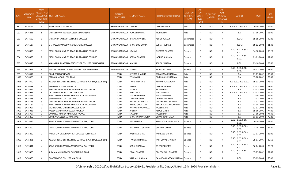| S.No. | <b>APPLICATIO</b><br><b>NID</b> | Merit<br>Io.(DISTRICT<br><b>HOOL TYPE</b><br>WISE) | FACULTY/S INSTITUTE NAME                                  | <b>DISTRICT</b><br>(INSTITUTE) | STUDENT NAME                  | ather's/Guardian's Name       | <b>LAST YEAR</b><br><b>Faculty/STR</b><br>EAM | <b>LAST</b><br><b>YEAR</b><br>School<br><b>Type</b><br>(G/P) | S_SPECILLY<br>ABLED | LAST<br><b>YEAR</b><br><b>SCHOOL</b><br>(RBSE/CBS<br>E) | <b>COURSE</b>                        | <b>DOB</b> | <b>LAST</b><br>YEAR% |
|-------|---------------------------------|----------------------------------------------------|-----------------------------------------------------------|--------------------------------|-------------------------------|-------------------------------|-----------------------------------------------|--------------------------------------------------------------|---------------------|---------------------------------------------------------|--------------------------------------|------------|----------------------|
| 991   | 3476265                         | $\overline{4}$                                     | <b>FACULTY OF EDUCATION</b>                               | SRI GANGANAGAR YASHIKA         |                               | DINESH KUMAR                  | Arts                                          | P                                                            | NO.                 | R                                                       | B.A- B.ED.(B.A- B.ED.)               | 14-09-2003 | 76.00                |
| 992   | 3476231                         | 5                                                  | SHREE SHYAM DEGREE COLLEGE MOKALSAR                       | SRI GANGANAGAR POOJA SHARMA    |                               | <b>MURLIDHAR</b>              | Arts                                          | P                                                            | <b>NO</b>           | R                                                       | <b>B.A.</b>                          | 07-06-2001 | 66.00                |
| 993   | 3474660                         | 1                                                  | SHRI AATM VALLABH JAIN GIRLS COLLEGE                      | SRI GANGANAGAR BHAVIKA PAREEK  |                               | ASHOK KUMAR                   | Commerce                                      | G                                                            | <b>NO</b>           | R                                                       | <b>BCOM</b>                          | 09-05-2004 | 90.80                |
| 994   | 3476127                         | 1                                                  | CH. BALLURAM GODARA GOVT. GIRLS COLLEGE                   |                                | SRI GANGANAGAR KHUSHBOO GUPTA | <b>SURESH KUMAR</b>           | Commerce                                      | P                                                            | <b>NO</b>           | R                                                       | <b>BCOM</b>                          | 08-12-2002 | 81.40                |
| 995   | 3478835                         | 1                                                  | PATEL CO-EDUCATION TEACHER TRAINING COLLEGE               | SRI GANGANAGAR UPASNA          |                               | <b>BHIMSEN SHARMA</b>         | Science                                       | P                                                            | <b>NO</b>           | R                                                       | B.SC.- B.ED.(B.SC.-<br>B.ED.)        | 14-10-2004 | 88.20                |
| 996   | 3478859                         | $\overline{2}$                                     | PATEL CO-EDUCATION TEACHER TRAINING COLLEGE               | SRI GANGANAGAR SOMYA SHARMA    |                               | IAGRUP SHARMA                 | Science                                       | P                                                            | <b>NO</b>           | $\mathsf{R}$                                            | B.SC.- B.ED.(B.SC.-<br><b>B.ED.)</b> | 01-01-2003 | 87.80                |
| 997   | 3474448                         | 3                                                  | MAHARAJA AGARSEN AGRICULTURE COLLEGE, SURATGARH           | SRI GANGANAGAR ANCHAL          |                               | ASHOK SHARMA                  | Science                                       | P                                                            | NO                  | R                                                       | B.SC.                                | 23-10-2004 | 78.60                |
| 998   | 3478951                         | 4                                                  | SANT SRI PRANNATH PARANMI COLLEGE PADAMPUR                | SRI GANGANAGAR MAMTA           |                               | MUKESH KUMAR                  | Science                                       | P                                                            | <b>NO</b>           | R                                                       | B.SC.- B.ED.(B.SC.-<br>B.ED.)        | 04-07-2004 | 73.00                |
| 999   | 3476412                         | 1                                                  | <b>GOVT COLLEGE NEWAI</b>                                 | <b>TONK</b>                    | ANTIMA SHARMA                 | RAMAVATAR SHARMA              | Arts                                          | G                                                            | <b>NO</b>           | R                                                       | <b>B.A.</b>                          | 01-07-2002 | 83.40                |
| 1000  | 3476426                         | $\overline{2}$                                     | PANNADHAY COLLEGE TONK                                    | <b>TONK</b>                    | TEJSHWANI                     | <b>OMPRAKASH SHARMA</b>       | Arts                                          | G                                                            | <b>NO</b>           | $\mathsf{R}$                                            | B.A.                                 | 15-08-2002 | 79.00                |
| 1001  | 3474799                         | $\overline{3}$                                     | ADARSH TEACHERS TRAINING COLLEGE (B.A. B.ED./B.SC. B.ED.) | <b>TONK</b>                    | TANUPRIYA JAIN                | NIRMAL KUMAR JAIN             | Arts                                          | G                                                            | NO                  | R                                                       | B.A- B.ED.(B.A- B.ED.)               | 09-01-2002 | 78.60                |
| 1002  | 3476339                         | $\overline{4}$                                     | ABHIGHYAN MAHAVIDAYALA                                    | <b>TONK</b>                    | SAPNA                         | DINESH SHARMA                 | Arts                                          | G                                                            | NO                  | -R                                                      | B.A- B.ED.(B.A- B.ED.)               | 01-01-2003 | 78.00                |
| 1003  | 3475556                         | 5                                                  | SHREE KRISHNA MAHILA MAHAVIDHYALAY DOONI                  | <b>TONK</b>                    | MEGHA                         | BHAGCHAND                     | Arts                                          | G                                                            | <b>NO</b>           | $\mathsf{R}$                                            | <b>B.A.</b>                          | 07-07-2006 | 77.00                |
| 1004  | 3474931                         | 6                                                  | DR. AMBEDKAR B.ED. COLLEGE TONK                           | <b>TONK</b>                    | <b>RIDA KHAN</b>              | ZAHOORMIYA                    | Arts                                          | G                                                            | <b>NO</b>           | $\mathsf{R}$                                            | B.A- B.ED.(B.A- B.ED.)               | 01-01-2004 | 74.80                |
| 1005  | 3474857                         | $\overline{7}$                                     | RANI LAXMI BAI KANYA MAHAVIDHYALAYA NEWAI                 | <b>TONK</b>                    | MINAXI SHARMA                 | <b>SANJAY SHARMA</b>          | Arts                                          | G                                                            | <b>NO</b>           | $\mathsf{R}$                                            | <b>B.A.</b>                          | 21-05-2003 | 74.00                |
| 1006  | 3475438                         | 8                                                  | <b>GOVERNMENT COLLEGE DEOLI</b>                           | <b>TONK</b>                    | KHUSHI PAREEK                 | DHARM NARAYAN                 | Arts                                          | G                                                            | NO                  | R                                                       | B.A.                                 | 27-07-2002 | 73.20                |
| 1007  | 3475575                         | 9                                                  | SHREE KRISHNA MAHILA MAHAVIDHYALAY DOONI                  | <b>TONK</b>                    | PRIYANKA SHARMA               | SHANKAR LAL SHARMA            | Arts                                          | G                                                            | <b>NO</b>           | R                                                       | <b>B.A.</b>                          | 13-02-2003 | 65.60                |
| 1008  | 3475182                         | 10                                                 | RANI LAXMI BAI KANYA MAHAVIDHYALAYA NEWAI                 | <b>TONK</b>                    | ANSHU GOUTTAM                 | ASHOK KUMAR GOUTTAM           | Arts                                          | G                                                            | <b>NO</b>           | R                                                       | <b>B.A.</b>                          | 03-04-2004 | 65.40                |
| 1009  | 3475907                         | 1                                                  | MOTHERLAND CARRIER COLLEGE TONK                           | <b>TONK</b>                    | PRIYANSHI AGRAWAL             | RAJESH GARG                   | Arts                                          | P                                                            | <b>NO</b>           | $\mathsf{R}$                                            | B.A.                                 | 02-07-2002 | 88.00                |
| 1010  | 3475038                         | $\overline{2}$                                     | RAJEEV GANDHI PG COLLEGE KOOKAR                           | <b>TONK</b>                    | AREEBA                        | <b>ABDUL MAZID</b>            | Arts                                          | P                                                            | <b>NO</b>           | $\mathsf{R}$                                            | B.A.                                 | 05-06-2001 | 77.80                |
| 1011  | 3475767                         | $\overline{\mathbf{3}}$                            | LAXMI BAI MAHILA MAHAVIDHYALAYA                           | <b>TONK</b>                    | SIYA JAIN                     | RAJESH JAIN                   | Arts                                          | P                                                            | NO                  | R                                                       | B.A.                                 | 27-06-2002 | 74.40                |
| 1012  | 3475255                         | $\overline{4}$                                     | GOVT.P.G.COLLEGE, TONK (RAJ.)                             | <b>TONK</b>                    | KHUSHI VIJAYVERGIYA           | <b>GHANSHYAM VIJAY</b>        | Arts                                          | P                                                            | <b>NO</b>           | $\mathsf{R}$                                            | B.A.                                 | 01-01-2003 | 70.20                |
| 1013  | 3475486                         | 1                                                  | SAINT SOLDIER MAHILA MAHAVIDYALAYA, TONK                  | <b>TONK</b>                    | PALLVI HADA                   | MAHENDRA SINGH HADA           | Science                                       | G                                                            | <b>NO</b>           | $\mathsf{R}$                                            | B.SC.- B.ED.(B.SC.-<br>B.ED.)        | 14-10-2005 | 79.40                |
| 1014  | 3475809                         | 1                                                  | SAINT SOLDIER MAHILA MAHAVIDYALAYA, TONK                  | <b>TONK</b>                    | HIMANSHI AGARWAL              | <b>GIRDHAR GUPTA</b>          | Science                                       | P                                                            | <b>NO</b>           | R                                                       | B.SC.- B.ED.(B.SC.-<br>B.ED.)        | 23-10-2002 | 84.20                |
| 1015  | 3475860                         | $\overline{2}$                                     | PANDIT J.P. UPADHAYAY T.T. COLLEGE TONK (RAJ.)            | <b>TONK</b>                    | <b>AKSHITA GUPTA</b>          | RAMBABU GUPTA                 | Science                                       | P                                                            | <b>NO</b>           | R                                                       | B.SC.- B.ED.(B.SC.-<br>B.ED.)        | 12-07-2003 | 82.00                |
| 1016  | 3475291                         | $\overline{3}$                                     | ADARSH TEACHERS TRAINING COLLEGE (B.A. B.ED./B.SC. B.ED.) | <b>TONK</b>                    | TANISHA SHARMA                | RAM GOPAL SHARMA              | Science                                       | P                                                            | <b>NO</b>           | $\mathsf{R}$                                            | B.SC.- B.ED.(B.SC.-<br>B.ED.)        | 25-07-2005 | 80.60                |
| 1017  | 3475041                         | $\overline{4}$                                     | SAINT SOLDIER MAHILA MAHAVIDYALAYA, TONK                  | <b>TONK</b>                    | SONAL SHARMA                  | RAJESH SHARMA                 | Science                                       | P                                                            | <b>NO</b>           | $\mathsf{R}$                                            | B.SC.- B.ED.(B.SC.-<br>B.ED.)        | 16-04-2004 | 75.20                |
| 1018  | 3475320                         | 5                                                  | SHIV MAHAVIDYALAYA, SAROLI MOD, TONK                      | <b>TONK</b>                    | PAYAL SHARMA                  | OM PRAKSAH SHARMA             | Science                                       | P                                                            | NO                  | $\mathsf{R}$                                            | B.SC.- B.ED.(B.SC.-<br>B.ED.)        | 15-09-2002 | 67.80                |
| 1019  | 3474860                         | 6                                                  | <b>GOVERNMENT COLLEGE MALPURA</b>                         | <b>TONK</b>                    | VAISHALI SHARMA               | DAMODAR PARSAD SHARMA Science |                                               | P                                                            | <b>NO</b>           | R                                                       | B.SC.                                | 07-02-2004 | 66.00                |